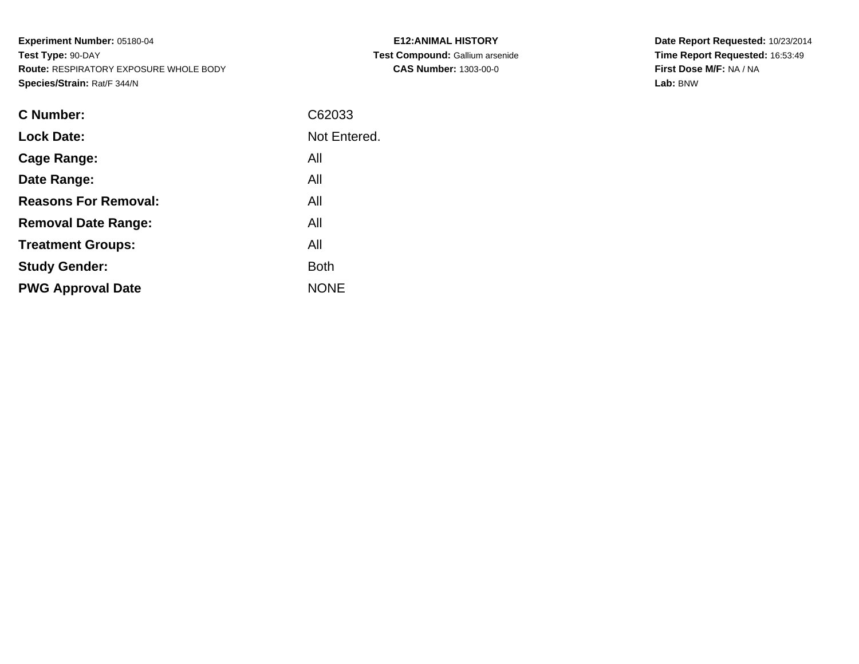**Experiment Number:** 05180-04**Test Type:** 90-DAY **Route:** RESPIRATORY EXPOSURE WHOLE BODY**Species/Strain:** Rat/F 344/N

| <b>C Number:</b>            | C62033       |
|-----------------------------|--------------|
| <b>Lock Date:</b>           | Not Entered. |
| <b>Cage Range:</b>          | All          |
| Date Range:                 | All          |
| <b>Reasons For Removal:</b> | All          |
| <b>Removal Date Range:</b>  | All          |
| <b>Treatment Groups:</b>    | All          |
| <b>Study Gender:</b>        | <b>Both</b>  |
| <b>PWG Approval Date</b>    | <b>NONE</b>  |
|                             |              |

**E12:ANIMAL HISTORY Test Compound:** Gallium arsenide**CAS Number:** 1303-00-0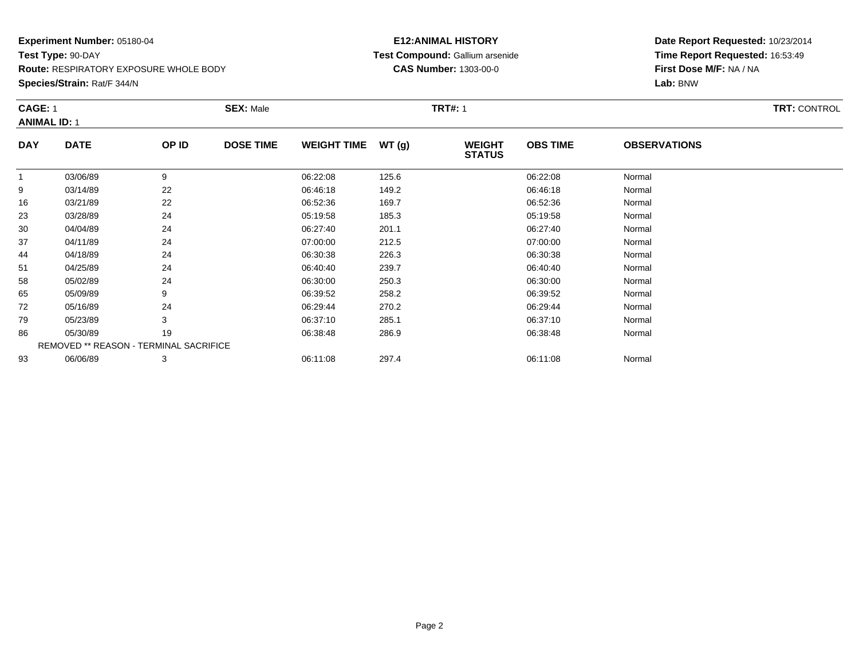**Species/Strain:** Rat/F 344/N

#### **E12:ANIMAL HISTORY Test Compound:** Gallium arsenide**CAS Number:** 1303-00-0

|                     | <b>CAGE: 1</b>                         |       | <b>SEX: Male</b> |                    |       | <b>TRT#: 1</b>                 | <b>TRT: CONTROL</b> |                     |  |
|---------------------|----------------------------------------|-------|------------------|--------------------|-------|--------------------------------|---------------------|---------------------|--|
| <b>ANIMAL ID: 1</b> |                                        |       |                  |                    |       |                                |                     |                     |  |
| <b>DAY</b>          | <b>DATE</b>                            | OP ID | <b>DOSE TIME</b> | <b>WEIGHT TIME</b> | WT(g) | <b>WEIGHT</b><br><b>STATUS</b> | <b>OBS TIME</b>     | <b>OBSERVATIONS</b> |  |
|                     | 03/06/89                               | 9     |                  | 06:22:08           | 125.6 |                                | 06:22:08            | Normal              |  |
| 9                   | 03/14/89                               | 22    |                  | 06:46:18           | 149.2 |                                | 06:46:18            | Normal              |  |
| 16                  | 03/21/89                               | 22    |                  | 06:52:36           | 169.7 |                                | 06:52:36            | Normal              |  |
| 23                  | 03/28/89                               | 24    |                  | 05:19:58           | 185.3 |                                | 05:19:58            | Normal              |  |
| 30                  | 04/04/89                               | 24    |                  | 06:27:40           | 201.1 |                                | 06:27:40            | Normal              |  |
| 37                  | 04/11/89                               | 24    |                  | 07:00:00           | 212.5 |                                | 07:00:00            | Normal              |  |
| 44                  | 04/18/89                               | 24    |                  | 06:30:38           | 226.3 |                                | 06:30:38            | Normal              |  |
| 51                  | 04/25/89                               | 24    |                  | 06:40:40           | 239.7 |                                | 06:40:40            | Normal              |  |
| 58                  | 05/02/89                               | 24    |                  | 06:30:00           | 250.3 |                                | 06:30:00            | Normal              |  |
| 65                  | 05/09/89                               | 9     |                  | 06:39:52           | 258.2 |                                | 06:39:52            | Normal              |  |
| 72                  | 05/16/89                               | 24    |                  | 06:29:44           | 270.2 |                                | 06:29:44            | Normal              |  |
| 79                  | 05/23/89                               | 3     |                  | 06:37:10           | 285.1 |                                | 06:37:10            | Normal              |  |
| 86                  | 05/30/89                               | 19    |                  | 06:38:48           | 286.9 |                                | 06:38:48            | Normal              |  |
|                     | REMOVED ** REASON - TERMINAL SACRIFICE |       |                  |                    |       |                                |                     |                     |  |
| 93                  | 06/06/89                               | 3     |                  | 06:11:08           | 297.4 |                                | 06:11:08            | Normal              |  |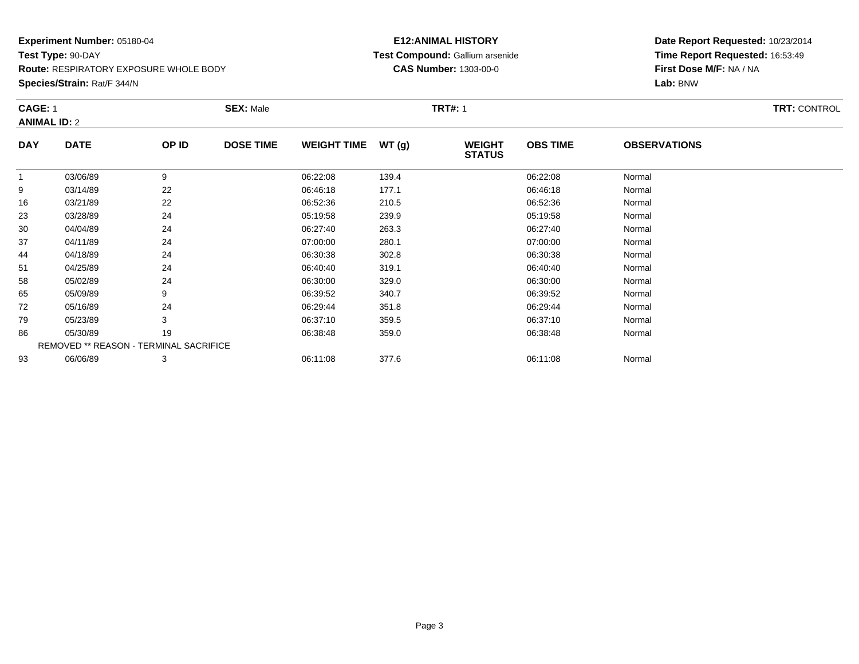**Species/Strain:** Rat/F 344/N

#### **E12:ANIMAL HISTORY Test Compound:** Gallium arsenide**CAS Number:** 1303-00-0

| <b>CAGE: 1</b><br><b>ANIMAL ID: 2</b> |                                        |       | <b>SEX: Male</b> |                    |       | <b>TRT#: 1</b>                 | <b>TRT: CONTROL</b> |                     |  |
|---------------------------------------|----------------------------------------|-------|------------------|--------------------|-------|--------------------------------|---------------------|---------------------|--|
| <b>DAY</b>                            | <b>DATE</b>                            | OP ID | <b>DOSE TIME</b> | <b>WEIGHT TIME</b> | WT(g) | <b>WEIGHT</b><br><b>STATUS</b> | <b>OBS TIME</b>     | <b>OBSERVATIONS</b> |  |
| $\mathbf{1}$                          | 03/06/89                               | 9     |                  | 06:22:08           | 139.4 |                                | 06:22:08            | Normal              |  |
| 9                                     | 03/14/89                               | 22    |                  | 06:46:18           | 177.1 |                                | 06:46:18            | Normal              |  |
| 16                                    | 03/21/89                               | 22    |                  | 06:52:36           | 210.5 |                                | 06:52:36            | Normal              |  |
| 23                                    | 03/28/89                               | 24    |                  | 05:19:58           | 239.9 |                                | 05:19:58            | Normal              |  |
| 30                                    | 04/04/89                               | 24    |                  | 06:27:40           | 263.3 |                                | 06:27:40            | Normal              |  |
| 37                                    | 04/11/89                               | 24    |                  | 07:00:00           | 280.1 |                                | 07:00:00            | Normal              |  |
| 44                                    | 04/18/89                               | 24    |                  | 06:30:38           | 302.8 |                                | 06:30:38            | Normal              |  |
| 51                                    | 04/25/89                               | 24    |                  | 06:40:40           | 319.1 |                                | 06:40:40            | Normal              |  |
| 58                                    | 05/02/89                               | 24    |                  | 06:30:00           | 329.0 |                                | 06:30:00            | Normal              |  |
| 65                                    | 05/09/89                               | 9     |                  | 06:39:52           | 340.7 |                                | 06:39:52            | Normal              |  |
| 72                                    | 05/16/89                               | 24    |                  | 06:29:44           | 351.8 |                                | 06:29:44            | Normal              |  |
| 79                                    | 05/23/89                               | 3     |                  | 06:37:10           | 359.5 |                                | 06:37:10            | Normal              |  |
| 86                                    | 05/30/89                               | 19    |                  | 06:38:48           | 359.0 |                                | 06:38:48            | Normal              |  |
|                                       | REMOVED ** REASON - TERMINAL SACRIFICE |       |                  |                    |       |                                |                     |                     |  |
| 93                                    | 06/06/89                               | 3     |                  | 06:11:08           | 377.6 |                                | 06:11:08            | Normal              |  |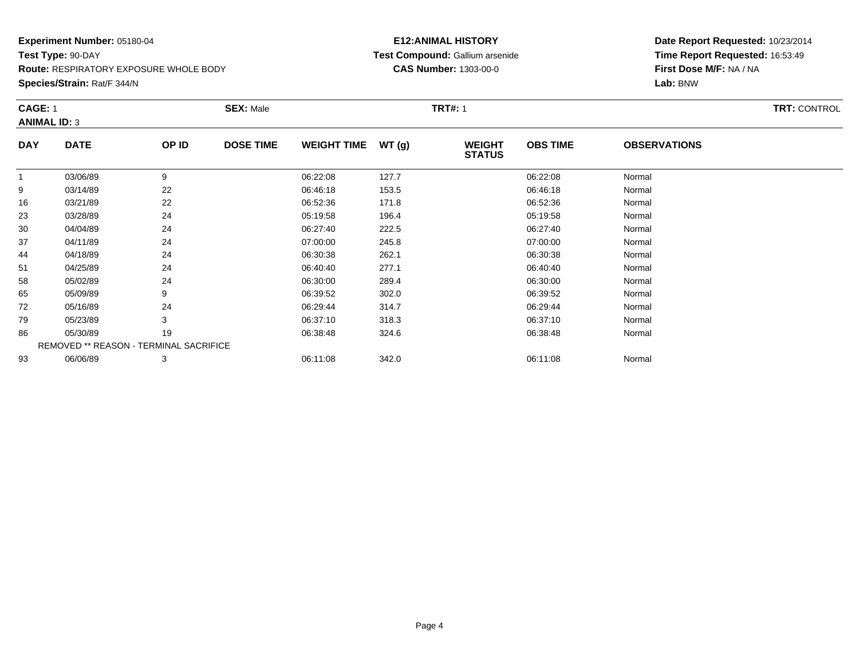**Species/Strain:** Rat/F 344/N

#### **E12:ANIMAL HISTORY Test Compound:** Gallium arsenide**CAS Number:** 1303-00-0

|                     | <b>CAGE: 1</b>                         |       | <b>SEX: Male</b> |                    |       |                                | <b>TRT#: 1</b>  |                     |  |  |  |
|---------------------|----------------------------------------|-------|------------------|--------------------|-------|--------------------------------|-----------------|---------------------|--|--|--|
| <b>ANIMAL ID: 3</b> |                                        |       |                  |                    |       |                                |                 |                     |  |  |  |
| <b>DAY</b>          | <b>DATE</b>                            | OP ID | <b>DOSE TIME</b> | WEIGHT TIME WT (g) |       | <b>WEIGHT</b><br><b>STATUS</b> | <b>OBS TIME</b> | <b>OBSERVATIONS</b> |  |  |  |
| 1                   | 03/06/89                               | 9     |                  | 06:22:08           | 127.7 |                                | 06:22:08        | Normal              |  |  |  |
| 9                   | 03/14/89                               | 22    |                  | 06:46:18           | 153.5 |                                | 06:46:18        | Normal              |  |  |  |
| 16                  | 03/21/89                               | 22    |                  | 06:52:36           | 171.8 |                                | 06:52:36        | Normal              |  |  |  |
| 23                  | 03/28/89                               | 24    |                  | 05:19:58           | 196.4 |                                | 05:19:58        | Normal              |  |  |  |
| 30                  | 04/04/89                               | 24    |                  | 06:27:40           | 222.5 |                                | 06:27:40        | Normal              |  |  |  |
| 37                  | 04/11/89                               | 24    |                  | 07:00:00           | 245.8 |                                | 07:00:00        | Normal              |  |  |  |
| 44                  | 04/18/89                               | 24    |                  | 06:30:38           | 262.1 |                                | 06:30:38        | Normal              |  |  |  |
| 51                  | 04/25/89                               | 24    |                  | 06:40:40           | 277.1 |                                | 06:40:40        | Normal              |  |  |  |
| 58                  | 05/02/89                               | 24    |                  | 06:30:00           | 289.4 |                                | 06:30:00        | Normal              |  |  |  |
| 65                  | 05/09/89                               | 9     |                  | 06:39:52           | 302.0 |                                | 06:39:52        | Normal              |  |  |  |
| 72                  | 05/16/89                               | 24    |                  | 06:29:44           | 314.7 |                                | 06:29:44        | Normal              |  |  |  |
| 79                  | 05/23/89                               | 3     |                  | 06:37:10           | 318.3 |                                | 06:37:10        | Normal              |  |  |  |
| 86                  | 05/30/89                               | 19    |                  | 06:38:48           | 324.6 |                                | 06:38:48        | Normal              |  |  |  |
|                     | REMOVED ** REASON - TERMINAL SACRIFICE |       |                  |                    |       |                                |                 |                     |  |  |  |
| 93                  | 06/06/89                               | 3     |                  | 06:11:08           | 342.0 |                                | 06:11:08        | Normal              |  |  |  |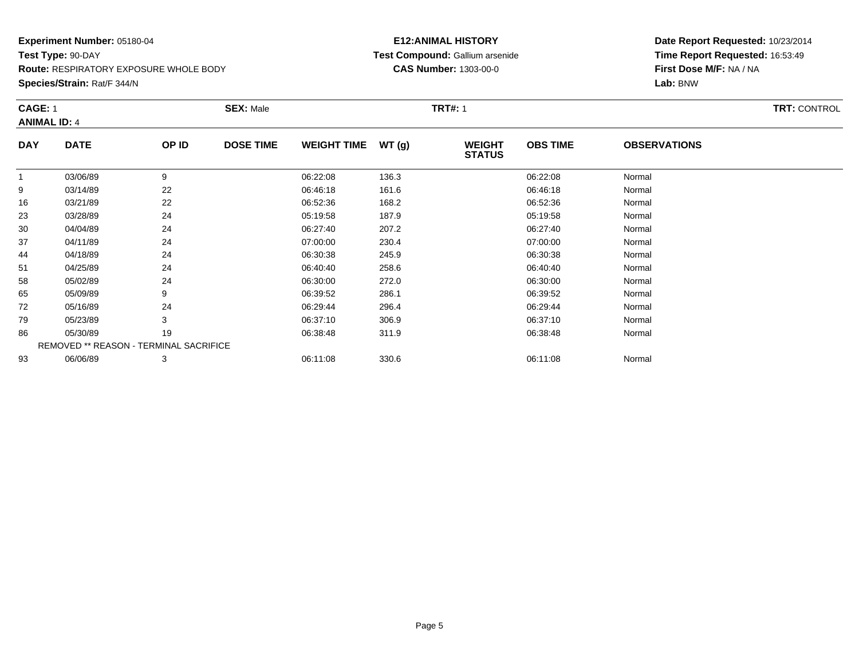**Species/Strain:** Rat/F 344/N

#### **E12:ANIMAL HISTORY Test Compound:** Gallium arsenide**CAS Number:** 1303-00-0

| <b>CAGE: 1</b><br><b>ANIMAL ID: 4</b> |                                        |       | <b>SEX: Male</b> |                    |       | <b>TRT#:</b> 1                 |                 |                     | <b>TRT: CONTROL</b> |
|---------------------------------------|----------------------------------------|-------|------------------|--------------------|-------|--------------------------------|-----------------|---------------------|---------------------|
| <b>DAY</b>                            | <b>DATE</b>                            | OP ID | <b>DOSE TIME</b> | <b>WEIGHT TIME</b> | WT(g) | <b>WEIGHT</b><br><b>STATUS</b> | <b>OBS TIME</b> | <b>OBSERVATIONS</b> |                     |
| 1                                     | 03/06/89                               | 9     |                  | 06:22:08           | 136.3 |                                | 06:22:08        | Normal              |                     |
| 9                                     | 03/14/89                               | 22    |                  | 06:46:18           | 161.6 |                                | 06:46:18        | Normal              |                     |
| 16                                    | 03/21/89                               | 22    |                  | 06:52:36           | 168.2 |                                | 06:52:36        | Normal              |                     |
| 23                                    | 03/28/89                               | 24    |                  | 05:19:58           | 187.9 |                                | 05:19:58        | Normal              |                     |
| 30                                    | 04/04/89                               | 24    |                  | 06:27:40           | 207.2 |                                | 06:27:40        | Normal              |                     |
| 37                                    | 04/11/89                               | 24    |                  | 07:00:00           | 230.4 |                                | 07:00:00        | Normal              |                     |
| 44                                    | 04/18/89                               | 24    |                  | 06:30:38           | 245.9 |                                | 06:30:38        | Normal              |                     |
| 51                                    | 04/25/89                               | 24    |                  | 06:40:40           | 258.6 |                                | 06:40:40        | Normal              |                     |
| 58                                    | 05/02/89                               | 24    |                  | 06:30:00           | 272.0 |                                | 06:30:00        | Normal              |                     |
| 65                                    | 05/09/89                               | 9     |                  | 06:39:52           | 286.1 |                                | 06:39:52        | Normal              |                     |
| 72                                    | 05/16/89                               | 24    |                  | 06:29:44           | 296.4 |                                | 06:29:44        | Normal              |                     |
| 79                                    | 05/23/89                               | 3     |                  | 06:37:10           | 306.9 |                                | 06:37:10        | Normal              |                     |
| 86                                    | 05/30/89                               | 19    |                  | 06:38:48           | 311.9 |                                | 06:38:48        | Normal              |                     |
|                                       | REMOVED ** REASON - TERMINAL SACRIFICE |       |                  |                    |       |                                |                 |                     |                     |
| 93                                    | 06/06/89                               | 3     |                  | 06:11:08           | 330.6 |                                | 06:11:08        | Normal              |                     |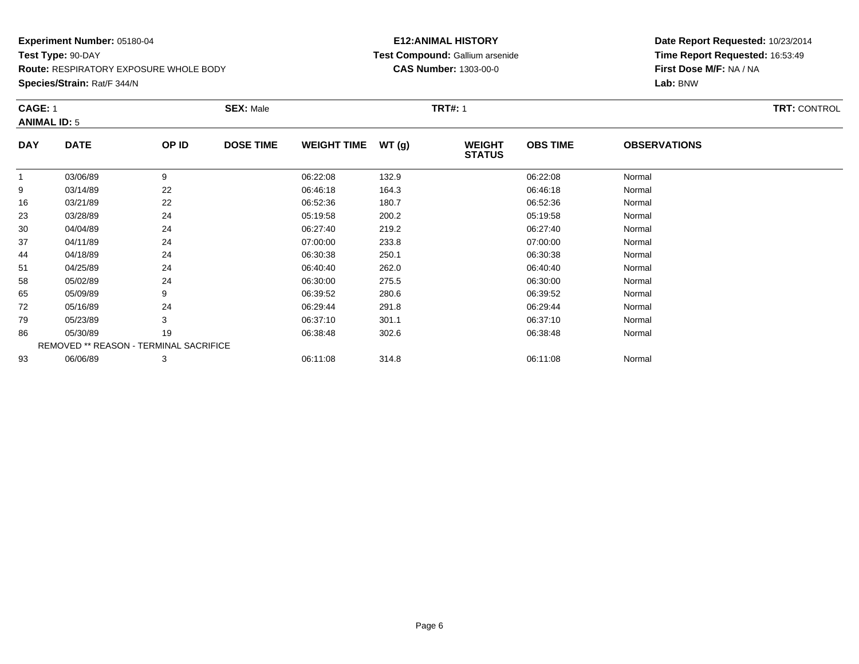**Route:** RESPIRATORY EXPOSURE WHOLE BODY

**Species/Strain:** Rat/F 344/N

#### **E12:ANIMAL HISTORY Test Compound:** Gallium arsenide**CAS Number:** 1303-00-0

|              | <b>CAGE: 1</b><br><b>ANIMAL ID: 5</b>  |       | <b>SEX: Male</b> |                    |       | <b>TRT#: 1</b>                 | <b>TRT: CONTROL</b> |                     |  |
|--------------|----------------------------------------|-------|------------------|--------------------|-------|--------------------------------|---------------------|---------------------|--|
| <b>DAY</b>   | <b>DATE</b>                            | OP ID | <b>DOSE TIME</b> | <b>WEIGHT TIME</b> | WT(g) | <b>WEIGHT</b><br><b>STATUS</b> | <b>OBS TIME</b>     | <b>OBSERVATIONS</b> |  |
| $\mathbf{1}$ | 03/06/89                               | 9     |                  | 06:22:08           | 132.9 |                                | 06:22:08            | Normal              |  |
| 9            | 03/14/89                               | 22    |                  | 06:46:18           | 164.3 |                                | 06:46:18            | Normal              |  |
| 16           | 03/21/89                               | 22    |                  | 06:52:36           | 180.7 |                                | 06:52:36            | Normal              |  |
| 23           | 03/28/89                               | 24    |                  | 05:19:58           | 200.2 |                                | 05:19:58            | Normal              |  |
| 30           | 04/04/89                               | 24    |                  | 06:27:40           | 219.2 |                                | 06:27:40            | Normal              |  |
| 37           | 04/11/89                               | 24    |                  | 07:00:00           | 233.8 |                                | 07:00:00            | Normal              |  |
| 44           | 04/18/89                               | 24    |                  | 06:30:38           | 250.1 |                                | 06:30:38            | Normal              |  |
| 51           | 04/25/89                               | 24    |                  | 06:40:40           | 262.0 |                                | 06:40:40            | Normal              |  |
| 58           | 05/02/89                               | 24    |                  | 06:30:00           | 275.5 |                                | 06:30:00            | Normal              |  |
| 65           | 05/09/89                               | 9     |                  | 06:39:52           | 280.6 |                                | 06:39:52            | Normal              |  |
| 72           | 05/16/89                               | 24    |                  | 06:29:44           | 291.8 |                                | 06:29:44            | Normal              |  |
| 79           | 05/23/89                               | 3     |                  | 06:37:10           | 301.1 |                                | 06:37:10            | Normal              |  |
| 86           | 05/30/89                               | 19    |                  | 06:38:48           | 302.6 |                                | 06:38:48            | Normal              |  |
|              | REMOVED ** REASON - TERMINAL SACRIFICE |       |                  |                    |       |                                |                     |                     |  |
| 93           | 06/06/89                               | 3     |                  | 06:11:08           | 314.8 |                                | 06:11:08            | Normal              |  |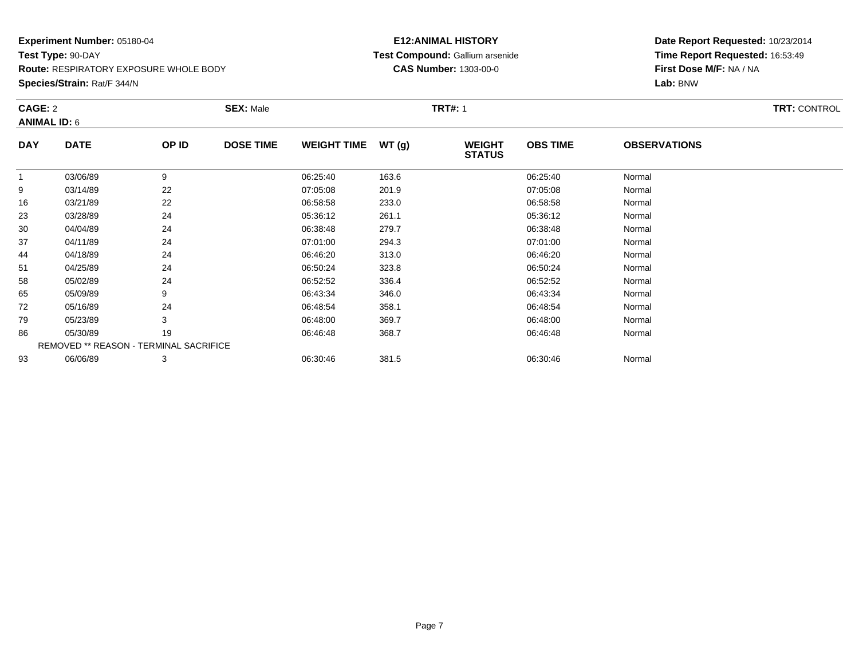**Route:** RESPIRATORY EXPOSURE WHOLE BODY

**Species/Strain:** Rat/F 344/N

#### **E12:ANIMAL HISTORY Test Compound:** Gallium arsenide**CAS Number:** 1303-00-0

|              | CAGE: 2<br><b>ANIMAL ID: 6</b>         |       | <b>SEX: Male</b> |                    |       | <b>TRT#: 1</b>                 | <b>TRT: CONTROL</b> |                     |  |
|--------------|----------------------------------------|-------|------------------|--------------------|-------|--------------------------------|---------------------|---------------------|--|
| <b>DAY</b>   | <b>DATE</b>                            | OP ID | <b>DOSE TIME</b> | <b>WEIGHT TIME</b> | WT(g) | <b>WEIGHT</b><br><b>STATUS</b> | <b>OBS TIME</b>     | <b>OBSERVATIONS</b> |  |
| $\mathbf{1}$ | 03/06/89                               | 9     |                  | 06:25:40           | 163.6 |                                | 06:25:40            | Normal              |  |
| 9            | 03/14/89                               | 22    |                  | 07:05:08           | 201.9 |                                | 07:05:08            | Normal              |  |
| 16           | 03/21/89                               | 22    |                  | 06:58:58           | 233.0 |                                | 06:58:58            | Normal              |  |
| 23           | 03/28/89                               | 24    |                  | 05:36:12           | 261.1 |                                | 05:36:12            | Normal              |  |
| 30           | 04/04/89                               | 24    |                  | 06:38:48           | 279.7 |                                | 06:38:48            | Normal              |  |
| 37           | 04/11/89                               | 24    |                  | 07:01:00           | 294.3 |                                | 07:01:00            | Normal              |  |
| 44           | 04/18/89                               | 24    |                  | 06:46:20           | 313.0 |                                | 06:46:20            | Normal              |  |
| 51           | 04/25/89                               | 24    |                  | 06:50:24           | 323.8 |                                | 06:50:24            | Normal              |  |
| 58           | 05/02/89                               | 24    |                  | 06:52:52           | 336.4 |                                | 06:52:52            | Normal              |  |
| 65           | 05/09/89                               | 9     |                  | 06:43:34           | 346.0 |                                | 06:43:34            | Normal              |  |
| 72           | 05/16/89                               | 24    |                  | 06:48:54           | 358.1 |                                | 06:48:54            | Normal              |  |
| 79           | 05/23/89                               | 3     |                  | 06:48:00           | 369.7 |                                | 06:48:00            | Normal              |  |
| 86           | 05/30/89                               | 19    |                  | 06:46:48           | 368.7 |                                | 06:46:48            | Normal              |  |
|              | REMOVED ** REASON - TERMINAL SACRIFICE |       |                  |                    |       |                                |                     |                     |  |
| 93           | 06/06/89                               | 3     |                  | 06:30:46           | 381.5 |                                | 06:30:46            | Normal              |  |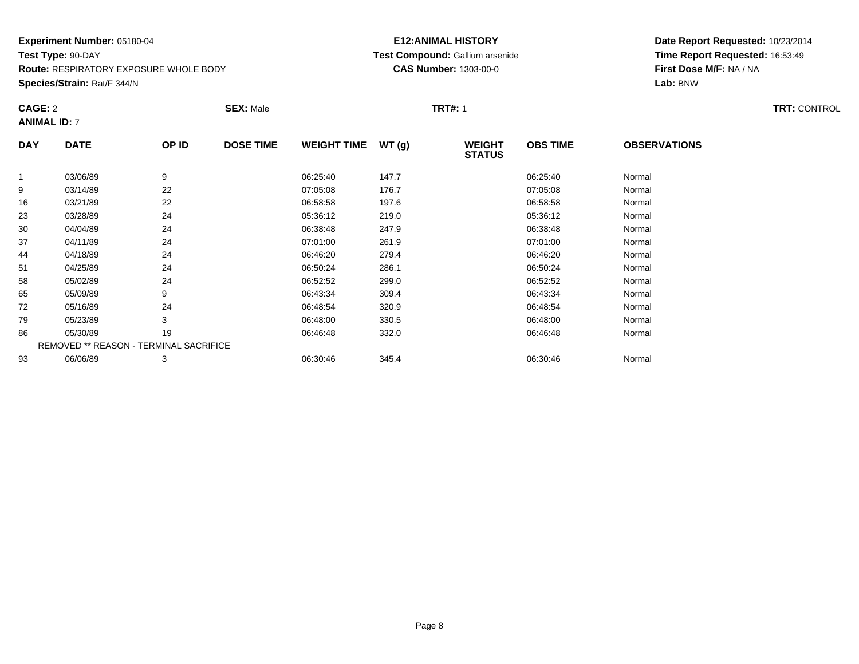**Route:** RESPIRATORY EXPOSURE WHOLE BODY

**Species/Strain:** Rat/F 344/N

#### **E12:ANIMAL HISTORY Test Compound:** Gallium arsenide**CAS Number:** 1303-00-0

|            | CAGE: 2                                |       | <b>SEX: Male</b> |                    |       | <b>TRT#: 1</b>                 | <b>TRT: CONTROL</b> |                     |  |
|------------|----------------------------------------|-------|------------------|--------------------|-------|--------------------------------|---------------------|---------------------|--|
|            | <b>ANIMAL ID: 7</b>                    |       |                  |                    |       |                                |                     |                     |  |
| <b>DAY</b> | <b>DATE</b>                            | OP ID | <b>DOSE TIME</b> | <b>WEIGHT TIME</b> | WT(g) | <b>WEIGHT</b><br><b>STATUS</b> | <b>OBS TIME</b>     | <b>OBSERVATIONS</b> |  |
| 1          | 03/06/89                               | 9     |                  | 06:25:40           | 147.7 |                                | 06:25:40            | Normal              |  |
| 9          | 03/14/89                               | 22    |                  | 07:05:08           | 176.7 |                                | 07:05:08            | Normal              |  |
| 16         | 03/21/89                               | 22    |                  | 06:58:58           | 197.6 |                                | 06:58:58            | Normal              |  |
| 23         | 03/28/89                               | 24    |                  | 05:36:12           | 219.0 |                                | 05:36:12            | Normal              |  |
| 30         | 04/04/89                               | 24    |                  | 06:38:48           | 247.9 |                                | 06:38:48            | Normal              |  |
| 37         | 04/11/89                               | 24    |                  | 07:01:00           | 261.9 |                                | 07:01:00            | Normal              |  |
| 44         | 04/18/89                               | 24    |                  | 06:46:20           | 279.4 |                                | 06:46:20            | Normal              |  |
| 51         | 04/25/89                               | 24    |                  | 06:50:24           | 286.1 |                                | 06:50:24            | Normal              |  |
| 58         | 05/02/89                               | 24    |                  | 06:52:52           | 299.0 |                                | 06:52:52            | Normal              |  |
| 65         | 05/09/89                               | 9     |                  | 06:43:34           | 309.4 |                                | 06:43:34            | Normal              |  |
| 72         | 05/16/89                               | 24    |                  | 06:48:54           | 320.9 |                                | 06:48:54            | Normal              |  |
| 79         | 05/23/89                               | 3     |                  | 06:48:00           | 330.5 |                                | 06:48:00            | Normal              |  |
| 86         | 05/30/89                               | 19    |                  | 06:46:48           | 332.0 |                                | 06:46:48            | Normal              |  |
|            | REMOVED ** REASON - TERMINAL SACRIFICE |       |                  |                    |       |                                |                     |                     |  |
| 93         | 06/06/89                               | 3     |                  | 06:30:46           | 345.4 |                                | 06:30:46            | Normal              |  |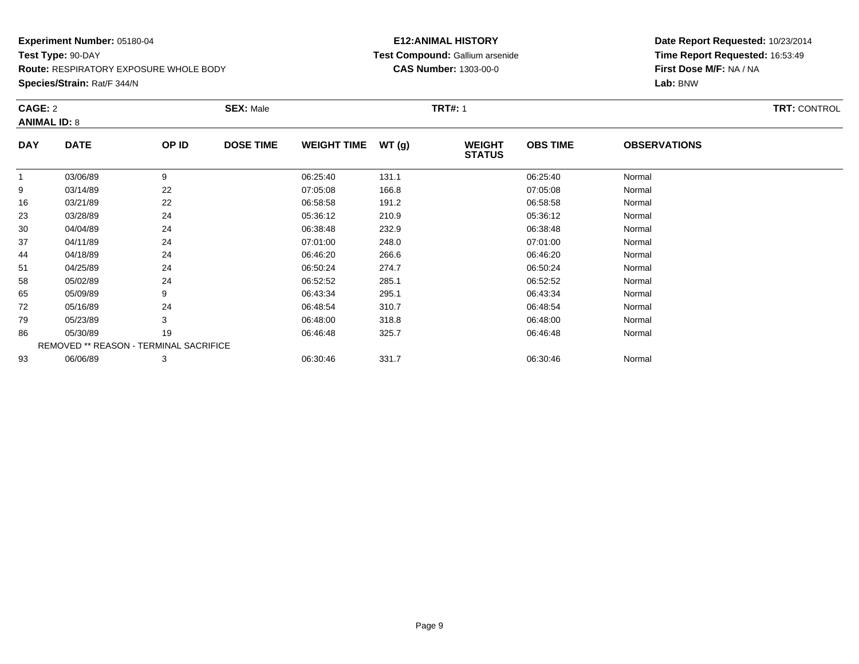**Route:** RESPIRATORY EXPOSURE WHOLE BODY

**Species/Strain:** Rat/F 344/N

#### **E12:ANIMAL HISTORY Test Compound:** Gallium arsenide**CAS Number:** 1303-00-0

|            | CAGE: 2<br><b>ANIMAL ID: 8</b>         |       | <b>SEX: Male</b> |                    |       | <b>TRT#: 1</b>                 | <b>TRT: CONTROL</b> |                     |  |
|------------|----------------------------------------|-------|------------------|--------------------|-------|--------------------------------|---------------------|---------------------|--|
| <b>DAY</b> | <b>DATE</b>                            | OP ID | <b>DOSE TIME</b> | <b>WEIGHT TIME</b> | WT(g) | <b>WEIGHT</b><br><b>STATUS</b> | <b>OBS TIME</b>     | <b>OBSERVATIONS</b> |  |
| 1          | 03/06/89                               | 9     |                  | 06:25:40           | 131.1 |                                | 06:25:40            | Normal              |  |
| 9          | 03/14/89                               | 22    |                  | 07:05:08           | 166.8 |                                | 07:05:08            | Normal              |  |
| 16         | 03/21/89                               | 22    |                  | 06:58:58           | 191.2 |                                | 06:58:58            | Normal              |  |
| 23         | 03/28/89                               | 24    |                  | 05:36:12           | 210.9 |                                | 05:36:12            | Normal              |  |
| 30         | 04/04/89                               | 24    |                  | 06:38:48           | 232.9 |                                | 06:38:48            | Normal              |  |
| 37         | 04/11/89                               | 24    |                  | 07:01:00           | 248.0 |                                | 07:01:00            | Normal              |  |
| 44         | 04/18/89                               | 24    |                  | 06:46:20           | 266.6 |                                | 06:46:20            | Normal              |  |
| 51         | 04/25/89                               | 24    |                  | 06:50:24           | 274.7 |                                | 06:50:24            | Normal              |  |
| 58         | 05/02/89                               | 24    |                  | 06:52:52           | 285.1 |                                | 06:52:52            | Normal              |  |
| 65         | 05/09/89                               | 9     |                  | 06:43:34           | 295.1 |                                | 06:43:34            | Normal              |  |
| 72         | 05/16/89                               | 24    |                  | 06:48:54           | 310.7 |                                | 06:48:54            | Normal              |  |
| 79         | 05/23/89                               | 3     |                  | 06:48:00           | 318.8 |                                | 06:48:00            | Normal              |  |
| 86         | 05/30/89                               | 19    |                  | 06:46:48           | 325.7 |                                | 06:46:48            | Normal              |  |
|            | REMOVED ** REASON - TERMINAL SACRIFICE |       |                  |                    |       |                                |                     |                     |  |
| 93         | 06/06/89                               | 3     |                  | 06:30:46           | 331.7 |                                | 06:30:46            | Normal              |  |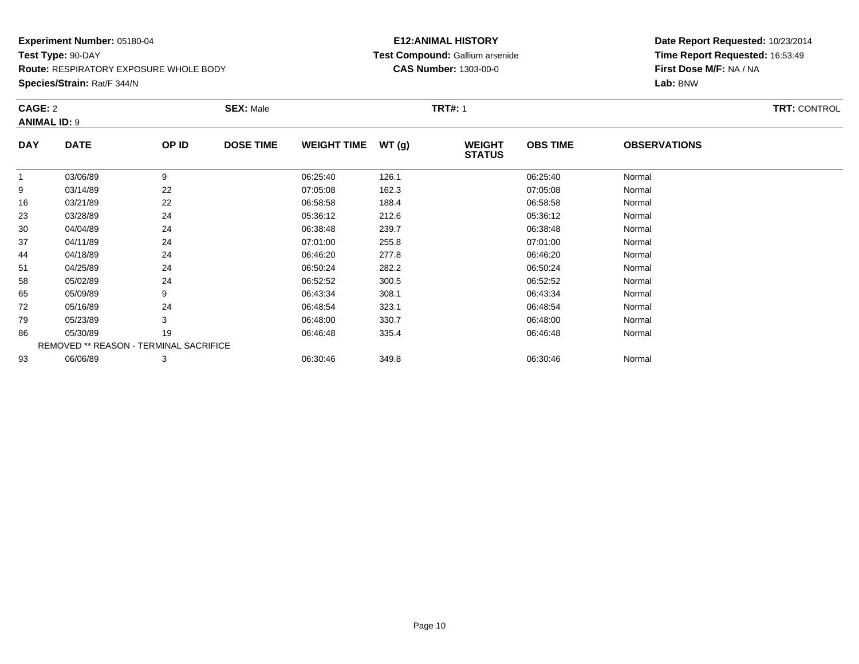**Route:** RESPIRATORY EXPOSURE WHOLE BODY

**Species/Strain:** Rat/F 344/N

#### **E12:ANIMAL HISTORY Test Compound:** Gallium arsenide**CAS Number:** 1303-00-0

|                     | CAGE: 2                                |       | <b>SEX: Male</b> |                    |       | <b>TRT#: 1</b>                 | <b>TRT: CONTROL</b> |                     |  |
|---------------------|----------------------------------------|-------|------------------|--------------------|-------|--------------------------------|---------------------|---------------------|--|
| <b>ANIMAL ID: 9</b> |                                        |       |                  |                    |       |                                |                     |                     |  |
| <b>DAY</b>          | <b>DATE</b>                            | OP ID | <b>DOSE TIME</b> | <b>WEIGHT TIME</b> | WT(g) | <b>WEIGHT</b><br><b>STATUS</b> | <b>OBS TIME</b>     | <b>OBSERVATIONS</b> |  |
|                     | 03/06/89                               | 9     |                  | 06:25:40           | 126.1 |                                | 06:25:40            | Normal              |  |
| 9                   | 03/14/89                               | 22    |                  | 07:05:08           | 162.3 |                                | 07:05:08            | Normal              |  |
| 16                  | 03/21/89                               | 22    |                  | 06:58:58           | 188.4 |                                | 06:58:58            | Normal              |  |
| 23                  | 03/28/89                               | 24    |                  | 05:36:12           | 212.6 |                                | 05:36:12            | Normal              |  |
| 30                  | 04/04/89                               | 24    |                  | 06:38:48           | 239.7 |                                | 06:38:48            | Normal              |  |
| 37                  | 04/11/89                               | 24    |                  | 07:01:00           | 255.8 |                                | 07:01:00            | Normal              |  |
| 44                  | 04/18/89                               | 24    |                  | 06:46:20           | 277.8 |                                | 06:46:20            | Normal              |  |
| 51                  | 04/25/89                               | 24    |                  | 06:50:24           | 282.2 |                                | 06:50:24            | Normal              |  |
| 58                  | 05/02/89                               | 24    |                  | 06:52:52           | 300.5 |                                | 06:52:52            | Normal              |  |
| 65                  | 05/09/89                               | 9     |                  | 06:43:34           | 308.1 |                                | 06:43:34            | Normal              |  |
| 72                  | 05/16/89                               | 24    |                  | 06:48:54           | 323.1 |                                | 06:48:54            | Normal              |  |
| 79                  | 05/23/89                               | 3     |                  | 06:48:00           | 330.7 |                                | 06:48:00            | Normal              |  |
| 86                  | 05/30/89                               | 19    |                  | 06:46:48           | 335.4 |                                | 06:46:48            | Normal              |  |
|                     | REMOVED ** REASON - TERMINAL SACRIFICE |       |                  |                    |       |                                |                     |                     |  |
| 93                  | 06/06/89                               | 3     |                  | 06:30:46           | 349.8 |                                | 06:30:46            | Normal              |  |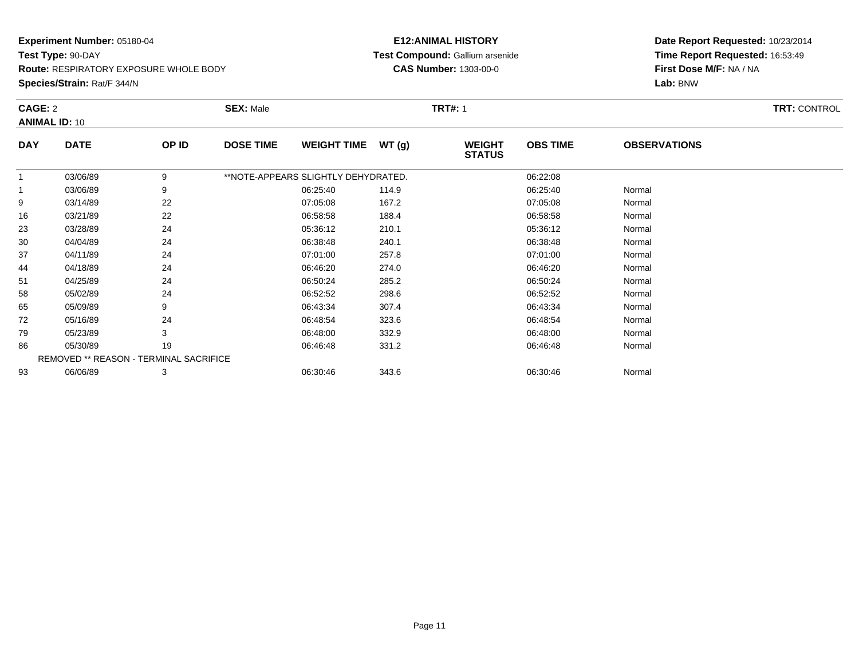**Route:** RESPIRATORY EXPOSURE WHOLE BODY

**Species/Strain:** Rat/F 344/N

#### **E12:ANIMAL HISTORY Test Compound:** Gallium arsenide**CAS Number:** 1303-00-0

|            | CAGE: 2                                |       | <b>SEX: Male</b> |                                     |       | <b>TRT#: 1</b>                 | <b>TRT: CONTROL</b> |                     |  |
|------------|----------------------------------------|-------|------------------|-------------------------------------|-------|--------------------------------|---------------------|---------------------|--|
|            | <b>ANIMAL ID: 10</b>                   |       |                  |                                     |       |                                |                     |                     |  |
| <b>DAY</b> | <b>DATE</b>                            | OP ID | <b>DOSE TIME</b> | <b>WEIGHT TIME</b>                  | WT(g) | <b>WEIGHT</b><br><b>STATUS</b> | <b>OBS TIME</b>     | <b>OBSERVATIONS</b> |  |
| 1          | 03/06/89                               | 9     |                  | **NOTE-APPEARS SLIGHTLY DEHYDRATED. |       |                                | 06:22:08            |                     |  |
| 1          | 03/06/89                               | 9     |                  | 06:25:40                            | 114.9 |                                | 06:25:40            | Normal              |  |
| 9          | 03/14/89                               | 22    |                  | 07:05:08                            | 167.2 |                                | 07:05:08            | Normal              |  |
| 16         | 03/21/89                               | 22    |                  | 06:58:58                            | 188.4 |                                | 06:58:58            | Normal              |  |
| 23         | 03/28/89                               | 24    |                  | 05:36:12                            | 210.1 |                                | 05:36:12            | Normal              |  |
| 30         | 04/04/89                               | 24    |                  | 06:38:48                            | 240.1 |                                | 06:38:48            | Normal              |  |
| 37         | 04/11/89                               | 24    |                  | 07:01:00                            | 257.8 |                                | 07:01:00            | Normal              |  |
| 44         | 04/18/89                               | 24    |                  | 06:46:20                            | 274.0 |                                | 06:46:20            | Normal              |  |
| 51         | 04/25/89                               | 24    |                  | 06:50:24                            | 285.2 |                                | 06:50:24            | Normal              |  |
| 58         | 05/02/89                               | 24    |                  | 06:52:52                            | 298.6 |                                | 06:52:52            | Normal              |  |
| 65         | 05/09/89                               | 9     |                  | 06:43:34                            | 307.4 |                                | 06:43:34            | Normal              |  |
| 72         | 05/16/89                               | 24    |                  | 06:48:54                            | 323.6 |                                | 06:48:54            | Normal              |  |
| 79         | 05/23/89                               | 3     |                  | 06:48:00                            | 332.9 |                                | 06:48:00            | Normal              |  |
| 86         | 05/30/89                               | 19    |                  | 06:46:48                            | 331.2 |                                | 06:46:48            | Normal              |  |
|            | REMOVED ** REASON - TERMINAL SACRIFICE |       |                  |                                     |       |                                |                     |                     |  |
| 93         | 06/06/89                               | 3     |                  | 06:30:46                            | 343.6 |                                | 06:30:46            | Normal              |  |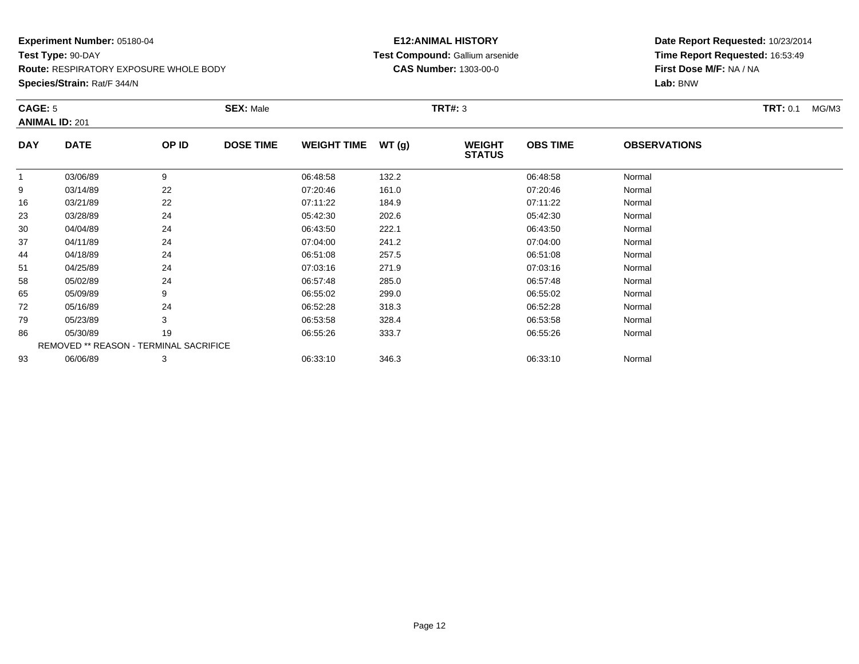**Species/Strain:** Rat/F 344/N

#### **E12:ANIMAL HISTORY Test Compound:** Gallium arsenide**CAS Number:** 1303-00-0

|            | CAGE: 5<br><b>ANIMAL ID: 201</b>       |       | <b>SEX: Male</b> |                    |       | <b>TRT#: 3</b>                 |                 | <b>TRT: 0.1</b><br>MG/M3 |  |  |
|------------|----------------------------------------|-------|------------------|--------------------|-------|--------------------------------|-----------------|--------------------------|--|--|
| <b>DAY</b> | <b>DATE</b>                            | OP ID | <b>DOSE TIME</b> | <b>WEIGHT TIME</b> | WT(g) | <b>WEIGHT</b><br><b>STATUS</b> | <b>OBS TIME</b> | <b>OBSERVATIONS</b>      |  |  |
|            | 03/06/89                               | 9     |                  | 06:48:58           | 132.2 |                                | 06:48:58        | Normal                   |  |  |
| 9          | 03/14/89                               | 22    |                  | 07:20:46           | 161.0 |                                | 07:20:46        | Normal                   |  |  |
| 16         | 03/21/89                               | 22    |                  | 07:11:22           | 184.9 |                                | 07:11:22        | Normal                   |  |  |
| 23         | 03/28/89                               | 24    |                  | 05:42:30           | 202.6 |                                | 05:42:30        | Normal                   |  |  |
| 30         | 04/04/89                               | 24    |                  | 06:43:50           | 222.1 |                                | 06:43:50        | Normal                   |  |  |
| 37         | 04/11/89                               | 24    |                  | 07:04:00           | 241.2 |                                | 07:04:00        | Normal                   |  |  |
| 44         | 04/18/89                               | 24    |                  | 06:51:08           | 257.5 |                                | 06:51:08        | Normal                   |  |  |
| 51         | 04/25/89                               | 24    |                  | 07:03:16           | 271.9 |                                | 07:03:16        | Normal                   |  |  |
| 58         | 05/02/89                               | 24    |                  | 06:57:48           | 285.0 |                                | 06:57:48        | Normal                   |  |  |
| 65         | 05/09/89                               | 9     |                  | 06:55:02           | 299.0 |                                | 06:55:02        | Normal                   |  |  |
| 72         | 05/16/89                               | 24    |                  | 06:52:28           | 318.3 |                                | 06:52:28        | Normal                   |  |  |
| 79         | 05/23/89                               | 3     |                  | 06:53:58           | 328.4 |                                | 06:53:58        | Normal                   |  |  |
| 86         | 05/30/89                               | 19    |                  | 06:55:26           | 333.7 |                                | 06:55:26        | Normal                   |  |  |
|            | REMOVED ** REASON - TERMINAL SACRIFICE |       |                  |                    |       |                                |                 |                          |  |  |
| 93         | 06/06/89                               | 3     |                  | 06:33:10           | 346.3 |                                | 06:33:10        | Normal                   |  |  |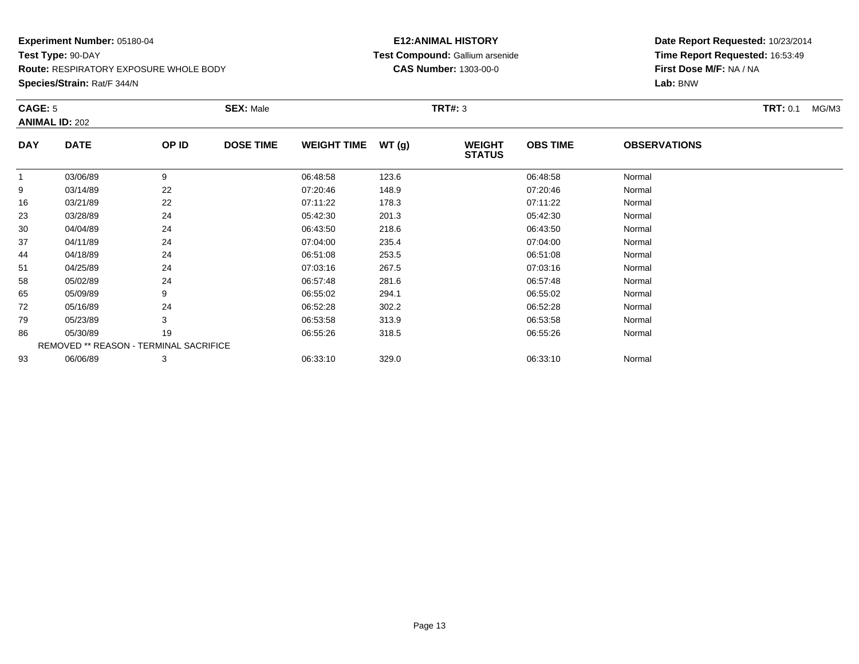**Species/Strain:** Rat/F 344/N

#### **E12:ANIMAL HISTORY Test Compound:** Gallium arsenide**CAS Number:** 1303-00-0

| CAGE: 5    |                                        |       | <b>SEX: Male</b> |                    |       | <b>TRT#: 3</b>                 |                 |                     | <b>TRT: 0.1</b><br>MG/M3 |
|------------|----------------------------------------|-------|------------------|--------------------|-------|--------------------------------|-----------------|---------------------|--------------------------|
|            | <b>ANIMAL ID: 202</b>                  |       |                  |                    |       |                                |                 |                     |                          |
| <b>DAY</b> | <b>DATE</b>                            | OP ID | <b>DOSE TIME</b> | <b>WEIGHT TIME</b> | WT(g) | <b>WEIGHT</b><br><b>STATUS</b> | <b>OBS TIME</b> | <b>OBSERVATIONS</b> |                          |
|            | 03/06/89                               | 9     |                  | 06:48:58           | 123.6 |                                | 06:48:58        | Normal              |                          |
| 9          | 03/14/89                               | 22    |                  | 07:20:46           | 148.9 |                                | 07:20:46        | Normal              |                          |
| 16         | 03/21/89                               | 22    |                  | 07:11:22           | 178.3 |                                | 07:11:22        | Normal              |                          |
| 23         | 03/28/89                               | 24    |                  | 05:42:30           | 201.3 |                                | 05:42:30        | Normal              |                          |
| 30         | 04/04/89                               | 24    |                  | 06:43:50           | 218.6 |                                | 06:43:50        | Normal              |                          |
| 37         | 04/11/89                               | 24    |                  | 07:04:00           | 235.4 |                                | 07:04:00        | Normal              |                          |
| 44         | 04/18/89                               | 24    |                  | 06:51:08           | 253.5 |                                | 06:51:08        | Normal              |                          |
| 51         | 04/25/89                               | 24    |                  | 07:03:16           | 267.5 |                                | 07:03:16        | Normal              |                          |
| 58         | 05/02/89                               | 24    |                  | 06:57:48           | 281.6 |                                | 06:57:48        | Normal              |                          |
| 65         | 05/09/89                               | 9     |                  | 06:55:02           | 294.1 |                                | 06:55:02        | Normal              |                          |
| 72         | 05/16/89                               | 24    |                  | 06:52:28           | 302.2 |                                | 06:52:28        | Normal              |                          |
| 79         | 05/23/89                               | 3     |                  | 06:53:58           | 313.9 |                                | 06:53:58        | Normal              |                          |
| 86         | 05/30/89                               | 19    |                  | 06:55:26           | 318.5 |                                | 06:55:26        | Normal              |                          |
|            | REMOVED ** REASON - TERMINAL SACRIFICE |       |                  |                    |       |                                |                 |                     |                          |
| 93         | 06/06/89                               | 3     |                  | 06:33:10           | 329.0 |                                | 06:33:10        | Normal              |                          |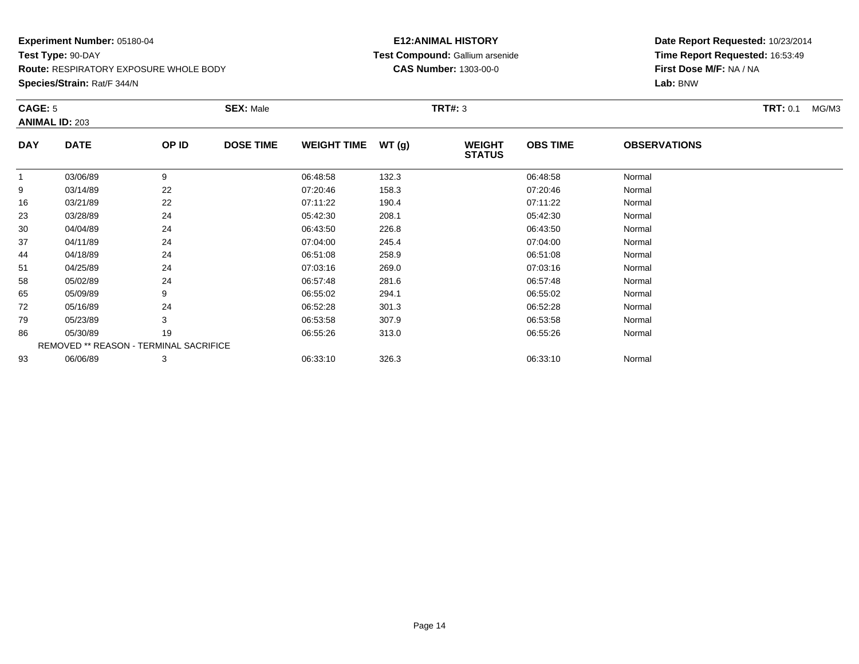**Species/Strain:** Rat/F 344/N

#### **E12:ANIMAL HISTORY Test Compound:** Gallium arsenide**CAS Number:** 1303-00-0

| CAGE: 5    |                                        |       | <b>SEX: Male</b> |                    |       | <b>TRT#: 3</b>                 |                 |                     | <b>TRT:</b> 0.1<br>MG/M3 |
|------------|----------------------------------------|-------|------------------|--------------------|-------|--------------------------------|-----------------|---------------------|--------------------------|
|            | <b>ANIMAL ID: 203</b>                  |       |                  |                    |       |                                |                 |                     |                          |
| <b>DAY</b> | <b>DATE</b>                            | OP ID | <b>DOSE TIME</b> | <b>WEIGHT TIME</b> | WT(g) | <b>WEIGHT</b><br><b>STATUS</b> | <b>OBS TIME</b> | <b>OBSERVATIONS</b> |                          |
|            | 03/06/89                               | 9     |                  | 06:48:58           | 132.3 |                                | 06:48:58        | Normal              |                          |
| 9          | 03/14/89                               | 22    |                  | 07:20:46           | 158.3 |                                | 07:20:46        | Normal              |                          |
| 16         | 03/21/89                               | 22    |                  | 07:11:22           | 190.4 |                                | 07:11:22        | Normal              |                          |
| 23         | 03/28/89                               | 24    |                  | 05:42:30           | 208.1 |                                | 05:42:30        | Normal              |                          |
| 30         | 04/04/89                               | 24    |                  | 06:43:50           | 226.8 |                                | 06:43:50        | Normal              |                          |
| 37         | 04/11/89                               | 24    |                  | 07:04:00           | 245.4 |                                | 07:04:00        | Normal              |                          |
| 44         | 04/18/89                               | 24    |                  | 06:51:08           | 258.9 |                                | 06:51:08        | Normal              |                          |
| 51         | 04/25/89                               | 24    |                  | 07:03:16           | 269.0 |                                | 07:03:16        | Normal              |                          |
| 58         | 05/02/89                               | 24    |                  | 06:57:48           | 281.6 |                                | 06:57:48        | Normal              |                          |
| 65         | 05/09/89                               | 9     |                  | 06:55:02           | 294.1 |                                | 06:55:02        | Normal              |                          |
| 72         | 05/16/89                               | 24    |                  | 06:52:28           | 301.3 |                                | 06:52:28        | Normal              |                          |
| 79         | 05/23/89                               | 3     |                  | 06:53:58           | 307.9 |                                | 06:53:58        | Normal              |                          |
| 86         | 05/30/89                               | 19    |                  | 06:55:26           | 313.0 |                                | 06:55:26        | Normal              |                          |
|            | REMOVED ** REASON - TERMINAL SACRIFICE |       |                  |                    |       |                                |                 |                     |                          |
| 93         | 06/06/89                               | 3     |                  | 06:33:10           | 326.3 |                                | 06:33:10        | Normal              |                          |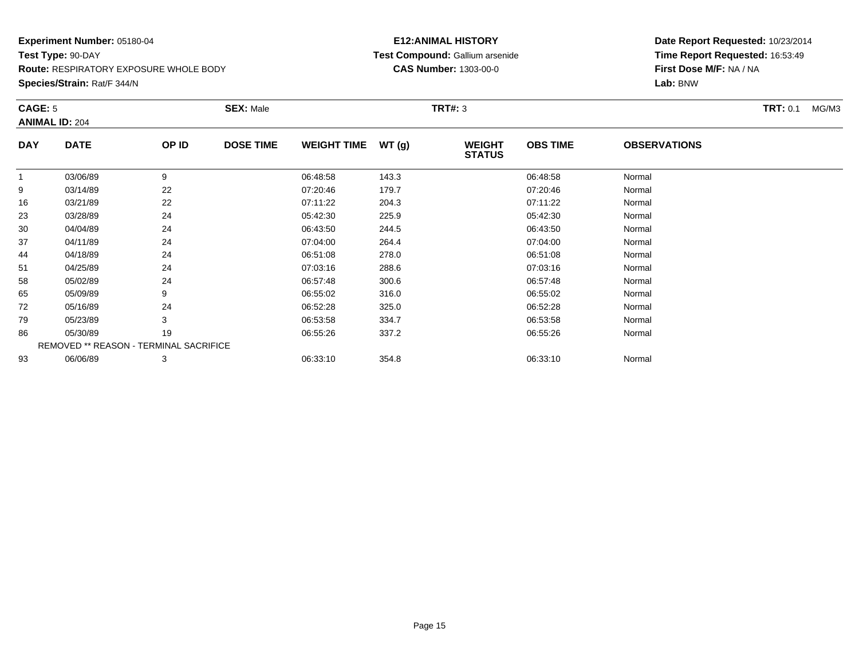**Species/Strain:** Rat/F 344/N

#### **E12:ANIMAL HISTORY Test Compound:** Gallium arsenide**CAS Number:** 1303-00-0

| CAGE: 5      |                                        |       | <b>SEX: Male</b> |                    |       | <b>TRT#: 3</b>                 |                 |                     | <b>TRT:</b> 0.1<br>MG/M3 |
|--------------|----------------------------------------|-------|------------------|--------------------|-------|--------------------------------|-----------------|---------------------|--------------------------|
|              | <b>ANIMAL ID: 204</b>                  |       |                  |                    |       |                                |                 |                     |                          |
| <b>DAY</b>   | <b>DATE</b>                            | OP ID | <b>DOSE TIME</b> | <b>WEIGHT TIME</b> | WT(g) | <b>WEIGHT</b><br><b>STATUS</b> | <b>OBS TIME</b> | <b>OBSERVATIONS</b> |                          |
| $\mathbf{1}$ | 03/06/89                               | 9     |                  | 06:48:58           | 143.3 |                                | 06:48:58        | Normal              |                          |
| 9            | 03/14/89                               | 22    |                  | 07:20:46           | 179.7 |                                | 07:20:46        | Normal              |                          |
| 16           | 03/21/89                               | 22    |                  | 07:11:22           | 204.3 |                                | 07:11:22        | Normal              |                          |
| 23           | 03/28/89                               | 24    |                  | 05:42:30           | 225.9 |                                | 05:42:30        | Normal              |                          |
| 30           | 04/04/89                               | 24    |                  | 06:43:50           | 244.5 |                                | 06:43:50        | Normal              |                          |
| 37           | 04/11/89                               | 24    |                  | 07:04:00           | 264.4 |                                | 07:04:00        | Normal              |                          |
| 44           | 04/18/89                               | 24    |                  | 06:51:08           | 278.0 |                                | 06:51:08        | Normal              |                          |
| 51           | 04/25/89                               | 24    |                  | 07:03:16           | 288.6 |                                | 07:03:16        | Normal              |                          |
| 58           | 05/02/89                               | 24    |                  | 06:57:48           | 300.6 |                                | 06:57:48        | Normal              |                          |
| 65           | 05/09/89                               | 9     |                  | 06:55:02           | 316.0 |                                | 06:55:02        | Normal              |                          |
| 72           | 05/16/89                               | 24    |                  | 06:52:28           | 325.0 |                                | 06:52:28        | Normal              |                          |
| 79           | 05/23/89                               | 3     |                  | 06:53:58           | 334.7 |                                | 06:53:58        | Normal              |                          |
| 86           | 05/30/89                               | 19    |                  | 06:55:26           | 337.2 |                                | 06:55:26        | Normal              |                          |
|              | REMOVED ** REASON - TERMINAL SACRIFICE |       |                  |                    |       |                                |                 |                     |                          |
| 93           | 06/06/89                               | 3     |                  | 06:33:10           | 354.8 |                                | 06:33:10        | Normal              |                          |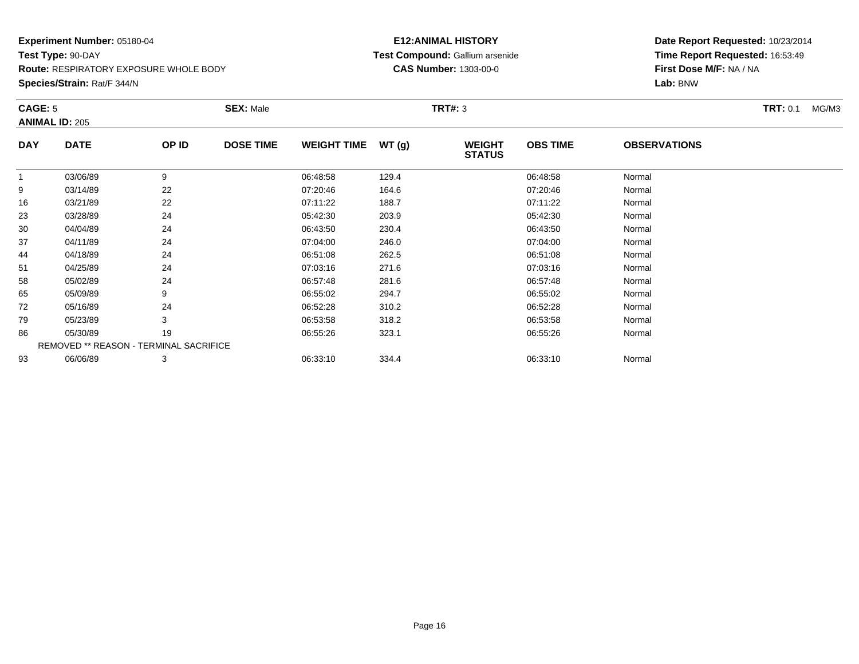**Species/Strain:** Rat/F 344/N

#### **E12:ANIMAL HISTORY Test Compound:** Gallium arsenide**CAS Number:** 1303-00-0

| CAGE: 5      |                                        |       | <b>SEX: Male</b> |                    |       | <b>TRT#: 3</b>                 |                 |                     | <b>TRT: 0.1</b><br>MG/M3 |
|--------------|----------------------------------------|-------|------------------|--------------------|-------|--------------------------------|-----------------|---------------------|--------------------------|
|              | <b>ANIMAL ID: 205</b>                  |       |                  |                    |       |                                |                 |                     |                          |
| <b>DAY</b>   | <b>DATE</b>                            | OP ID | <b>DOSE TIME</b> | <b>WEIGHT TIME</b> | WT(g) | <b>WEIGHT</b><br><b>STATUS</b> | <b>OBS TIME</b> | <b>OBSERVATIONS</b> |                          |
| $\mathbf{1}$ | 03/06/89                               | 9     |                  | 06:48:58           | 129.4 |                                | 06:48:58        | Normal              |                          |
| 9            | 03/14/89                               | 22    |                  | 07:20:46           | 164.6 |                                | 07:20:46        | Normal              |                          |
| 16           | 03/21/89                               | 22    |                  | 07:11:22           | 188.7 |                                | 07:11:22        | Normal              |                          |
| 23           | 03/28/89                               | 24    |                  | 05:42:30           | 203.9 |                                | 05:42:30        | Normal              |                          |
| 30           | 04/04/89                               | 24    |                  | 06:43:50           | 230.4 |                                | 06:43:50        | Normal              |                          |
| 37           | 04/11/89                               | 24    |                  | 07:04:00           | 246.0 |                                | 07:04:00        | Normal              |                          |
| 44           | 04/18/89                               | 24    |                  | 06:51:08           | 262.5 |                                | 06:51:08        | Normal              |                          |
| 51           | 04/25/89                               | 24    |                  | 07:03:16           | 271.6 |                                | 07:03:16        | Normal              |                          |
| 58           | 05/02/89                               | 24    |                  | 06:57:48           | 281.6 |                                | 06:57:48        | Normal              |                          |
| 65           | 05/09/89                               | 9     |                  | 06:55:02           | 294.7 |                                | 06:55:02        | Normal              |                          |
| 72           | 05/16/89                               | 24    |                  | 06:52:28           | 310.2 |                                | 06:52:28        | Normal              |                          |
| 79           | 05/23/89                               | 3     |                  | 06:53:58           | 318.2 |                                | 06:53:58        | Normal              |                          |
| 86           | 05/30/89                               | 19    |                  | 06:55:26           | 323.1 |                                | 06:55:26        | Normal              |                          |
|              | REMOVED ** REASON - TERMINAL SACRIFICE |       |                  |                    |       |                                |                 |                     |                          |
| 93           | 06/06/89                               | 3     |                  | 06:33:10           | 334.4 |                                | 06:33:10        | Normal              |                          |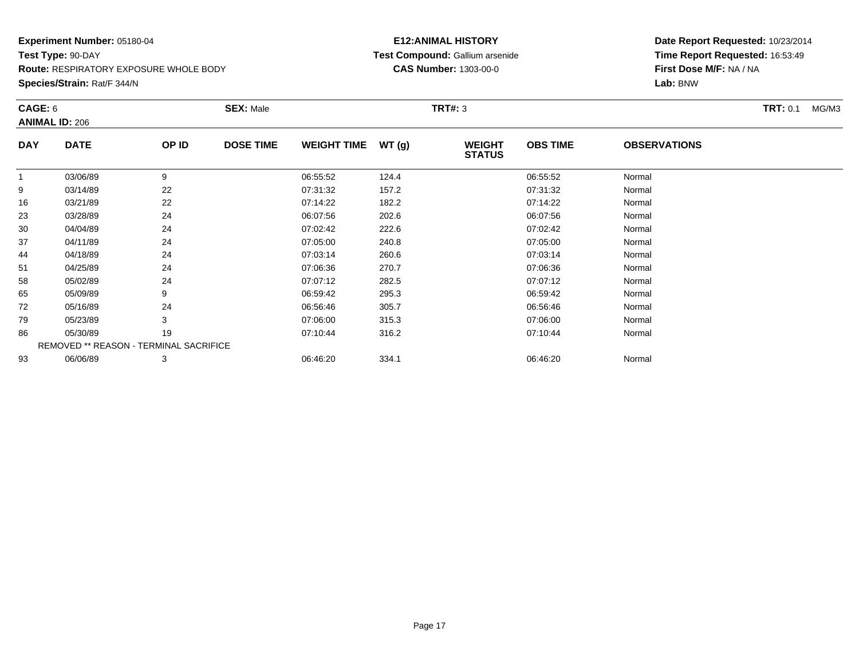**Species/Strain:** Rat/F 344/N

#### **E12:ANIMAL HISTORY Test Compound:** Gallium arsenide**CAS Number:** 1303-00-0

| CAGE: 6    | <b>ANIMAL ID: 206</b>                         |       | <b>SEX: Male</b> |                    |       | <b>TRT#: 3</b>                 |                 |                     | <b>TRT:</b> 0.1<br>MG/M3 |
|------------|-----------------------------------------------|-------|------------------|--------------------|-------|--------------------------------|-----------------|---------------------|--------------------------|
| <b>DAY</b> | <b>DATE</b>                                   | OP ID | <b>DOSE TIME</b> | <b>WEIGHT TIME</b> | WT(g) | <b>WEIGHT</b><br><b>STATUS</b> | <b>OBS TIME</b> | <b>OBSERVATIONS</b> |                          |
|            | 03/06/89                                      | 9     |                  | 06:55:52           | 124.4 |                                | 06:55:52        | Normal              |                          |
| 9          | 03/14/89                                      | 22    |                  | 07:31:32           | 157.2 |                                | 07:31:32        | Normal              |                          |
| 16         | 03/21/89                                      | 22    |                  | 07:14:22           | 182.2 |                                | 07:14:22        | Normal              |                          |
| 23         | 03/28/89                                      | 24    |                  | 06:07:56           | 202.6 |                                | 06:07:56        | Normal              |                          |
| 30         | 04/04/89                                      | 24    |                  | 07:02:42           | 222.6 |                                | 07:02:42        | Normal              |                          |
| 37         | 04/11/89                                      | 24    |                  | 07:05:00           | 240.8 |                                | 07:05:00        | Normal              |                          |
| 44         | 04/18/89                                      | 24    |                  | 07:03:14           | 260.6 |                                | 07:03:14        | Normal              |                          |
| 51         | 04/25/89                                      | 24    |                  | 07:06:36           | 270.7 |                                | 07:06:36        | Normal              |                          |
| 58         | 05/02/89                                      | 24    |                  | 07:07:12           | 282.5 |                                | 07:07:12        | Normal              |                          |
| 65         | 05/09/89                                      | 9     |                  | 06:59:42           | 295.3 |                                | 06:59:42        | Normal              |                          |
| 72         | 05/16/89                                      | 24    |                  | 06:56:46           | 305.7 |                                | 06:56:46        | Normal              |                          |
| 79         | 05/23/89                                      | 3     |                  | 07:06:00           | 315.3 |                                | 07:06:00        | Normal              |                          |
| 86         | 05/30/89                                      | 19    |                  | 07:10:44           | 316.2 |                                | 07:10:44        | Normal              |                          |
|            | <b>REMOVED ** REASON - TERMINAL SACRIFICE</b> |       |                  |                    |       |                                |                 |                     |                          |
| 93         | 06/06/89                                      | 3     |                  | 06:46:20           | 334.1 |                                | 06:46:20        | Normal              |                          |
|            |                                               |       |                  |                    |       |                                |                 |                     |                          |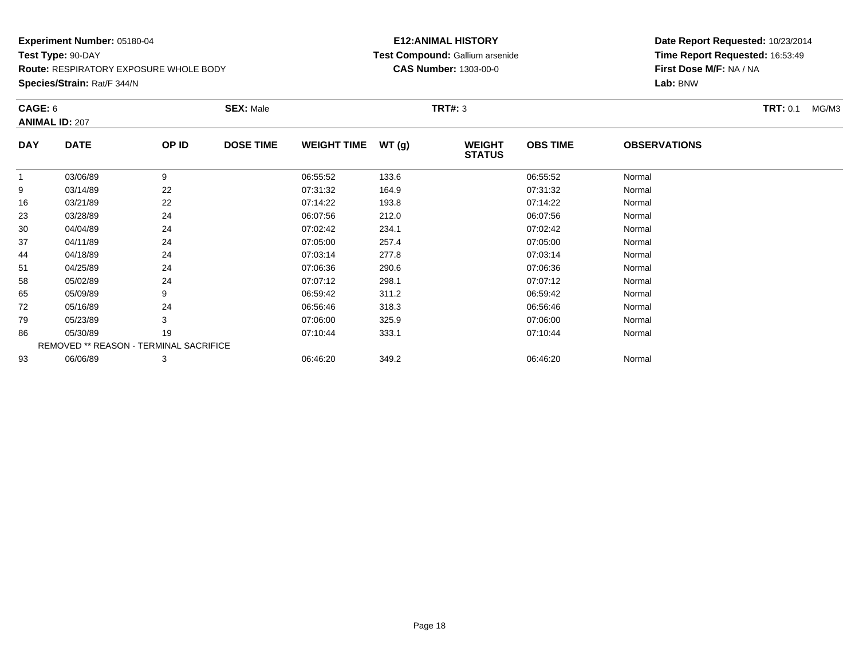**Species/Strain:** Rat/F 344/N

#### **E12:ANIMAL HISTORY Test Compound:** Gallium arsenide**CAS Number:** 1303-00-0

| CAGE: 6    |                                        |       | <b>SEX: Male</b> |                    |       | <b>TRT#: 3</b>                 |                 |                     | <b>TRT: 0.1</b><br>MG/M3 |
|------------|----------------------------------------|-------|------------------|--------------------|-------|--------------------------------|-----------------|---------------------|--------------------------|
|            | <b>ANIMAL ID: 207</b>                  |       |                  |                    |       |                                |                 |                     |                          |
| <b>DAY</b> | <b>DATE</b>                            | OP ID | <b>DOSE TIME</b> | <b>WEIGHT TIME</b> | WT(g) | <b>WEIGHT</b><br><b>STATUS</b> | <b>OBS TIME</b> | <b>OBSERVATIONS</b> |                          |
|            | 03/06/89                               | 9     |                  | 06:55:52           | 133.6 |                                | 06:55:52        | Normal              |                          |
| 9          | 03/14/89                               | 22    |                  | 07:31:32           | 164.9 |                                | 07:31:32        | Normal              |                          |
| 16         | 03/21/89                               | 22    |                  | 07:14:22           | 193.8 |                                | 07:14:22        | Normal              |                          |
| 23         | 03/28/89                               | 24    |                  | 06:07:56           | 212.0 |                                | 06:07:56        | Normal              |                          |
| 30         | 04/04/89                               | 24    |                  | 07:02:42           | 234.1 |                                | 07:02:42        | Normal              |                          |
| 37         | 04/11/89                               | 24    |                  | 07:05:00           | 257.4 |                                | 07:05:00        | Normal              |                          |
| 44         | 04/18/89                               | 24    |                  | 07:03:14           | 277.8 |                                | 07:03:14        | Normal              |                          |
| 51         | 04/25/89                               | 24    |                  | 07:06:36           | 290.6 |                                | 07:06:36        | Normal              |                          |
| 58         | 05/02/89                               | 24    |                  | 07:07:12           | 298.1 |                                | 07:07:12        | Normal              |                          |
| 65         | 05/09/89                               | 9     |                  | 06:59:42           | 311.2 |                                | 06:59:42        | Normal              |                          |
| 72         | 05/16/89                               | 24    |                  | 06:56:46           | 318.3 |                                | 06:56:46        | Normal              |                          |
| 79         | 05/23/89                               | 3     |                  | 07:06:00           | 325.9 |                                | 07:06:00        | Normal              |                          |
| 86         | 05/30/89                               | 19    |                  | 07:10:44           | 333.1 |                                | 07:10:44        | Normal              |                          |
|            | REMOVED ** REASON - TERMINAL SACRIFICE |       |                  |                    |       |                                |                 |                     |                          |
| 93         | 06/06/89                               | 3     |                  | 06:46:20           | 349.2 |                                | 06:46:20        | Normal              |                          |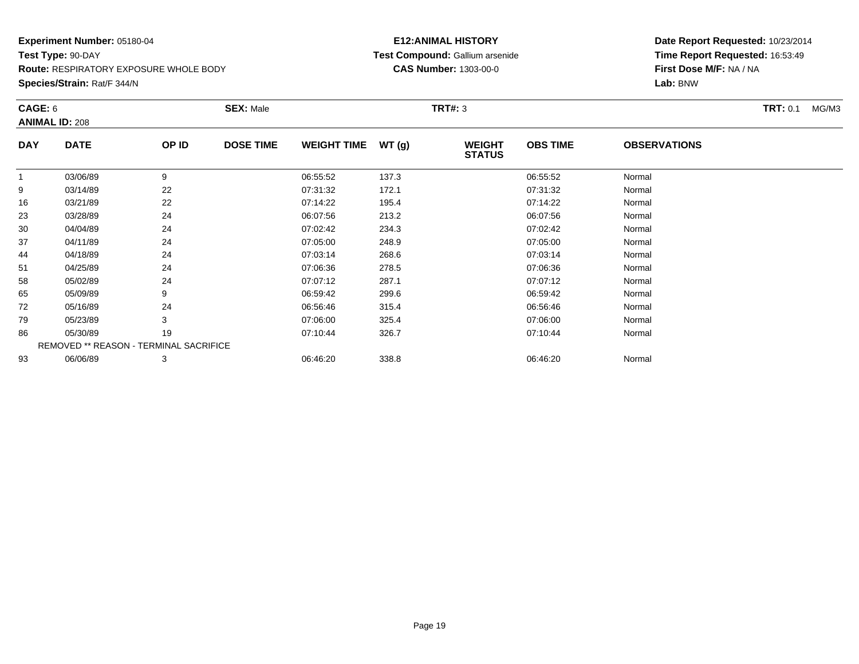**Species/Strain:** Rat/F 344/N

#### **E12:ANIMAL HISTORY Test Compound:** Gallium arsenide**CAS Number:** 1303-00-0

| CAGE: 6    | <b>ANIMAL ID: 208</b>                  |       | <b>SEX: Male</b> |                    |       | <b>TRT#: 3</b>                 |                 |                     | <b>TRT: 0.1</b><br>MG/M3 |
|------------|----------------------------------------|-------|------------------|--------------------|-------|--------------------------------|-----------------|---------------------|--------------------------|
| <b>DAY</b> | <b>DATE</b>                            | OP ID | <b>DOSE TIME</b> | <b>WEIGHT TIME</b> | WT(g) | <b>WEIGHT</b><br><b>STATUS</b> | <b>OBS TIME</b> | <b>OBSERVATIONS</b> |                          |
|            | 03/06/89                               | 9     |                  | 06:55:52           | 137.3 |                                | 06:55:52        | Normal              |                          |
| 9          | 03/14/89                               | 22    |                  | 07:31:32           | 172.1 |                                | 07:31:32        | Normal              |                          |
| 16         | 03/21/89                               | 22    |                  | 07:14:22           | 195.4 |                                | 07:14:22        | Normal              |                          |
| 23         | 03/28/89                               | 24    |                  | 06:07:56           | 213.2 |                                | 06:07:56        | Normal              |                          |
| 30         | 04/04/89                               | 24    |                  | 07:02:42           | 234.3 |                                | 07:02:42        | Normal              |                          |
| 37         | 04/11/89                               | 24    |                  | 07:05:00           | 248.9 |                                | 07:05:00        | Normal              |                          |
| 44         | 04/18/89                               | 24    |                  | 07:03:14           | 268.6 |                                | 07:03:14        | Normal              |                          |
| 51         | 04/25/89                               | 24    |                  | 07:06:36           | 278.5 |                                | 07:06:36        | Normal              |                          |
| 58         | 05/02/89                               | 24    |                  | 07:07:12           | 287.1 |                                | 07:07:12        | Normal              |                          |
| 65         | 05/09/89                               | 9     |                  | 06:59:42           | 299.6 |                                | 06:59:42        | Normal              |                          |
| 72         | 05/16/89                               | 24    |                  | 06:56:46           | 315.4 |                                | 06:56:46        | Normal              |                          |
| 79         | 05/23/89                               | 3     |                  | 07:06:00           | 325.4 |                                | 07:06:00        | Normal              |                          |
| 86         | 05/30/89                               | 19    |                  | 07:10:44           | 326.7 |                                | 07:10:44        | Normal              |                          |
|            | REMOVED ** REASON - TERMINAL SACRIFICE |       |                  |                    |       |                                |                 |                     |                          |
| 93         | 06/06/89                               | 3     |                  | 06:46:20           | 338.8 |                                | 06:46:20        | Normal              |                          |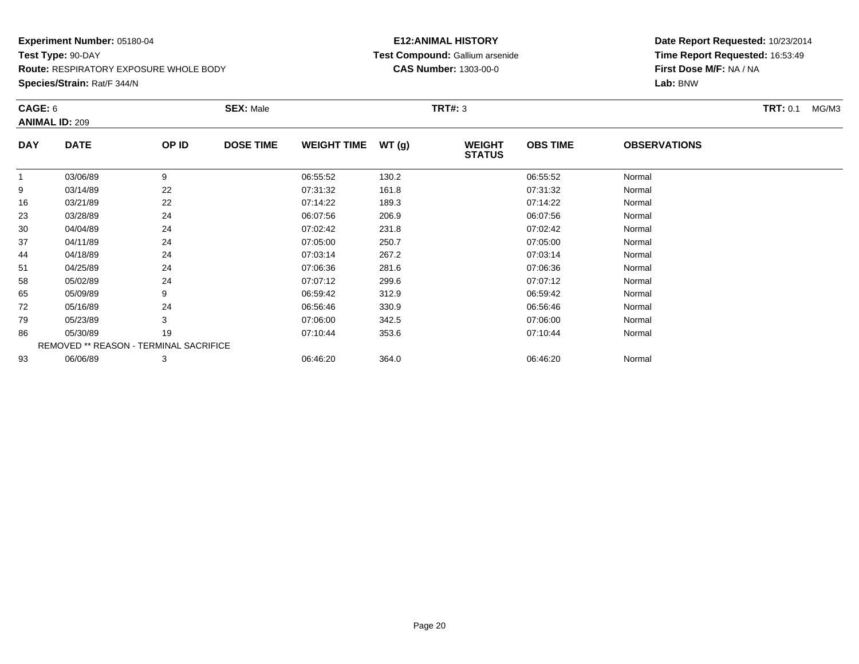**Species/Strain:** Rat/F 344/N

#### **E12:ANIMAL HISTORY Test Compound:** Gallium arsenide**CAS Number:** 1303-00-0

| CAGE: 6      | <b>ANIMAL ID: 209</b>                         |       | <b>SEX: Male</b> |                    |       | <b>TRT#: 3</b>                 |                 |                     | <b>TRT:</b> 0.1<br>MG/M3 |
|--------------|-----------------------------------------------|-------|------------------|--------------------|-------|--------------------------------|-----------------|---------------------|--------------------------|
| <b>DAY</b>   | <b>DATE</b>                                   | OP ID | <b>DOSE TIME</b> | <b>WEIGHT TIME</b> | WT(g) | <b>WEIGHT</b><br><b>STATUS</b> | <b>OBS TIME</b> | <b>OBSERVATIONS</b> |                          |
| $\mathbf{1}$ | 03/06/89                                      | 9     |                  | 06:55:52           | 130.2 |                                | 06:55:52        | Normal              |                          |
| 9            | 03/14/89                                      | 22    |                  | 07:31:32           | 161.8 |                                | 07:31:32        | Normal              |                          |
| 16           | 03/21/89                                      | 22    |                  | 07:14:22           | 189.3 |                                | 07:14:22        | Normal              |                          |
| 23           | 03/28/89                                      | 24    |                  | 06:07:56           | 206.9 |                                | 06:07:56        | Normal              |                          |
| 30           | 04/04/89                                      | 24    |                  | 07:02:42           | 231.8 |                                | 07:02:42        | Normal              |                          |
| 37           | 04/11/89                                      | 24    |                  | 07:05:00           | 250.7 |                                | 07:05:00        | Normal              |                          |
| 44           | 04/18/89                                      | 24    |                  | 07:03:14           | 267.2 |                                | 07:03:14        | Normal              |                          |
| 51           | 04/25/89                                      | 24    |                  | 07:06:36           | 281.6 |                                | 07:06:36        | Normal              |                          |
| 58           | 05/02/89                                      | 24    |                  | 07:07:12           | 299.6 |                                | 07:07:12        | Normal              |                          |
| 65           | 05/09/89                                      | 9     |                  | 06:59:42           | 312.9 |                                | 06:59:42        | Normal              |                          |
| 72           | 05/16/89                                      | 24    |                  | 06:56:46           | 330.9 |                                | 06:56:46        | Normal              |                          |
| 79           | 05/23/89                                      | 3     |                  | 07:06:00           | 342.5 |                                | 07:06:00        | Normal              |                          |
| 86           | 05/30/89                                      | 19    |                  | 07:10:44           | 353.6 |                                | 07:10:44        | Normal              |                          |
|              | <b>REMOVED ** REASON - TERMINAL SACRIFICE</b> |       |                  |                    |       |                                |                 |                     |                          |
| 93           | 06/06/89                                      | 3     |                  | 06:46:20           | 364.0 |                                | 06:46:20        | Normal              |                          |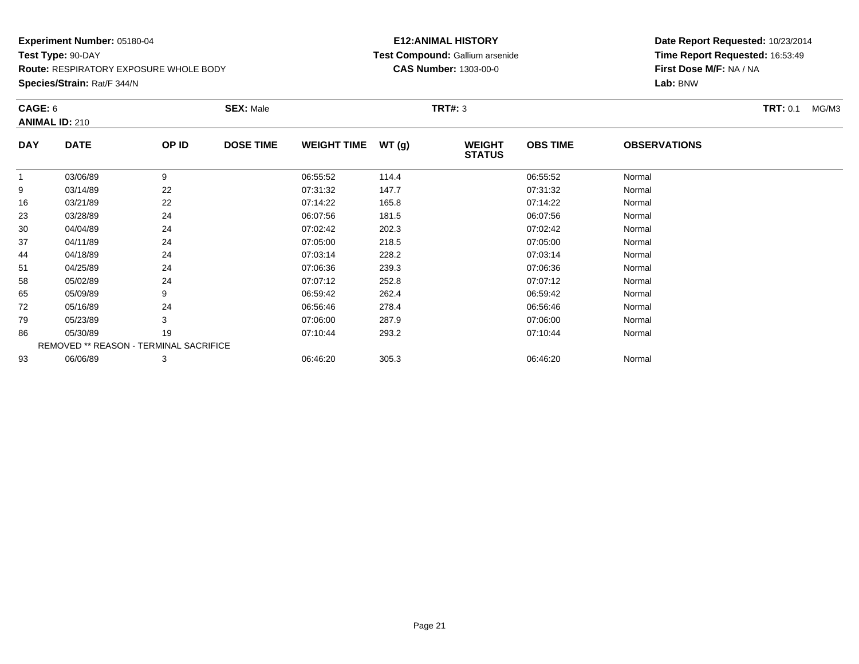**Species/Strain:** Rat/F 344/N

#### **E12:ANIMAL HISTORY Test Compound:** Gallium arsenide**CAS Number:** 1303-00-0

| CAGE: 6    |                                        |       | <b>SEX: Male</b> |                    |       | <b>TRT#: 3</b>                 |                 |                     | <b>TRT:</b> 0.1<br>MG/M3 |
|------------|----------------------------------------|-------|------------------|--------------------|-------|--------------------------------|-----------------|---------------------|--------------------------|
|            | <b>ANIMAL ID: 210</b>                  |       |                  |                    |       |                                |                 |                     |                          |
| <b>DAY</b> | <b>DATE</b>                            | OP ID | <b>DOSE TIME</b> | <b>WEIGHT TIME</b> | WT(g) | <b>WEIGHT</b><br><b>STATUS</b> | <b>OBS TIME</b> | <b>OBSERVATIONS</b> |                          |
| 1          | 03/06/89                               | 9     |                  | 06:55:52           | 114.4 |                                | 06:55:52        | Normal              |                          |
| 9          | 03/14/89                               | 22    |                  | 07:31:32           | 147.7 |                                | 07:31:32        | Normal              |                          |
| 16         | 03/21/89                               | 22    |                  | 07:14:22           | 165.8 |                                | 07:14:22        | Normal              |                          |
| 23         | 03/28/89                               | 24    |                  | 06:07:56           | 181.5 |                                | 06:07:56        | Normal              |                          |
| 30         | 04/04/89                               | 24    |                  | 07:02:42           | 202.3 |                                | 07:02:42        | Normal              |                          |
| 37         | 04/11/89                               | 24    |                  | 07:05:00           | 218.5 |                                | 07:05:00        | Normal              |                          |
| 44         | 04/18/89                               | 24    |                  | 07:03:14           | 228.2 |                                | 07:03:14        | Normal              |                          |
| 51         | 04/25/89                               | 24    |                  | 07:06:36           | 239.3 |                                | 07:06:36        | Normal              |                          |
| 58         | 05/02/89                               | 24    |                  | 07:07:12           | 252.8 |                                | 07:07:12        | Normal              |                          |
| 65         | 05/09/89                               | 9     |                  | 06:59:42           | 262.4 |                                | 06:59:42        | Normal              |                          |
| 72         | 05/16/89                               | 24    |                  | 06:56:46           | 278.4 |                                | 06:56:46        | Normal              |                          |
| 79         | 05/23/89                               | 3     |                  | 07:06:00           | 287.9 |                                | 07:06:00        | Normal              |                          |
| 86         | 05/30/89                               | 19    |                  | 07:10:44           | 293.2 |                                | 07:10:44        | Normal              |                          |
|            | REMOVED ** REASON - TERMINAL SACRIFICE |       |                  |                    |       |                                |                 |                     |                          |
| 93         | 06/06/89                               | 3     |                  | 06:46:20           | 305.3 |                                | 06:46:20        | Normal              |                          |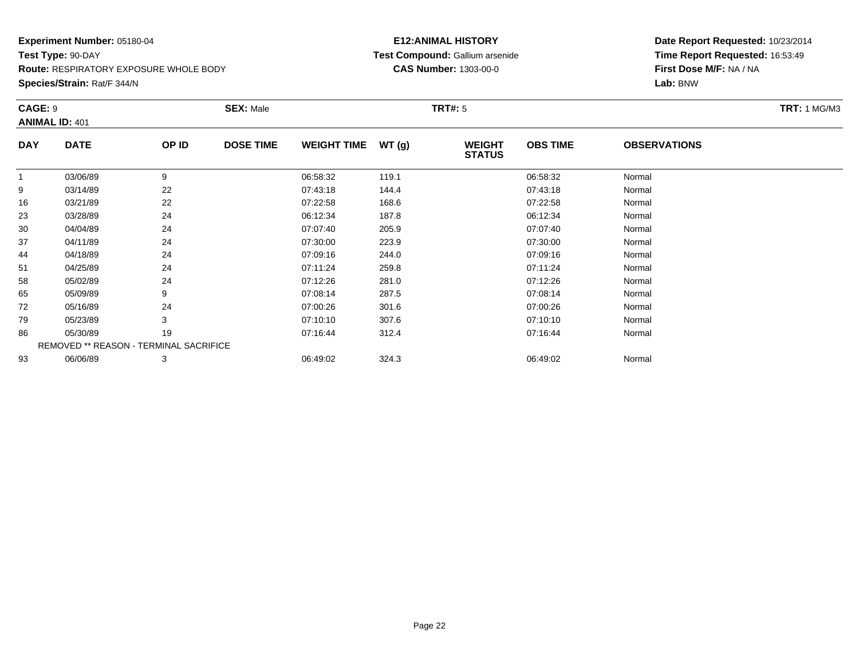**Species/Strain:** Rat/F 344/N

#### **E12:ANIMAL HISTORY Test Compound:** Gallium arsenide**CAS Number:** 1303-00-0

| CAGE: 9    | <b>ANIMAL ID: 401</b>                         |       | <b>SEX: Male</b> |                    |       | TRT#: 5                        |                 |                     | <b>TRT:</b> 1 MG/M3 |
|------------|-----------------------------------------------|-------|------------------|--------------------|-------|--------------------------------|-----------------|---------------------|---------------------|
| <b>DAY</b> | <b>DATE</b>                                   | OP ID | <b>DOSE TIME</b> | <b>WEIGHT TIME</b> | WT(g) | <b>WEIGHT</b><br><b>STATUS</b> | <b>OBS TIME</b> | <b>OBSERVATIONS</b> |                     |
|            | 03/06/89                                      | 9     |                  | 06:58:32           | 119.1 |                                | 06:58:32        | Normal              |                     |
| 9          | 03/14/89                                      | 22    |                  | 07:43:18           | 144.4 |                                | 07:43:18        | Normal              |                     |
| 16         | 03/21/89                                      | 22    |                  | 07:22:58           | 168.6 |                                | 07:22:58        | Normal              |                     |
| 23         | 03/28/89                                      | 24    |                  | 06:12:34           | 187.8 |                                | 06:12:34        | Normal              |                     |
| 30         | 04/04/89                                      | 24    |                  | 07:07:40           | 205.9 |                                | 07:07:40        | Normal              |                     |
| 37         | 04/11/89                                      | 24    |                  | 07:30:00           | 223.9 |                                | 07:30:00        | Normal              |                     |
| 44         | 04/18/89                                      | 24    |                  | 07:09:16           | 244.0 |                                | 07:09:16        | Normal              |                     |
| 51         | 04/25/89                                      | 24    |                  | 07:11:24           | 259.8 |                                | 07:11:24        | Normal              |                     |
| 58         | 05/02/89                                      | 24    |                  | 07:12:26           | 281.0 |                                | 07:12:26        | Normal              |                     |
| 65         | 05/09/89                                      | 9     |                  | 07:08:14           | 287.5 |                                | 07:08:14        | Normal              |                     |
| 72         | 05/16/89                                      | 24    |                  | 07:00:26           | 301.6 |                                | 07:00:26        | Normal              |                     |
| 79         | 05/23/89                                      | 3     |                  | 07:10:10           | 307.6 |                                | 07:10:10        | Normal              |                     |
| 86         | 05/30/89                                      | 19    |                  | 07:16:44           | 312.4 |                                | 07:16:44        | Normal              |                     |
|            | <b>REMOVED ** REASON - TERMINAL SACRIFICE</b> |       |                  |                    |       |                                |                 |                     |                     |
| 93         | 06/06/89                                      | 3     |                  | 06:49:02           | 324.3 |                                | 06:49:02        | Normal              |                     |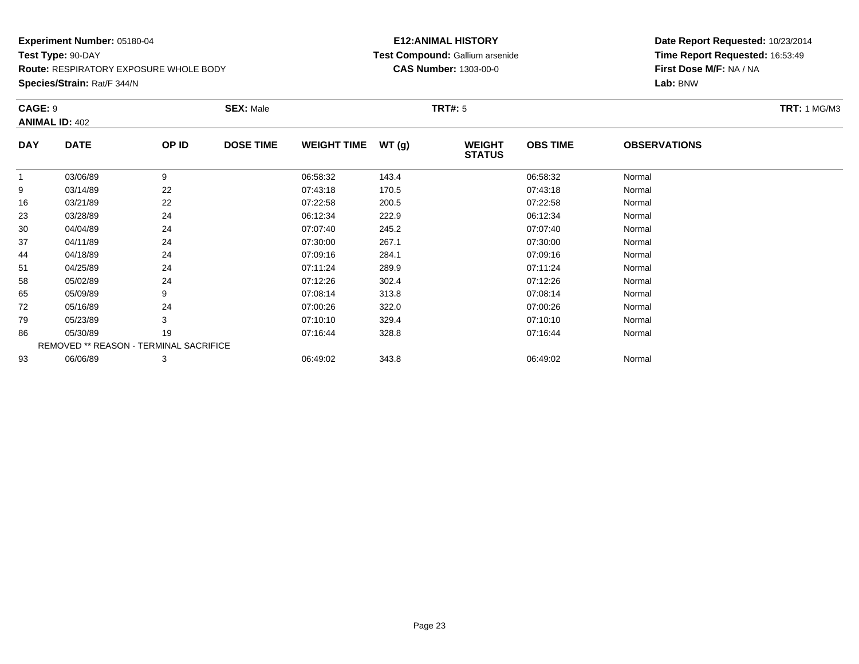**Species/Strain:** Rat/F 344/N

#### **E12:ANIMAL HISTORY Test Compound:** Gallium arsenide**CAS Number:** 1303-00-0

|             |                                  | <b>SEX: Male</b> |                                        |       | <b>TRT#:</b> 5                 |                 |                     | <b>TRT: 1 MG/M3</b> |
|-------------|----------------------------------|------------------|----------------------------------------|-------|--------------------------------|-----------------|---------------------|---------------------|
|             |                                  |                  |                                        |       |                                |                 |                     |                     |
| <b>DATE</b> | OP ID                            | <b>DOSE TIME</b> | <b>WEIGHT TIME</b>                     | WT(g) | <b>WEIGHT</b><br><b>STATUS</b> | <b>OBS TIME</b> | <b>OBSERVATIONS</b> |                     |
| 03/06/89    | 9                                |                  | 06:58:32                               | 143.4 |                                | 06:58:32        | Normal              |                     |
| 03/14/89    | 22                               |                  | 07:43:18                               | 170.5 |                                | 07:43:18        | Normal              |                     |
| 03/21/89    | 22                               |                  | 07:22:58                               | 200.5 |                                | 07:22:58        | Normal              |                     |
| 03/28/89    | 24                               |                  | 06:12:34                               | 222.9 |                                | 06:12:34        | Normal              |                     |
| 04/04/89    | 24                               |                  | 07:07:40                               | 245.2 |                                | 07:07:40        | Normal              |                     |
| 04/11/89    | 24                               |                  | 07:30:00                               | 267.1 |                                | 07:30:00        | Normal              |                     |
| 04/18/89    | 24                               |                  | 07:09:16                               | 284.1 |                                | 07:09:16        | Normal              |                     |
| 04/25/89    | 24                               |                  | 07:11:24                               | 289.9 |                                | 07:11:24        | Normal              |                     |
| 05/02/89    | 24                               |                  | 07:12:26                               | 302.4 |                                | 07:12:26        | Normal              |                     |
| 05/09/89    | 9                                |                  | 07:08:14                               | 313.8 |                                | 07:08:14        | Normal              |                     |
| 05/16/89    | 24                               |                  | 07:00:26                               | 322.0 |                                | 07:00:26        | Normal              |                     |
| 05/23/89    | 3                                |                  | 07:10:10                               | 329.4 |                                | 07:10:10        | Normal              |                     |
| 05/30/89    | 19                               |                  | 07:16:44                               | 328.8 |                                | 07:16:44        | Normal              |                     |
|             |                                  |                  |                                        |       |                                |                 |                     |                     |
| 06/06/89    | 3                                |                  | 06:49:02                               | 343.8 |                                | 06:49:02        | Normal              |                     |
|             | CAGE: 9<br><b>ANIMAL ID: 402</b> |                  | REMOVED ** REASON - TERMINAL SACRIFICE |       |                                |                 |                     |                     |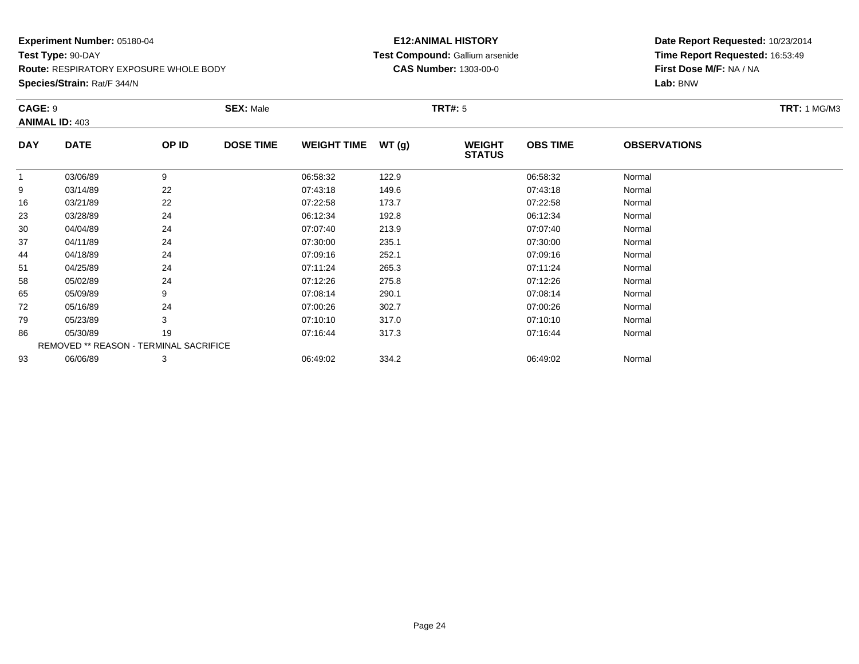**Species/Strain:** Rat/F 344/N

#### **E12:ANIMAL HISTORY Test Compound:** Gallium arsenide**CAS Number:** 1303-00-0

| CAGE: 9    | <b>ANIMAL ID: 403</b>                  |       | <b>SEX: Male</b> |                    |       | <b>TRT#:</b> 5                 |                 |                     | <b>TRT:</b> 1 MG/M3 |
|------------|----------------------------------------|-------|------------------|--------------------|-------|--------------------------------|-----------------|---------------------|---------------------|
| <b>DAY</b> | <b>DATE</b>                            | OP ID | <b>DOSE TIME</b> | <b>WEIGHT TIME</b> | WT(g) | <b>WEIGHT</b><br><b>STATUS</b> | <b>OBS TIME</b> | <b>OBSERVATIONS</b> |                     |
| 1          | 03/06/89                               | 9     |                  | 06:58:32           | 122.9 |                                | 06:58:32        | Normal              |                     |
| 9          | 03/14/89                               | 22    |                  | 07:43:18           | 149.6 |                                | 07:43:18        | Normal              |                     |
| 16         | 03/21/89                               | 22    |                  | 07:22:58           | 173.7 |                                | 07:22:58        | Normal              |                     |
| 23         | 03/28/89                               | 24    |                  | 06:12:34           | 192.8 |                                | 06:12:34        | Normal              |                     |
| 30         | 04/04/89                               | 24    |                  | 07:07:40           | 213.9 |                                | 07:07:40        | Normal              |                     |
| 37         | 04/11/89                               | 24    |                  | 07:30:00           | 235.1 |                                | 07:30:00        | Normal              |                     |
| 44         | 04/18/89                               | 24    |                  | 07:09:16           | 252.1 |                                | 07:09:16        | Normal              |                     |
| 51         | 04/25/89                               | 24    |                  | 07:11:24           | 265.3 |                                | 07:11:24        | Normal              |                     |
| 58         | 05/02/89                               | 24    |                  | 07:12:26           | 275.8 |                                | 07:12:26        | Normal              |                     |
| 65         | 05/09/89                               | 9     |                  | 07:08:14           | 290.1 |                                | 07:08:14        | Normal              |                     |
| 72         | 05/16/89                               | 24    |                  | 07:00:26           | 302.7 |                                | 07:00:26        | Normal              |                     |
| 79         | 05/23/89                               | 3     |                  | 07:10:10           | 317.0 |                                | 07:10:10        | Normal              |                     |
| 86         | 05/30/89                               | 19    |                  | 07:16:44           | 317.3 |                                | 07:16:44        | Normal              |                     |
|            | REMOVED ** REASON - TERMINAL SACRIFICE |       |                  |                    |       |                                |                 |                     |                     |
| 93         | 06/06/89                               | 3     |                  | 06:49:02           | 334.2 |                                | 06:49:02        | Normal              |                     |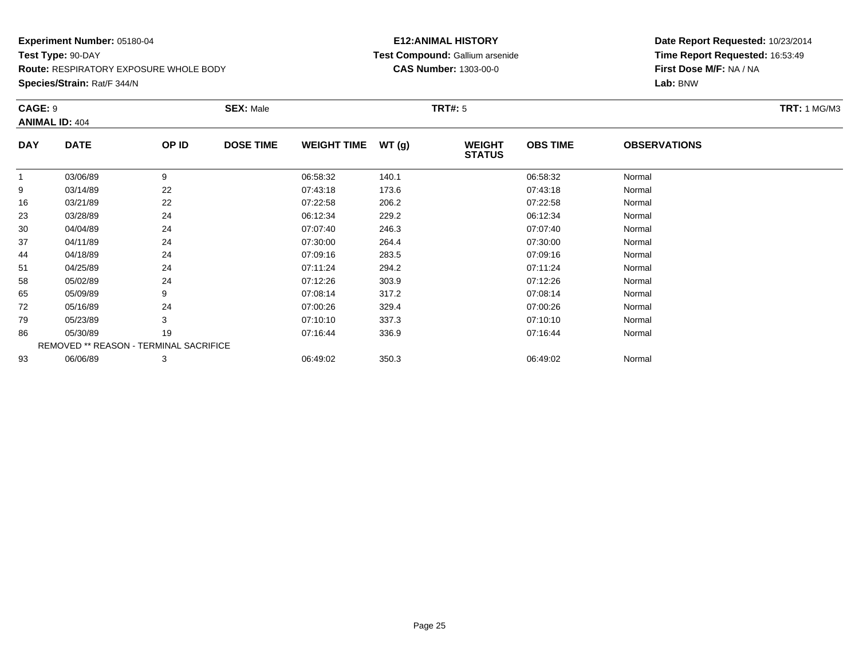**Species/Strain:** Rat/F 344/N

#### **E12:ANIMAL HISTORY Test Compound:** Gallium arsenide**CAS Number:** 1303-00-0

| CAGE: 9    |                                        |       | <b>SEX: Male</b> |                    |       | <b>TRT#:</b> 5                 |                 |                     | <b>TRT: 1 MG/M3</b> |
|------------|----------------------------------------|-------|------------------|--------------------|-------|--------------------------------|-----------------|---------------------|---------------------|
|            | <b>ANIMAL ID: 404</b>                  |       |                  |                    |       |                                |                 |                     |                     |
| <b>DAY</b> | <b>DATE</b>                            | OP ID | <b>DOSE TIME</b> | <b>WEIGHT TIME</b> | WT(g) | <b>WEIGHT</b><br><b>STATUS</b> | <b>OBS TIME</b> | <b>OBSERVATIONS</b> |                     |
| 1          | 03/06/89                               | 9     |                  | 06:58:32           | 140.1 |                                | 06:58:32        | Normal              |                     |
| 9          | 03/14/89                               | 22    |                  | 07:43:18           | 173.6 |                                | 07:43:18        | Normal              |                     |
| 16         | 03/21/89                               | 22    |                  | 07:22:58           | 206.2 |                                | 07:22:58        | Normal              |                     |
| 23         | 03/28/89                               | 24    |                  | 06:12:34           | 229.2 |                                | 06:12:34        | Normal              |                     |
| 30         | 04/04/89                               | 24    |                  | 07:07:40           | 246.3 |                                | 07:07:40        | Normal              |                     |
| 37         | 04/11/89                               | 24    |                  | 07:30:00           | 264.4 |                                | 07:30:00        | Normal              |                     |
| 44         | 04/18/89                               | 24    |                  | 07:09:16           | 283.5 |                                | 07:09:16        | Normal              |                     |
| 51         | 04/25/89                               | 24    |                  | 07:11:24           | 294.2 |                                | 07:11:24        | Normal              |                     |
| 58         | 05/02/89                               | 24    |                  | 07:12:26           | 303.9 |                                | 07:12:26        | Normal              |                     |
| 65         | 05/09/89                               | 9     |                  | 07:08:14           | 317.2 |                                | 07:08:14        | Normal              |                     |
| 72         | 05/16/89                               | 24    |                  | 07:00:26           | 329.4 |                                | 07:00:26        | Normal              |                     |
| 79         | 05/23/89                               | 3     |                  | 07:10:10           | 337.3 |                                | 07:10:10        | Normal              |                     |
| 86         | 05/30/89                               | 19    |                  | 07:16:44           | 336.9 |                                | 07:16:44        | Normal              |                     |
|            | REMOVED ** REASON - TERMINAL SACRIFICE |       |                  |                    |       |                                |                 |                     |                     |
| 93         | 06/06/89                               | 3     |                  | 06:49:02           | 350.3 |                                | 06:49:02        | Normal              |                     |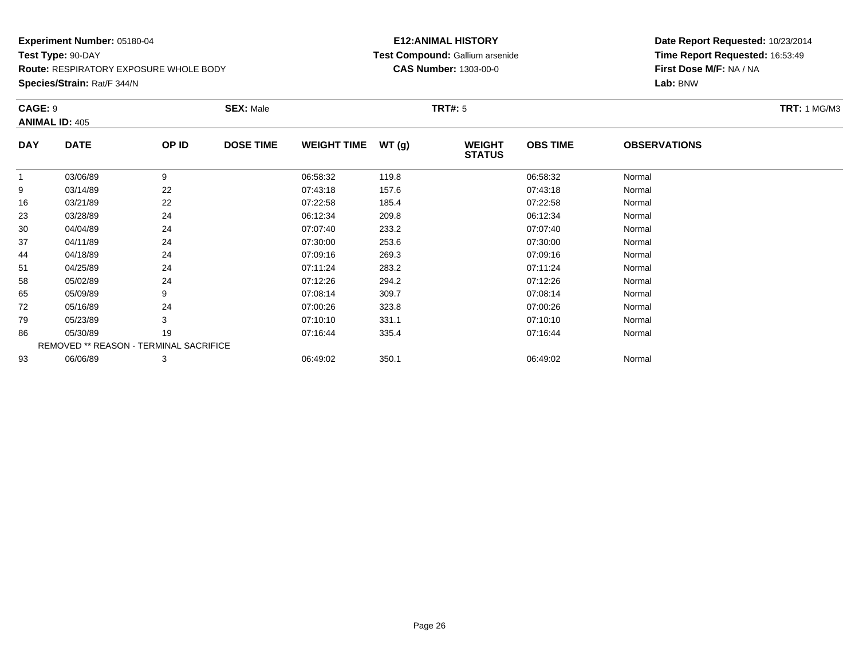**Species/Strain:** Rat/F 344/N

#### **E12:ANIMAL HISTORY Test Compound:** Gallium arsenide**CAS Number:** 1303-00-0

| CAGE: 9    | <b>ANIMAL ID: 405</b>                         |       | <b>SEX: Male</b> |                    |       | <b>TRT#:</b> 5                 |                 |                     | <b>TRT:</b> 1 MG/M3 |
|------------|-----------------------------------------------|-------|------------------|--------------------|-------|--------------------------------|-----------------|---------------------|---------------------|
| <b>DAY</b> | <b>DATE</b>                                   | OP ID | <b>DOSE TIME</b> | <b>WEIGHT TIME</b> | WT(g) | <b>WEIGHT</b><br><b>STATUS</b> | <b>OBS TIME</b> | <b>OBSERVATIONS</b> |                     |
|            | 03/06/89                                      | 9     |                  | 06:58:32           | 119.8 |                                | 06:58:32        | Normal              |                     |
| 9          | 03/14/89                                      | 22    |                  | 07:43:18           | 157.6 |                                | 07:43:18        | Normal              |                     |
| 16         | 03/21/89                                      | 22    |                  | 07:22:58           | 185.4 |                                | 07:22:58        | Normal              |                     |
| 23         | 03/28/89                                      | 24    |                  | 06:12:34           | 209.8 |                                | 06:12:34        | Normal              |                     |
| 30         | 04/04/89                                      | 24    |                  | 07:07:40           | 233.2 |                                | 07:07:40        | Normal              |                     |
| 37         | 04/11/89                                      | 24    |                  | 07:30:00           | 253.6 |                                | 07:30:00        | Normal              |                     |
| 44         | 04/18/89                                      | 24    |                  | 07:09:16           | 269.3 |                                | 07:09:16        | Normal              |                     |
| 51         | 04/25/89                                      | 24    |                  | 07:11:24           | 283.2 |                                | 07:11:24        | Normal              |                     |
| 58         | 05/02/89                                      | 24    |                  | 07:12:26           | 294.2 |                                | 07:12:26        | Normal              |                     |
| 65         | 05/09/89                                      | 9     |                  | 07:08:14           | 309.7 |                                | 07:08:14        | Normal              |                     |
| 72         | 05/16/89                                      | 24    |                  | 07:00:26           | 323.8 |                                | 07:00:26        | Normal              |                     |
| 79         | 05/23/89                                      | 3     |                  | 07:10:10           | 331.1 |                                | 07:10:10        | Normal              |                     |
| 86         | 05/30/89                                      | 19    |                  | 07:16:44           | 335.4 |                                | 07:16:44        | Normal              |                     |
|            | <b>REMOVED ** REASON - TERMINAL SACRIFICE</b> |       |                  |                    |       |                                |                 |                     |                     |
| 93         | 06/06/89                                      | 3     |                  | 06:49:02           | 350.1 |                                | 06:49:02        | Normal              |                     |
|            |                                               |       |                  |                    |       |                                |                 |                     |                     |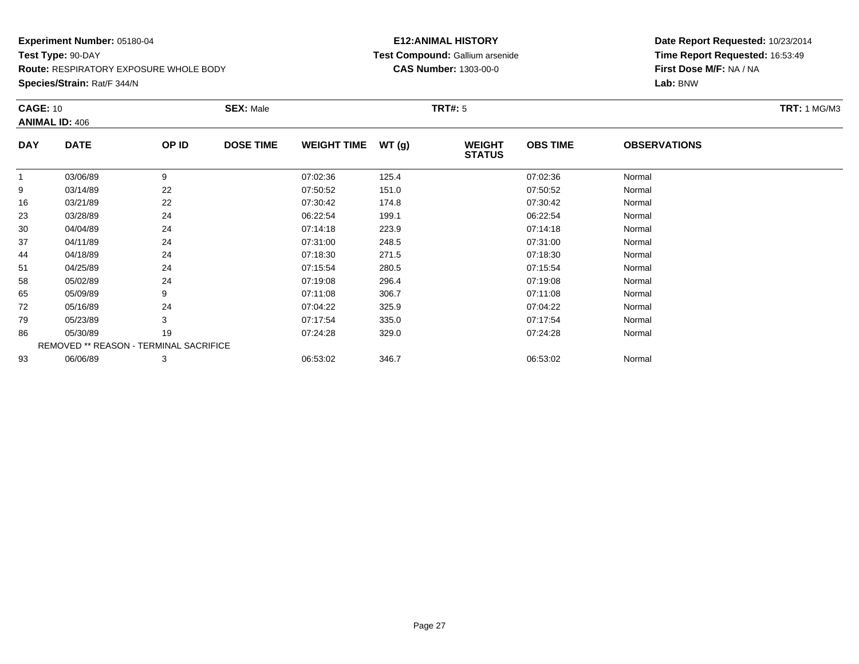**Route:** RESPIRATORY EXPOSURE WHOLE BODY

**Species/Strain:** Rat/F 344/N

#### **E12:ANIMAL HISTORY Test Compound:** Gallium arsenide**CAS Number:** 1303-00-0

| <b>CAGE: 10</b> | <b>ANIMAL ID: 406</b>                         |       | <b>SEX: Male</b> |                    |       | <b>TRT#:</b> 5                 |                 |                     | <b>TRT:</b> 1 MG/M3 |
|-----------------|-----------------------------------------------|-------|------------------|--------------------|-------|--------------------------------|-----------------|---------------------|---------------------|
| <b>DAY</b>      | <b>DATE</b>                                   | OP ID | <b>DOSE TIME</b> | <b>WEIGHT TIME</b> | WT(g) | <b>WEIGHT</b><br><b>STATUS</b> | <b>OBS TIME</b> | <b>OBSERVATIONS</b> |                     |
|                 | 03/06/89                                      | 9     |                  | 07:02:36           | 125.4 |                                | 07:02:36        | Normal              |                     |
| 9               | 03/14/89                                      | 22    |                  | 07:50:52           | 151.0 |                                | 07:50:52        | Normal              |                     |
| 16              | 03/21/89                                      | 22    |                  | 07:30:42           | 174.8 |                                | 07:30:42        | Normal              |                     |
| 23              | 03/28/89                                      | 24    |                  | 06:22:54           | 199.1 |                                | 06:22:54        | Normal              |                     |
| 30              | 04/04/89                                      | 24    |                  | 07:14:18           | 223.9 |                                | 07:14:18        | Normal              |                     |
| 37              | 04/11/89                                      | 24    |                  | 07:31:00           | 248.5 |                                | 07:31:00        | Normal              |                     |
| 44              | 04/18/89                                      | 24    |                  | 07:18:30           | 271.5 |                                | 07:18:30        | Normal              |                     |
| 51              | 04/25/89                                      | 24    |                  | 07:15:54           | 280.5 |                                | 07:15:54        | Normal              |                     |
| 58              | 05/02/89                                      | 24    |                  | 07:19:08           | 296.4 |                                | 07:19:08        | Normal              |                     |
| 65              | 05/09/89                                      | 9     |                  | 07:11:08           | 306.7 |                                | 07:11:08        | Normal              |                     |
| 72              | 05/16/89                                      | 24    |                  | 07:04:22           | 325.9 |                                | 07:04:22        | Normal              |                     |
| 79              | 05/23/89                                      | 3     |                  | 07:17:54           | 335.0 |                                | 07:17:54        | Normal              |                     |
| 86              | 05/30/89                                      | 19    |                  | 07:24:28           | 329.0 |                                | 07:24:28        | Normal              |                     |
|                 | <b>REMOVED ** REASON - TERMINAL SACRIFICE</b> |       |                  |                    |       |                                |                 |                     |                     |
| 93              | 06/06/89                                      | 3     |                  | 06:53:02           | 346.7 |                                | 06:53:02        | Normal              |                     |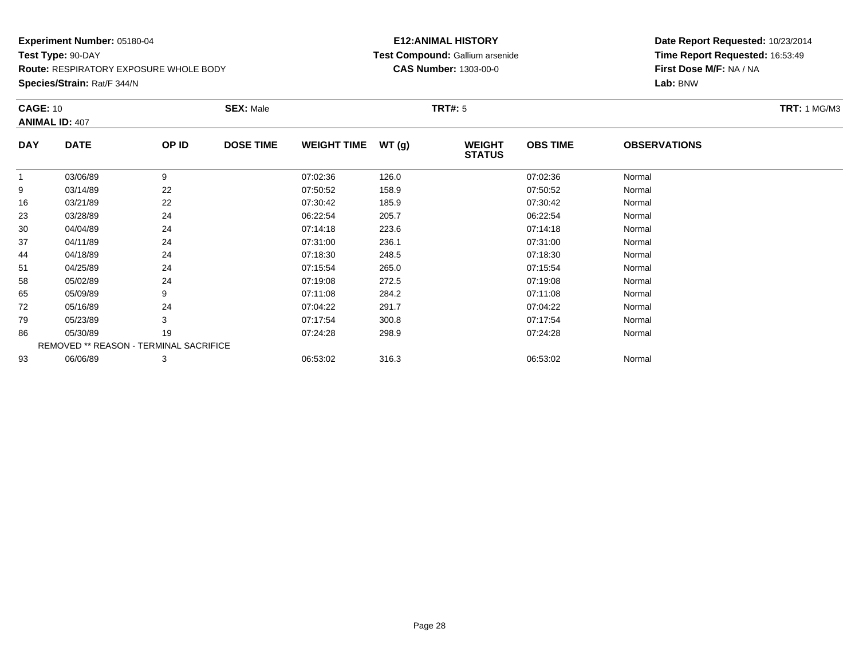**Route:** RESPIRATORY EXPOSURE WHOLE BODY

**Species/Strain:** Rat/F 344/N

#### **E12:ANIMAL HISTORY Test Compound:** Gallium arsenide**CAS Number:** 1303-00-0

| <b>CAGE: 10</b> |                                        |       | <b>SEX: Male</b> |                    |       | <b>TRT#: 5</b>                 |                 |                     | <b>TRT: 1 MG/M3</b> |
|-----------------|----------------------------------------|-------|------------------|--------------------|-------|--------------------------------|-----------------|---------------------|---------------------|
|                 | <b>ANIMAL ID: 407</b>                  |       |                  |                    |       |                                |                 |                     |                     |
| <b>DAY</b>      | <b>DATE</b>                            | OP ID | <b>DOSE TIME</b> | WEIGHT TIME WT (g) |       | <b>WEIGHT</b><br><b>STATUS</b> | <b>OBS TIME</b> | <b>OBSERVATIONS</b> |                     |
|                 | 03/06/89                               | 9     |                  | 07:02:36           | 126.0 |                                | 07:02:36        | Normal              |                     |
| 9               | 03/14/89                               | 22    |                  | 07:50:52           | 158.9 |                                | 07:50:52        | Normal              |                     |
| 16              | 03/21/89                               | 22    |                  | 07:30:42           | 185.9 |                                | 07:30:42        | Normal              |                     |
| 23              | 03/28/89                               | 24    |                  | 06:22:54           | 205.7 |                                | 06:22:54        | Normal              |                     |
| 30              | 04/04/89                               | 24    |                  | 07:14:18           | 223.6 |                                | 07:14:18        | Normal              |                     |
| 37              | 04/11/89                               | 24    |                  | 07:31:00           | 236.1 |                                | 07:31:00        | Normal              |                     |
| 44              | 04/18/89                               | 24    |                  | 07:18:30           | 248.5 |                                | 07:18:30        | Normal              |                     |
| 51              | 04/25/89                               | 24    |                  | 07:15:54           | 265.0 |                                | 07:15:54        | Normal              |                     |
| 58              | 05/02/89                               | 24    |                  | 07:19:08           | 272.5 |                                | 07:19:08        | Normal              |                     |
| 65              | 05/09/89                               | 9     |                  | 07:11:08           | 284.2 |                                | 07:11:08        | Normal              |                     |
| 72              | 05/16/89                               | 24    |                  | 07:04:22           | 291.7 |                                | 07:04:22        | Normal              |                     |
| 79              | 05/23/89                               | 3     |                  | 07:17:54           | 300.8 |                                | 07:17:54        | Normal              |                     |
| 86              | 05/30/89                               | 19    |                  | 07:24:28           | 298.9 |                                | 07:24:28        | Normal              |                     |
|                 | REMOVED ** REASON - TERMINAL SACRIFICE |       |                  |                    |       |                                |                 |                     |                     |
| 93              | 06/06/89                               | 3     |                  | 06:53:02           | 316.3 |                                | 06:53:02        | Normal              |                     |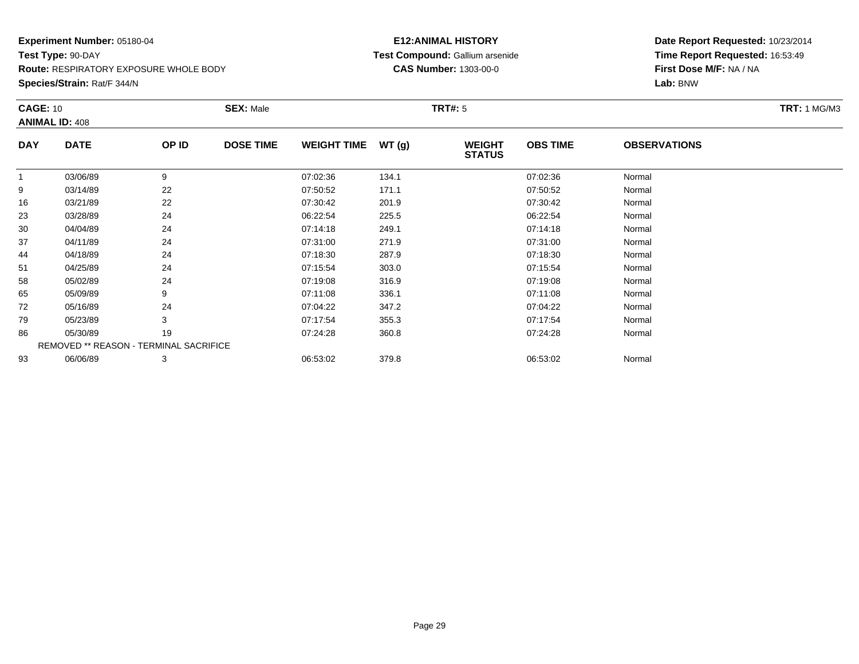**Route:** RESPIRATORY EXPOSURE WHOLE BODY

**Species/Strain:** Rat/F 344/N

#### **E12:ANIMAL HISTORY Test Compound:** Gallium arsenide**CAS Number:** 1303-00-0

| <b>CAGE: 10</b> |                                        |       | <b>SEX: Male</b> |                    |       | <b>TRT#:</b> 5                 |                 |                     | <b>TRT:</b> 1 MG/M3 |
|-----------------|----------------------------------------|-------|------------------|--------------------|-------|--------------------------------|-----------------|---------------------|---------------------|
|                 | <b>ANIMAL ID: 408</b>                  |       |                  |                    |       |                                |                 |                     |                     |
| <b>DAY</b>      | <b>DATE</b>                            | OP ID | <b>DOSE TIME</b> | <b>WEIGHT TIME</b> | WT(g) | <b>WEIGHT</b><br><b>STATUS</b> | <b>OBS TIME</b> | <b>OBSERVATIONS</b> |                     |
|                 | 03/06/89                               | 9     |                  | 07:02:36           | 134.1 |                                | 07:02:36        | Normal              |                     |
| 9               | 03/14/89                               | 22    |                  | 07:50:52           | 171.1 |                                | 07:50:52        | Normal              |                     |
| 16              | 03/21/89                               | 22    |                  | 07:30:42           | 201.9 |                                | 07:30:42        | Normal              |                     |
| 23              | 03/28/89                               | 24    |                  | 06:22:54           | 225.5 |                                | 06:22:54        | Normal              |                     |
| 30              | 04/04/89                               | 24    |                  | 07:14:18           | 249.1 |                                | 07:14:18        | Normal              |                     |
| 37              | 04/11/89                               | 24    |                  | 07:31:00           | 271.9 |                                | 07:31:00        | Normal              |                     |
| 44              | 04/18/89                               | 24    |                  | 07:18:30           | 287.9 |                                | 07:18:30        | Normal              |                     |
| 51              | 04/25/89                               | 24    |                  | 07:15:54           | 303.0 |                                | 07:15:54        | Normal              |                     |
| 58              | 05/02/89                               | 24    |                  | 07:19:08           | 316.9 |                                | 07:19:08        | Normal              |                     |
| 65              | 05/09/89                               | 9     |                  | 07:11:08           | 336.1 |                                | 07:11:08        | Normal              |                     |
| 72              | 05/16/89                               | 24    |                  | 07:04:22           | 347.2 |                                | 07:04:22        | Normal              |                     |
| 79              | 05/23/89                               | 3     |                  | 07:17:54           | 355.3 |                                | 07:17:54        | Normal              |                     |
| 86              | 05/30/89                               | 19    |                  | 07:24:28           | 360.8 |                                | 07:24:28        | Normal              |                     |
|                 | REMOVED ** REASON - TERMINAL SACRIFICE |       |                  |                    |       |                                |                 |                     |                     |
| 93              | 06/06/89                               | 3     |                  | 06:53:02           | 379.8 |                                | 06:53:02        | Normal              |                     |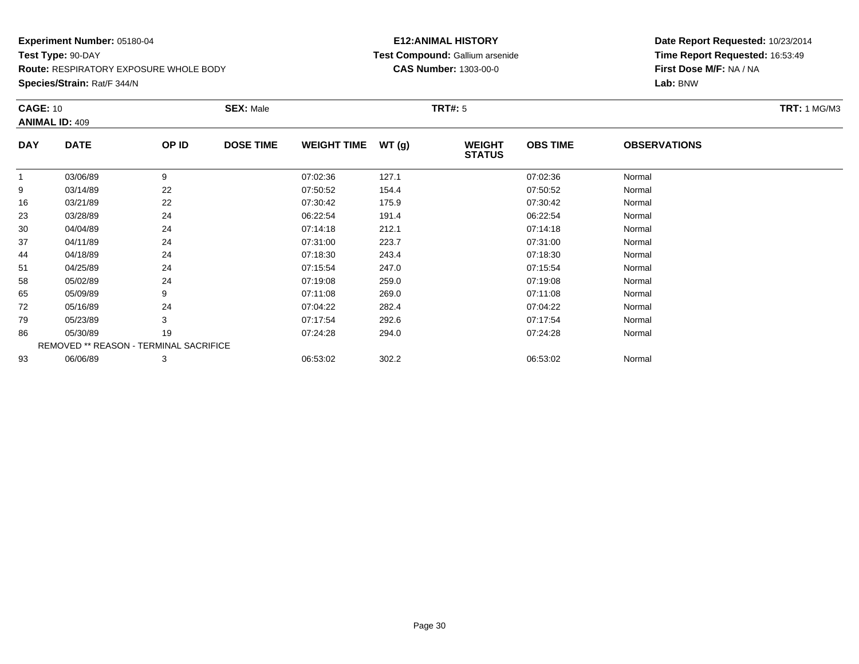**Route:** RESPIRATORY EXPOSURE WHOLE BODY

**Species/Strain:** Rat/F 344/N

#### **E12:ANIMAL HISTORY Test Compound:** Gallium arsenide**CAS Number:** 1303-00-0

| <b>CAGE: 10</b> | <b>ANIMAL ID: 409</b>                  |       | <b>SEX: Male</b> |                    |               | <b>TRT#:</b> 5                 |                 |                     | <b>TRT: 1 MG/M3</b> |
|-----------------|----------------------------------------|-------|------------------|--------------------|---------------|--------------------------------|-----------------|---------------------|---------------------|
| <b>DAY</b>      | <b>DATE</b>                            | OP ID | <b>DOSE TIME</b> | <b>WEIGHT TIME</b> | <b>WT (g)</b> | <b>WEIGHT</b><br><b>STATUS</b> | <b>OBS TIME</b> | <b>OBSERVATIONS</b> |                     |
| 1               | 03/06/89                               | 9     |                  | 07:02:36           | 127.1         |                                | 07:02:36        | Normal              |                     |
| 9               | 03/14/89                               | 22    |                  | 07:50:52           | 154.4         |                                | 07:50:52        | Normal              |                     |
| 16              | 03/21/89                               | 22    |                  | 07:30:42           | 175.9         |                                | 07:30:42        | Normal              |                     |
| 23              | 03/28/89                               | 24    |                  | 06:22:54           | 191.4         |                                | 06:22:54        | Normal              |                     |
| 30              | 04/04/89                               | 24    |                  | 07:14:18           | 212.1         |                                | 07:14:18        | Normal              |                     |
| 37              | 04/11/89                               | 24    |                  | 07:31:00           | 223.7         |                                | 07:31:00        | Normal              |                     |
| 44              | 04/18/89                               | 24    |                  | 07:18:30           | 243.4         |                                | 07:18:30        | Normal              |                     |
| 51              | 04/25/89                               | 24    |                  | 07:15:54           | 247.0         |                                | 07:15:54        | Normal              |                     |
| 58              | 05/02/89                               | 24    |                  | 07:19:08           | 259.0         |                                | 07:19:08        | Normal              |                     |
| 65              | 05/09/89                               | 9     |                  | 07:11:08           | 269.0         |                                | 07:11:08        | Normal              |                     |
| 72              | 05/16/89                               | 24    |                  | 07:04:22           | 282.4         |                                | 07:04:22        | Normal              |                     |
| 79              | 05/23/89                               | 3     |                  | 07:17:54           | 292.6         |                                | 07:17:54        | Normal              |                     |
| 86              | 05/30/89                               | 19    |                  | 07:24:28           | 294.0         |                                | 07:24:28        | Normal              |                     |
|                 | REMOVED ** REASON - TERMINAL SACRIFICE |       |                  |                    |               |                                |                 |                     |                     |
| 93              | 06/06/89                               | 3     |                  | 06:53:02           | 302.2         |                                | 06:53:02        | Normal              |                     |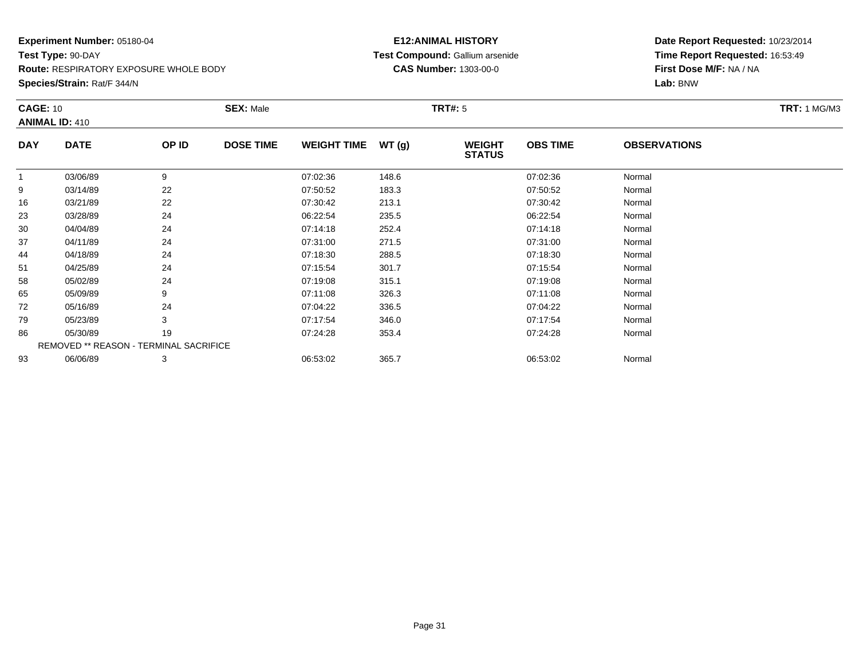**Route:** RESPIRATORY EXPOSURE WHOLE BODY

**Species/Strain:** Rat/F 344/N

#### **E12:ANIMAL HISTORY Test Compound:** Gallium arsenide**CAS Number:** 1303-00-0

| <b>CAGE: 10</b> | <b>ANIMAL ID: 410</b>                  |       | <b>SEX: Male</b> |                     |       | <b>TRT#: 5</b>                 |                 |                     | <b>TRT:</b> 1 MG/M3 |
|-----------------|----------------------------------------|-------|------------------|---------------------|-------|--------------------------------|-----------------|---------------------|---------------------|
| <b>DAY</b>      | <b>DATE</b>                            | OP ID | <b>DOSE TIME</b> | WEIGHT TIME $WT(g)$ |       | <b>WEIGHT</b><br><b>STATUS</b> | <b>OBS TIME</b> | <b>OBSERVATIONS</b> |                     |
|                 | 03/06/89                               | 9     |                  | 07:02:36            | 148.6 |                                | 07:02:36        | Normal              |                     |
| 9               | 03/14/89                               | 22    |                  | 07:50:52            | 183.3 |                                | 07:50:52        | Normal              |                     |
| 16              | 03/21/89                               | 22    |                  | 07:30:42            | 213.1 |                                | 07:30:42        | Normal              |                     |
| 23              | 03/28/89                               | 24    |                  | 06:22:54            | 235.5 |                                | 06:22:54        | Normal              |                     |
| 30              | 04/04/89                               | 24    |                  | 07:14:18            | 252.4 |                                | 07:14:18        | Normal              |                     |
| 37              | 04/11/89                               | 24    |                  | 07:31:00            | 271.5 |                                | 07:31:00        | Normal              |                     |
| 44              | 04/18/89                               | 24    |                  | 07:18:30            | 288.5 |                                | 07:18:30        | Normal              |                     |
| 51              | 04/25/89                               | 24    |                  | 07:15:54            | 301.7 |                                | 07:15:54        | Normal              |                     |
| 58              | 05/02/89                               | 24    |                  | 07:19:08            | 315.1 |                                | 07:19:08        | Normal              |                     |
| 65              | 05/09/89                               | 9     |                  | 07:11:08            | 326.3 |                                | 07:11:08        | Normal              |                     |
| 72              | 05/16/89                               | 24    |                  | 07:04:22            | 336.5 |                                | 07:04:22        | Normal              |                     |
| 79              | 05/23/89                               | 3     |                  | 07:17:54            | 346.0 |                                | 07:17:54        | Normal              |                     |
| 86              | 05/30/89                               | 19    |                  | 07:24:28            | 353.4 |                                | 07:24:28        | Normal              |                     |
|                 | REMOVED ** REASON - TERMINAL SACRIFICE |       |                  |                     |       |                                |                 |                     |                     |
| 93              | 06/06/89                               | 3     |                  | 06:53:02            | 365.7 |                                | 06:53:02        | Normal              |                     |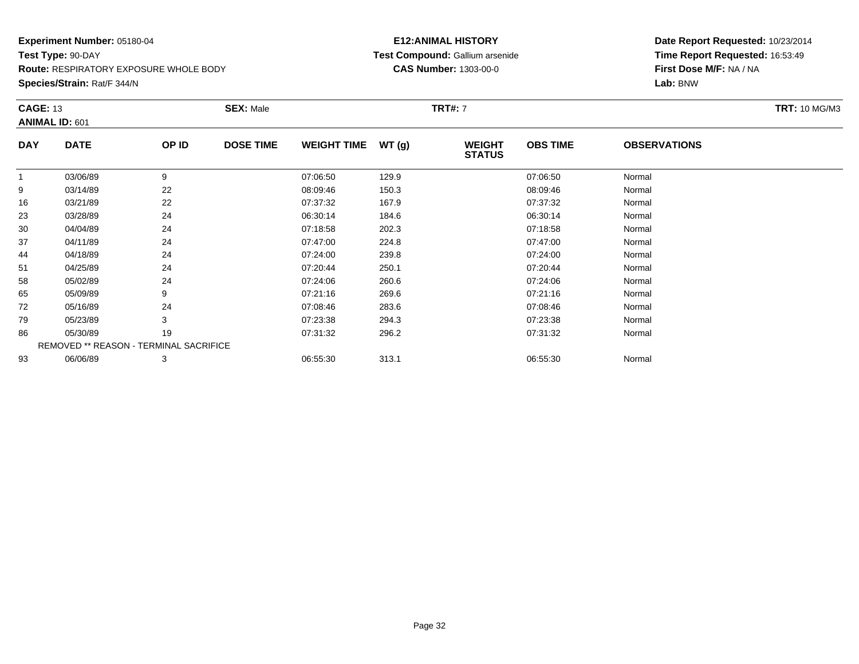**Route:** RESPIRATORY EXPOSURE WHOLE BODY

**Species/Strain:** Rat/F 344/N

#### **E12:ANIMAL HISTORY Test Compound:** Gallium arsenide**CAS Number:** 1303-00-0

| <b>CAGE: 13</b> |                                        |       | <b>SEX: Male</b> |                    |       | <b>TRT#: 7</b>                 |                 |                     | <b>TRT: 10 MG/M3</b> |
|-----------------|----------------------------------------|-------|------------------|--------------------|-------|--------------------------------|-----------------|---------------------|----------------------|
|                 | <b>ANIMAL ID: 601</b>                  |       |                  |                    |       |                                |                 |                     |                      |
| <b>DAY</b>      | <b>DATE</b>                            | OP ID | <b>DOSE TIME</b> | <b>WEIGHT TIME</b> | WT(g) | <b>WEIGHT</b><br><b>STATUS</b> | <b>OBS TIME</b> | <b>OBSERVATIONS</b> |                      |
|                 | 03/06/89                               | 9     |                  | 07:06:50           | 129.9 |                                | 07:06:50        | Normal              |                      |
| 9               | 03/14/89                               | 22    |                  | 08:09:46           | 150.3 |                                | 08:09:46        | Normal              |                      |
| 16              | 03/21/89                               | 22    |                  | 07:37:32           | 167.9 |                                | 07:37:32        | Normal              |                      |
| 23              | 03/28/89                               | 24    |                  | 06:30:14           | 184.6 |                                | 06:30:14        | Normal              |                      |
| 30              | 04/04/89                               | 24    |                  | 07:18:58           | 202.3 |                                | 07:18:58        | Normal              |                      |
| 37              | 04/11/89                               | 24    |                  | 07:47:00           | 224.8 |                                | 07:47:00        | Normal              |                      |
| 44              | 04/18/89                               | 24    |                  | 07:24:00           | 239.8 |                                | 07:24:00        | Normal              |                      |
| 51              | 04/25/89                               | 24    |                  | 07:20:44           | 250.1 |                                | 07:20:44        | Normal              |                      |
| 58              | 05/02/89                               | 24    |                  | 07:24:06           | 260.6 |                                | 07:24:06        | Normal              |                      |
| 65              | 05/09/89                               | 9     |                  | 07:21:16           | 269.6 |                                | 07:21:16        | Normal              |                      |
| 72              | 05/16/89                               | 24    |                  | 07:08:46           | 283.6 |                                | 07:08:46        | Normal              |                      |
| 79              | 05/23/89                               | 3     |                  | 07:23:38           | 294.3 |                                | 07:23:38        | Normal              |                      |
| 86              | 05/30/89                               | 19    |                  | 07:31:32           | 296.2 |                                | 07:31:32        | Normal              |                      |
|                 | REMOVED ** REASON - TERMINAL SACRIFICE |       |                  |                    |       |                                |                 |                     |                      |
| 93              | 06/06/89                               | 3     |                  | 06:55:30           | 313.1 |                                | 06:55:30        | Normal              |                      |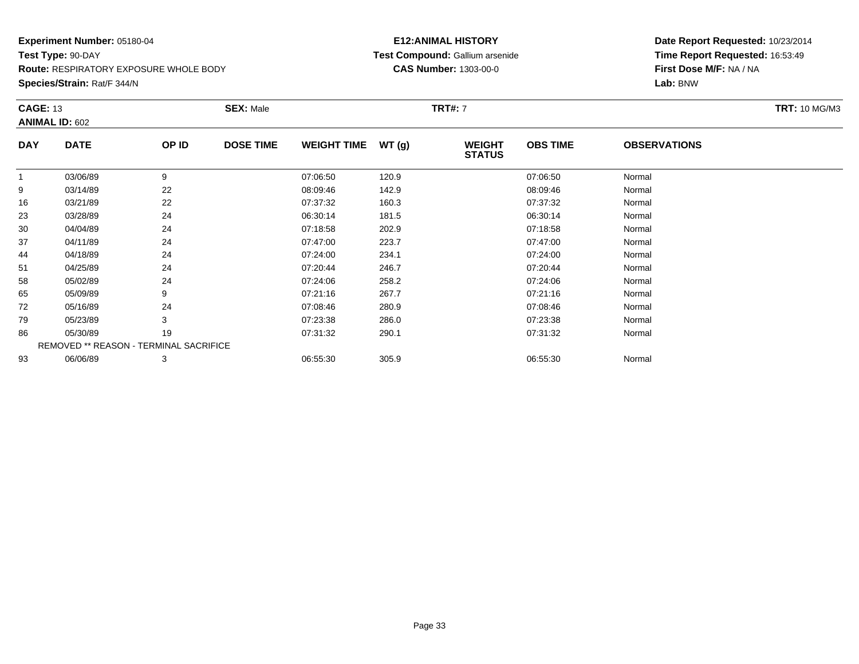**Route:** RESPIRATORY EXPOSURE WHOLE BODY

**Species/Strain:** Rat/F 344/N

#### **E12:ANIMAL HISTORY Test Compound:** Gallium arsenide**CAS Number:** 1303-00-0

| <b>CAGE: 13</b> |                                        |       | <b>SEX: Male</b> |                    |       | <b>TRT#: 7</b>                 |                 |                     | <b>TRT: 10 MG/M3</b> |
|-----------------|----------------------------------------|-------|------------------|--------------------|-------|--------------------------------|-----------------|---------------------|----------------------|
|                 | <b>ANIMAL ID: 602</b>                  |       |                  |                    |       |                                |                 |                     |                      |
| <b>DAY</b>      | <b>DATE</b>                            | OP ID | <b>DOSE TIME</b> | <b>WEIGHT TIME</b> | WT(g) | <b>WEIGHT</b><br><b>STATUS</b> | <b>OBS TIME</b> | <b>OBSERVATIONS</b> |                      |
| 1               | 03/06/89                               | 9     |                  | 07:06:50           | 120.9 |                                | 07:06:50        | Normal              |                      |
| 9               | 03/14/89                               | 22    |                  | 08:09:46           | 142.9 |                                | 08:09:46        | Normal              |                      |
| 16              | 03/21/89                               | 22    |                  | 07:37:32           | 160.3 |                                | 07:37:32        | Normal              |                      |
| 23              | 03/28/89                               | 24    |                  | 06:30:14           | 181.5 |                                | 06:30:14        | Normal              |                      |
| 30              | 04/04/89                               | 24    |                  | 07:18:58           | 202.9 |                                | 07:18:58        | Normal              |                      |
| 37              | 04/11/89                               | 24    |                  | 07:47:00           | 223.7 |                                | 07:47:00        | Normal              |                      |
| 44              | 04/18/89                               | 24    |                  | 07:24:00           | 234.1 |                                | 07:24:00        | Normal              |                      |
| 51              | 04/25/89                               | 24    |                  | 07:20:44           | 246.7 |                                | 07:20:44        | Normal              |                      |
| 58              | 05/02/89                               | 24    |                  | 07:24:06           | 258.2 |                                | 07:24:06        | Normal              |                      |
| 65              | 05/09/89                               | 9     |                  | 07:21:16           | 267.7 |                                | 07:21:16        | Normal              |                      |
| 72              | 05/16/89                               | 24    |                  | 07:08:46           | 280.9 |                                | 07:08:46        | Normal              |                      |
| 79              | 05/23/89                               | 3     |                  | 07:23:38           | 286.0 |                                | 07:23:38        | Normal              |                      |
| 86              | 05/30/89                               | 19    |                  | 07:31:32           | 290.1 |                                | 07:31:32        | Normal              |                      |
|                 | REMOVED ** REASON - TERMINAL SACRIFICE |       |                  |                    |       |                                |                 |                     |                      |
| 93              | 06/06/89                               | 3     |                  | 06:55:30           | 305.9 |                                | 06:55:30        | Normal              |                      |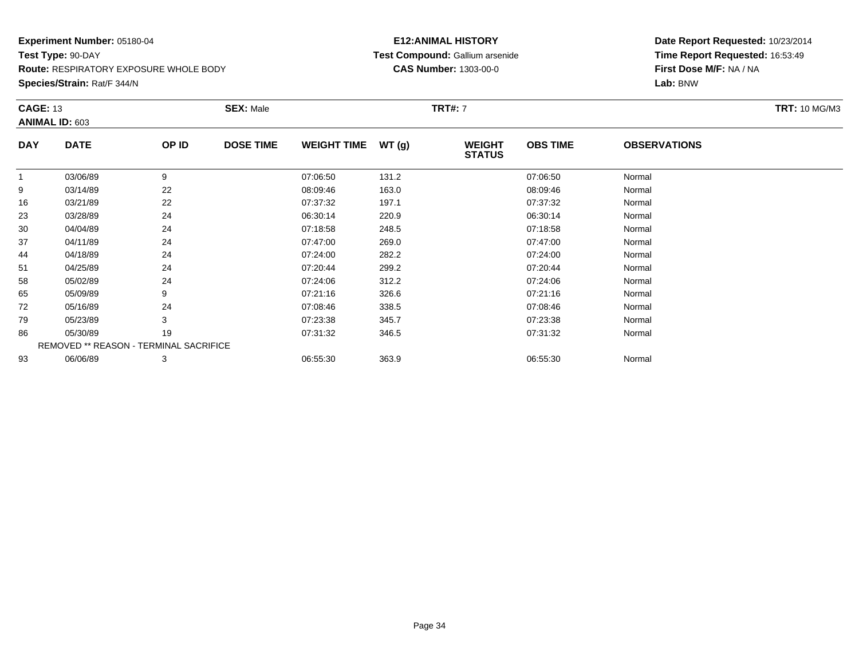**Route:** RESPIRATORY EXPOSURE WHOLE BODY

**Species/Strain:** Rat/F 344/N

#### **E12:ANIMAL HISTORY Test Compound:** Gallium arsenide**CAS Number:** 1303-00-0

| <b>CAGE: 13</b> | <b>ANIMAL ID: 603</b>                  |       | <b>SEX: Male</b> |                    |       | <b>TRT#:</b> 7                 |                 |                     | <b>TRT: 10 MG/M3</b> |
|-----------------|----------------------------------------|-------|------------------|--------------------|-------|--------------------------------|-----------------|---------------------|----------------------|
| <b>DAY</b>      | <b>DATE</b>                            | OP ID | <b>DOSE TIME</b> | <b>WEIGHT TIME</b> | WT(g) | <b>WEIGHT</b><br><b>STATUS</b> | <b>OBS TIME</b> | <b>OBSERVATIONS</b> |                      |
| $\overline{1}$  | 03/06/89                               | 9     |                  | 07:06:50           | 131.2 |                                | 07:06:50        | Normal              |                      |
| 9               | 03/14/89                               | 22    |                  | 08:09:46           | 163.0 |                                | 08:09:46        | Normal              |                      |
| 16              | 03/21/89                               | 22    |                  | 07:37:32           | 197.1 |                                | 07:37:32        | Normal              |                      |
| 23              | 03/28/89                               | 24    |                  | 06:30:14           | 220.9 |                                | 06:30:14        | Normal              |                      |
| 30              | 04/04/89                               | 24    |                  | 07:18:58           | 248.5 |                                | 07:18:58        | Normal              |                      |
| 37              | 04/11/89                               | 24    |                  | 07:47:00           | 269.0 |                                | 07:47:00        | Normal              |                      |
| 44              | 04/18/89                               | 24    |                  | 07:24:00           | 282.2 |                                | 07:24:00        | Normal              |                      |
| 51              | 04/25/89                               | 24    |                  | 07:20:44           | 299.2 |                                | 07:20:44        | Normal              |                      |
| 58              | 05/02/89                               | 24    |                  | 07:24:06           | 312.2 |                                | 07:24:06        | Normal              |                      |
| 65              | 05/09/89                               | 9     |                  | 07:21:16           | 326.6 |                                | 07:21:16        | Normal              |                      |
| 72              | 05/16/89                               | 24    |                  | 07:08:46           | 338.5 |                                | 07:08:46        | Normal              |                      |
| 79              | 05/23/89                               | 3     |                  | 07:23:38           | 345.7 |                                | 07:23:38        | Normal              |                      |
| 86              | 05/30/89                               | 19    |                  | 07:31:32           | 346.5 |                                | 07:31:32        | Normal              |                      |
|                 | REMOVED ** REASON - TERMINAL SACRIFICE |       |                  |                    |       |                                |                 |                     |                      |
| 93              | 06/06/89                               | 3     |                  | 06:55:30           | 363.9 |                                | 06:55:30        | Normal              |                      |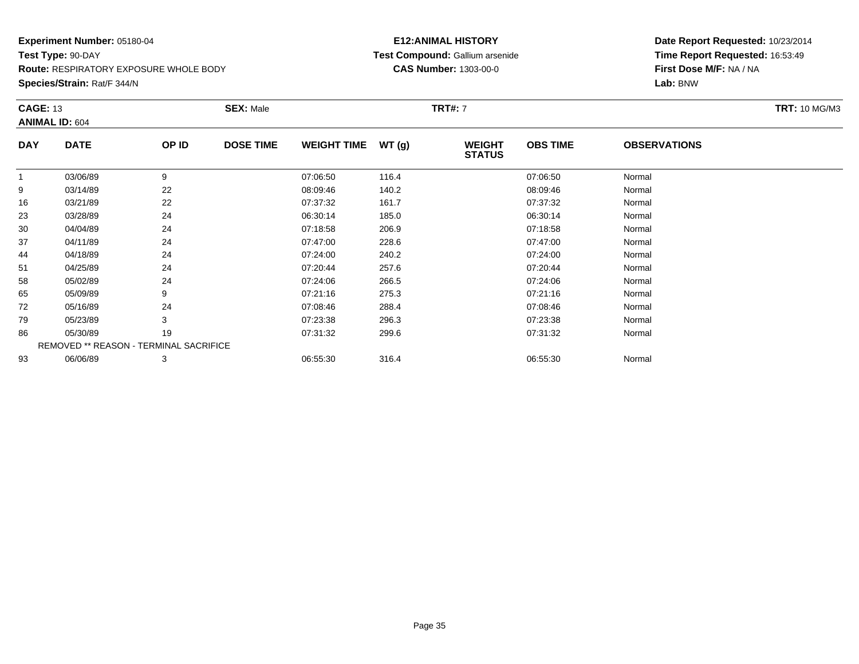**Route:** RESPIRATORY EXPOSURE WHOLE BODY

**Species/Strain:** Rat/F 344/N

#### **E12:ANIMAL HISTORY Test Compound:** Gallium arsenide**CAS Number:** 1303-00-0

| <b>CAGE: 13</b> | <b>ANIMAL ID: 604</b>                  |       | <b>SEX: Male</b> |                    |       | <b>TRT#:</b> 7                 |                 |                     | <b>TRT: 10 MG/M3</b> |
|-----------------|----------------------------------------|-------|------------------|--------------------|-------|--------------------------------|-----------------|---------------------|----------------------|
| <b>DAY</b>      | <b>DATE</b>                            | OP ID | <b>DOSE TIME</b> | <b>WEIGHT TIME</b> | WT(g) | <b>WEIGHT</b><br><b>STATUS</b> | <b>OBS TIME</b> | <b>OBSERVATIONS</b> |                      |
| $\overline{1}$  | 03/06/89                               | 9     |                  | 07:06:50           | 116.4 |                                | 07:06:50        | Normal              |                      |
| 9               | 03/14/89                               | 22    |                  | 08:09:46           | 140.2 |                                | 08:09:46        | Normal              |                      |
| 16              | 03/21/89                               | 22    |                  | 07:37:32           | 161.7 |                                | 07:37:32        | Normal              |                      |
| 23              | 03/28/89                               | 24    |                  | 06:30:14           | 185.0 |                                | 06:30:14        | Normal              |                      |
| 30              | 04/04/89                               | 24    |                  | 07:18:58           | 206.9 |                                | 07:18:58        | Normal              |                      |
| 37              | 04/11/89                               | 24    |                  | 07:47:00           | 228.6 |                                | 07:47:00        | Normal              |                      |
| 44              | 04/18/89                               | 24    |                  | 07:24:00           | 240.2 |                                | 07:24:00        | Normal              |                      |
| 51              | 04/25/89                               | 24    |                  | 07:20:44           | 257.6 |                                | 07:20:44        | Normal              |                      |
| 58              | 05/02/89                               | 24    |                  | 07:24:06           | 266.5 |                                | 07:24:06        | Normal              |                      |
| 65              | 05/09/89                               | 9     |                  | 07:21:16           | 275.3 |                                | 07:21:16        | Normal              |                      |
| 72              | 05/16/89                               | 24    |                  | 07:08:46           | 288.4 |                                | 07:08:46        | Normal              |                      |
| 79              | 05/23/89                               | 3     |                  | 07:23:38           | 296.3 |                                | 07:23:38        | Normal              |                      |
| 86              | 05/30/89                               | 19    |                  | 07:31:32           | 299.6 |                                | 07:31:32        | Normal              |                      |
|                 | REMOVED ** REASON - TERMINAL SACRIFICE |       |                  |                    |       |                                |                 |                     |                      |
| 93              | 06/06/89                               | 3     |                  | 06:55:30           | 316.4 |                                | 06:55:30        | Normal              |                      |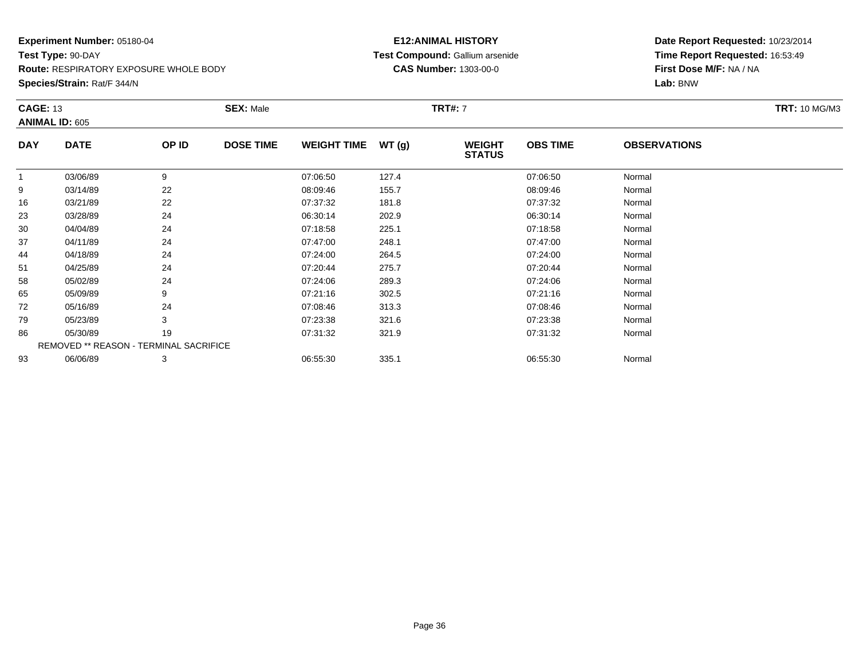**Route:** RESPIRATORY EXPOSURE WHOLE BODY

**Species/Strain:** Rat/F 344/N

#### **E12:ANIMAL HISTORY Test Compound:** Gallium arsenide**CAS Number:** 1303-00-0

| <b>CAGE: 13</b> |                                        |       | <b>SEX: Male</b> |                    |       | <b>TRT#: 7</b>                 |                 |                     | <b>TRT: 10 MG/M3</b> |
|-----------------|----------------------------------------|-------|------------------|--------------------|-------|--------------------------------|-----------------|---------------------|----------------------|
|                 | <b>ANIMAL ID: 605</b>                  |       |                  |                    |       |                                |                 |                     |                      |
| <b>DAY</b>      | <b>DATE</b>                            | OP ID | <b>DOSE TIME</b> | <b>WEIGHT TIME</b> | WT(g) | <b>WEIGHT</b><br><b>STATUS</b> | <b>OBS TIME</b> | <b>OBSERVATIONS</b> |                      |
| 1               | 03/06/89                               | 9     |                  | 07:06:50           | 127.4 |                                | 07:06:50        | Normal              |                      |
| 9               | 03/14/89                               | 22    |                  | 08:09:46           | 155.7 |                                | 08:09:46        | Normal              |                      |
| 16              | 03/21/89                               | 22    |                  | 07:37:32           | 181.8 |                                | 07:37:32        | Normal              |                      |
| 23              | 03/28/89                               | 24    |                  | 06:30:14           | 202.9 |                                | 06:30:14        | Normal              |                      |
| 30              | 04/04/89                               | 24    |                  | 07:18:58           | 225.1 |                                | 07:18:58        | Normal              |                      |
| 37              | 04/11/89                               | 24    |                  | 07:47:00           | 248.1 |                                | 07:47:00        | Normal              |                      |
| 44              | 04/18/89                               | 24    |                  | 07:24:00           | 264.5 |                                | 07:24:00        | Normal              |                      |
| 51              | 04/25/89                               | 24    |                  | 07:20:44           | 275.7 |                                | 07:20:44        | Normal              |                      |
| 58              | 05/02/89                               | 24    |                  | 07:24:06           | 289.3 |                                | 07:24:06        | Normal              |                      |
| 65              | 05/09/89                               | 9     |                  | 07:21:16           | 302.5 |                                | 07:21:16        | Normal              |                      |
| 72              | 05/16/89                               | 24    |                  | 07:08:46           | 313.3 |                                | 07:08:46        | Normal              |                      |
| 79              | 05/23/89                               | 3     |                  | 07:23:38           | 321.6 |                                | 07:23:38        | Normal              |                      |
| 86              | 05/30/89                               | 19    |                  | 07:31:32           | 321.9 |                                | 07:31:32        | Normal              |                      |
|                 | REMOVED ** REASON - TERMINAL SACRIFICE |       |                  |                    |       |                                |                 |                     |                      |
| 93              | 06/06/89                               | 3     |                  | 06:55:30           | 335.1 |                                | 06:55:30        | Normal              |                      |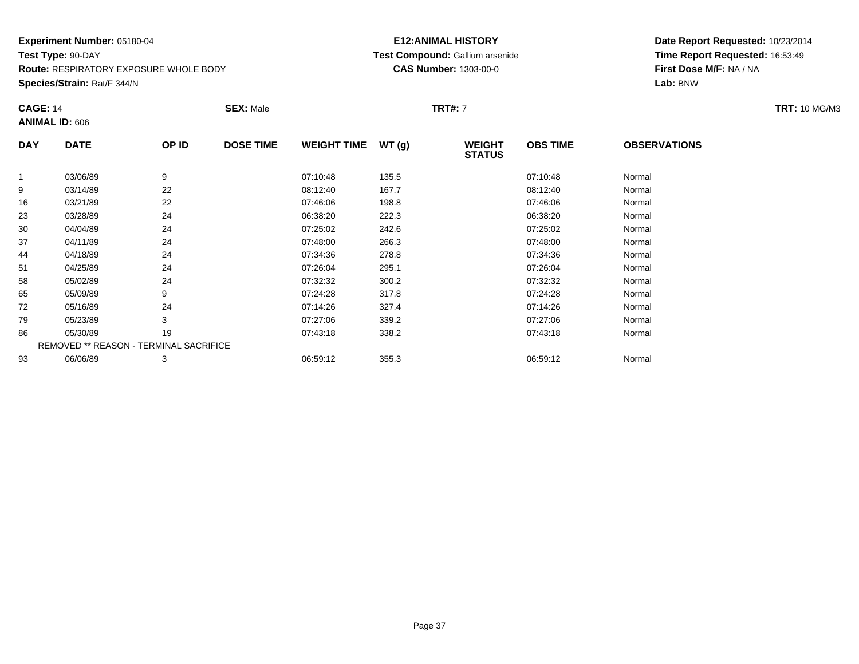**Route:** RESPIRATORY EXPOSURE WHOLE BODY

**Species/Strain:** Rat/F 344/N

### **E12:ANIMAL HISTORY Test Compound:** Gallium arsenide**CAS Number:** 1303-00-0

| <b>CAGE: 14</b> | <b>ANIMAL ID: 606</b>                  |       | <b>SEX: Male</b> |                    |       | <b>TRT#: 7</b>                 |                 |                     | <b>TRT: 10 MG/M3</b> |
|-----------------|----------------------------------------|-------|------------------|--------------------|-------|--------------------------------|-----------------|---------------------|----------------------|
| <b>DAY</b>      | <b>DATE</b>                            | OP ID | <b>DOSE TIME</b> | <b>WEIGHT TIME</b> | WT(g) | <b>WEIGHT</b><br><b>STATUS</b> | <b>OBS TIME</b> | <b>OBSERVATIONS</b> |                      |
|                 | 03/06/89                               | 9     |                  | 07:10:48           | 135.5 |                                | 07:10:48        | Normal              |                      |
| 9               | 03/14/89                               | 22    |                  | 08:12:40           | 167.7 |                                | 08:12:40        | Normal              |                      |
| 16              | 03/21/89                               | 22    |                  | 07:46:06           | 198.8 |                                | 07:46:06        | Normal              |                      |
| 23              | 03/28/89                               | 24    |                  | 06:38:20           | 222.3 |                                | 06:38:20        | Normal              |                      |
| 30              | 04/04/89                               | 24    |                  | 07:25:02           | 242.6 |                                | 07:25:02        | Normal              |                      |
| 37              | 04/11/89                               | 24    |                  | 07:48:00           | 266.3 |                                | 07:48:00        | Normal              |                      |
| 44              | 04/18/89                               | 24    |                  | 07:34:36           | 278.8 |                                | 07:34:36        | Normal              |                      |
| 51              | 04/25/89                               | 24    |                  | 07:26:04           | 295.1 |                                | 07:26:04        | Normal              |                      |
| 58              | 05/02/89                               | 24    |                  | 07:32:32           | 300.2 |                                | 07:32:32        | Normal              |                      |
| 65              | 05/09/89                               | 9     |                  | 07:24:28           | 317.8 |                                | 07:24:28        | Normal              |                      |
| 72              | 05/16/89                               | 24    |                  | 07:14:26           | 327.4 |                                | 07:14:26        | Normal              |                      |
| 79              | 05/23/89                               | 3     |                  | 07:27:06           | 339.2 |                                | 07:27:06        | Normal              |                      |
| 86              | 05/30/89                               | 19    |                  | 07:43:18           | 338.2 |                                | 07:43:18        | Normal              |                      |
|                 | REMOVED ** REASON - TERMINAL SACRIFICE |       |                  |                    |       |                                |                 |                     |                      |
| 93              | 06/06/89                               | 3     |                  | 06:59:12           | 355.3 |                                | 06:59:12        | Normal              |                      |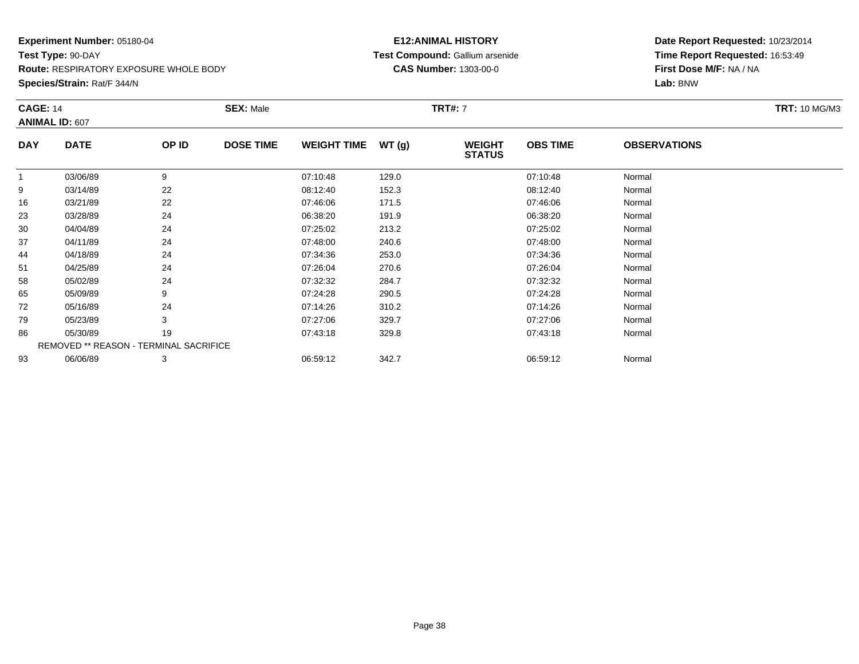**Route:** RESPIRATORY EXPOSURE WHOLE BODY

**Species/Strain:** Rat/F 344/N

### **E12:ANIMAL HISTORY Test Compound:** Gallium arsenide**CAS Number:** 1303-00-0

| <b>CAGE: 14</b> | <b>ANIMAL ID: 607</b>                  |       | <b>SEX: Male</b> |                    |       | <b>TRT#:</b> 7                 |                 |                     | <b>TRT: 10 MG/M3</b> |
|-----------------|----------------------------------------|-------|------------------|--------------------|-------|--------------------------------|-----------------|---------------------|----------------------|
| <b>DAY</b>      | <b>DATE</b>                            | OP ID | <b>DOSE TIME</b> | <b>WEIGHT TIME</b> | WT(g) | <b>WEIGHT</b><br><b>STATUS</b> | <b>OBS TIME</b> | <b>OBSERVATIONS</b> |                      |
| $\overline{1}$  | 03/06/89                               | 9     |                  | 07:10:48           | 129.0 |                                | 07:10:48        | Normal              |                      |
| 9               | 03/14/89                               | 22    |                  | 08:12:40           | 152.3 |                                | 08:12:40        | Normal              |                      |
| 16              | 03/21/89                               | 22    |                  | 07:46:06           | 171.5 |                                | 07:46:06        | Normal              |                      |
| 23              | 03/28/89                               | 24    |                  | 06:38:20           | 191.9 |                                | 06:38:20        | Normal              |                      |
| 30              | 04/04/89                               | 24    |                  | 07:25:02           | 213.2 |                                | 07:25:02        | Normal              |                      |
| 37              | 04/11/89                               | 24    |                  | 07:48:00           | 240.6 |                                | 07:48:00        | Normal              |                      |
| 44              | 04/18/89                               | 24    |                  | 07:34:36           | 253.0 |                                | 07:34:36        | Normal              |                      |
| 51              | 04/25/89                               | 24    |                  | 07:26:04           | 270.6 |                                | 07:26:04        | Normal              |                      |
| 58              | 05/02/89                               | 24    |                  | 07:32:32           | 284.7 |                                | 07:32:32        | Normal              |                      |
| 65              | 05/09/89                               | 9     |                  | 07:24:28           | 290.5 |                                | 07:24:28        | Normal              |                      |
| 72              | 05/16/89                               | 24    |                  | 07:14:26           | 310.2 |                                | 07:14:26        | Normal              |                      |
| 79              | 05/23/89                               | 3     |                  | 07:27:06           | 329.7 |                                | 07:27:06        | Normal              |                      |
| 86              | 05/30/89                               | 19    |                  | 07:43:18           | 329.8 |                                | 07:43:18        | Normal              |                      |
|                 | REMOVED ** REASON - TERMINAL SACRIFICE |       |                  |                    |       |                                |                 |                     |                      |
| 93              | 06/06/89                               | 3     |                  | 06:59:12           | 342.7 |                                | 06:59:12        | Normal              |                      |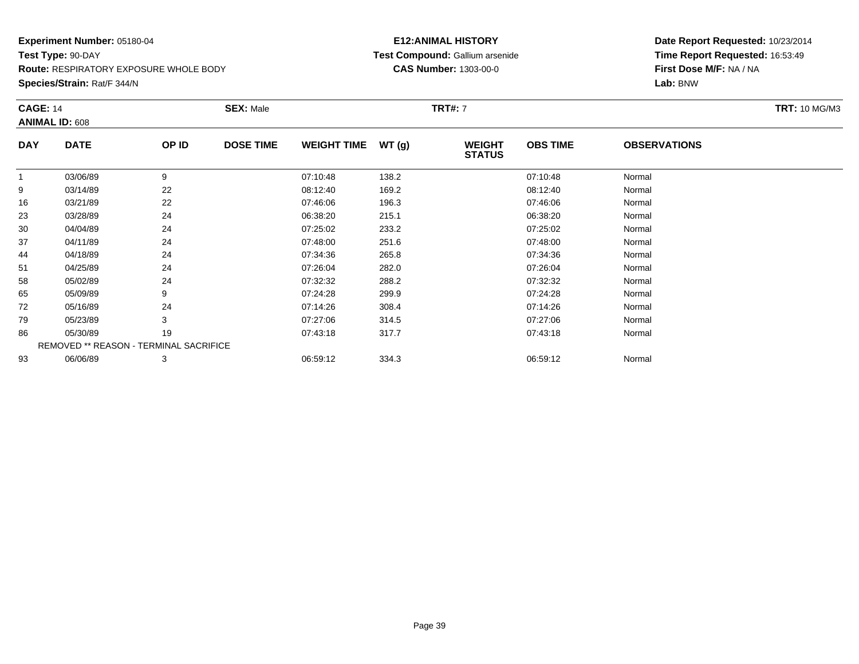**Route:** RESPIRATORY EXPOSURE WHOLE BODY

**Species/Strain:** Rat/F 344/N

### **E12:ANIMAL HISTORY Test Compound:** Gallium arsenide**CAS Number:** 1303-00-0

| <b>CAGE: 14</b> | <b>ANIMAL ID: 608</b>                  |       | <b>SEX: Male</b> |                    |       | <b>TRT#:</b> 7                 |                 |                     | <b>TRT: 10 MG/M3</b> |
|-----------------|----------------------------------------|-------|------------------|--------------------|-------|--------------------------------|-----------------|---------------------|----------------------|
| <b>DAY</b>      | <b>DATE</b>                            | OP ID | <b>DOSE TIME</b> | <b>WEIGHT TIME</b> | WT(g) | <b>WEIGHT</b><br><b>STATUS</b> | <b>OBS TIME</b> | <b>OBSERVATIONS</b> |                      |
| $\overline{1}$  | 03/06/89                               | 9     |                  | 07:10:48           | 138.2 |                                | 07:10:48        | Normal              |                      |
| 9               | 03/14/89                               | 22    |                  | 08:12:40           | 169.2 |                                | 08:12:40        | Normal              |                      |
| 16              | 03/21/89                               | 22    |                  | 07:46:06           | 196.3 |                                | 07:46:06        | Normal              |                      |
| 23              | 03/28/89                               | 24    |                  | 06:38:20           | 215.1 |                                | 06:38:20        | Normal              |                      |
| 30              | 04/04/89                               | 24    |                  | 07:25:02           | 233.2 |                                | 07:25:02        | Normal              |                      |
| 37              | 04/11/89                               | 24    |                  | 07:48:00           | 251.6 |                                | 07:48:00        | Normal              |                      |
| 44              | 04/18/89                               | 24    |                  | 07:34:36           | 265.8 |                                | 07:34:36        | Normal              |                      |
| 51              | 04/25/89                               | 24    |                  | 07:26:04           | 282.0 |                                | 07:26:04        | Normal              |                      |
| 58              | 05/02/89                               | 24    |                  | 07:32:32           | 288.2 |                                | 07:32:32        | Normal              |                      |
| 65              | 05/09/89                               | 9     |                  | 07:24:28           | 299.9 |                                | 07:24:28        | Normal              |                      |
| 72              | 05/16/89                               | 24    |                  | 07:14:26           | 308.4 |                                | 07:14:26        | Normal              |                      |
| 79              | 05/23/89                               | 3     |                  | 07:27:06           | 314.5 |                                | 07:27:06        | Normal              |                      |
| 86              | 05/30/89                               | 19    |                  | 07:43:18           | 317.7 |                                | 07:43:18        | Normal              |                      |
|                 | REMOVED ** REASON - TERMINAL SACRIFICE |       |                  |                    |       |                                |                 |                     |                      |
| 93              | 06/06/89                               | 3     |                  | 06:59:12           | 334.3 |                                | 06:59:12        | Normal              |                      |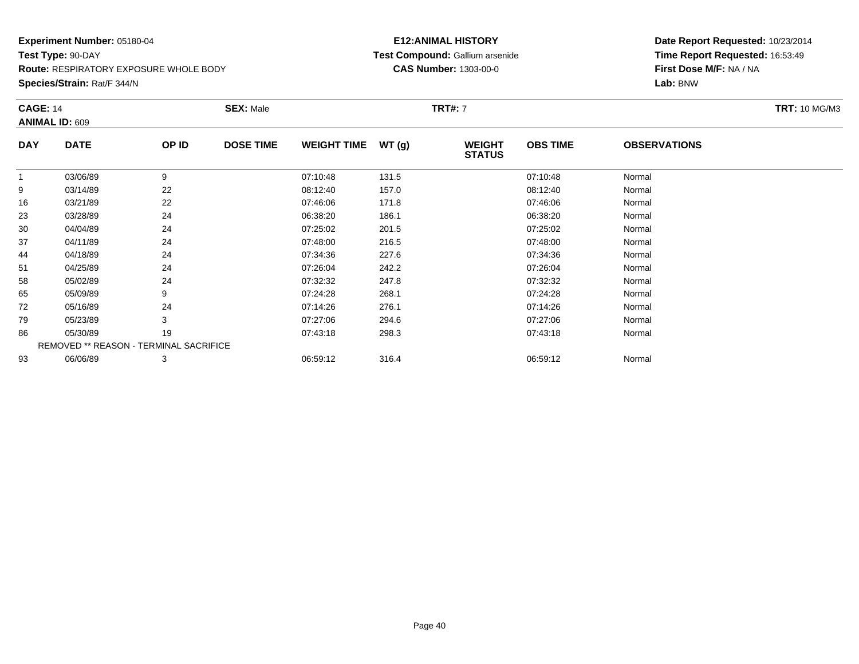**Route:** RESPIRATORY EXPOSURE WHOLE BODY

**Species/Strain:** Rat/F 344/N

### **E12:ANIMAL HISTORY Test Compound:** Gallium arsenide**CAS Number:** 1303-00-0

| <b>CAGE: 14</b> | <b>ANIMAL ID: 609</b>                  |       | <b>SEX: Male</b> |                    |       | <b>TRT#:</b> 7                 |                 |                     | <b>TRT: 10 MG/M3</b> |
|-----------------|----------------------------------------|-------|------------------|--------------------|-------|--------------------------------|-----------------|---------------------|----------------------|
| <b>DAY</b>      | <b>DATE</b>                            | OP ID | <b>DOSE TIME</b> | <b>WEIGHT TIME</b> | WT(g) | <b>WEIGHT</b><br><b>STATUS</b> | <b>OBS TIME</b> | <b>OBSERVATIONS</b> |                      |
| -1              | 03/06/89                               | 9     |                  | 07:10:48           | 131.5 |                                | 07:10:48        | Normal              |                      |
| 9               | 03/14/89                               | 22    |                  | 08:12:40           | 157.0 |                                | 08:12:40        | Normal              |                      |
| 16              | 03/21/89                               | 22    |                  | 07:46:06           | 171.8 |                                | 07:46:06        | Normal              |                      |
| 23              | 03/28/89                               | 24    |                  | 06:38:20           | 186.1 |                                | 06:38:20        | Normal              |                      |
| 30              | 04/04/89                               | 24    |                  | 07:25:02           | 201.5 |                                | 07:25:02        | Normal              |                      |
| 37              | 04/11/89                               | 24    |                  | 07:48:00           | 216.5 |                                | 07:48:00        | Normal              |                      |
| 44              | 04/18/89                               | 24    |                  | 07:34:36           | 227.6 |                                | 07:34:36        | Normal              |                      |
| 51              | 04/25/89                               | 24    |                  | 07:26:04           | 242.2 |                                | 07:26:04        | Normal              |                      |
| 58              | 05/02/89                               | 24    |                  | 07:32:32           | 247.8 |                                | 07:32:32        | Normal              |                      |
| 65              | 05/09/89                               | 9     |                  | 07:24:28           | 268.1 |                                | 07:24:28        | Normal              |                      |
| 72              | 05/16/89                               | 24    |                  | 07:14:26           | 276.1 |                                | 07:14:26        | Normal              |                      |
| 79              | 05/23/89                               | 3     |                  | 07:27:06           | 294.6 |                                | 07:27:06        | Normal              |                      |
| 86              | 05/30/89                               | 19    |                  | 07:43:18           | 298.3 |                                | 07:43:18        | Normal              |                      |
|                 | REMOVED ** REASON - TERMINAL SACRIFICE |       |                  |                    |       |                                |                 |                     |                      |
| 93              | 06/06/89                               | 3     |                  | 06:59:12           | 316.4 |                                | 06:59:12        | Normal              |                      |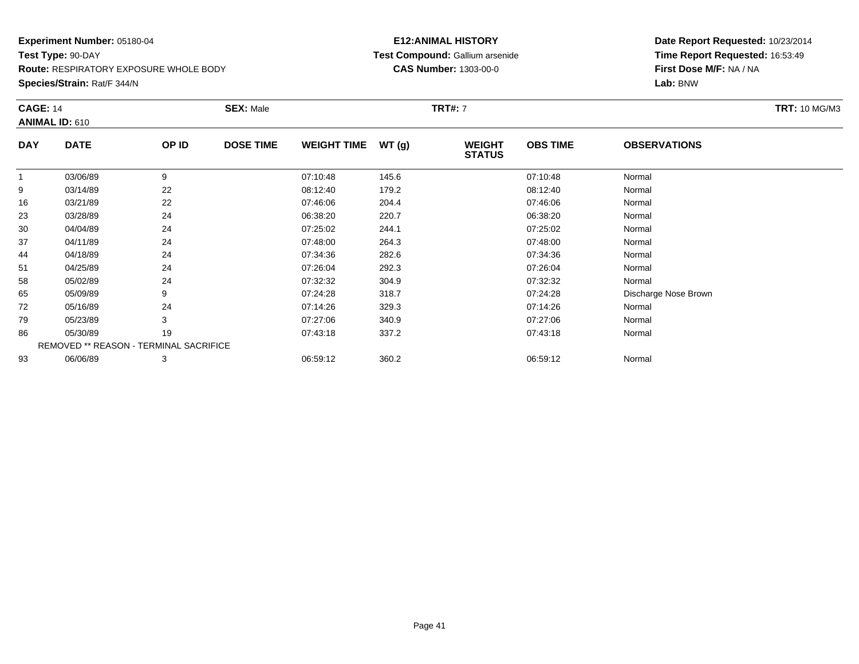**Route:** RESPIRATORY EXPOSURE WHOLE BODY

**Species/Strain:** Rat/F 344/N

### **E12:ANIMAL HISTORY Test Compound:** Gallium arsenide**CAS Number:** 1303-00-0

| <b>CAGE: 14</b> |                                        |       | <b>SEX: Male</b> |                    |       | <b>TRT#: 7</b>                 |                 |                      | <b>TRT: 10 MG/M3</b> |
|-----------------|----------------------------------------|-------|------------------|--------------------|-------|--------------------------------|-----------------|----------------------|----------------------|
|                 | ANIMAL ID: 610                         |       |                  |                    |       |                                |                 |                      |                      |
| <b>DAY</b>      | <b>DATE</b>                            | OP ID | <b>DOSE TIME</b> | <b>WEIGHT TIME</b> | WT(g) | <b>WEIGHT</b><br><b>STATUS</b> | <b>OBS TIME</b> | <b>OBSERVATIONS</b>  |                      |
| $\mathbf{1}$    | 03/06/89                               | 9     |                  | 07:10:48           | 145.6 |                                | 07:10:48        | Normal               |                      |
| 9               | 03/14/89                               | 22    |                  | 08:12:40           | 179.2 |                                | 08:12:40        | Normal               |                      |
| 16              | 03/21/89                               | 22    |                  | 07:46:06           | 204.4 |                                | 07:46:06        | Normal               |                      |
| 23              | 03/28/89                               | 24    |                  | 06:38:20           | 220.7 |                                | 06:38:20        | Normal               |                      |
| 30              | 04/04/89                               | 24    |                  | 07:25:02           | 244.1 |                                | 07:25:02        | Normal               |                      |
| 37              | 04/11/89                               | 24    |                  | 07:48:00           | 264.3 |                                | 07:48:00        | Normal               |                      |
| 44              | 04/18/89                               | 24    |                  | 07:34:36           | 282.6 |                                | 07:34:36        | Normal               |                      |
| 51              | 04/25/89                               | 24    |                  | 07:26:04           | 292.3 |                                | 07:26:04        | Normal               |                      |
| 58              | 05/02/89                               | 24    |                  | 07:32:32           | 304.9 |                                | 07:32:32        | Normal               |                      |
| 65              | 05/09/89                               | 9     |                  | 07:24:28           | 318.7 |                                | 07:24:28        | Discharge Nose Brown |                      |
| 72              | 05/16/89                               | 24    |                  | 07:14:26           | 329.3 |                                | 07:14:26        | Normal               |                      |
| 79              | 05/23/89                               | 3     |                  | 07:27:06           | 340.9 |                                | 07:27:06        | Normal               |                      |
| 86              | 05/30/89                               | 19    |                  | 07:43:18           | 337.2 |                                | 07:43:18        | Normal               |                      |
|                 | REMOVED ** REASON - TERMINAL SACRIFICE |       |                  |                    |       |                                |                 |                      |                      |
| 93              | 06/06/89                               | 3     |                  | 06:59:12           | 360.2 |                                | 06:59:12        | Normal               |                      |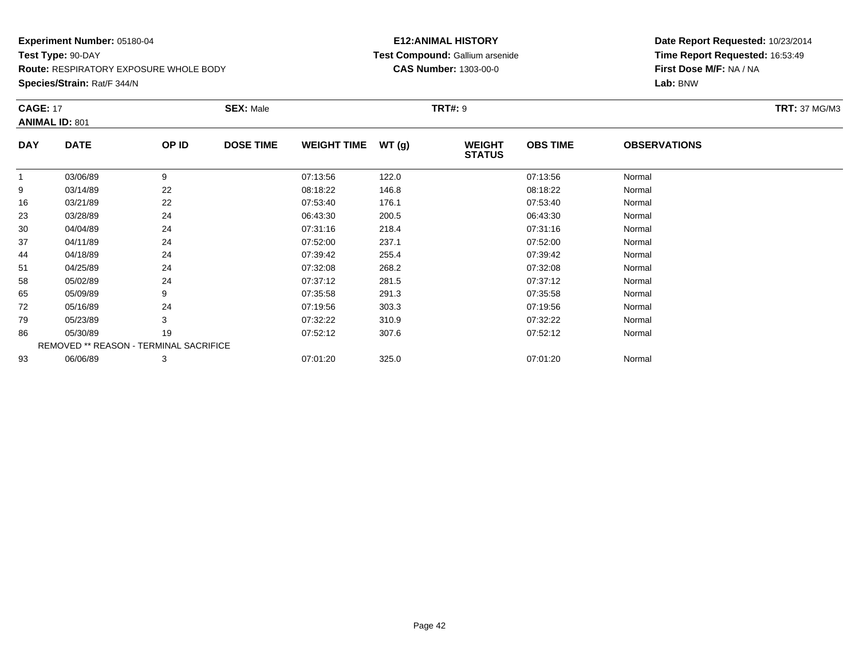**Route:** RESPIRATORY EXPOSURE WHOLE BODY

**Species/Strain:** Rat/F 344/N

### **E12:ANIMAL HISTORY Test Compound:** Gallium arsenide**CAS Number:** 1303-00-0

| <b>CAGE: 17</b>                     |                                        |       | <b>SEX: Male</b> |                    |       | <b>TRT#: 9</b>                 |                 |                     | <b>TRT: 37 MG/M3</b> |
|-------------------------------------|----------------------------------------|-------|------------------|--------------------|-------|--------------------------------|-----------------|---------------------|----------------------|
| <b>ANIMAL ID: 801</b><br><b>DAY</b> | <b>DATE</b>                            | OP ID | <b>DOSE TIME</b> | <b>WEIGHT TIME</b> | WT(g) | <b>WEIGHT</b><br><b>STATUS</b> | <b>OBS TIME</b> | <b>OBSERVATIONS</b> |                      |
| $\overline{1}$                      | 03/06/89                               | 9     |                  | 07:13:56           | 122.0 |                                | 07:13:56        | Normal              |                      |
| 9                                   | 03/14/89                               | 22    |                  | 08:18:22           | 146.8 |                                | 08:18:22        | Normal              |                      |
| 16                                  | 03/21/89                               | 22    |                  | 07:53:40           | 176.1 |                                | 07:53:40        | Normal              |                      |
| 23                                  | 03/28/89                               | 24    |                  | 06:43:30           | 200.5 |                                | 06:43:30        | Normal              |                      |
| 30                                  | 04/04/89                               | 24    |                  | 07:31:16           | 218.4 |                                | 07:31:16        | Normal              |                      |
| 37                                  | 04/11/89                               | 24    |                  | 07:52:00           | 237.1 |                                | 07:52:00        | Normal              |                      |
| 44                                  | 04/18/89                               | 24    |                  | 07:39:42           | 255.4 |                                | 07:39:42        | Normal              |                      |
| 51                                  | 04/25/89                               | 24    |                  | 07:32:08           | 268.2 |                                | 07:32:08        | Normal              |                      |
| 58                                  | 05/02/89                               | 24    |                  | 07:37:12           | 281.5 |                                | 07:37:12        | Normal              |                      |
| 65                                  | 05/09/89                               | 9     |                  | 07:35:58           | 291.3 |                                | 07:35:58        | Normal              |                      |
| 72                                  | 05/16/89                               | 24    |                  | 07:19:56           | 303.3 |                                | 07:19:56        | Normal              |                      |
| 79                                  | 05/23/89                               | 3     |                  | 07:32:22           | 310.9 |                                | 07:32:22        | Normal              |                      |
| 86                                  | 05/30/89                               | 19    |                  | 07:52:12           | 307.6 |                                | 07:52:12        | Normal              |                      |
|                                     | REMOVED ** REASON - TERMINAL SACRIFICE |       |                  |                    |       |                                |                 |                     |                      |
| 93                                  | 06/06/89                               | 3     |                  | 07:01:20           | 325.0 |                                | 07:01:20        | Normal              |                      |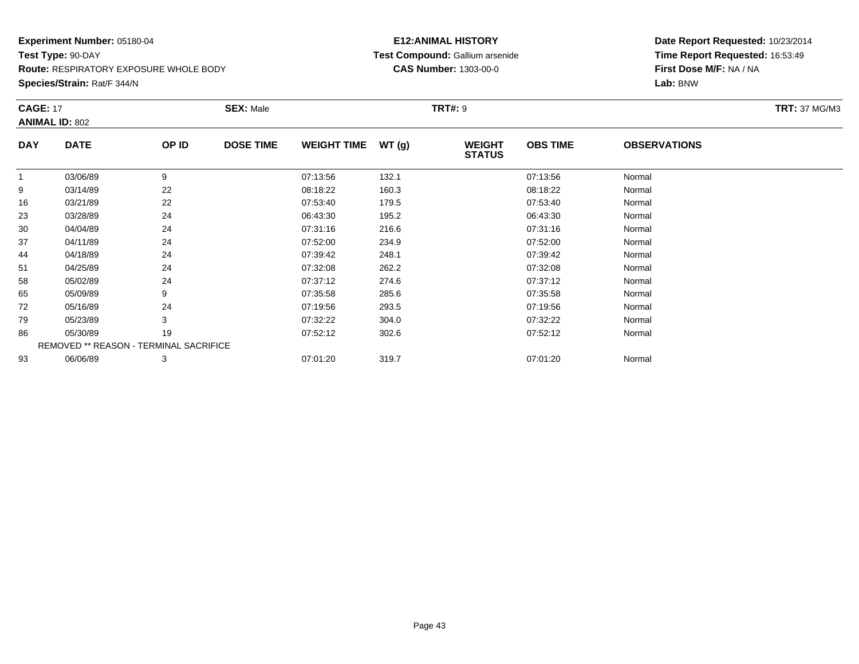**Route:** RESPIRATORY EXPOSURE WHOLE BODY

**Species/Strain:** Rat/F 344/N

### **E12:ANIMAL HISTORY Test Compound:** Gallium arsenide**CAS Number:** 1303-00-0

| <b>CAGE: 17</b> | <b>ANIMAL ID: 802</b>                  |       | <b>SEX: Male</b> | <b>TRT#: 9</b>     |       |                                |                 |                     |  |
|-----------------|----------------------------------------|-------|------------------|--------------------|-------|--------------------------------|-----------------|---------------------|--|
| <b>DAY</b>      | <b>DATE</b>                            | OP ID | <b>DOSE TIME</b> | <b>WEIGHT TIME</b> | WT(g) | <b>WEIGHT</b><br><b>STATUS</b> | <b>OBS TIME</b> | <b>OBSERVATIONS</b> |  |
| $\overline{1}$  | 03/06/89                               | 9     |                  | 07:13:56           | 132.1 |                                | 07:13:56        | Normal              |  |
| 9               | 03/14/89                               | 22    |                  | 08:18:22           | 160.3 |                                | 08:18:22        | Normal              |  |
| 16              | 03/21/89                               | 22    |                  | 07:53:40           | 179.5 |                                | 07:53:40        | Normal              |  |
| 23              | 03/28/89                               | 24    |                  | 06:43:30           | 195.2 |                                | 06:43:30        | Normal              |  |
| 30              | 04/04/89                               | 24    |                  | 07:31:16           | 216.6 |                                | 07:31:16        | Normal              |  |
| 37              | 04/11/89                               | 24    |                  | 07:52:00           | 234.9 |                                | 07:52:00        | Normal              |  |
| 44              | 04/18/89                               | 24    |                  | 07:39:42           | 248.1 |                                | 07:39:42        | Normal              |  |
| 51              | 04/25/89                               | 24    |                  | 07:32:08           | 262.2 |                                | 07:32:08        | Normal              |  |
| 58              | 05/02/89                               | 24    |                  | 07:37:12           | 274.6 |                                | 07:37:12        | Normal              |  |
| 65              | 05/09/89                               | 9     |                  | 07:35:58           | 285.6 |                                | 07:35:58        | Normal              |  |
| 72              | 05/16/89                               | 24    |                  | 07:19:56           | 293.5 |                                | 07:19:56        | Normal              |  |
| 79              | 05/23/89                               | 3     |                  | 07:32:22           | 304.0 |                                | 07:32:22        | Normal              |  |
| 86              | 05/30/89                               | 19    |                  | 07:52:12           | 302.6 |                                | 07:52:12        | Normal              |  |
|                 | REMOVED ** REASON - TERMINAL SACRIFICE |       |                  |                    |       |                                |                 |                     |  |
| 93              | 06/06/89                               | 3     |                  | 07:01:20           | 319.7 |                                | 07:01:20        | Normal              |  |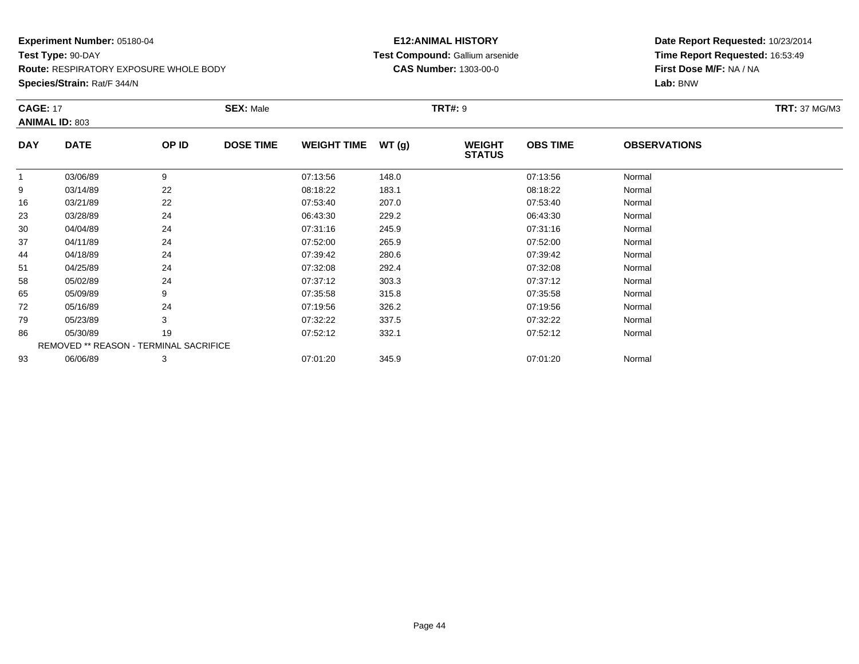**Route:** RESPIRATORY EXPOSURE WHOLE BODY

**Species/Strain:** Rat/F 344/N

### **E12:ANIMAL HISTORY Test Compound:** Gallium arsenide**CAS Number:** 1303-00-0

| <b>CAGE: 17</b> | <b>ANIMAL ID: 803</b>                         |       | <b>SEX: Male</b> |                    |       | <b>TRT#: 9</b>                 |                 |                     | <b>TRT: 37 MG/M3</b> |
|-----------------|-----------------------------------------------|-------|------------------|--------------------|-------|--------------------------------|-----------------|---------------------|----------------------|
| <b>DAY</b>      | <b>DATE</b>                                   | OP ID | <b>DOSE TIME</b> | <b>WEIGHT TIME</b> | WT(g) | <b>WEIGHT</b><br><b>STATUS</b> | <b>OBS TIME</b> | <b>OBSERVATIONS</b> |                      |
|                 | 03/06/89                                      | 9     |                  | 07:13:56           | 148.0 |                                | 07:13:56        | Normal              |                      |
| 9               | 03/14/89                                      | 22    |                  | 08:18:22           | 183.1 |                                | 08:18:22        | Normal              |                      |
| 16              | 03/21/89                                      | 22    |                  | 07:53:40           | 207.0 |                                | 07:53:40        | Normal              |                      |
| 23              | 03/28/89                                      | 24    |                  | 06:43:30           | 229.2 |                                | 06:43:30        | Normal              |                      |
| 30              | 04/04/89                                      | 24    |                  | 07:31:16           | 245.9 |                                | 07:31:16        | Normal              |                      |
| 37              | 04/11/89                                      | 24    |                  | 07:52:00           | 265.9 |                                | 07:52:00        | Normal              |                      |
| 44              | 04/18/89                                      | 24    |                  | 07:39:42           | 280.6 |                                | 07:39:42        | Normal              |                      |
| 51              | 04/25/89                                      | 24    |                  | 07:32:08           | 292.4 |                                | 07:32:08        | Normal              |                      |
| 58              | 05/02/89                                      | 24    |                  | 07:37:12           | 303.3 |                                | 07:37:12        | Normal              |                      |
| 65              | 05/09/89                                      | 9     |                  | 07:35:58           | 315.8 |                                | 07:35:58        | Normal              |                      |
| 72              | 05/16/89                                      | 24    |                  | 07:19:56           | 326.2 |                                | 07:19:56        | Normal              |                      |
| 79              | 05/23/89                                      | 3     |                  | 07:32:22           | 337.5 |                                | 07:32:22        | Normal              |                      |
| 86              | 05/30/89                                      | 19    |                  | 07:52:12           | 332.1 |                                | 07:52:12        | Normal              |                      |
|                 | <b>REMOVED ** REASON - TERMINAL SACRIFICE</b> |       |                  |                    |       |                                |                 |                     |                      |
| 93              | 06/06/89                                      | 3     |                  | 07:01:20           | 345.9 |                                | 07:01:20        | Normal              |                      |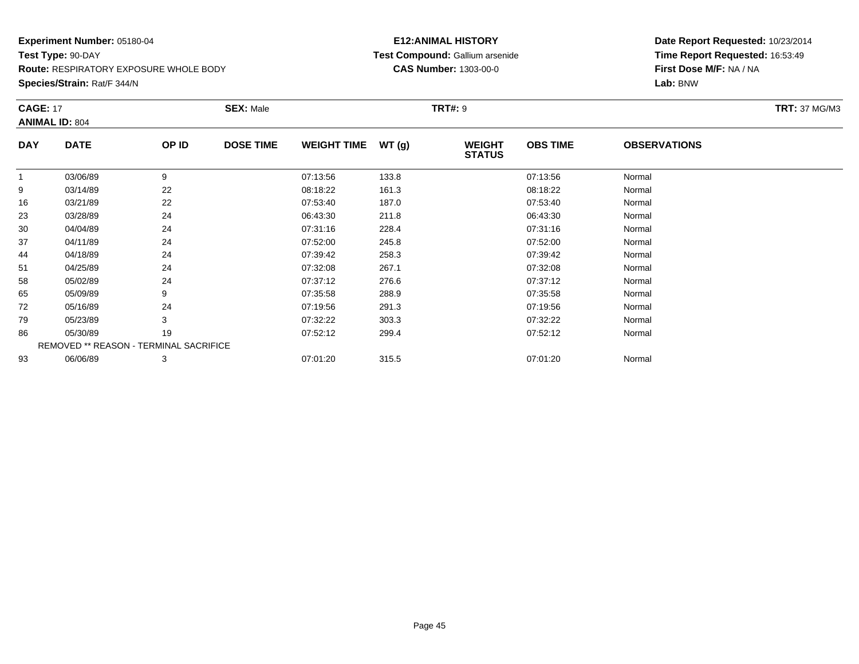**Route:** RESPIRATORY EXPOSURE WHOLE BODY

**Species/Strain:** Rat/F 344/N

### **E12:ANIMAL HISTORY Test Compound:** Gallium arsenide**CAS Number:** 1303-00-0

| <b>CAGE: 17</b> |                                        |       | <b>SEX: Male</b> |                    |       | <b>TRT#: 9</b>                 |                 |                     | <b>TRT: 37 MG/M3</b> |
|-----------------|----------------------------------------|-------|------------------|--------------------|-------|--------------------------------|-----------------|---------------------|----------------------|
|                 | <b>ANIMAL ID: 804</b>                  |       |                  |                    |       |                                |                 |                     |                      |
| <b>DAY</b>      | <b>DATE</b>                            | OP ID | <b>DOSE TIME</b> | <b>WEIGHT TIME</b> | WT(g) | <b>WEIGHT</b><br><b>STATUS</b> | <b>OBS TIME</b> | <b>OBSERVATIONS</b> |                      |
|                 | 03/06/89                               | 9     |                  | 07:13:56           | 133.8 |                                | 07:13:56        | Normal              |                      |
| 9               | 03/14/89                               | 22    |                  | 08:18:22           | 161.3 |                                | 08:18:22        | Normal              |                      |
| 16              | 03/21/89                               | 22    |                  | 07:53:40           | 187.0 |                                | 07:53:40        | Normal              |                      |
| 23              | 03/28/89                               | 24    |                  | 06:43:30           | 211.8 |                                | 06:43:30        | Normal              |                      |
| 30              | 04/04/89                               | 24    |                  | 07:31:16           | 228.4 |                                | 07:31:16        | Normal              |                      |
| 37              | 04/11/89                               | 24    |                  | 07:52:00           | 245.8 |                                | 07:52:00        | Normal              |                      |
| 44              | 04/18/89                               | 24    |                  | 07:39:42           | 258.3 |                                | 07:39:42        | Normal              |                      |
| 51              | 04/25/89                               | 24    |                  | 07:32:08           | 267.1 |                                | 07:32:08        | Normal              |                      |
| 58              | 05/02/89                               | 24    |                  | 07:37:12           | 276.6 |                                | 07:37:12        | Normal              |                      |
| 65              | 05/09/89                               |       |                  | 07:35:58           | 288.9 |                                | 07:35:58        | Normal              |                      |
| 72              | 05/16/89                               | 24    |                  | 07:19:56           | 291.3 |                                | 07:19:56        | Normal              |                      |
| 79              | 05/23/89                               | 3     |                  | 07:32:22           | 303.3 |                                | 07:32:22        | Normal              |                      |
| 86              | 05/30/89                               | 19    |                  | 07:52:12           | 299.4 |                                | 07:52:12        | Normal              |                      |
|                 | REMOVED ** REASON - TERMINAL SACRIFICE |       |                  |                    |       |                                |                 |                     |                      |
| 93              | 06/06/89                               | 3     |                  | 07:01:20           | 315.5 |                                | 07:01:20        | Normal              |                      |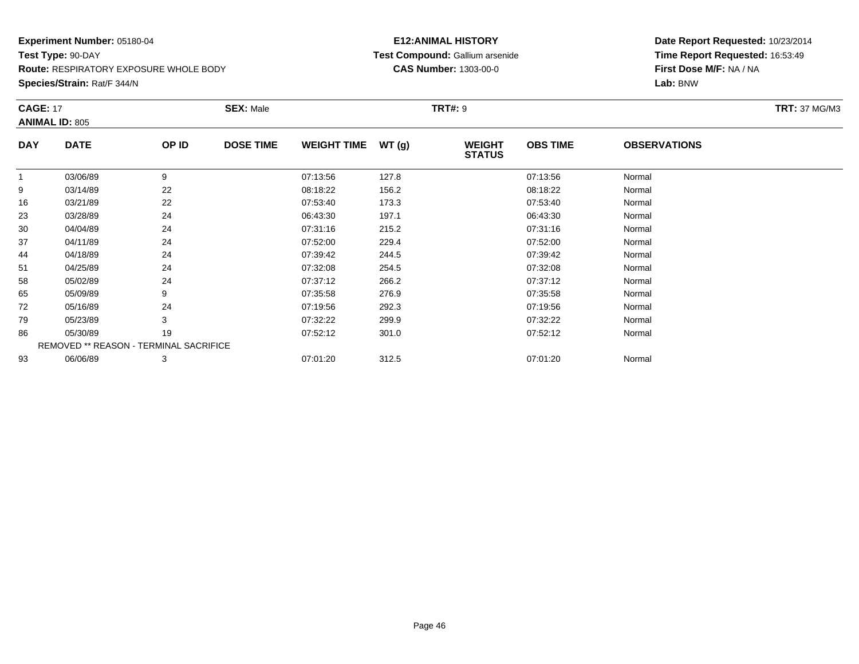**Route:** RESPIRATORY EXPOSURE WHOLE BODY

**Species/Strain:** Rat/F 344/N

### **E12:ANIMAL HISTORY Test Compound:** Gallium arsenide**CAS Number:** 1303-00-0

| <b>CAGE: 17</b> | <b>ANIMAL ID: 805</b>                  |       | <b>SEX: Male</b> |                    |       | <b>TRT#: 9</b>                 |                 |                     | <b>TRT: 37 MG/M3</b> |
|-----------------|----------------------------------------|-------|------------------|--------------------|-------|--------------------------------|-----------------|---------------------|----------------------|
| <b>DAY</b>      | <b>DATE</b>                            | OP ID | <b>DOSE TIME</b> | <b>WEIGHT TIME</b> | WT(g) | <b>WEIGHT</b><br><b>STATUS</b> | <b>OBS TIME</b> | <b>OBSERVATIONS</b> |                      |
|                 | 03/06/89                               | 9     |                  | 07:13:56           | 127.8 |                                | 07:13:56        | Normal              |                      |
| 9               | 03/14/89                               | 22    |                  | 08:18:22           | 156.2 |                                | 08:18:22        | Normal              |                      |
| 16              | 03/21/89                               | 22    |                  | 07:53:40           | 173.3 |                                | 07:53:40        | Normal              |                      |
| 23              | 03/28/89                               | 24    |                  | 06:43:30           | 197.1 |                                | 06:43:30        | Normal              |                      |
| 30              | 04/04/89                               | 24    |                  | 07:31:16           | 215.2 |                                | 07:31:16        | Normal              |                      |
| 37              | 04/11/89                               | 24    |                  | 07:52:00           | 229.4 |                                | 07:52:00        | Normal              |                      |
| 44              | 04/18/89                               | 24    |                  | 07:39:42           | 244.5 |                                | 07:39:42        | Normal              |                      |
| 51              | 04/25/89                               | 24    |                  | 07:32:08           | 254.5 |                                | 07:32:08        | Normal              |                      |
| 58              | 05/02/89                               | 24    |                  | 07:37:12           | 266.2 |                                | 07:37:12        | Normal              |                      |
| 65              | 05/09/89                               | 9     |                  | 07:35:58           | 276.9 |                                | 07:35:58        | Normal              |                      |
| 72              | 05/16/89                               | 24    |                  | 07:19:56           | 292.3 |                                | 07:19:56        | Normal              |                      |
| 79              | 05/23/89                               | 3     |                  | 07:32:22           | 299.9 |                                | 07:32:22        | Normal              |                      |
| 86              | 05/30/89                               | 19    |                  | 07:52:12           | 301.0 |                                | 07:52:12        | Normal              |                      |
|                 | REMOVED ** REASON - TERMINAL SACRIFICE |       |                  |                    |       |                                |                 |                     |                      |
| 93              | 06/06/89                               | 3     |                  | 07:01:20           | 312.5 |                                | 07:01:20        | Normal              |                      |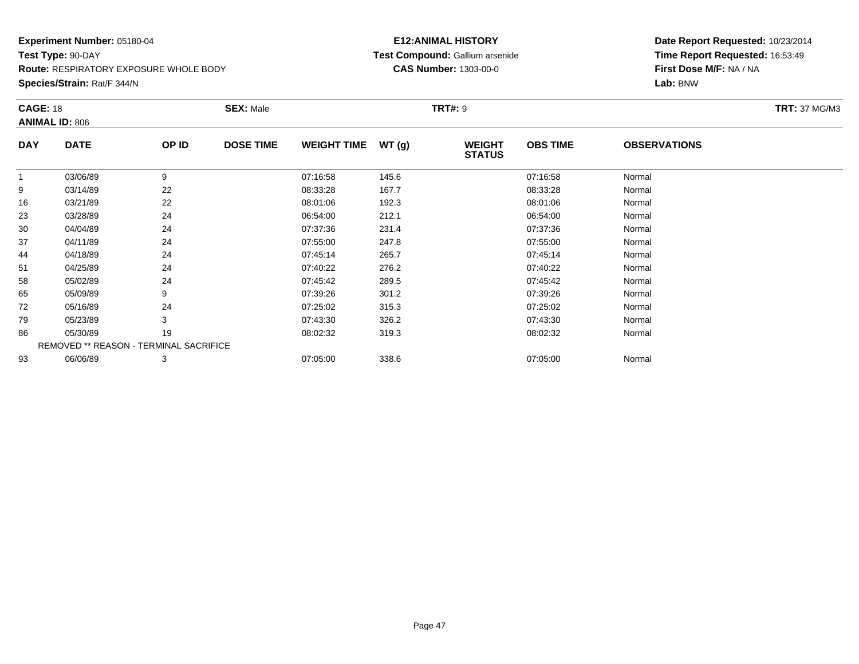**Route:** RESPIRATORY EXPOSURE WHOLE BODY

**Species/Strain:** Rat/F 344/N

### **E12:ANIMAL HISTORY Test Compound:** Gallium arsenide**CAS Number:** 1303-00-0

| <b>CAGE: 18</b> |                                        |       | <b>SEX: Male</b> |                    |       | <b>TRT#: 9</b>                 |                 |                     | <b>TRT: 37 MG/M3</b> |
|-----------------|----------------------------------------|-------|------------------|--------------------|-------|--------------------------------|-----------------|---------------------|----------------------|
|                 | <b>ANIMAL ID: 806</b>                  |       |                  |                    |       |                                |                 |                     |                      |
| <b>DAY</b>      | <b>DATE</b>                            | OP ID | <b>DOSE TIME</b> | <b>WEIGHT TIME</b> | WT(g) | <b>WEIGHT</b><br><b>STATUS</b> | <b>OBS TIME</b> | <b>OBSERVATIONS</b> |                      |
|                 | 03/06/89                               | 9     |                  | 07:16:58           | 145.6 |                                | 07:16:58        | Normal              |                      |
| 9               | 03/14/89                               | 22    |                  | 08:33:28           | 167.7 |                                | 08:33:28        | Normal              |                      |
| 16              | 03/21/89                               | 22    |                  | 08:01:06           | 192.3 |                                | 08:01:06        | Normal              |                      |
| 23              | 03/28/89                               | 24    |                  | 06:54:00           | 212.1 |                                | 06:54:00        | Normal              |                      |
| 30              | 04/04/89                               | 24    |                  | 07:37:36           | 231.4 |                                | 07:37:36        | Normal              |                      |
| 37              | 04/11/89                               | 24    |                  | 07:55:00           | 247.8 |                                | 07:55:00        | Normal              |                      |
| 44              | 04/18/89                               | 24    |                  | 07:45:14           | 265.7 |                                | 07:45:14        | Normal              |                      |
| 51              | 04/25/89                               | 24    |                  | 07:40:22           | 276.2 |                                | 07:40:22        | Normal              |                      |
| 58              | 05/02/89                               | 24    |                  | 07:45:42           | 289.5 |                                | 07:45:42        | Normal              |                      |
| 65              | 05/09/89                               |       |                  | 07:39:26           | 301.2 |                                | 07:39:26        | Normal              |                      |
| 72              | 05/16/89                               | 24    |                  | 07:25:02           | 315.3 |                                | 07:25:02        | Normal              |                      |
| 79              | 05/23/89                               | 3     |                  | 07:43:30           | 326.2 |                                | 07:43:30        | Normal              |                      |
| 86              | 05/30/89                               | 19    |                  | 08:02:32           | 319.3 |                                | 08:02:32        | Normal              |                      |
|                 | REMOVED ** REASON - TERMINAL SACRIFICE |       |                  |                    |       |                                |                 |                     |                      |
| 93              | 06/06/89                               | 3     |                  | 07:05:00           | 338.6 |                                | 07:05:00        | Normal              |                      |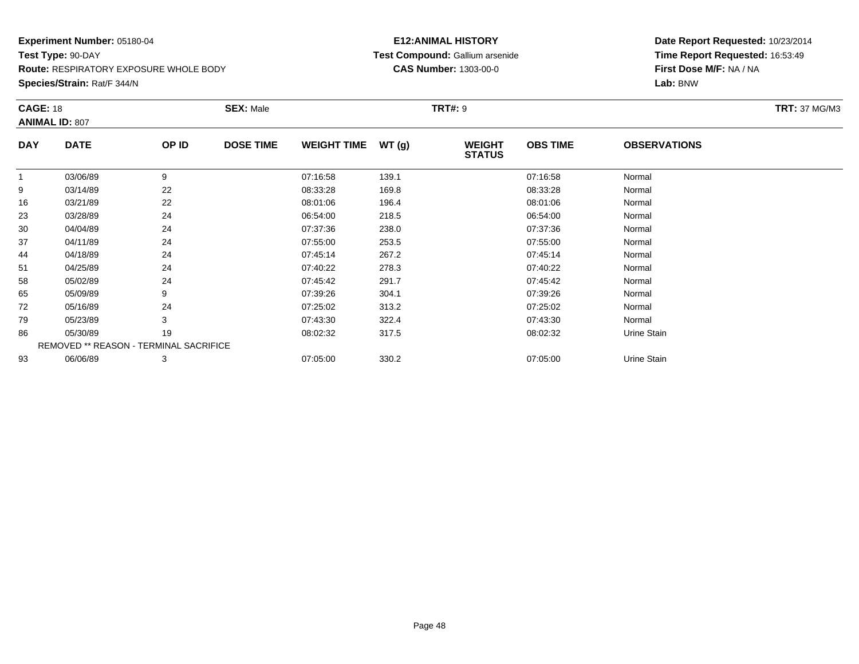**Route:** RESPIRATORY EXPOSURE WHOLE BODY

**Species/Strain:** Rat/F 344/N

### **E12:ANIMAL HISTORY Test Compound:** Gallium arsenide**CAS Number:** 1303-00-0

| <b>CAGE: 18</b> |                                        |       | <b>SEX: Male</b> |                    |       | <b>TRT#: 9</b>                 |                 |                     | <b>TRT: 37 MG/M3</b> |
|-----------------|----------------------------------------|-------|------------------|--------------------|-------|--------------------------------|-----------------|---------------------|----------------------|
|                 | <b>ANIMAL ID: 807</b>                  |       |                  |                    |       |                                |                 |                     |                      |
| <b>DAY</b>      | <b>DATE</b>                            | OP ID | <b>DOSE TIME</b> | <b>WEIGHT TIME</b> | WT(g) | <b>WEIGHT</b><br><b>STATUS</b> | <b>OBS TIME</b> | <b>OBSERVATIONS</b> |                      |
|                 | 03/06/89                               | 9     |                  | 07:16:58           | 139.1 |                                | 07:16:58        | Normal              |                      |
| 9               | 03/14/89                               | 22    |                  | 08:33:28           | 169.8 |                                | 08:33:28        | Normal              |                      |
| 16              | 03/21/89                               | 22    |                  | 08:01:06           | 196.4 |                                | 08:01:06        | Normal              |                      |
| 23              | 03/28/89                               | 24    |                  | 06:54:00           | 218.5 |                                | 06:54:00        | Normal              |                      |
| 30              | 04/04/89                               | 24    |                  | 07:37:36           | 238.0 |                                | 07:37:36        | Normal              |                      |
| 37              | 04/11/89                               | 24    |                  | 07:55:00           | 253.5 |                                | 07:55:00        | Normal              |                      |
| 44              | 04/18/89                               | 24    |                  | 07:45:14           | 267.2 |                                | 07:45:14        | Normal              |                      |
| 51              | 04/25/89                               | 24    |                  | 07:40:22           | 278.3 |                                | 07:40:22        | Normal              |                      |
| 58              | 05/02/89                               | 24    |                  | 07:45:42           | 291.7 |                                | 07:45:42        | Normal              |                      |
| 65              | 05/09/89                               |       |                  | 07:39:26           | 304.1 |                                | 07:39:26        | Normal              |                      |
| 72              | 05/16/89                               | 24    |                  | 07:25:02           | 313.2 |                                | 07:25:02        | Normal              |                      |
| 79              | 05/23/89                               | 3     |                  | 07:43:30           | 322.4 |                                | 07:43:30        | Normal              |                      |
| 86              | 05/30/89                               | 19    |                  | 08:02:32           | 317.5 |                                | 08:02:32        | Urine Stain         |                      |
|                 | REMOVED ** REASON - TERMINAL SACRIFICE |       |                  |                    |       |                                |                 |                     |                      |
| 93              | 06/06/89                               | 3     |                  | 07:05:00           | 330.2 |                                | 07:05:00        | Urine Stain         |                      |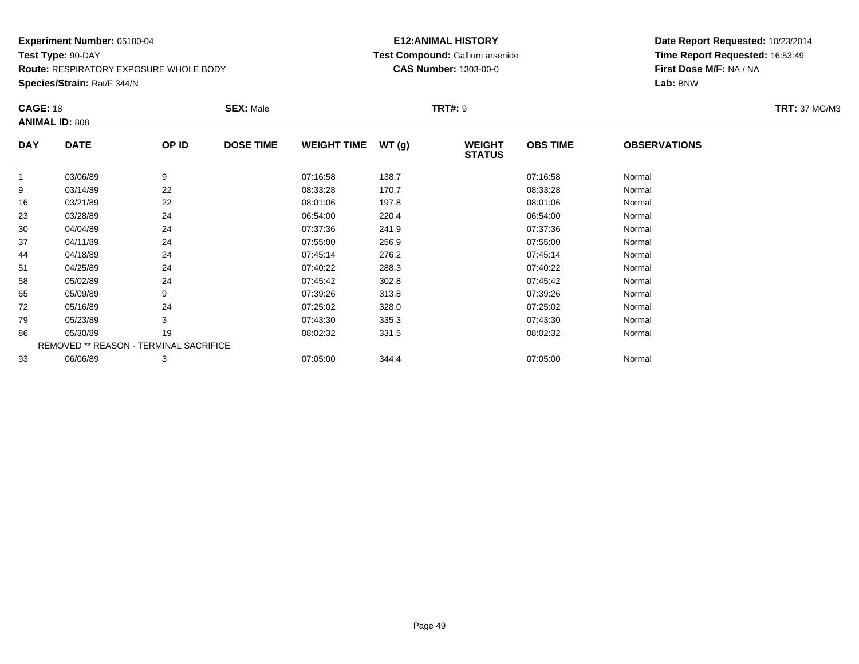**Route:** RESPIRATORY EXPOSURE WHOLE BODY

**Species/Strain:** Rat/F 344/N

### **E12:ANIMAL HISTORY Test Compound:** Gallium arsenide**CAS Number:** 1303-00-0

| <b>CAGE: 18</b> |                                        |       | <b>SEX: Male</b> |                    |       | <b>TRT#: 9</b>                 |                 |                     | <b>TRT: 37 MG/M3</b> |
|-----------------|----------------------------------------|-------|------------------|--------------------|-------|--------------------------------|-----------------|---------------------|----------------------|
|                 | <b>ANIMAL ID: 808</b>                  |       |                  |                    |       |                                |                 |                     |                      |
| <b>DAY</b>      | <b>DATE</b>                            | OP ID | <b>DOSE TIME</b> | <b>WEIGHT TIME</b> | WT(g) | <b>WEIGHT</b><br><b>STATUS</b> | <b>OBS TIME</b> | <b>OBSERVATIONS</b> |                      |
|                 | 03/06/89                               | 9     |                  | 07:16:58           | 138.7 |                                | 07:16:58        | Normal              |                      |
| 9               | 03/14/89                               | 22    |                  | 08:33:28           | 170.7 |                                | 08:33:28        | Normal              |                      |
| 16              | 03/21/89                               | 22    |                  | 08:01:06           | 197.8 |                                | 08:01:06        | Normal              |                      |
| 23              | 03/28/89                               | 24    |                  | 06:54:00           | 220.4 |                                | 06:54:00        | Normal              |                      |
| 30              | 04/04/89                               | 24    |                  | 07:37:36           | 241.9 |                                | 07:37:36        | Normal              |                      |
| 37              | 04/11/89                               | 24    |                  | 07:55:00           | 256.9 |                                | 07:55:00        | Normal              |                      |
| 44              | 04/18/89                               | 24    |                  | 07:45:14           | 276.2 |                                | 07:45:14        | Normal              |                      |
| 51              | 04/25/89                               | 24    |                  | 07:40:22           | 288.3 |                                | 07:40:22        | Normal              |                      |
| 58              | 05/02/89                               | 24    |                  | 07:45:42           | 302.8 |                                | 07:45:42        | Normal              |                      |
| 65              | 05/09/89                               |       |                  | 07:39:26           | 313.8 |                                | 07:39:26        | Normal              |                      |
| 72              | 05/16/89                               | 24    |                  | 07:25:02           | 328.0 |                                | 07:25:02        | Normal              |                      |
| 79              | 05/23/89                               | 3     |                  | 07:43:30           | 335.3 |                                | 07:43:30        | Normal              |                      |
| 86              | 05/30/89                               | 19    |                  | 08:02:32           | 331.5 |                                | 08:02:32        | Normal              |                      |
|                 | REMOVED ** REASON - TERMINAL SACRIFICE |       |                  |                    |       |                                |                 |                     |                      |
| 93              | 06/06/89                               | 3     |                  | 07:05:00           | 344.4 |                                | 07:05:00        | Normal              |                      |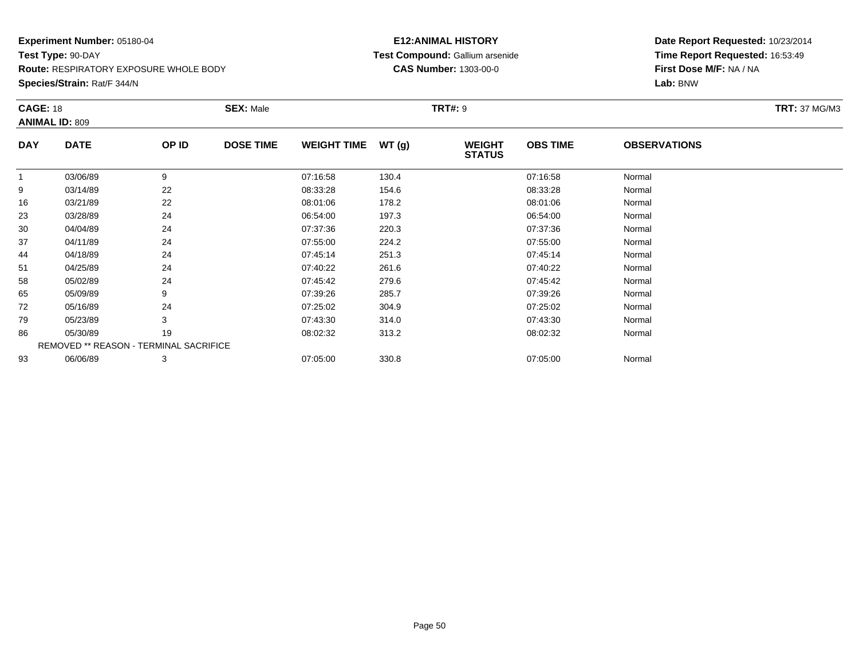**Route:** RESPIRATORY EXPOSURE WHOLE BODY

**Species/Strain:** Rat/F 344/N

### **E12:ANIMAL HISTORY Test Compound:** Gallium arsenide**CAS Number:** 1303-00-0

| <b>CAGE: 18</b> | <b>ANIMAL ID: 809</b>                  |       | <b>SEX: Male</b> |                    |       | <b>TRT#: 9</b>                 |                 |                     | <b>TRT: 37 MG/M3</b> |
|-----------------|----------------------------------------|-------|------------------|--------------------|-------|--------------------------------|-----------------|---------------------|----------------------|
| <b>DAY</b>      | <b>DATE</b>                            | OP ID | <b>DOSE TIME</b> | <b>WEIGHT TIME</b> | WT(g) | <b>WEIGHT</b><br><b>STATUS</b> | <b>OBS TIME</b> | <b>OBSERVATIONS</b> |                      |
|                 | 03/06/89                               | 9     |                  | 07:16:58           | 130.4 |                                | 07:16:58        | Normal              |                      |
| 9               | 03/14/89                               | 22    |                  | 08:33:28           | 154.6 |                                | 08:33:28        | Normal              |                      |
| 16              | 03/21/89                               | 22    |                  | 08:01:06           | 178.2 |                                | 08:01:06        | Normal              |                      |
| 23              | 03/28/89                               | 24    |                  | 06:54:00           | 197.3 |                                | 06:54:00        | Normal              |                      |
| 30              | 04/04/89                               | 24    |                  | 07:37:36           | 220.3 |                                | 07:37:36        | Normal              |                      |
| 37              | 04/11/89                               | 24    |                  | 07:55:00           | 224.2 |                                | 07:55:00        | Normal              |                      |
| 44              | 04/18/89                               | 24    |                  | 07:45:14           | 251.3 |                                | 07:45:14        | Normal              |                      |
| 51              | 04/25/89                               | 24    |                  | 07:40:22           | 261.6 |                                | 07:40:22        | Normal              |                      |
| 58              | 05/02/89                               | 24    |                  | 07:45:42           | 279.6 |                                | 07:45:42        | Normal              |                      |
| 65              | 05/09/89                               | 9     |                  | 07:39:26           | 285.7 |                                | 07:39:26        | Normal              |                      |
| 72              | 05/16/89                               | 24    |                  | 07:25:02           | 304.9 |                                | 07:25:02        | Normal              |                      |
| 79              | 05/23/89                               | 3     |                  | 07:43:30           | 314.0 |                                | 07:43:30        | Normal              |                      |
| 86              | 05/30/89                               | 19    |                  | 08:02:32           | 313.2 |                                | 08:02:32        | Normal              |                      |
|                 | REMOVED ** REASON - TERMINAL SACRIFICE |       |                  |                    |       |                                |                 |                     |                      |
| 93              | 06/06/89                               | 3     |                  | 07:05:00           | 330.8 |                                | 07:05:00        | Normal              |                      |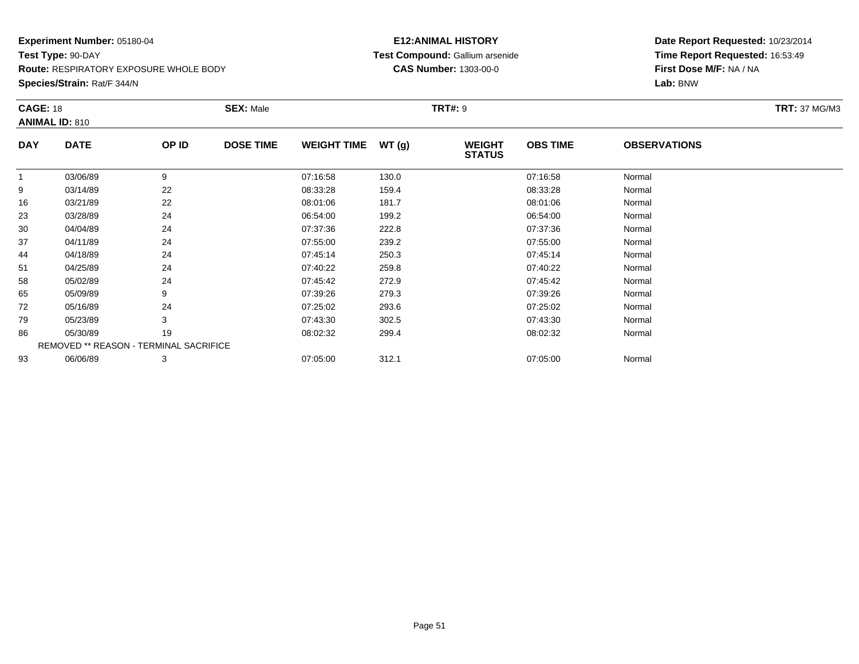**Route:** RESPIRATORY EXPOSURE WHOLE BODY

**Species/Strain:** Rat/F 344/N

### **E12:ANIMAL HISTORY Test Compound:** Gallium arsenide**CAS Number:** 1303-00-0

|            | <b>SEX: Male</b><br><b>TRT#: 9</b><br><b>CAGE: 18</b><br><b>ANIMAL ID: 810</b> |       |                  |                    |       |                                | <b>TRT: 37 MG/M3</b> |                     |  |
|------------|--------------------------------------------------------------------------------|-------|------------------|--------------------|-------|--------------------------------|----------------------|---------------------|--|
| <b>DAY</b> | <b>DATE</b>                                                                    | OP ID | <b>DOSE TIME</b> | <b>WEIGHT TIME</b> | WT(g) | <b>WEIGHT</b><br><b>STATUS</b> | <b>OBS TIME</b>      | <b>OBSERVATIONS</b> |  |
|            | 03/06/89                                                                       | 9     |                  | 07:16:58           | 130.0 |                                | 07:16:58             | Normal              |  |
| 9          | 03/14/89                                                                       | 22    |                  | 08:33:28           | 159.4 |                                | 08:33:28             | Normal              |  |
| 16         | 03/21/89                                                                       | 22    |                  | 08:01:06           | 181.7 |                                | 08:01:06             | Normal              |  |
| 23         | 03/28/89                                                                       | 24    |                  | 06:54:00           | 199.2 |                                | 06:54:00             | Normal              |  |
| 30         | 04/04/89                                                                       | 24    |                  | 07:37:36           | 222.8 |                                | 07:37:36             | Normal              |  |
| 37         | 04/11/89                                                                       | 24    |                  | 07:55:00           | 239.2 |                                | 07:55:00             | Normal              |  |
| 44         | 04/18/89                                                                       | 24    |                  | 07:45:14           | 250.3 |                                | 07:45:14             | Normal              |  |
| 51         | 04/25/89                                                                       | 24    |                  | 07:40:22           | 259.8 |                                | 07:40:22             | Normal              |  |
| 58         | 05/02/89                                                                       | 24    |                  | 07:45:42           | 272.9 |                                | 07:45:42             | Normal              |  |
| 65         | 05/09/89                                                                       | 9     |                  | 07:39:26           | 279.3 |                                | 07:39:26             | Normal              |  |
| 72         | 05/16/89                                                                       | 24    |                  | 07:25:02           | 293.6 |                                | 07:25:02             | Normal              |  |
| 79         | 05/23/89                                                                       | 3     |                  | 07:43:30           | 302.5 |                                | 07:43:30             | Normal              |  |
| 86         | 05/30/89                                                                       | 19    |                  | 08:02:32           | 299.4 |                                | 08:02:32             | Normal              |  |
|            | REMOVED ** REASON - TERMINAL SACRIFICE                                         |       |                  |                    |       |                                |                      |                     |  |
| 93         | 06/06/89                                                                       | 3     |                  | 07:05:00           | 312.1 |                                | 07:05:00             | Normal              |  |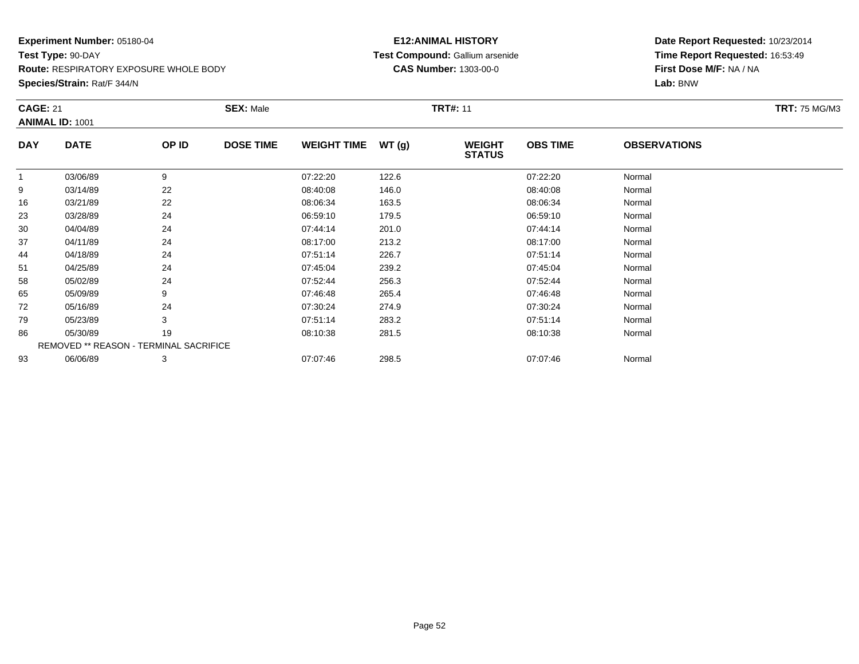**Route:** RESPIRATORY EXPOSURE WHOLE BODY

**Species/Strain:** Rat/F 344/N

### **E12:ANIMAL HISTORY Test Compound:** Gallium arsenide**CAS Number:** 1303-00-0

| <b>CAGE: 21</b> | <b>ANIMAL ID: 1001</b>                 |       | <b>SEX: Male</b> |                    |       | <b>TRT#: 11</b>                |                 |                     | <b>TRT: 75 MG/M3</b> |
|-----------------|----------------------------------------|-------|------------------|--------------------|-------|--------------------------------|-----------------|---------------------|----------------------|
| <b>DAY</b>      | <b>DATE</b>                            | OP ID | <b>DOSE TIME</b> | <b>WEIGHT TIME</b> | WT(g) | <b>WEIGHT</b><br><b>STATUS</b> | <b>OBS TIME</b> | <b>OBSERVATIONS</b> |                      |
| $\overline{1}$  | 03/06/89                               | 9     |                  | 07:22:20           | 122.6 |                                | 07:22:20        | Normal              |                      |
| 9               | 03/14/89                               | 22    |                  | 08:40:08           | 146.0 |                                | 08:40:08        | Normal              |                      |
| 16              | 03/21/89                               | 22    |                  | 08:06:34           | 163.5 |                                | 08:06:34        | Normal              |                      |
| 23              | 03/28/89                               | 24    |                  | 06:59:10           | 179.5 |                                | 06:59:10        | Normal              |                      |
| 30              | 04/04/89                               | 24    |                  | 07:44:14           | 201.0 |                                | 07:44:14        | Normal              |                      |
| 37              | 04/11/89                               | 24    |                  | 08:17:00           | 213.2 |                                | 08:17:00        | Normal              |                      |
| 44              | 04/18/89                               | 24    |                  | 07:51:14           | 226.7 |                                | 07:51:14        | Normal              |                      |
| 51              | 04/25/89                               | 24    |                  | 07:45:04           | 239.2 |                                | 07:45:04        | Normal              |                      |
| 58              | 05/02/89                               | 24    |                  | 07:52:44           | 256.3 |                                | 07:52:44        | Normal              |                      |
| 65              | 05/09/89                               | 9     |                  | 07:46:48           | 265.4 |                                | 07:46:48        | Normal              |                      |
| 72              | 05/16/89                               | 24    |                  | 07:30:24           | 274.9 |                                | 07:30:24        | Normal              |                      |
| 79              | 05/23/89                               | 3     |                  | 07:51:14           | 283.2 |                                | 07:51:14        | Normal              |                      |
| 86              | 05/30/89                               | 19    |                  | 08:10:38           | 281.5 |                                | 08:10:38        | Normal              |                      |
|                 | REMOVED ** REASON - TERMINAL SACRIFICE |       |                  |                    |       |                                |                 |                     |                      |
| 93              | 06/06/89                               | 3     |                  | 07:07:46           | 298.5 |                                | 07:07:46        | Normal              |                      |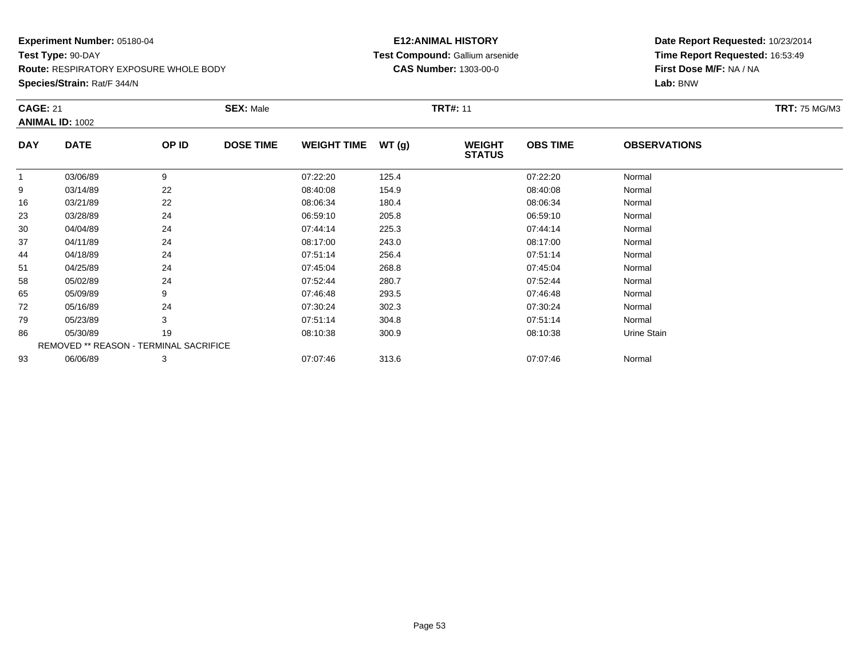**Route:** RESPIRATORY EXPOSURE WHOLE BODY

**Species/Strain:** Rat/F 344/N

### **E12:ANIMAL HISTORY Test Compound:** Gallium arsenide**CAS Number:** 1303-00-0

| <b>CAGE: 21</b> | <b>ANIMAL ID: 1002</b>                 |       | <b>SEX: Male</b> |                    |       | <b>TRT#: 11</b>                |                 |                     | <b>TRT: 75 MG/M3</b> |
|-----------------|----------------------------------------|-------|------------------|--------------------|-------|--------------------------------|-----------------|---------------------|----------------------|
| <b>DAY</b>      | <b>DATE</b>                            | OP ID | <b>DOSE TIME</b> | <b>WEIGHT TIME</b> | WT(g) | <b>WEIGHT</b><br><b>STATUS</b> | <b>OBS TIME</b> | <b>OBSERVATIONS</b> |                      |
|                 | 03/06/89                               | 9     |                  | 07:22:20           | 125.4 |                                | 07:22:20        | Normal              |                      |
| 9               | 03/14/89                               | 22    |                  | 08:40:08           | 154.9 |                                | 08:40:08        | Normal              |                      |
| 16              | 03/21/89                               | 22    |                  | 08:06:34           | 180.4 |                                | 08:06:34        | Normal              |                      |
| 23              | 03/28/89                               | 24    |                  | 06:59:10           | 205.8 |                                | 06:59:10        | Normal              |                      |
| 30              | 04/04/89                               | 24    |                  | 07:44:14           | 225.3 |                                | 07:44:14        | Normal              |                      |
| 37              | 04/11/89                               | 24    |                  | 08:17:00           | 243.0 |                                | 08:17:00        | Normal              |                      |
| 44              | 04/18/89                               | 24    |                  | 07:51:14           | 256.4 |                                | 07:51:14        | Normal              |                      |
| 51              | 04/25/89                               | 24    |                  | 07:45:04           | 268.8 |                                | 07:45:04        | Normal              |                      |
| 58              | 05/02/89                               | 24    |                  | 07:52:44           | 280.7 |                                | 07:52:44        | Normal              |                      |
| 65              | 05/09/89                               | 9     |                  | 07:46:48           | 293.5 |                                | 07:46:48        | Normal              |                      |
| 72              | 05/16/89                               | 24    |                  | 07:30:24           | 302.3 |                                | 07:30:24        | Normal              |                      |
| 79              | 05/23/89                               | 3     |                  | 07:51:14           | 304.8 |                                | 07:51:14        | Normal              |                      |
| 86              | 05/30/89                               | 19    |                  | 08:10:38           | 300.9 |                                | 08:10:38        | Urine Stain         |                      |
|                 | REMOVED ** REASON - TERMINAL SACRIFICE |       |                  |                    |       |                                |                 |                     |                      |
| 93              | 06/06/89                               | 3     |                  | 07:07:46           | 313.6 |                                | 07:07:46        | Normal              |                      |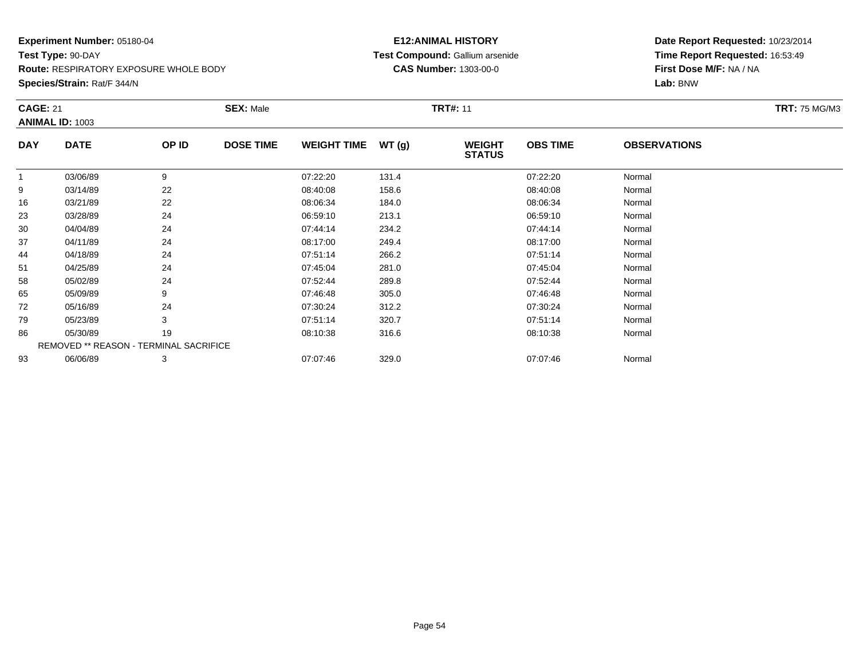**Route:** RESPIRATORY EXPOSURE WHOLE BODY

**Species/Strain:** Rat/F 344/N

### **E12:ANIMAL HISTORY Test Compound:** Gallium arsenide**CAS Number:** 1303-00-0

| <b>CAGE: 21</b> |                                        |       | <b>SEX: Male</b> |                    |       | <b>TRT#: 11</b>                |                 |                     | <b>TRT: 75 MG/M3</b> |
|-----------------|----------------------------------------|-------|------------------|--------------------|-------|--------------------------------|-----------------|---------------------|----------------------|
|                 | <b>ANIMAL ID: 1003</b>                 |       |                  |                    |       |                                |                 |                     |                      |
| <b>DAY</b>      | <b>DATE</b>                            | OP ID | <b>DOSE TIME</b> | <b>WEIGHT TIME</b> | WT(g) | <b>WEIGHT</b><br><b>STATUS</b> | <b>OBS TIME</b> | <b>OBSERVATIONS</b> |                      |
| $\mathbf 1$     | 03/06/89                               | 9     |                  | 07:22:20           | 131.4 |                                | 07:22:20        | Normal              |                      |
| 9               | 03/14/89                               | 22    |                  | 08:40:08           | 158.6 |                                | 08:40:08        | Normal              |                      |
| 16              | 03/21/89                               | 22    |                  | 08:06:34           | 184.0 |                                | 08:06:34        | Normal              |                      |
| 23              | 03/28/89                               | 24    |                  | 06:59:10           | 213.1 |                                | 06:59:10        | Normal              |                      |
| 30              | 04/04/89                               | 24    |                  | 07:44:14           | 234.2 |                                | 07:44:14        | Normal              |                      |
| 37              | 04/11/89                               | 24    |                  | 08:17:00           | 249.4 |                                | 08:17:00        | Normal              |                      |
| 44              | 04/18/89                               | 24    |                  | 07:51:14           | 266.2 |                                | 07:51:14        | Normal              |                      |
| 51              | 04/25/89                               | 24    |                  | 07:45:04           | 281.0 |                                | 07:45:04        | Normal              |                      |
| 58              | 05/02/89                               | 24    |                  | 07:52:44           | 289.8 |                                | 07:52:44        | Normal              |                      |
| 65              | 05/09/89                               | 9     |                  | 07:46:48           | 305.0 |                                | 07:46:48        | Normal              |                      |
| 72              | 05/16/89                               | 24    |                  | 07:30:24           | 312.2 |                                | 07:30:24        | Normal              |                      |
| 79              | 05/23/89                               | 3     |                  | 07:51:14           | 320.7 |                                | 07:51:14        | Normal              |                      |
| 86              | 05/30/89                               | 19    |                  | 08:10:38           | 316.6 |                                | 08:10:38        | Normal              |                      |
|                 | REMOVED ** REASON - TERMINAL SACRIFICE |       |                  |                    |       |                                |                 |                     |                      |
| 93              | 06/06/89                               | 3     |                  | 07:07:46           | 329.0 |                                | 07:07:46        | Normal              |                      |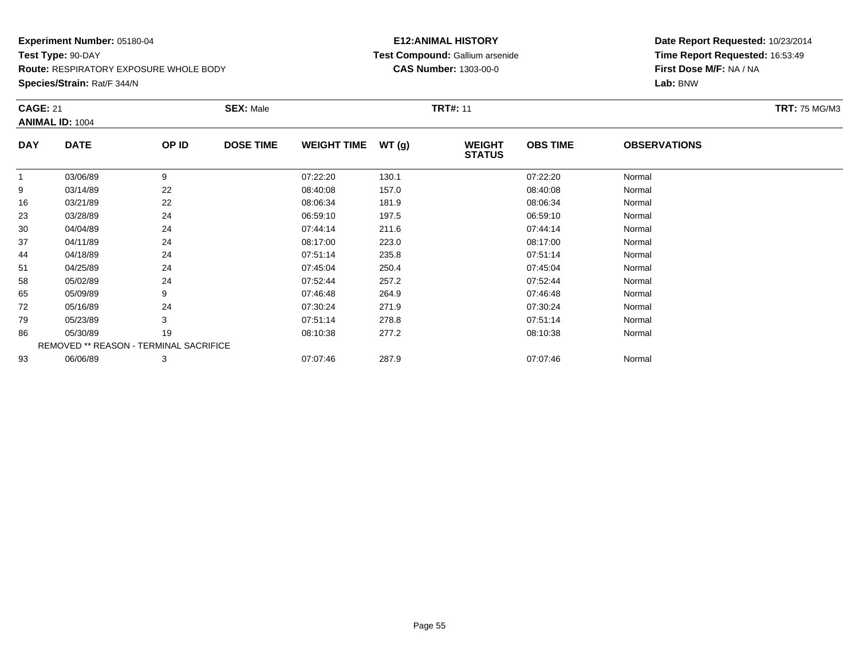**Route:** RESPIRATORY EXPOSURE WHOLE BODY

**Species/Strain:** Rat/F 344/N

### **E12:ANIMAL HISTORY Test Compound:** Gallium arsenide**CAS Number:** 1303-00-0

| <b>CAGE: 21</b> | <b>ANIMAL ID: 1004</b>                 |       | <b>SEX: Male</b> |                    |       | <b>TRT#: 11</b>                |                 |                     | <b>TRT: 75 MG/M3</b> |
|-----------------|----------------------------------------|-------|------------------|--------------------|-------|--------------------------------|-----------------|---------------------|----------------------|
| <b>DAY</b>      | <b>DATE</b>                            | OP ID | <b>DOSE TIME</b> | <b>WEIGHT TIME</b> | WT(g) | <b>WEIGHT</b><br><b>STATUS</b> | <b>OBS TIME</b> | <b>OBSERVATIONS</b> |                      |
| $\mathbf{1}$    | 03/06/89                               | 9     |                  | 07:22:20           | 130.1 |                                | 07:22:20        | Normal              |                      |
| 9               | 03/14/89                               | 22    |                  | 08:40:08           | 157.0 |                                | 08:40:08        | Normal              |                      |
| 16              | 03/21/89                               | 22    |                  | 08:06:34           | 181.9 |                                | 08:06:34        | Normal              |                      |
| 23              | 03/28/89                               | 24    |                  | 06:59:10           | 197.5 |                                | 06:59:10        | Normal              |                      |
| 30              | 04/04/89                               | 24    |                  | 07:44:14           | 211.6 |                                | 07:44:14        | Normal              |                      |
| 37              | 04/11/89                               | 24    |                  | 08:17:00           | 223.0 |                                | 08:17:00        | Normal              |                      |
| 44              | 04/18/89                               | 24    |                  | 07:51:14           | 235.8 |                                | 07:51:14        | Normal              |                      |
| 51              | 04/25/89                               | 24    |                  | 07:45:04           | 250.4 |                                | 07:45:04        | Normal              |                      |
| 58              | 05/02/89                               | 24    |                  | 07:52:44           | 257.2 |                                | 07:52:44        | Normal              |                      |
| 65              | 05/09/89                               | 9     |                  | 07:46:48           | 264.9 |                                | 07:46:48        | Normal              |                      |
| 72              | 05/16/89                               | 24    |                  | 07:30:24           | 271.9 |                                | 07:30:24        | Normal              |                      |
| 79              | 05/23/89                               | 3     |                  | 07:51:14           | 278.8 |                                | 07:51:14        | Normal              |                      |
| 86              | 05/30/89                               | 19    |                  | 08:10:38           | 277.2 |                                | 08:10:38        | Normal              |                      |
|                 | REMOVED ** REASON - TERMINAL SACRIFICE |       |                  |                    |       |                                |                 |                     |                      |
| 93              | 06/06/89                               | 3     |                  | 07:07:46           | 287.9 |                                | 07:07:46        | Normal              |                      |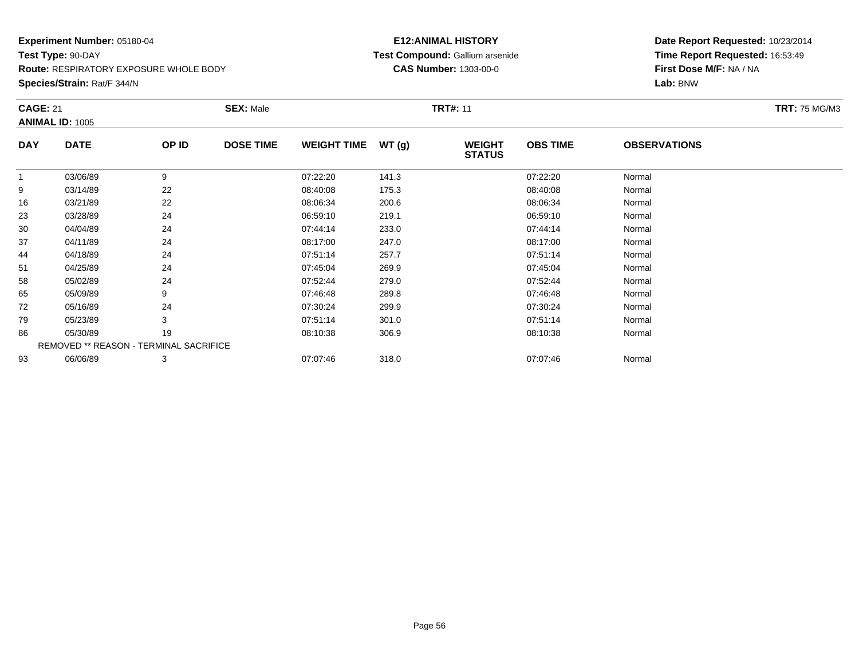**Route:** RESPIRATORY EXPOSURE WHOLE BODY

**Species/Strain:** Rat/F 344/N

### **E12:ANIMAL HISTORY Test Compound:** Gallium arsenide**CAS Number:** 1303-00-0

| <b>CAGE: 21</b> | <b>SEX: Male</b><br><b>TRT#: 11</b><br><b>ANIMAL ID: 1005</b> |       |                  |                    |       |                                | <b>TRT: 75 MG/M3</b> |                     |  |
|-----------------|---------------------------------------------------------------|-------|------------------|--------------------|-------|--------------------------------|----------------------|---------------------|--|
| <b>DAY</b>      | <b>DATE</b>                                                   | OP ID | <b>DOSE TIME</b> | <b>WEIGHT TIME</b> | WT(g) | <b>WEIGHT</b><br><b>STATUS</b> | <b>OBS TIME</b>      | <b>OBSERVATIONS</b> |  |
|                 | 03/06/89                                                      | 9     |                  | 07:22:20           | 141.3 |                                | 07:22:20             | Normal              |  |
| 9               | 03/14/89                                                      | 22    |                  | 08:40:08           | 175.3 |                                | 08:40:08             | Normal              |  |
| 16              | 03/21/89                                                      | 22    |                  | 08:06:34           | 200.6 |                                | 08:06:34             | Normal              |  |
| 23              | 03/28/89                                                      | 24    |                  | 06:59:10           | 219.1 |                                | 06:59:10             | Normal              |  |
| 30              | 04/04/89                                                      | 24    |                  | 07:44:14           | 233.0 |                                | 07:44:14             | Normal              |  |
| 37              | 04/11/89                                                      | 24    |                  | 08:17:00           | 247.0 |                                | 08:17:00             | Normal              |  |
| 44              | 04/18/89                                                      | 24    |                  | 07:51:14           | 257.7 |                                | 07:51:14             | Normal              |  |
| 51              | 04/25/89                                                      | 24    |                  | 07:45:04           | 269.9 |                                | 07:45:04             | Normal              |  |
| 58              | 05/02/89                                                      | 24    |                  | 07:52:44           | 279.0 |                                | 07:52:44             | Normal              |  |
| 65              | 05/09/89                                                      | 9     |                  | 07:46:48           | 289.8 |                                | 07:46:48             | Normal              |  |
| 72              | 05/16/89                                                      | 24    |                  | 07:30:24           | 299.9 |                                | 07:30:24             | Normal              |  |
| 79              | 05/23/89                                                      | 3     |                  | 07:51:14           | 301.0 |                                | 07:51:14             | Normal              |  |
| 86              | 05/30/89                                                      | 19    |                  | 08:10:38           | 306.9 |                                | 08:10:38             | Normal              |  |
|                 | REMOVED ** REASON - TERMINAL SACRIFICE                        |       |                  |                    |       |                                |                      |                     |  |
| 93              | 06/06/89                                                      | 3     |                  | 07:07:46           | 318.0 |                                | 07:07:46             | Normal              |  |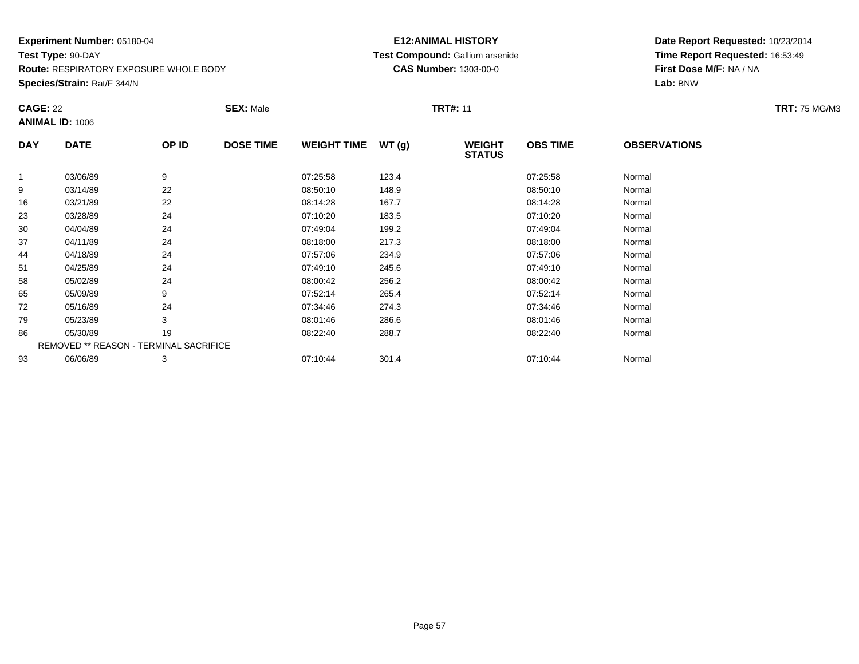**Species/Strain:** Rat/F 344/N

### **E12:ANIMAL HISTORY Test Compound:** Gallium arsenide**CAS Number:** 1303-00-0

| <b>CAGE: 22</b> | <b>ANIMAL ID: 1006</b>                        |       | <b>SEX: Male</b> |                    |       | <b>TRT#: 11</b>                |                 |                     | <b>TRT:</b> 75 MG/M3 |
|-----------------|-----------------------------------------------|-------|------------------|--------------------|-------|--------------------------------|-----------------|---------------------|----------------------|
| <b>DAY</b>      | <b>DATE</b>                                   | OP ID | <b>DOSE TIME</b> | <b>WEIGHT TIME</b> | WT(g) | <b>WEIGHT</b><br><b>STATUS</b> | <b>OBS TIME</b> | <b>OBSERVATIONS</b> |                      |
|                 | 03/06/89                                      | 9     |                  | 07:25:58           | 123.4 |                                | 07:25:58        | Normal              |                      |
| 9               | 03/14/89                                      | 22    |                  | 08:50:10           | 148.9 |                                | 08:50:10        | Normal              |                      |
| 16              | 03/21/89                                      | 22    |                  | 08:14:28           | 167.7 |                                | 08:14:28        | Normal              |                      |
| 23              | 03/28/89                                      | 24    |                  | 07:10:20           | 183.5 |                                | 07:10:20        | Normal              |                      |
| 30              | 04/04/89                                      | 24    |                  | 07:49:04           | 199.2 |                                | 07:49:04        | Normal              |                      |
| 37              | 04/11/89                                      | 24    |                  | 08:18:00           | 217.3 |                                | 08:18:00        | Normal              |                      |
| 44              | 04/18/89                                      | 24    |                  | 07:57:06           | 234.9 |                                | 07:57:06        | Normal              |                      |
| 51              | 04/25/89                                      | 24    |                  | 07:49:10           | 245.6 |                                | 07:49:10        | Normal              |                      |
| 58              | 05/02/89                                      | 24    |                  | 08:00:42           | 256.2 |                                | 08:00:42        | Normal              |                      |
| 65              | 05/09/89                                      | 9     |                  | 07:52:14           | 265.4 |                                | 07:52:14        | Normal              |                      |
| 72              | 05/16/89                                      | 24    |                  | 07:34:46           | 274.3 |                                | 07:34:46        | Normal              |                      |
| 79              | 05/23/89                                      | 3     |                  | 08:01:46           | 286.6 |                                | 08:01:46        | Normal              |                      |
| 86              | 05/30/89                                      | 19    |                  | 08:22:40           | 288.7 |                                | 08:22:40        | Normal              |                      |
|                 | <b>REMOVED ** REASON - TERMINAL SACRIFICE</b> |       |                  |                    |       |                                |                 |                     |                      |
| 93              | 06/06/89                                      | 3     |                  | 07:10:44           | 301.4 |                                | 07:10:44        | Normal              |                      |
|                 |                                               |       |                  |                    |       |                                |                 |                     |                      |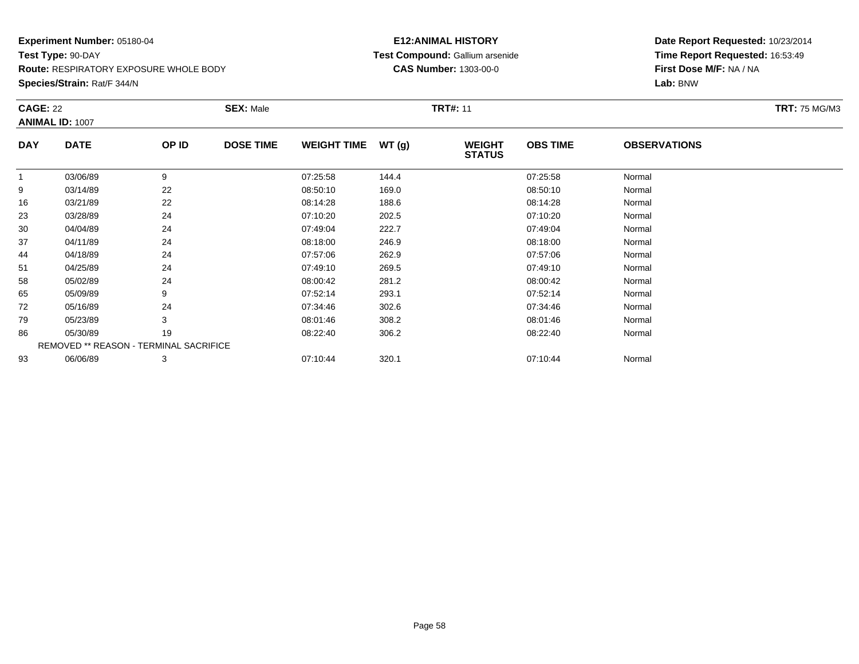**Species/Strain:** Rat/F 344/N

### **E12:ANIMAL HISTORY Test Compound:** Gallium arsenide**CAS Number:** 1303-00-0

| <b>CAGE: 22</b> | ANIMAL ID: 1007                        |       | <b>SEX: Male</b> |                    |       | <b>TRT#: 11</b>                |                 |                     | <b>TRT: 75 MG/M3</b> |
|-----------------|----------------------------------------|-------|------------------|--------------------|-------|--------------------------------|-----------------|---------------------|----------------------|
| <b>DAY</b>      | <b>DATE</b>                            | OP ID | <b>DOSE TIME</b> | <b>WEIGHT TIME</b> | WT(g) | <b>WEIGHT</b><br><b>STATUS</b> | <b>OBS TIME</b> | <b>OBSERVATIONS</b> |                      |
| $\mathbf{1}$    | 03/06/89                               | 9     |                  | 07:25:58           | 144.4 |                                | 07:25:58        | Normal              |                      |
| 9               | 03/14/89                               | 22    |                  | 08:50:10           | 169.0 |                                | 08:50:10        | Normal              |                      |
| 16              | 03/21/89                               | 22    |                  | 08:14:28           | 188.6 |                                | 08:14:28        | Normal              |                      |
| 23              | 03/28/89                               | 24    |                  | 07:10:20           | 202.5 |                                | 07:10:20        | Normal              |                      |
| 30              | 04/04/89                               | 24    |                  | 07:49:04           | 222.7 |                                | 07:49:04        | Normal              |                      |
| 37              | 04/11/89                               | 24    |                  | 08:18:00           | 246.9 |                                | 08:18:00        | Normal              |                      |
| 44              | 04/18/89                               | 24    |                  | 07:57:06           | 262.9 |                                | 07:57:06        | Normal              |                      |
| 51              | 04/25/89                               | 24    |                  | 07:49:10           | 269.5 |                                | 07:49:10        | Normal              |                      |
| 58              | 05/02/89                               | 24    |                  | 08:00:42           | 281.2 |                                | 08:00:42        | Normal              |                      |
| 65              | 05/09/89                               | 9     |                  | 07:52:14           | 293.1 |                                | 07:52:14        | Normal              |                      |
| 72              | 05/16/89                               | 24    |                  | 07:34:46           | 302.6 |                                | 07:34:46        | Normal              |                      |
| 79              | 05/23/89                               | 3     |                  | 08:01:46           | 308.2 |                                | 08:01:46        | Normal              |                      |
| 86              | 05/30/89                               | 19    |                  | 08:22:40           | 306.2 |                                | 08:22:40        | Normal              |                      |
|                 | REMOVED ** REASON - TERMINAL SACRIFICE |       |                  |                    |       |                                |                 |                     |                      |
| 93              | 06/06/89                               | 3     |                  | 07:10:44           | 320.1 |                                | 07:10:44        | Normal              |                      |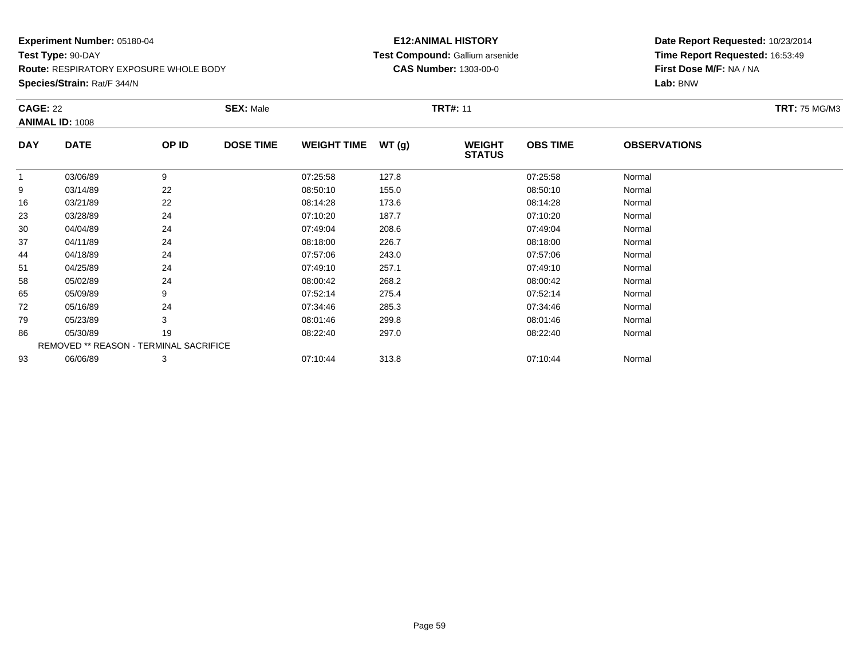**Species/Strain:** Rat/F 344/N

### **E12:ANIMAL HISTORY Test Compound:** Gallium arsenide**CAS Number:** 1303-00-0

| <b>CAGE: 22</b> | <b>ANIMAL ID: 1008</b>                        |       | <b>SEX: Male</b> |                    |       | <b>TRT#:</b> 11                |                 |                     | <b>TRT: 75 MG/M3</b> |
|-----------------|-----------------------------------------------|-------|------------------|--------------------|-------|--------------------------------|-----------------|---------------------|----------------------|
| <b>DAY</b>      | <b>DATE</b>                                   | OP ID | <b>DOSE TIME</b> | <b>WEIGHT TIME</b> | WT(g) | <b>WEIGHT</b><br><b>STATUS</b> | <b>OBS TIME</b> | <b>OBSERVATIONS</b> |                      |
| 1               | 03/06/89                                      | 9     |                  | 07:25:58           | 127.8 |                                | 07:25:58        | Normal              |                      |
| 9               | 03/14/89                                      | 22    |                  | 08:50:10           | 155.0 |                                | 08:50:10        | Normal              |                      |
| 16              | 03/21/89                                      | 22    |                  | 08:14:28           | 173.6 |                                | 08:14:28        | Normal              |                      |
| 23              | 03/28/89                                      | 24    |                  | 07:10:20           | 187.7 |                                | 07:10:20        | Normal              |                      |
| 30              | 04/04/89                                      | 24    |                  | 07:49:04           | 208.6 |                                | 07:49:04        | Normal              |                      |
| 37              | 04/11/89                                      | 24    |                  | 08:18:00           | 226.7 |                                | 08:18:00        | Normal              |                      |
| 44              | 04/18/89                                      | 24    |                  | 07:57:06           | 243.0 |                                | 07:57:06        | Normal              |                      |
| 51              | 04/25/89                                      | 24    |                  | 07:49:10           | 257.1 |                                | 07:49:10        | Normal              |                      |
| 58              | 05/02/89                                      | 24    |                  | 08:00:42           | 268.2 |                                | 08:00:42        | Normal              |                      |
| 65              | 05/09/89                                      | 9     |                  | 07:52:14           | 275.4 |                                | 07:52:14        | Normal              |                      |
| 72              | 05/16/89                                      | 24    |                  | 07:34:46           | 285.3 |                                | 07:34:46        | Normal              |                      |
| 79              | 05/23/89                                      | 3     |                  | 08:01:46           | 299.8 |                                | 08:01:46        | Normal              |                      |
| 86              | 05/30/89                                      | 19    |                  | 08:22:40           | 297.0 |                                | 08:22:40        | Normal              |                      |
|                 | <b>REMOVED ** REASON - TERMINAL SACRIFICE</b> |       |                  |                    |       |                                |                 |                     |                      |
| 93              | 06/06/89                                      | 3     |                  | 07:10:44           | 313.8 |                                | 07:10:44        | Normal              |                      |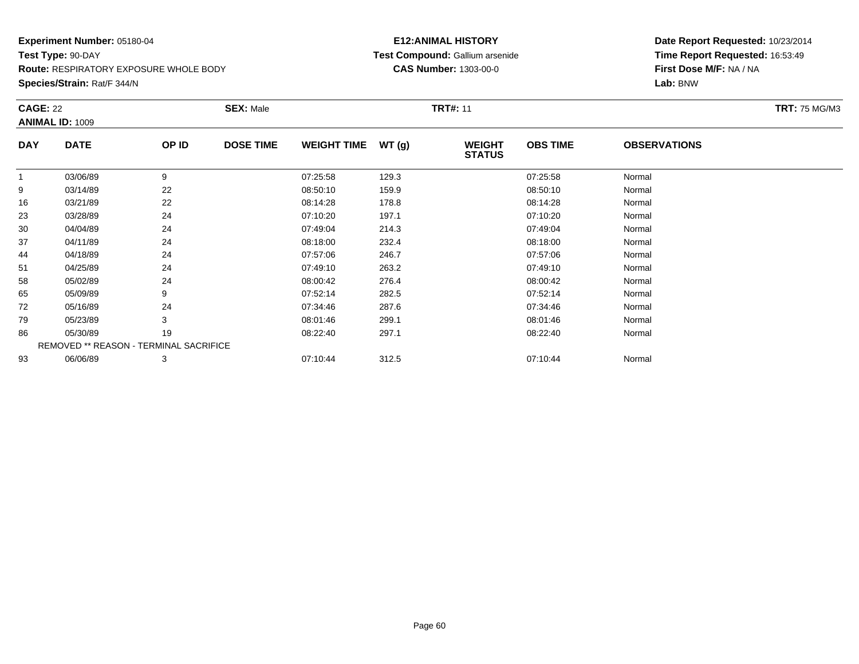**Species/Strain:** Rat/F 344/N

### **E12:ANIMAL HISTORY Test Compound:** Gallium arsenide**CAS Number:** 1303-00-0

| <b>CAGE: 22</b> | <b>ANIMAL ID: 1009</b>                        |       | <b>SEX: Male</b> |                    |       | <b>TRT#:</b> 11                |                 |                     | <b>TRT: 75 MG/M3</b> |
|-----------------|-----------------------------------------------|-------|------------------|--------------------|-------|--------------------------------|-----------------|---------------------|----------------------|
| <b>DAY</b>      | <b>DATE</b>                                   | OP ID | <b>DOSE TIME</b> | <b>WEIGHT TIME</b> | WT(g) | <b>WEIGHT</b><br><b>STATUS</b> | <b>OBS TIME</b> | <b>OBSERVATIONS</b> |                      |
| 1               | 03/06/89                                      | 9     |                  | 07:25:58           | 129.3 |                                | 07:25:58        | Normal              |                      |
| 9               | 03/14/89                                      | 22    |                  | 08:50:10           | 159.9 |                                | 08:50:10        | Normal              |                      |
| 16              | 03/21/89                                      | 22    |                  | 08:14:28           | 178.8 |                                | 08:14:28        | Normal              |                      |
| 23              | 03/28/89                                      | 24    |                  | 07:10:20           | 197.1 |                                | 07:10:20        | Normal              |                      |
| 30              | 04/04/89                                      | 24    |                  | 07:49:04           | 214.3 |                                | 07:49:04        | Normal              |                      |
| 37              | 04/11/89                                      | 24    |                  | 08:18:00           | 232.4 |                                | 08:18:00        | Normal              |                      |
| 44              | 04/18/89                                      | 24    |                  | 07:57:06           | 246.7 |                                | 07:57:06        | Normal              |                      |
| 51              | 04/25/89                                      | 24    |                  | 07:49:10           | 263.2 |                                | 07:49:10        | Normal              |                      |
| 58              | 05/02/89                                      | 24    |                  | 08:00:42           | 276.4 |                                | 08:00:42        | Normal              |                      |
| 65              | 05/09/89                                      | 9     |                  | 07:52:14           | 282.5 |                                | 07:52:14        | Normal              |                      |
| 72              | 05/16/89                                      | 24    |                  | 07:34:46           | 287.6 |                                | 07:34:46        | Normal              |                      |
| 79              | 05/23/89                                      | 3     |                  | 08:01:46           | 299.1 |                                | 08:01:46        | Normal              |                      |
| 86              | 05/30/89                                      | 19    |                  | 08:22:40           | 297.1 |                                | 08:22:40        | Normal              |                      |
|                 | <b>REMOVED ** REASON - TERMINAL SACRIFICE</b> |       |                  |                    |       |                                |                 |                     |                      |
| 93              | 06/06/89                                      | 3     |                  | 07:10:44           | 312.5 |                                | 07:10:44        | Normal              |                      |
|                 |                                               |       |                  |                    |       |                                |                 |                     |                      |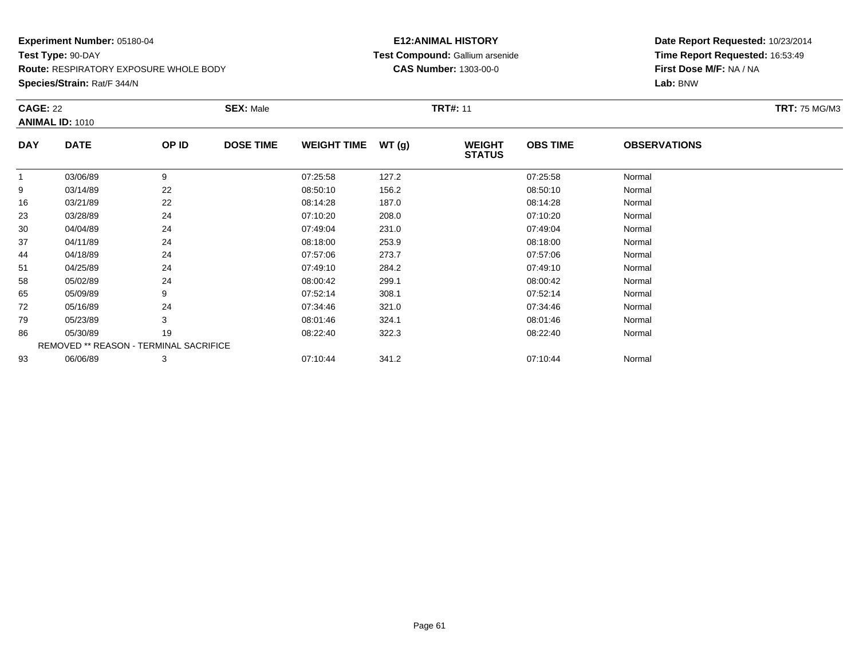**Species/Strain:** Rat/F 344/N

### **E12:ANIMAL HISTORY Test Compound:** Gallium arsenide**CAS Number:** 1303-00-0

|             |                                           | <b>SEX: Male</b> |                                        |       |                                |                 |                     | <b>TRT: 75 MG/M3</b> |
|-------------|-------------------------------------------|------------------|----------------------------------------|-------|--------------------------------|-----------------|---------------------|----------------------|
| <b>DATE</b> | OP ID                                     | <b>DOSE TIME</b> | <b>WEIGHT TIME</b>                     | WT(g) | <b>WEIGHT</b><br><b>STATUS</b> | <b>OBS TIME</b> | <b>OBSERVATIONS</b> |                      |
| 03/06/89    | 9                                         |                  | 07:25:58                               | 127.2 |                                | 07:25:58        | Normal              |                      |
| 03/14/89    | 22                                        |                  | 08:50:10                               | 156.2 |                                | 08:50:10        | Normal              |                      |
| 03/21/89    | 22                                        |                  | 08:14:28                               | 187.0 |                                | 08:14:28        | Normal              |                      |
| 03/28/89    | 24                                        |                  | 07:10:20                               | 208.0 |                                | 07:10:20        | Normal              |                      |
| 04/04/89    | 24                                        |                  | 07:49:04                               | 231.0 |                                | 07:49:04        | Normal              |                      |
| 04/11/89    | 24                                        |                  | 08:18:00                               | 253.9 |                                | 08:18:00        | Normal              |                      |
| 04/18/89    | 24                                        |                  | 07:57:06                               | 273.7 |                                | 07:57:06        | Normal              |                      |
| 04/25/89    | 24                                        |                  | 07:49:10                               | 284.2 |                                | 07:49:10        | Normal              |                      |
| 05/02/89    | 24                                        |                  | 08:00:42                               | 299.1 |                                | 08:00:42        | Normal              |                      |
| 05/09/89    | 9                                         |                  | 07:52:14                               | 308.1 |                                | 07:52:14        | Normal              |                      |
| 05/16/89    | 24                                        |                  | 07:34:46                               | 321.0 |                                | 07:34:46        | Normal              |                      |
| 05/23/89    | 3                                         |                  | 08:01:46                               | 324.1 |                                | 08:01:46        | Normal              |                      |
| 05/30/89    | 19                                        |                  | 08:22:40                               | 322.3 |                                | 08:22:40        | Normal              |                      |
|             |                                           |                  |                                        |       |                                |                 |                     |                      |
| 06/06/89    | 3                                         |                  | 07:10:44                               | 341.2 |                                | 07:10:44        | Normal              |                      |
|             | <b>CAGE: 22</b><br><b>ANIMAL ID: 1010</b> |                  | REMOVED ** REASON - TERMINAL SACRIFICE |       |                                | <b>TRT#: 11</b> |                     |                      |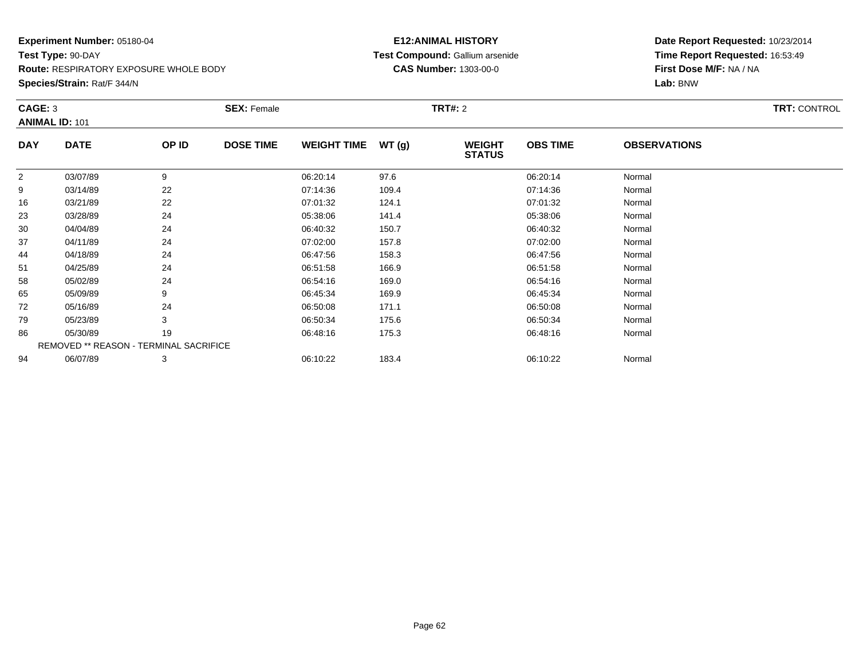**Species/Strain:** Rat/F 344/N

### **E12:ANIMAL HISTORY Test Compound:** Gallium arsenide**CAS Number:** 1303-00-0

| CAGE: 3        | <b>ANIMAL ID: 101</b>                         |       | <b>SEX: Female</b> |                    |       | <b>TRT#:</b> 2                 |                 |                     | <b>TRT: CONTROL</b> |
|----------------|-----------------------------------------------|-------|--------------------|--------------------|-------|--------------------------------|-----------------|---------------------|---------------------|
| <b>DAY</b>     | <b>DATE</b>                                   | OP ID | <b>DOSE TIME</b>   | <b>WEIGHT TIME</b> | WT(g) | <b>WEIGHT</b><br><b>STATUS</b> | <b>OBS TIME</b> | <b>OBSERVATIONS</b> |                     |
| $\overline{2}$ | 03/07/89                                      | 9     |                    | 06:20:14           | 97.6  |                                | 06:20:14        | Normal              |                     |
| 9              | 03/14/89                                      | 22    |                    | 07:14:36           | 109.4 |                                | 07:14:36        | Normal              |                     |
| 16             | 03/21/89                                      | 22    |                    | 07:01:32           | 124.1 |                                | 07:01:32        | Normal              |                     |
| 23             | 03/28/89                                      | 24    |                    | 05:38:06           | 141.4 |                                | 05:38:06        | Normal              |                     |
| 30             | 04/04/89                                      | 24    |                    | 06:40:32           | 150.7 |                                | 06:40:32        | Normal              |                     |
| 37             | 04/11/89                                      | 24    |                    | 07:02:00           | 157.8 |                                | 07:02:00        | Normal              |                     |
| 44             | 04/18/89                                      | 24    |                    | 06:47:56           | 158.3 |                                | 06:47:56        | Normal              |                     |
| 51             | 04/25/89                                      | 24    |                    | 06:51:58           | 166.9 |                                | 06:51:58        | Normal              |                     |
| 58             | 05/02/89                                      | 24    |                    | 06:54:16           | 169.0 |                                | 06:54:16        | Normal              |                     |
| 65             | 05/09/89                                      | 9     |                    | 06:45:34           | 169.9 |                                | 06:45:34        | Normal              |                     |
| 72             | 05/16/89                                      | 24    |                    | 06:50:08           | 171.1 |                                | 06:50:08        | Normal              |                     |
| 79             | 05/23/89                                      | 3     |                    | 06:50:34           | 175.6 |                                | 06:50:34        | Normal              |                     |
| 86             | 05/30/89                                      | 19    |                    | 06:48:16           | 175.3 |                                | 06:48:16        | Normal              |                     |
|                | <b>REMOVED ** REASON - TERMINAL SACRIFICE</b> |       |                    |                    |       |                                |                 |                     |                     |
| 94             | 06/07/89                                      | 3     |                    | 06:10:22           | 183.4 |                                | 06:10:22        | Normal              |                     |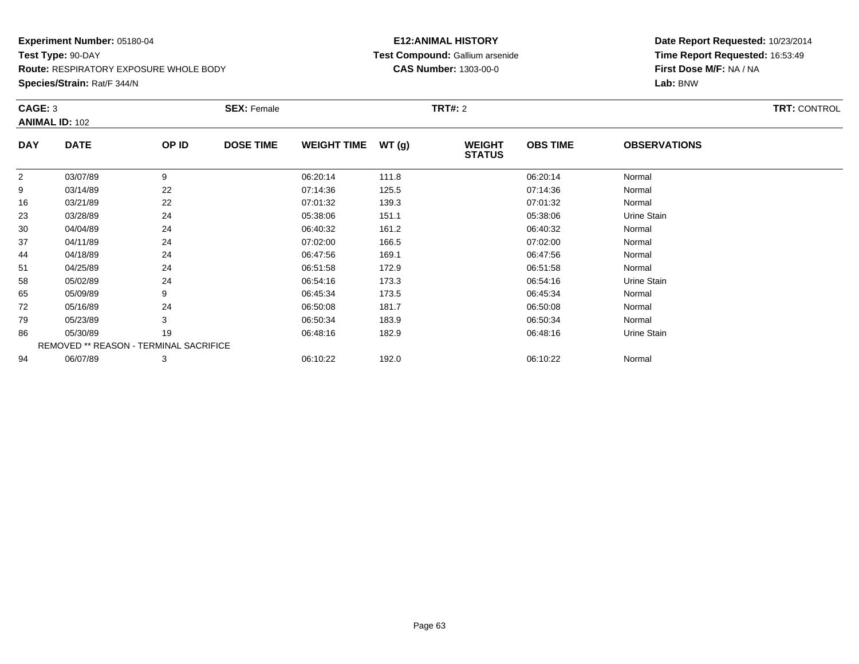**Species/Strain:** Rat/F 344/N

### **E12:ANIMAL HISTORY Test Compound:** Gallium arsenide**CAS Number:** 1303-00-0

| CAGE: 3        | <b>ANIMAL ID: 102</b>                  |       | <b>SEX: Female</b> |                    |        | <b>TRT#: 2</b>                 |                 |                     | <b>TRT: CONTROL</b> |
|----------------|----------------------------------------|-------|--------------------|--------------------|--------|--------------------------------|-----------------|---------------------|---------------------|
| <b>DAY</b>     | <b>DATE</b>                            | OP ID | <b>DOSE TIME</b>   | <b>WEIGHT TIME</b> | WT (g) | <b>WEIGHT</b><br><b>STATUS</b> | <b>OBS TIME</b> | <b>OBSERVATIONS</b> |                     |
| $\overline{2}$ | 03/07/89                               | 9     |                    | 06:20:14           | 111.8  |                                | 06:20:14        | Normal              |                     |
| 9              | 03/14/89                               | 22    |                    | 07:14:36           | 125.5  |                                | 07:14:36        | Normal              |                     |
| 16             | 03/21/89                               | 22    |                    | 07:01:32           | 139.3  |                                | 07:01:32        | Normal              |                     |
| 23             | 03/28/89                               | 24    |                    | 05:38:06           | 151.1  |                                | 05:38:06        | Urine Stain         |                     |
| 30             | 04/04/89                               | 24    |                    | 06:40:32           | 161.2  |                                | 06:40:32        | Normal              |                     |
| 37             | 04/11/89                               | 24    |                    | 07:02:00           | 166.5  |                                | 07:02:00        | Normal              |                     |
| 44             | 04/18/89                               | 24    |                    | 06:47:56           | 169.1  |                                | 06:47:56        | Normal              |                     |
| 51             | 04/25/89                               | 24    |                    | 06:51:58           | 172.9  |                                | 06:51:58        | Normal              |                     |
| 58             | 05/02/89                               | 24    |                    | 06:54:16           | 173.3  |                                | 06:54:16        | Urine Stain         |                     |
| 65             | 05/09/89                               | 9     |                    | 06:45:34           | 173.5  |                                | 06:45:34        | Normal              |                     |
| 72             | 05/16/89                               | 24    |                    | 06:50:08           | 181.7  |                                | 06:50:08        | Normal              |                     |
| 79             | 05/23/89                               | 3     |                    | 06:50:34           | 183.9  |                                | 06:50:34        | Normal              |                     |
| 86             | 05/30/89                               | 19    |                    | 06:48:16           | 182.9  |                                | 06:48:16        | Urine Stain         |                     |
|                | REMOVED ** REASON - TERMINAL SACRIFICE |       |                    |                    |        |                                |                 |                     |                     |
| 94             | 06/07/89                               | 3     |                    | 06:10:22           | 192.0  |                                | 06:10:22        | Normal              |                     |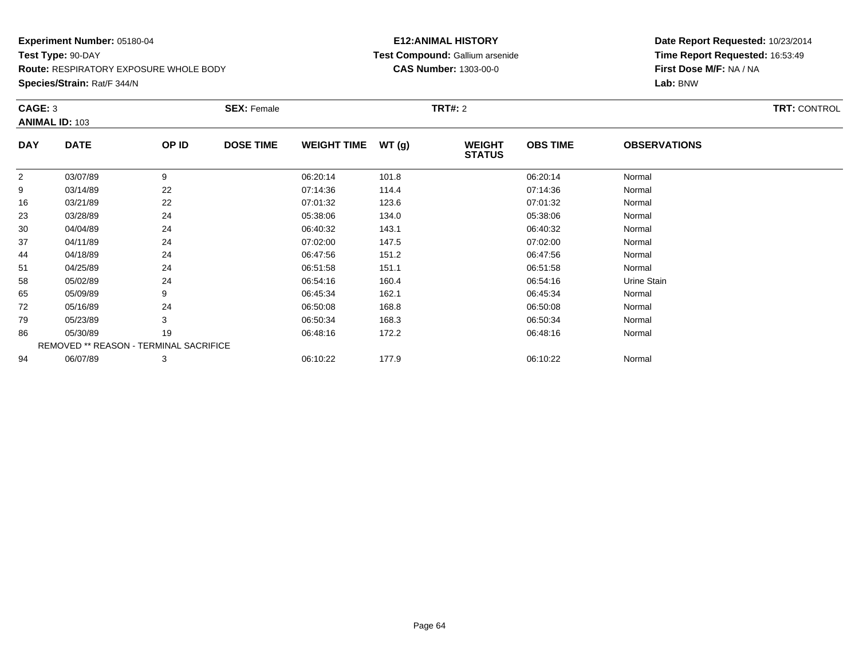**Species/Strain:** Rat/F 344/N

### **E12:ANIMAL HISTORY Test Compound:** Gallium arsenide**CAS Number:** 1303-00-0

| CAGE: 3        | <b>ANIMAL ID: 103</b>                  |       | <b>SEX: Female</b> |                    |       | <b>TRT#: 2</b>                 |                 |                     | <b>TRT: CONTROL</b> |
|----------------|----------------------------------------|-------|--------------------|--------------------|-------|--------------------------------|-----------------|---------------------|---------------------|
| <b>DAY</b>     | <b>DATE</b>                            | OP ID | <b>DOSE TIME</b>   | <b>WEIGHT TIME</b> | WT(g) | <b>WEIGHT</b><br><b>STATUS</b> | <b>OBS TIME</b> | <b>OBSERVATIONS</b> |                     |
| $\overline{2}$ | 03/07/89                               | 9     |                    | 06:20:14           | 101.8 |                                | 06:20:14        | Normal              |                     |
| 9              | 03/14/89                               | 22    |                    | 07:14:36           | 114.4 |                                | 07:14:36        | Normal              |                     |
| 16             | 03/21/89                               | 22    |                    | 07:01:32           | 123.6 |                                | 07:01:32        | Normal              |                     |
| 23             | 03/28/89                               | 24    |                    | 05:38:06           | 134.0 |                                | 05:38:06        | Normal              |                     |
| 30             | 04/04/89                               | 24    |                    | 06:40:32           | 143.1 |                                | 06:40:32        | Normal              |                     |
| 37             | 04/11/89                               | 24    |                    | 07:02:00           | 147.5 |                                | 07:02:00        | Normal              |                     |
| 44             | 04/18/89                               | 24    |                    | 06:47:56           | 151.2 |                                | 06:47:56        | Normal              |                     |
| 51             | 04/25/89                               | 24    |                    | 06:51:58           | 151.1 |                                | 06:51:58        | Normal              |                     |
| 58             | 05/02/89                               | 24    |                    | 06:54:16           | 160.4 |                                | 06:54:16        | Urine Stain         |                     |
| 65             | 05/09/89                               | 9     |                    | 06:45:34           | 162.1 |                                | 06:45:34        | Normal              |                     |
| 72             | 05/16/89                               | 24    |                    | 06:50:08           | 168.8 |                                | 06:50:08        | Normal              |                     |
| 79             | 05/23/89                               | 3     |                    | 06:50:34           | 168.3 |                                | 06:50:34        | Normal              |                     |
| 86             | 05/30/89                               | 19    |                    | 06:48:16           | 172.2 |                                | 06:48:16        | Normal              |                     |
|                | REMOVED ** REASON - TERMINAL SACRIFICE |       |                    |                    |       |                                |                 |                     |                     |
| 94             | 06/07/89                               | 3     |                    | 06:10:22           | 177.9 |                                | 06:10:22        | Normal              |                     |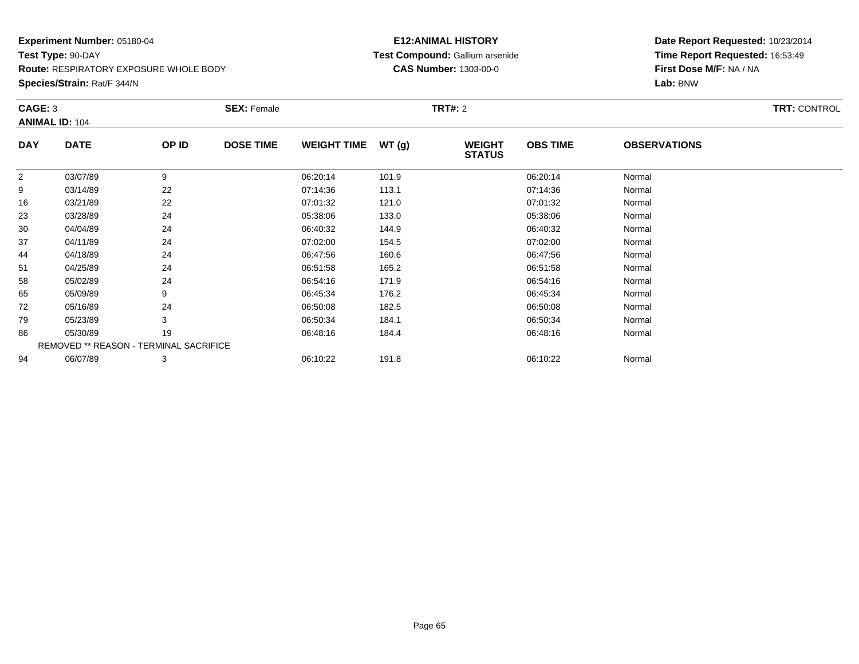**Species/Strain:** Rat/F 344/N

### **E12:ANIMAL HISTORY Test Compound:** Gallium arsenide**CAS Number:** 1303-00-0

|             |                                  | <b>SEX: Female</b> |                                        |                    | <b>TRT#: 2</b>                 |                 |                     | <b>TRT: CONTROL</b> |
|-------------|----------------------------------|--------------------|----------------------------------------|--------------------|--------------------------------|-----------------|---------------------|---------------------|
| <b>DATE</b> | OP ID                            | <b>DOSE TIME</b>   |                                        | WT(g)              | <b>WEIGHT</b><br><b>STATUS</b> | <b>OBS TIME</b> | <b>OBSERVATIONS</b> |                     |
| 03/07/89    | 9                                |                    | 06:20:14                               | 101.9              |                                | 06:20:14        | Normal              |                     |
| 03/14/89    | 22                               |                    | 07:14:36                               | 113.1              |                                | 07:14:36        | Normal              |                     |
| 03/21/89    | 22                               |                    | 07:01:32                               | 121.0              |                                | 07:01:32        | Normal              |                     |
| 03/28/89    | 24                               |                    | 05:38:06                               | 133.0              |                                | 05:38:06        | Normal              |                     |
| 04/04/89    | 24                               |                    | 06:40:32                               | 144.9              |                                | 06:40:32        | Normal              |                     |
| 04/11/89    | 24                               |                    | 07:02:00                               | 154.5              |                                | 07:02:00        | Normal              |                     |
| 04/18/89    | 24                               |                    | 06:47:56                               | 160.6              |                                | 06:47:56        | Normal              |                     |
| 04/25/89    | 24                               |                    | 06:51:58                               | 165.2              |                                | 06:51:58        | Normal              |                     |
| 05/02/89    | 24                               |                    | 06:54:16                               | 171.9              |                                | 06:54:16        | Normal              |                     |
| 05/09/89    | 9                                |                    | 06:45:34                               | 176.2              |                                | 06:45:34        | Normal              |                     |
| 05/16/89    | 24                               |                    | 06:50:08                               | 182.5              |                                | 06:50:08        | Normal              |                     |
| 05/23/89    | 3                                |                    | 06:50:34                               | 184.1              |                                | 06:50:34        | Normal              |                     |
| 05/30/89    | 19                               |                    | 06:48:16                               | 184.4              |                                | 06:48:16        | Normal              |                     |
|             |                                  |                    |                                        |                    |                                |                 |                     |                     |
| 06/07/89    | 3                                |                    | 06:10:22                               | 191.8              |                                | 06:10:22        | Normal              |                     |
|             | CAGE: 3<br><b>ANIMAL ID: 104</b> |                    | REMOVED ** REASON - TERMINAL SACRIFICE | <b>WEIGHT TIME</b> |                                |                 |                     |                     |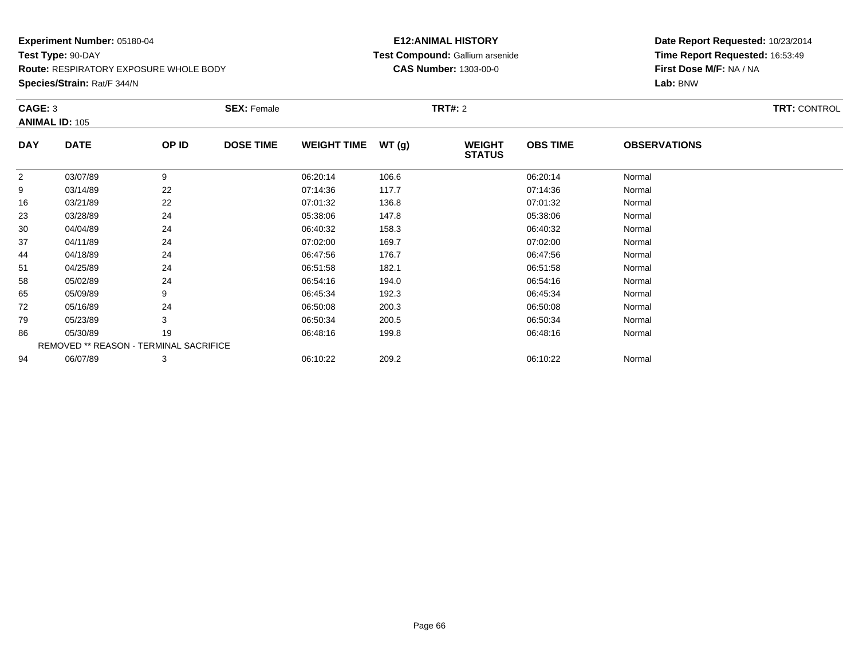**Species/Strain:** Rat/F 344/N

### **E12:ANIMAL HISTORY Test Compound:** Gallium arsenide**CAS Number:** 1303-00-0

| CAGE: 3        | <b>ANIMAL ID: 105</b>                  |       | <b>SEX: Female</b> |                    |       | <b>TRT#: 2</b>                 |                 |                     | <b>TRT: CONTROL</b> |
|----------------|----------------------------------------|-------|--------------------|--------------------|-------|--------------------------------|-----------------|---------------------|---------------------|
| <b>DAY</b>     | <b>DATE</b>                            | OP ID | <b>DOSE TIME</b>   | <b>WEIGHT TIME</b> | WT(g) | <b>WEIGHT</b><br><b>STATUS</b> | <b>OBS TIME</b> | <b>OBSERVATIONS</b> |                     |
| $\overline{2}$ | 03/07/89                               | 9     |                    | 06:20:14           | 106.6 |                                | 06:20:14        | Normal              |                     |
| 9              | 03/14/89                               | 22    |                    | 07:14:36           | 117.7 |                                | 07:14:36        | Normal              |                     |
| 16             | 03/21/89                               | 22    |                    | 07:01:32           | 136.8 |                                | 07:01:32        | Normal              |                     |
| 23             | 03/28/89                               | 24    |                    | 05:38:06           | 147.8 |                                | 05:38:06        | Normal              |                     |
| 30             | 04/04/89                               | 24    |                    | 06:40:32           | 158.3 |                                | 06:40:32        | Normal              |                     |
| 37             | 04/11/89                               | 24    |                    | 07:02:00           | 169.7 |                                | 07:02:00        | Normal              |                     |
| 44             | 04/18/89                               | 24    |                    | 06:47:56           | 176.7 |                                | 06:47:56        | Normal              |                     |
| 51             | 04/25/89                               | 24    |                    | 06:51:58           | 182.1 |                                | 06:51:58        | Normal              |                     |
| 58             | 05/02/89                               | 24    |                    | 06:54:16           | 194.0 |                                | 06:54:16        | Normal              |                     |
| 65             | 05/09/89                               | 9     |                    | 06:45:34           | 192.3 |                                | 06:45:34        | Normal              |                     |
| 72             | 05/16/89                               | 24    |                    | 06:50:08           | 200.3 |                                | 06:50:08        | Normal              |                     |
| 79             | 05/23/89                               | 3     |                    | 06:50:34           | 200.5 |                                | 06:50:34        | Normal              |                     |
| 86             | 05/30/89                               | 19    |                    | 06:48:16           | 199.8 |                                | 06:48:16        | Normal              |                     |
|                | REMOVED ** REASON - TERMINAL SACRIFICE |       |                    |                    |       |                                |                 |                     |                     |
| 94             | 06/07/89                               | 3     |                    | 06:10:22           | 209.2 |                                | 06:10:22        | Normal              |                     |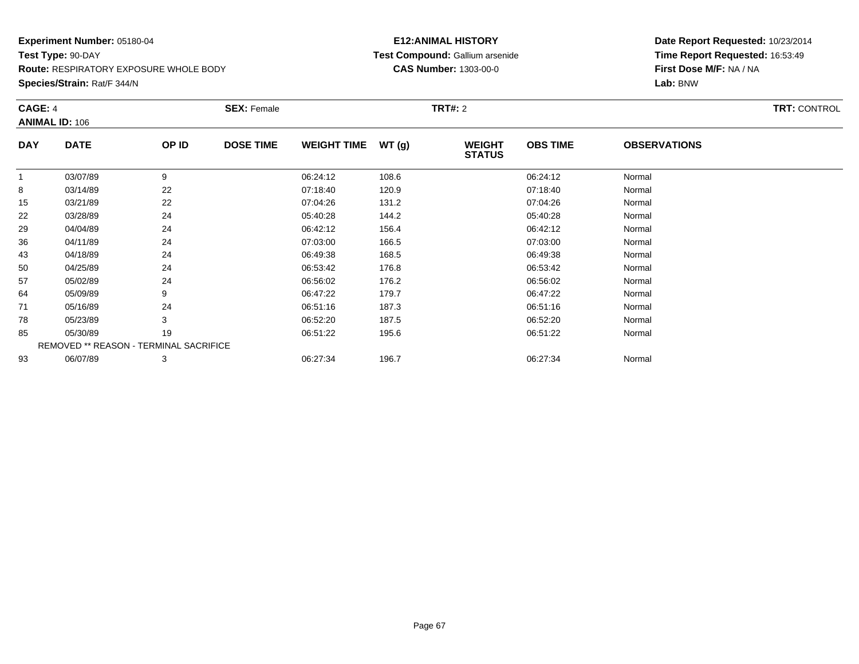**Species/Strain:** Rat/F 344/N

### **E12:ANIMAL HISTORY Test Compound:** Gallium arsenide**CAS Number:** 1303-00-0

| <b>CAGE: 4</b> | <b>ANIMAL ID: 106</b>                  |       | <b>SEX: Female</b> |                    |        | <b>TRT#: 2</b>                 |                 |                     | <b>TRT: CONTROL</b> |
|----------------|----------------------------------------|-------|--------------------|--------------------|--------|--------------------------------|-----------------|---------------------|---------------------|
| <b>DAY</b>     | <b>DATE</b>                            | OP ID | <b>DOSE TIME</b>   | <b>WEIGHT TIME</b> | WT (g) | <b>WEIGHT</b><br><b>STATUS</b> | <b>OBS TIME</b> | <b>OBSERVATIONS</b> |                     |
|                | 03/07/89                               | 9     |                    | 06:24:12           | 108.6  |                                | 06:24:12        | Normal              |                     |
| 8              | 03/14/89                               | 22    |                    | 07:18:40           | 120.9  |                                | 07:18:40        | Normal              |                     |
| 15             | 03/21/89                               | 22    |                    | 07:04:26           | 131.2  |                                | 07:04:26        | Normal              |                     |
| 22             | 03/28/89                               | 24    |                    | 05:40:28           | 144.2  |                                | 05:40:28        | Normal              |                     |
| 29             | 04/04/89                               | 24    |                    | 06:42:12           | 156.4  |                                | 06:42:12        | Normal              |                     |
| 36             | 04/11/89                               | 24    |                    | 07:03:00           | 166.5  |                                | 07:03:00        | Normal              |                     |
| 43             | 04/18/89                               | 24    |                    | 06:49:38           | 168.5  |                                | 06:49:38        | Normal              |                     |
| 50             | 04/25/89                               | 24    |                    | 06:53:42           | 176.8  |                                | 06:53:42        | Normal              |                     |
| 57             | 05/02/89                               | 24    |                    | 06:56:02           | 176.2  |                                | 06:56:02        | Normal              |                     |
| 64             | 05/09/89                               | 9     |                    | 06:47:22           | 179.7  |                                | 06:47:22        | Normal              |                     |
| 71             | 05/16/89                               | 24    |                    | 06:51:16           | 187.3  |                                | 06:51:16        | Normal              |                     |
| 78             | 05/23/89                               | 3     |                    | 06:52:20           | 187.5  |                                | 06:52:20        | Normal              |                     |
| 85             | 05/30/89                               | 19    |                    | 06:51:22           | 195.6  |                                | 06:51:22        | Normal              |                     |
|                | REMOVED ** REASON - TERMINAL SACRIFICE |       |                    |                    |        |                                |                 |                     |                     |
| 93             | 06/07/89                               | 3     |                    | 06:27:34           | 196.7  |                                | 06:27:34        | Normal              |                     |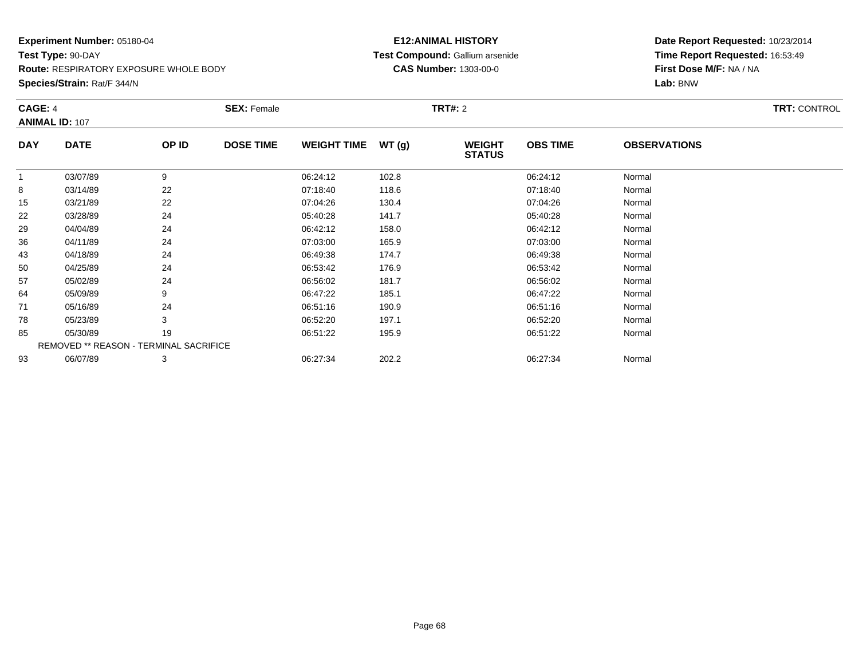**Species/Strain:** Rat/F 344/N

### **E12:ANIMAL HISTORY Test Compound:** Gallium arsenide**CAS Number:** 1303-00-0

| <b>CAGE: 4</b> | <b>ANIMAL ID: 107</b>                  |       | <b>SEX: Female</b> |                    |       | <b>TRT#: 2</b>                 |                 |                     | <b>TRT: CONTROL</b> |
|----------------|----------------------------------------|-------|--------------------|--------------------|-------|--------------------------------|-----------------|---------------------|---------------------|
| <b>DAY</b>     | <b>DATE</b>                            | OP ID | <b>DOSE TIME</b>   | <b>WEIGHT TIME</b> | WT(g) | <b>WEIGHT</b><br><b>STATUS</b> | <b>OBS TIME</b> | <b>OBSERVATIONS</b> |                     |
|                | 03/07/89                               | 9     |                    | 06:24:12           | 102.8 |                                | 06:24:12        | Normal              |                     |
| 8              | 03/14/89                               | 22    |                    | 07:18:40           | 118.6 |                                | 07:18:40        | Normal              |                     |
| 15             | 03/21/89                               | 22    |                    | 07:04:26           | 130.4 |                                | 07:04:26        | Normal              |                     |
| 22             | 03/28/89                               | 24    |                    | 05:40:28           | 141.7 |                                | 05:40:28        | Normal              |                     |
| 29             | 04/04/89                               | 24    |                    | 06:42:12           | 158.0 |                                | 06:42:12        | Normal              |                     |
| 36             | 04/11/89                               | 24    |                    | 07:03:00           | 165.9 |                                | 07:03:00        | Normal              |                     |
| 43             | 04/18/89                               | 24    |                    | 06:49:38           | 174.7 |                                | 06:49:38        | Normal              |                     |
| 50             | 04/25/89                               | 24    |                    | 06:53:42           | 176.9 |                                | 06:53:42        | Normal              |                     |
| 57             | 05/02/89                               | 24    |                    | 06:56:02           | 181.7 |                                | 06:56:02        | Normal              |                     |
| 64             | 05/09/89                               | 9     |                    | 06:47:22           | 185.1 |                                | 06:47:22        | Normal              |                     |
| 71             | 05/16/89                               | 24    |                    | 06:51:16           | 190.9 |                                | 06:51:16        | Normal              |                     |
| 78             | 05/23/89                               | 3     |                    | 06:52:20           | 197.1 |                                | 06:52:20        | Normal              |                     |
| 85             | 05/30/89                               | 19    |                    | 06:51:22           | 195.9 |                                | 06:51:22        | Normal              |                     |
|                | REMOVED ** REASON - TERMINAL SACRIFICE |       |                    |                    |       |                                |                 |                     |                     |
| 93             | 06/07/89                               | 3     |                    | 06:27:34           | 202.2 |                                | 06:27:34        | Normal              |                     |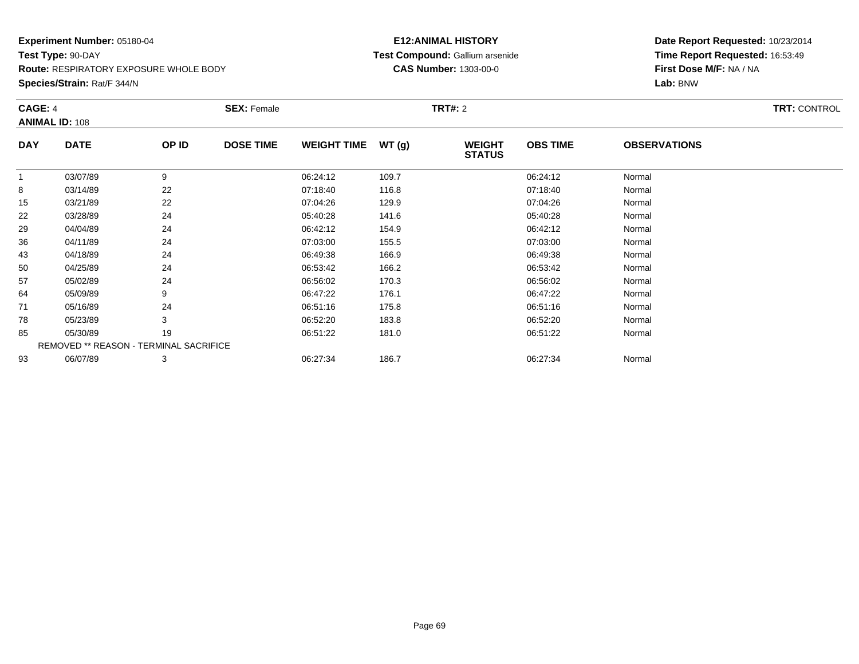**Species/Strain:** Rat/F 344/N

### **E12:ANIMAL HISTORY Test Compound:** Gallium arsenide**CAS Number:** 1303-00-0

| <b>CAGE: 4</b> | <b>ANIMAL ID: 108</b>                  |       | <b>SEX: Female</b> |                    |        | <b>TRT#: 2</b>                 |                 |                     | <b>TRT: CONTROL</b> |
|----------------|----------------------------------------|-------|--------------------|--------------------|--------|--------------------------------|-----------------|---------------------|---------------------|
| <b>DAY</b>     | <b>DATE</b>                            | OP ID | <b>DOSE TIME</b>   | <b>WEIGHT TIME</b> | WT (g) | <b>WEIGHT</b><br><b>STATUS</b> | <b>OBS TIME</b> | <b>OBSERVATIONS</b> |                     |
|                | 03/07/89                               | 9     |                    | 06:24:12           | 109.7  |                                | 06:24:12        | Normal              |                     |
| 8              | 03/14/89                               | 22    |                    | 07:18:40           | 116.8  |                                | 07:18:40        | Normal              |                     |
| 15             | 03/21/89                               | 22    |                    | 07:04:26           | 129.9  |                                | 07:04:26        | Normal              |                     |
| 22             | 03/28/89                               | 24    |                    | 05:40:28           | 141.6  |                                | 05:40:28        | Normal              |                     |
| 29             | 04/04/89                               | 24    |                    | 06:42:12           | 154.9  |                                | 06:42:12        | Normal              |                     |
| 36             | 04/11/89                               | 24    |                    | 07:03:00           | 155.5  |                                | 07:03:00        | Normal              |                     |
| 43             | 04/18/89                               | 24    |                    | 06:49:38           | 166.9  |                                | 06:49:38        | Normal              |                     |
| 50             | 04/25/89                               | 24    |                    | 06:53:42           | 166.2  |                                | 06:53:42        | Normal              |                     |
| 57             | 05/02/89                               | 24    |                    | 06:56:02           | 170.3  |                                | 06:56:02        | Normal              |                     |
| 64             | 05/09/89                               | 9     |                    | 06:47:22           | 176.1  |                                | 06:47:22        | Normal              |                     |
| 71             | 05/16/89                               | 24    |                    | 06:51:16           | 175.8  |                                | 06:51:16        | Normal              |                     |
| 78             | 05/23/89                               | 3     |                    | 06:52:20           | 183.8  |                                | 06:52:20        | Normal              |                     |
| 85             | 05/30/89                               | 19    |                    | 06:51:22           | 181.0  |                                | 06:51:22        | Normal              |                     |
|                | REMOVED ** REASON - TERMINAL SACRIFICE |       |                    |                    |        |                                |                 |                     |                     |
| 93             | 06/07/89                               | 3     |                    | 06:27:34           | 186.7  |                                | 06:27:34        | Normal              |                     |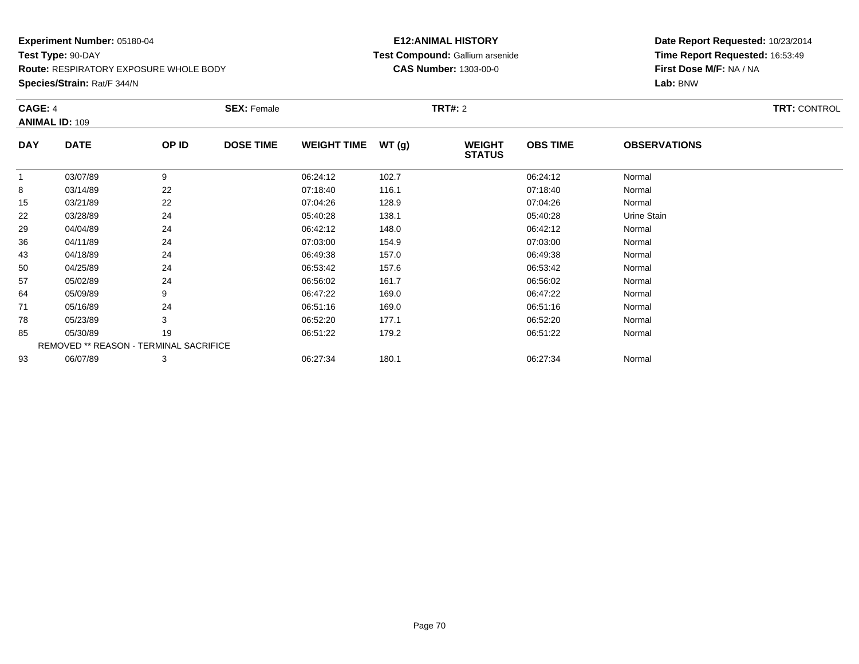**Species/Strain:** Rat/F 344/N

### **E12:ANIMAL HISTORY Test Compound:** Gallium arsenide**CAS Number:** 1303-00-0

| <b>CAGE: 4</b> | <b>ANIMAL ID: 109</b>                  |       | <b>SEX: Female</b> |                    |        | <b>TRT#: 2</b>                 |                 |                     | <b>TRT: CONTROL</b> |
|----------------|----------------------------------------|-------|--------------------|--------------------|--------|--------------------------------|-----------------|---------------------|---------------------|
| <b>DAY</b>     | <b>DATE</b>                            | OP ID | <b>DOSE TIME</b>   | <b>WEIGHT TIME</b> | WT (g) | <b>WEIGHT</b><br><b>STATUS</b> | <b>OBS TIME</b> | <b>OBSERVATIONS</b> |                     |
|                | 03/07/89                               | 9     |                    | 06:24:12           | 102.7  |                                | 06:24:12        | Normal              |                     |
| 8              | 03/14/89                               | 22    |                    | 07:18:40           | 116.1  |                                | 07:18:40        | Normal              |                     |
| 15             | 03/21/89                               | 22    |                    | 07:04:26           | 128.9  |                                | 07:04:26        | Normal              |                     |
| 22             | 03/28/89                               | 24    |                    | 05:40:28           | 138.1  |                                | 05:40:28        | Urine Stain         |                     |
| 29             | 04/04/89                               | 24    |                    | 06:42:12           | 148.0  |                                | 06:42:12        | Normal              |                     |
| 36             | 04/11/89                               | 24    |                    | 07:03:00           | 154.9  |                                | 07:03:00        | Normal              |                     |
| 43             | 04/18/89                               | 24    |                    | 06:49:38           | 157.0  |                                | 06:49:38        | Normal              |                     |
| 50             | 04/25/89                               | 24    |                    | 06:53:42           | 157.6  |                                | 06:53:42        | Normal              |                     |
| 57             | 05/02/89                               | 24    |                    | 06:56:02           | 161.7  |                                | 06:56:02        | Normal              |                     |
| 64             | 05/09/89                               | 9     |                    | 06:47:22           | 169.0  |                                | 06:47:22        | Normal              |                     |
| 71             | 05/16/89                               | 24    |                    | 06:51:16           | 169.0  |                                | 06:51:16        | Normal              |                     |
| 78             | 05/23/89                               | 3     |                    | 06:52:20           | 177.1  |                                | 06:52:20        | Normal              |                     |
| 85             | 05/30/89                               | 19    |                    | 06:51:22           | 179.2  |                                | 06:51:22        | Normal              |                     |
|                | REMOVED ** REASON - TERMINAL SACRIFICE |       |                    |                    |        |                                |                 |                     |                     |
| 93             | 06/07/89                               | 3     |                    | 06:27:34           | 180.1  |                                | 06:27:34        | Normal              |                     |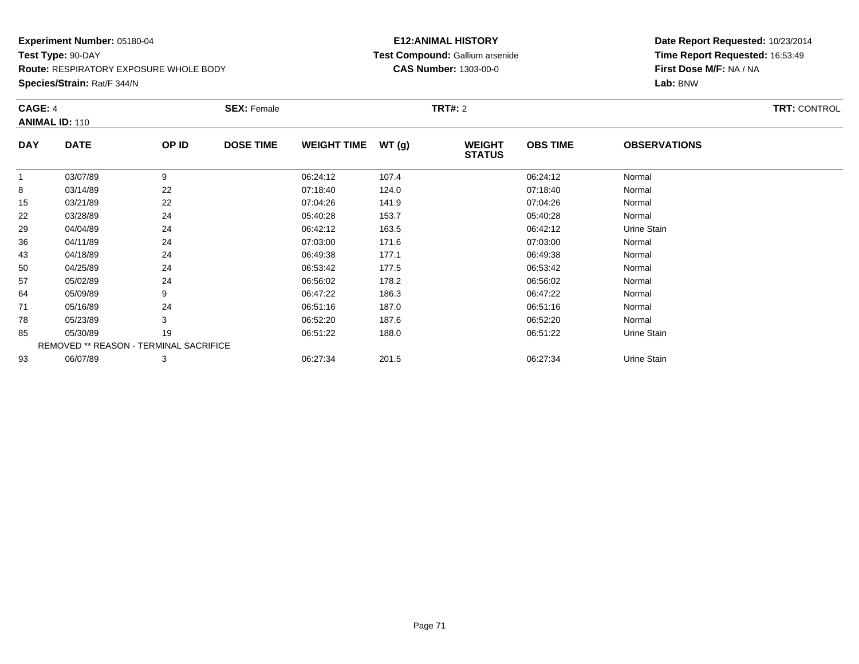**Species/Strain:** Rat/F 344/N

### **E12:ANIMAL HISTORY Test Compound:** Gallium arsenide**CAS Number:** 1303-00-0

| CAGE: 4    | <b>ANIMAL ID: 110</b>                  |       | <b>SEX: Female</b> |                    |       | <b>TRT#: 2</b>                 |                 |                     | <b>TRT: CONTROL</b> |
|------------|----------------------------------------|-------|--------------------|--------------------|-------|--------------------------------|-----------------|---------------------|---------------------|
| <b>DAY</b> | <b>DATE</b>                            | OP ID | <b>DOSE TIME</b>   | <b>WEIGHT TIME</b> | WT(g) | <b>WEIGHT</b><br><b>STATUS</b> | <b>OBS TIME</b> | <b>OBSERVATIONS</b> |                     |
|            | 03/07/89                               | 9     |                    | 06:24:12           | 107.4 |                                | 06:24:12        | Normal              |                     |
| 8          | 03/14/89                               | 22    |                    | 07:18:40           | 124.0 |                                | 07:18:40        | Normal              |                     |
| 15         | 03/21/89                               | 22    |                    | 07:04:26           | 141.9 |                                | 07:04:26        | Normal              |                     |
| 22         | 03/28/89                               | 24    |                    | 05:40:28           | 153.7 |                                | 05:40:28        | Normal              |                     |
| 29         | 04/04/89                               | 24    |                    | 06:42:12           | 163.5 |                                | 06:42:12        | Urine Stain         |                     |
| 36         | 04/11/89                               | 24    |                    | 07:03:00           | 171.6 |                                | 07:03:00        | Normal              |                     |
| 43         | 04/18/89                               | 24    |                    | 06:49:38           | 177.1 |                                | 06:49:38        | Normal              |                     |
| 50         | 04/25/89                               | 24    |                    | 06:53:42           | 177.5 |                                | 06:53:42        | Normal              |                     |
| 57         | 05/02/89                               | 24    |                    | 06:56:02           | 178.2 |                                | 06:56:02        | Normal              |                     |
| 64         | 05/09/89                               | 9     |                    | 06:47:22           | 186.3 |                                | 06:47:22        | Normal              |                     |
| 71         | 05/16/89                               | 24    |                    | 06:51:16           | 187.0 |                                | 06:51:16        | Normal              |                     |
| 78         | 05/23/89                               | 3     |                    | 06:52:20           | 187.6 |                                | 06:52:20        | Normal              |                     |
| 85         | 05/30/89                               | 19    |                    | 06:51:22           | 188.0 |                                | 06:51:22        | Urine Stain         |                     |
|            | REMOVED ** REASON - TERMINAL SACRIFICE |       |                    |                    |       |                                |                 |                     |                     |
| 93         | 06/07/89                               | 3     |                    | 06:27:34           | 201.5 |                                | 06:27:34        | Urine Stain         |                     |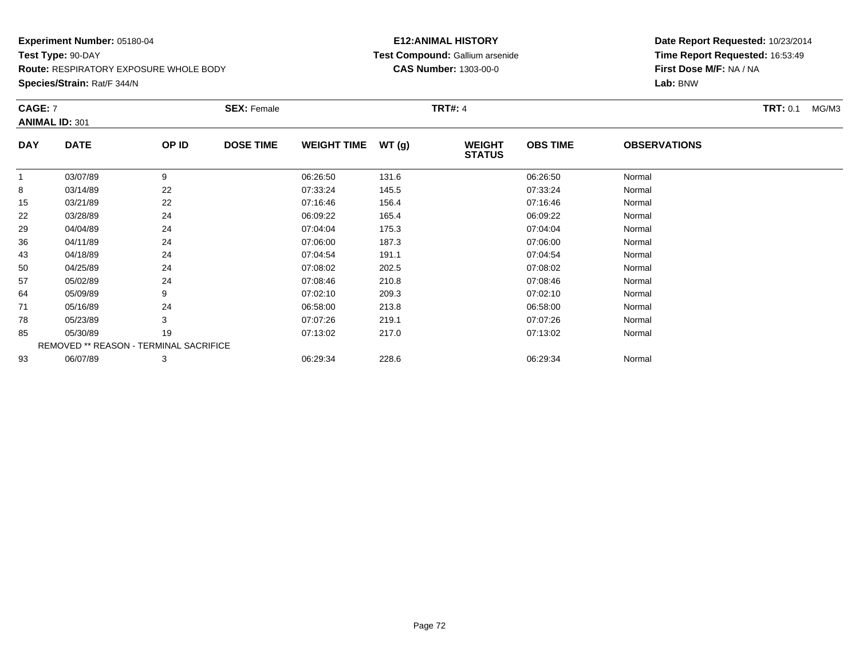**Species/Strain:** Rat/F 344/N

### **E12:ANIMAL HISTORY Test Compound:** Gallium arsenide**CAS Number:** 1303-00-0

| CAGE: 7    | <b>ANIMAL ID: 301</b>                  |       | <b>SEX: Female</b> |                    |        | <b>TRT#: 4</b>                 |                 |                     | <b>TRT: 0.1</b><br>MG/M3 |
|------------|----------------------------------------|-------|--------------------|--------------------|--------|--------------------------------|-----------------|---------------------|--------------------------|
| <b>DAY</b> | <b>DATE</b>                            | OP ID | <b>DOSE TIME</b>   | <b>WEIGHT TIME</b> | WT (g) | <b>WEIGHT</b><br><b>STATUS</b> | <b>OBS TIME</b> | <b>OBSERVATIONS</b> |                          |
|            | 03/07/89                               | 9     |                    | 06:26:50           | 131.6  |                                | 06:26:50        | Normal              |                          |
| 8          | 03/14/89                               | 22    |                    | 07:33:24           | 145.5  |                                | 07:33:24        | Normal              |                          |
| 15         | 03/21/89                               | 22    |                    | 07:16:46           | 156.4  |                                | 07:16:46        | Normal              |                          |
| 22         | 03/28/89                               | 24    |                    | 06:09:22           | 165.4  |                                | 06:09:22        | Normal              |                          |
| 29         | 04/04/89                               | 24    |                    | 07:04:04           | 175.3  |                                | 07:04:04        | Normal              |                          |
| 36         | 04/11/89                               | 24    |                    | 07:06:00           | 187.3  |                                | 07:06:00        | Normal              |                          |
| 43         | 04/18/89                               | 24    |                    | 07:04:54           | 191.1  |                                | 07:04:54        | Normal              |                          |
| 50         | 04/25/89                               | 24    |                    | 07:08:02           | 202.5  |                                | 07:08:02        | Normal              |                          |
| 57         | 05/02/89                               | 24    |                    | 07:08:46           | 210.8  |                                | 07:08:46        | Normal              |                          |
| 64         | 05/09/89                               | 9     |                    | 07:02:10           | 209.3  |                                | 07:02:10        | Normal              |                          |
| 71         | 05/16/89                               | 24    |                    | 06:58:00           | 213.8  |                                | 06:58:00        | Normal              |                          |
| 78         | 05/23/89                               | 3     |                    | 07:07:26           | 219.1  |                                | 07:07:26        | Normal              |                          |
| 85         | 05/30/89                               | 19    |                    | 07:13:02           | 217.0  |                                | 07:13:02        | Normal              |                          |
|            | REMOVED ** REASON - TERMINAL SACRIFICE |       |                    |                    |        |                                |                 |                     |                          |
| 93         | 06/07/89                               | 3     |                    | 06:29:34           | 228.6  |                                | 06:29:34        | Normal              |                          |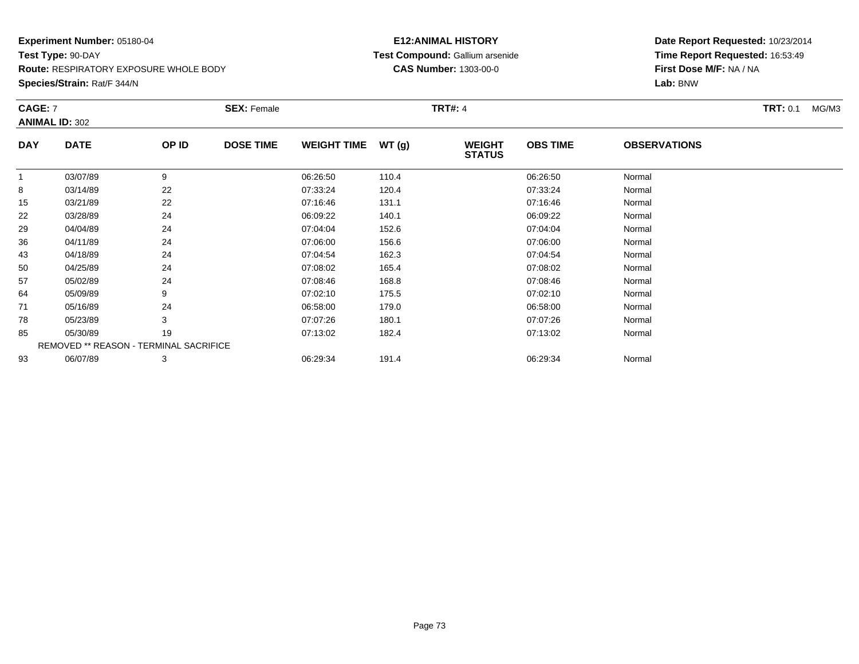**Species/Strain:** Rat/F 344/N

# **E12:ANIMAL HISTORY Test Compound:** Gallium arsenide**CAS Number:** 1303-00-0

| CAGE: 7     |                       | <b>SEX: Female</b> |                                        |       |                                |                 |                     | <b>TRT:</b> 0.1<br>MG/M3 |
|-------------|-----------------------|--------------------|----------------------------------------|-------|--------------------------------|-----------------|---------------------|--------------------------|
|             |                       |                    |                                        |       |                                |                 |                     |                          |
| <b>DATE</b> | OP ID                 | <b>DOSE TIME</b>   |                                        | WT(g) | <b>WEIGHT</b><br><b>STATUS</b> | <b>OBS TIME</b> | <b>OBSERVATIONS</b> |                          |
| 03/07/89    | 9                     |                    | 06:26:50                               | 110.4 |                                | 06:26:50        | Normal              |                          |
| 03/14/89    | 22                    |                    | 07:33:24                               | 120.4 |                                | 07:33:24        | Normal              |                          |
| 03/21/89    | 22                    |                    | 07:16:46                               | 131.1 |                                | 07:16:46        | Normal              |                          |
| 03/28/89    | 24                    |                    | 06:09:22                               | 140.1 |                                | 06:09:22        | Normal              |                          |
| 04/04/89    | 24                    |                    | 07:04:04                               | 152.6 |                                | 07:04:04        | Normal              |                          |
| 04/11/89    | 24                    |                    | 07:06:00                               | 156.6 |                                | 07:06:00        | Normal              |                          |
| 04/18/89    | 24                    |                    | 07:04:54                               | 162.3 |                                | 07:04:54        | Normal              |                          |
| 04/25/89    | 24                    |                    | 07:08:02                               | 165.4 |                                | 07:08:02        | Normal              |                          |
| 05/02/89    | 24                    |                    | 07:08:46                               | 168.8 |                                | 07:08:46        | Normal              |                          |
| 05/09/89    | 9                     |                    | 07:02:10                               | 175.5 |                                | 07:02:10        | Normal              |                          |
| 05/16/89    | 24                    |                    | 06:58:00                               | 179.0 |                                | 06:58:00        | Normal              |                          |
| 05/23/89    | 3                     |                    | 07:07:26                               | 180.1 |                                | 07:07:26        | Normal              |                          |
| 05/30/89    | 19                    |                    | 07:13:02                               | 182.4 |                                | 07:13:02        | Normal              |                          |
|             |                       |                    |                                        |       |                                |                 |                     |                          |
| 06/07/89    | 3                     |                    | 06:29:34                               | 191.4 |                                | 06:29:34        | Normal              |                          |
|             | <b>ANIMAL ID: 302</b> |                    | REMOVED ** REASON - TERMINAL SACRIFICE |       | <b>WEIGHT TIME</b>             | <b>TRT#: 4</b>  |                     |                          |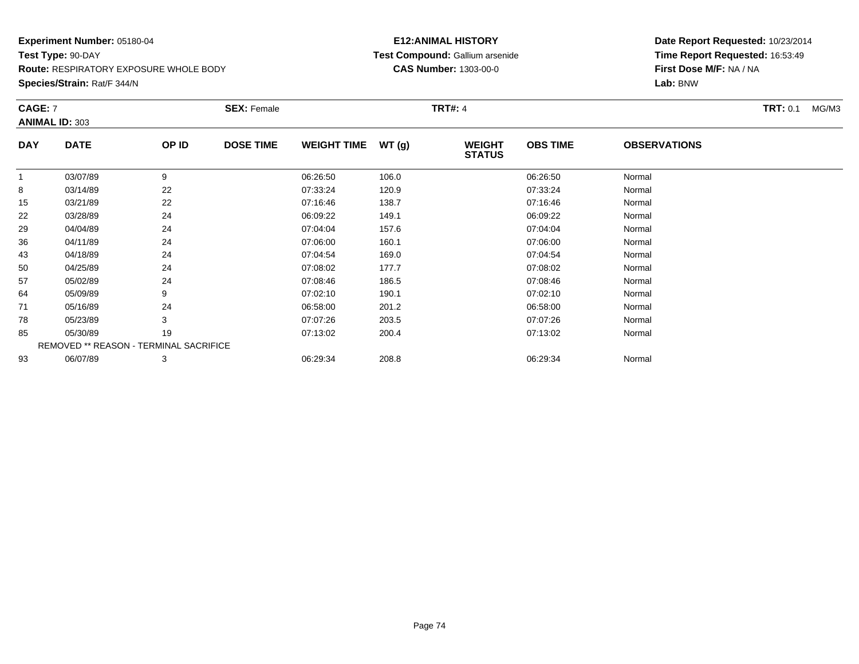**Species/Strain:** Rat/F 344/N

# **E12:ANIMAL HISTORY Test Compound:** Gallium arsenide**CAS Number:** 1303-00-0

| <b>CAGE: 7</b> | <b>ANIMAL ID: 303</b>                  |       | <b>SEX: Female</b> |                    |       | <b>TRT#: 4</b>                 |                 |                     | <b>TRT:</b> 0.1<br>MG/M3 |
|----------------|----------------------------------------|-------|--------------------|--------------------|-------|--------------------------------|-----------------|---------------------|--------------------------|
| <b>DAY</b>     | <b>DATE</b>                            | OP ID | <b>DOSE TIME</b>   | <b>WEIGHT TIME</b> | WT(g) | <b>WEIGHT</b><br><b>STATUS</b> | <b>OBS TIME</b> | <b>OBSERVATIONS</b> |                          |
|                | 03/07/89                               | 9     |                    | 06:26:50           | 106.0 |                                | 06:26:50        | Normal              |                          |
| 8              | 03/14/89                               | 22    |                    | 07:33:24           | 120.9 |                                | 07:33:24        | Normal              |                          |
| 15             | 03/21/89                               | 22    |                    | 07:16:46           | 138.7 |                                | 07:16:46        | Normal              |                          |
| 22             | 03/28/89                               | 24    |                    | 06:09:22           | 149.1 |                                | 06:09:22        | Normal              |                          |
| 29             | 04/04/89                               | 24    |                    | 07:04:04           | 157.6 |                                | 07:04:04        | Normal              |                          |
| 36             | 04/11/89                               | 24    |                    | 07:06:00           | 160.1 |                                | 07:06:00        | Normal              |                          |
| 43             | 04/18/89                               | 24    |                    | 07:04:54           | 169.0 |                                | 07:04:54        | Normal              |                          |
| 50             | 04/25/89                               | 24    |                    | 07:08:02           | 177.7 |                                | 07:08:02        | Normal              |                          |
| 57             | 05/02/89                               | 24    |                    | 07:08:46           | 186.5 |                                | 07:08:46        | Normal              |                          |
| 64             | 05/09/89                               | 9     |                    | 07:02:10           | 190.1 |                                | 07:02:10        | Normal              |                          |
| 71             | 05/16/89                               | 24    |                    | 06:58:00           | 201.2 |                                | 06:58:00        | Normal              |                          |
| 78             | 05/23/89                               | 3     |                    | 07:07:26           | 203.5 |                                | 07:07:26        | Normal              |                          |
| 85             | 05/30/89                               | 19    |                    | 07:13:02           | 200.4 |                                | 07:13:02        | Normal              |                          |
|                | REMOVED ** REASON - TERMINAL SACRIFICE |       |                    |                    |       |                                |                 |                     |                          |
| 93             | 06/07/89                               | 3     |                    | 06:29:34           | 208.8 |                                | 06:29:34        | Normal              |                          |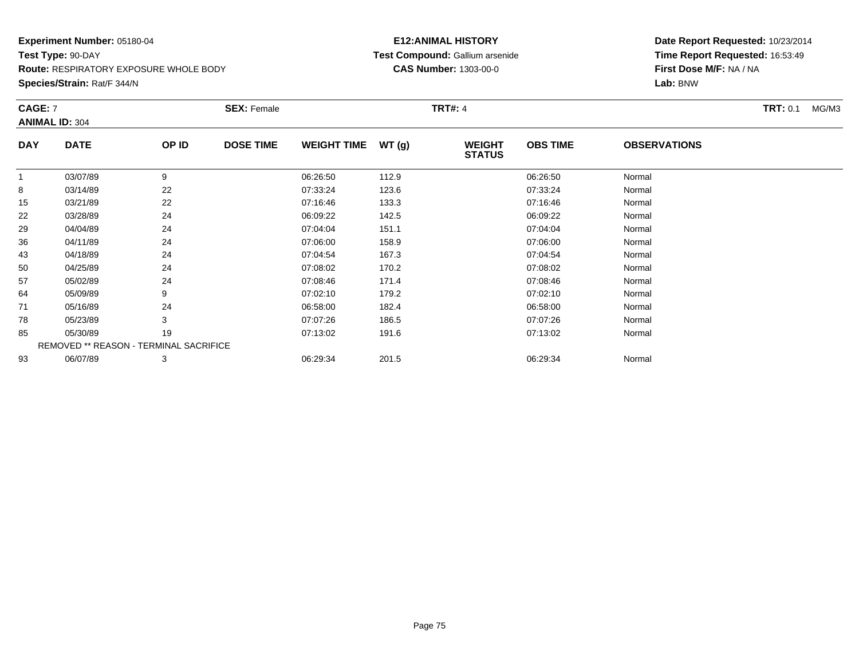# **E12:ANIMAL HISTORY Test Compound:** Gallium arsenide**CAS Number:** 1303-00-0

**Date Report Requested:** 10/23/2014 **Time Report Requested:** 16:53:49**First Dose M/F:** NA / NA**Lab:** BNW

| <b>CAGE: 7</b> | <b>ANIMAL ID: 304</b>                         |       | <b>SEX: Female</b> |                    |       | <b>TRT#: 4</b>                 |                 |                     | <b>TRT:</b> 0.1<br>MG/M3 |
|----------------|-----------------------------------------------|-------|--------------------|--------------------|-------|--------------------------------|-----------------|---------------------|--------------------------|
| <b>DAY</b>     | <b>DATE</b>                                   | OP ID | <b>DOSE TIME</b>   | <b>WEIGHT TIME</b> | WT(g) | <b>WEIGHT</b><br><b>STATUS</b> | <b>OBS TIME</b> | <b>OBSERVATIONS</b> |                          |
|                | 03/07/89                                      | 9     |                    | 06:26:50           | 112.9 |                                | 06:26:50        | Normal              |                          |
| 8              | 03/14/89                                      | 22    |                    | 07:33:24           | 123.6 |                                | 07:33:24        | Normal              |                          |
| 15             | 03/21/89                                      | 22    |                    | 07:16:46           | 133.3 |                                | 07:16:46        | Normal              |                          |
| 22             | 03/28/89                                      | 24    |                    | 06:09:22           | 142.5 |                                | 06:09:22        | Normal              |                          |
| 29             | 04/04/89                                      | 24    |                    | 07:04:04           | 151.1 |                                | 07:04:04        | Normal              |                          |
| 36             | 04/11/89                                      | 24    |                    | 07:06:00           | 158.9 |                                | 07:06:00        | Normal              |                          |
| 43             | 04/18/89                                      | 24    |                    | 07:04:54           | 167.3 |                                | 07:04:54        | Normal              |                          |
| 50             | 04/25/89                                      | 24    |                    | 07:08:02           | 170.2 |                                | 07:08:02        | Normal              |                          |
| 57             | 05/02/89                                      | 24    |                    | 07:08:46           | 171.4 |                                | 07:08:46        | Normal              |                          |
| 64             | 05/09/89                                      | 9     |                    | 07:02:10           | 179.2 |                                | 07:02:10        | Normal              |                          |
| 71             | 05/16/89                                      | 24    |                    | 06:58:00           | 182.4 |                                | 06:58:00        | Normal              |                          |
| 78             | 05/23/89                                      | 3     |                    | 07:07:26           | 186.5 |                                | 07:07:26        | Normal              |                          |
| 85             | 05/30/89                                      | 19    |                    | 07:13:02           | 191.6 |                                | 07:13:02        | Normal              |                          |
|                | <b>REMOVED ** REASON - TERMINAL SACRIFICE</b> |       |                    |                    |       |                                |                 |                     |                          |
| 93             | 06/07/89                                      | 3     |                    | 06:29:34           | 201.5 |                                | 06:29:34        | Normal              |                          |

**Species/Strain:** Rat/F 344/N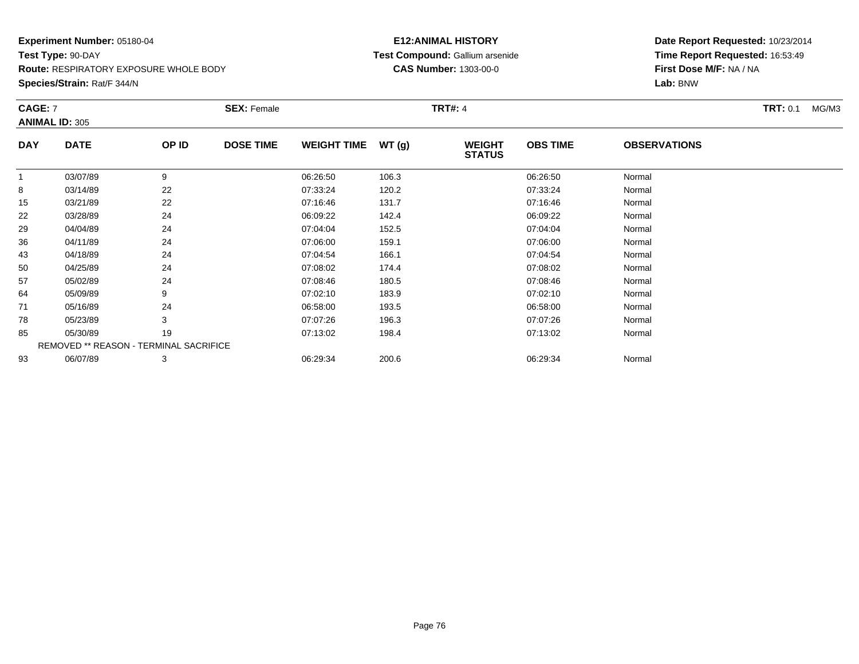**Species/Strain:** Rat/F 344/N

# **E12:ANIMAL HISTORY Test Compound:** Gallium arsenide**CAS Number:** 1303-00-0

| <b>CAGE: 7</b> | <b>ANIMAL ID: 305</b>                  |       | <b>SEX: Female</b> |                    |       | <b>TRT#: 4</b>                 |                 |                     | <b>TRT:</b> 0.1<br>MG/M3 |
|----------------|----------------------------------------|-------|--------------------|--------------------|-------|--------------------------------|-----------------|---------------------|--------------------------|
| <b>DAY</b>     | <b>DATE</b>                            | OP ID | <b>DOSE TIME</b>   | <b>WEIGHT TIME</b> | WT(g) | <b>WEIGHT</b><br><b>STATUS</b> | <b>OBS TIME</b> | <b>OBSERVATIONS</b> |                          |
|                | 03/07/89                               | 9     |                    | 06:26:50           | 106.3 |                                | 06:26:50        | Normal              |                          |
| 8              | 03/14/89                               | 22    |                    | 07:33:24           | 120.2 |                                | 07:33:24        | Normal              |                          |
| 15             | 03/21/89                               | 22    |                    | 07:16:46           | 131.7 |                                | 07:16:46        | Normal              |                          |
| 22             | 03/28/89                               | 24    |                    | 06:09:22           | 142.4 |                                | 06:09:22        | Normal              |                          |
| 29             | 04/04/89                               | 24    |                    | 07:04:04           | 152.5 |                                | 07:04:04        | Normal              |                          |
| 36             | 04/11/89                               | 24    |                    | 07:06:00           | 159.1 |                                | 07:06:00        | Normal              |                          |
| 43             | 04/18/89                               | 24    |                    | 07:04:54           | 166.1 |                                | 07:04:54        | Normal              |                          |
| 50             | 04/25/89                               | 24    |                    | 07:08:02           | 174.4 |                                | 07:08:02        | Normal              |                          |
| 57             | 05/02/89                               | 24    |                    | 07:08:46           | 180.5 |                                | 07:08:46        | Normal              |                          |
| 64             | 05/09/89                               | 9     |                    | 07:02:10           | 183.9 |                                | 07:02:10        | Normal              |                          |
| 71             | 05/16/89                               | 24    |                    | 06:58:00           | 193.5 |                                | 06:58:00        | Normal              |                          |
| 78             | 05/23/89                               | 3     |                    | 07:07:26           | 196.3 |                                | 07:07:26        | Normal              |                          |
| 85             | 05/30/89                               | 19    |                    | 07:13:02           | 198.4 |                                | 07:13:02        | Normal              |                          |
|                | REMOVED ** REASON - TERMINAL SACRIFICE |       |                    |                    |       |                                |                 |                     |                          |
| 93             | 06/07/89                               | 3     |                    | 06:29:34           | 200.6 |                                | 06:29:34        | Normal              |                          |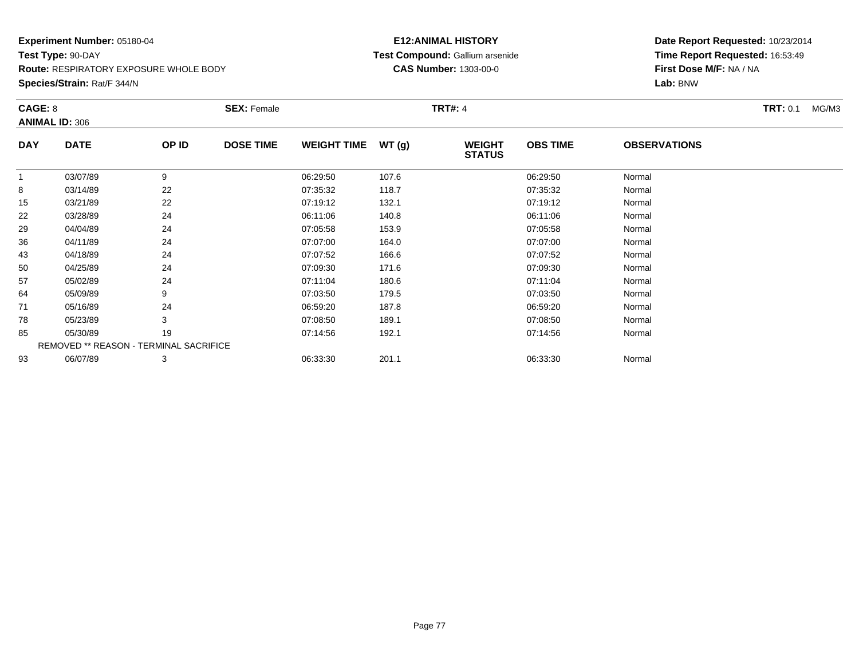**Species/Strain:** Rat/F 344/N

# **E12:ANIMAL HISTORY Test Compound:** Gallium arsenide**CAS Number:** 1303-00-0

| CAGE: 8    | <b>ANIMAL ID: 306</b>                  |       | <b>SEX: Female</b> |                    |       | <b>TRT#: 4</b>                 |                 |                     | <b>TRT:</b> 0.1<br>MG/M3 |
|------------|----------------------------------------|-------|--------------------|--------------------|-------|--------------------------------|-----------------|---------------------|--------------------------|
| <b>DAY</b> | <b>DATE</b>                            | OP ID | <b>DOSE TIME</b>   | <b>WEIGHT TIME</b> | WT(g) | <b>WEIGHT</b><br><b>STATUS</b> | <b>OBS TIME</b> | <b>OBSERVATIONS</b> |                          |
|            | 03/07/89                               | 9     |                    | 06:29:50           | 107.6 |                                | 06:29:50        | Normal              |                          |
| 8          | 03/14/89                               | 22    |                    | 07:35:32           | 118.7 |                                | 07:35:32        | Normal              |                          |
| 15         | 03/21/89                               | 22    |                    | 07:19:12           | 132.1 |                                | 07:19:12        | Normal              |                          |
| 22         | 03/28/89                               | 24    |                    | 06:11:06           | 140.8 |                                | 06:11:06        | Normal              |                          |
| 29         | 04/04/89                               | 24    |                    | 07:05:58           | 153.9 |                                | 07:05:58        | Normal              |                          |
| 36         | 04/11/89                               | 24    |                    | 07:07:00           | 164.0 |                                | 07:07:00        | Normal              |                          |
| 43         | 04/18/89                               | 24    |                    | 07:07:52           | 166.6 |                                | 07:07:52        | Normal              |                          |
| 50         | 04/25/89                               | 24    |                    | 07:09:30           | 171.6 |                                | 07:09:30        | Normal              |                          |
| 57         | 05/02/89                               | 24    |                    | 07:11:04           | 180.6 |                                | 07:11:04        | Normal              |                          |
| 64         | 05/09/89                               | 9     |                    | 07:03:50           | 179.5 |                                | 07:03:50        | Normal              |                          |
| 71         | 05/16/89                               | 24    |                    | 06:59:20           | 187.8 |                                | 06:59:20        | Normal              |                          |
| 78         | 05/23/89                               | 3     |                    | 07:08:50           | 189.1 |                                | 07:08:50        | Normal              |                          |
| 85         | 05/30/89                               | 19    |                    | 07:14:56           | 192.1 |                                | 07:14:56        | Normal              |                          |
|            | REMOVED ** REASON - TERMINAL SACRIFICE |       |                    |                    |       |                                |                 |                     |                          |
| 93         | 06/07/89                               | 3     |                    | 06:33:30           | 201.1 |                                | 06:33:30        | Normal              |                          |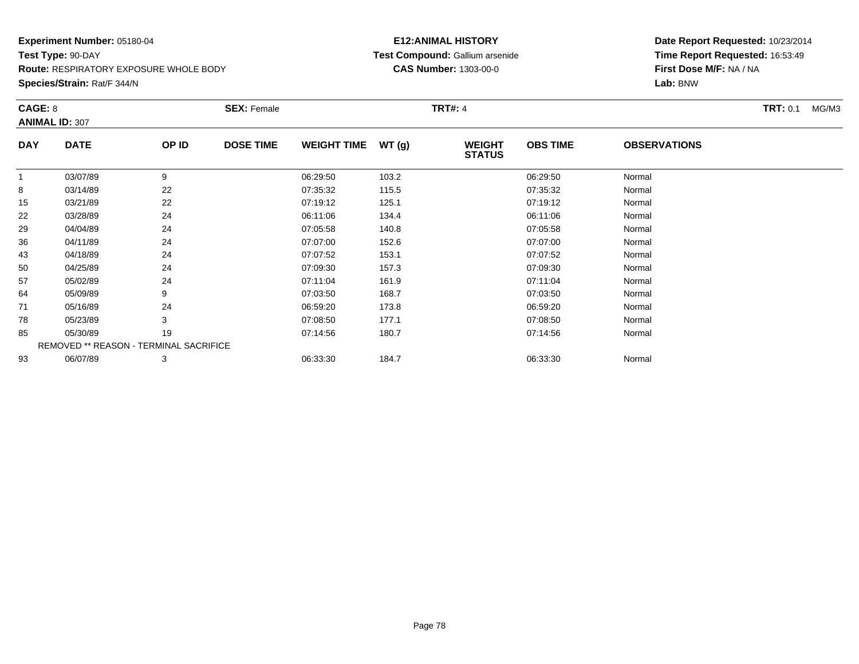**Species/Strain:** Rat/F 344/N

# **E12:ANIMAL HISTORY Test Compound:** Gallium arsenide**CAS Number:** 1303-00-0

| CAGE: 8    |                                        |       | <b>SEX: Female</b> |                    |       | <b>TRT#: 4</b>                 |                 |                     | <b>TRT: 0.1</b><br>MG/M3 |
|------------|----------------------------------------|-------|--------------------|--------------------|-------|--------------------------------|-----------------|---------------------|--------------------------|
|            | <b>ANIMAL ID: 307</b>                  |       |                    |                    |       |                                |                 |                     |                          |
| <b>DAY</b> | <b>DATE</b>                            | OP ID | <b>DOSE TIME</b>   | <b>WEIGHT TIME</b> | WT(g) | <b>WEIGHT</b><br><b>STATUS</b> | <b>OBS TIME</b> | <b>OBSERVATIONS</b> |                          |
|            | 03/07/89                               | 9     |                    | 06:29:50           | 103.2 |                                | 06:29:50        | Normal              |                          |
| 8          | 03/14/89                               | 22    |                    | 07:35:32           | 115.5 |                                | 07:35:32        | Normal              |                          |
| 15         | 03/21/89                               | 22    |                    | 07:19:12           | 125.1 |                                | 07:19:12        | Normal              |                          |
| 22         | 03/28/89                               | 24    |                    | 06:11:06           | 134.4 |                                | 06:11:06        | Normal              |                          |
| 29         | 04/04/89                               | 24    |                    | 07:05:58           | 140.8 |                                | 07:05:58        | Normal              |                          |
| 36         | 04/11/89                               | 24    |                    | 07:07:00           | 152.6 |                                | 07:07:00        | Normal              |                          |
| 43         | 04/18/89                               | 24    |                    | 07:07:52           | 153.1 |                                | 07:07:52        | Normal              |                          |
| 50         | 04/25/89                               | 24    |                    | 07:09:30           | 157.3 |                                | 07:09:30        | Normal              |                          |
| 57         | 05/02/89                               | 24    |                    | 07:11:04           | 161.9 |                                | 07:11:04        | Normal              |                          |
| 64         | 05/09/89                               | 9     |                    | 07:03:50           | 168.7 |                                | 07:03:50        | Normal              |                          |
| 71         | 05/16/89                               | 24    |                    | 06:59:20           | 173.8 |                                | 06:59:20        | Normal              |                          |
| 78         | 05/23/89                               | 3     |                    | 07:08:50           | 177.1 |                                | 07:08:50        | Normal              |                          |
| 85         | 05/30/89                               | 19    |                    | 07:14:56           | 180.7 |                                | 07:14:56        | Normal              |                          |
|            | REMOVED ** REASON - TERMINAL SACRIFICE |       |                    |                    |       |                                |                 |                     |                          |
| 93         | 06/07/89                               | 3     |                    | 06:33:30           | 184.7 |                                | 06:33:30        | Normal              |                          |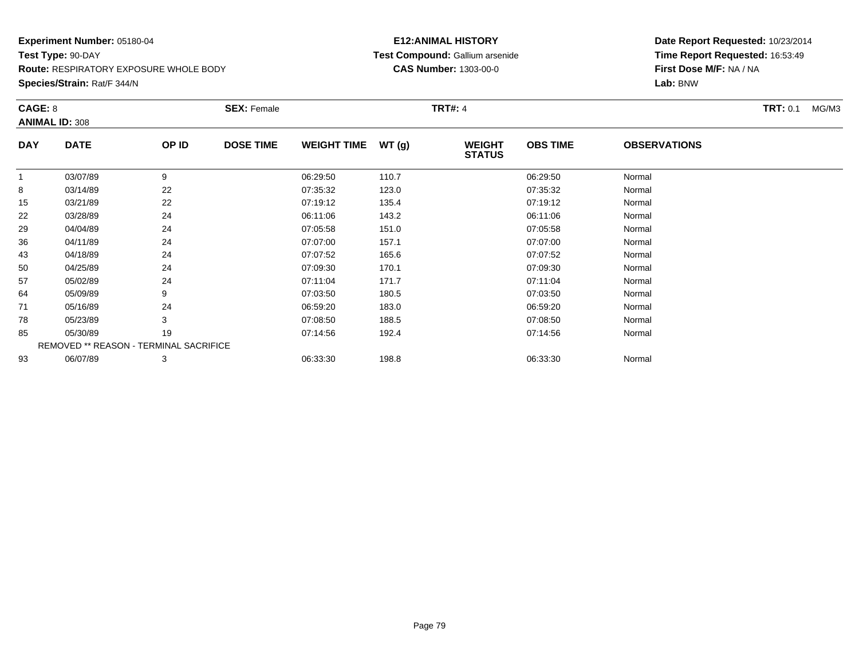**Species/Strain:** Rat/F 344/N

# **E12:ANIMAL HISTORY Test Compound:** Gallium arsenide**CAS Number:** 1303-00-0

| CAGE: 8    | <b>ANIMAL ID: 308</b>                         |       | <b>SEX: Female</b> |                    |       | <b>TRT#: 4</b>                 |                 |                     | <b>TRT: 0.1</b><br>MG/M3 |
|------------|-----------------------------------------------|-------|--------------------|--------------------|-------|--------------------------------|-----------------|---------------------|--------------------------|
| <b>DAY</b> | <b>DATE</b>                                   | OP ID | <b>DOSE TIME</b>   | <b>WEIGHT TIME</b> | WT(g) | <b>WEIGHT</b><br><b>STATUS</b> | <b>OBS TIME</b> | <b>OBSERVATIONS</b> |                          |
| 1          | 03/07/89                                      | 9     |                    | 06:29:50           | 110.7 |                                | 06:29:50        | Normal              |                          |
| 8          | 03/14/89                                      | 22    |                    | 07:35:32           | 123.0 |                                | 07:35:32        | Normal              |                          |
| 15         | 03/21/89                                      | 22    |                    | 07:19:12           | 135.4 |                                | 07:19:12        | Normal              |                          |
| 22         | 03/28/89                                      | 24    |                    | 06:11:06           | 143.2 |                                | 06:11:06        | Normal              |                          |
| 29         | 04/04/89                                      | 24    |                    | 07:05:58           | 151.0 |                                | 07:05:58        | Normal              |                          |
| 36         | 04/11/89                                      | 24    |                    | 07:07:00           | 157.1 |                                | 07:07:00        | Normal              |                          |
| 43         | 04/18/89                                      | 24    |                    | 07:07:52           | 165.6 |                                | 07:07:52        | Normal              |                          |
| 50         | 04/25/89                                      | 24    |                    | 07:09:30           | 170.1 |                                | 07:09:30        | Normal              |                          |
| 57         | 05/02/89                                      | 24    |                    | 07:11:04           | 171.7 |                                | 07:11:04        | Normal              |                          |
| 64         | 05/09/89                                      | 9     |                    | 07:03:50           | 180.5 |                                | 07:03:50        | Normal              |                          |
| 71         | 05/16/89                                      | 24    |                    | 06:59:20           | 183.0 |                                | 06:59:20        | Normal              |                          |
| 78         | 05/23/89                                      | 3     |                    | 07:08:50           | 188.5 |                                | 07:08:50        | Normal              |                          |
| 85         | 05/30/89                                      | 19    |                    | 07:14:56           | 192.4 |                                | 07:14:56        | Normal              |                          |
|            | <b>REMOVED ** REASON - TERMINAL SACRIFICE</b> |       |                    |                    |       |                                |                 |                     |                          |
| 93         | 06/07/89                                      | 3     |                    | 06:33:30           | 198.8 |                                | 06:33:30        | Normal              |                          |
|            |                                               |       |                    |                    |       |                                |                 |                     |                          |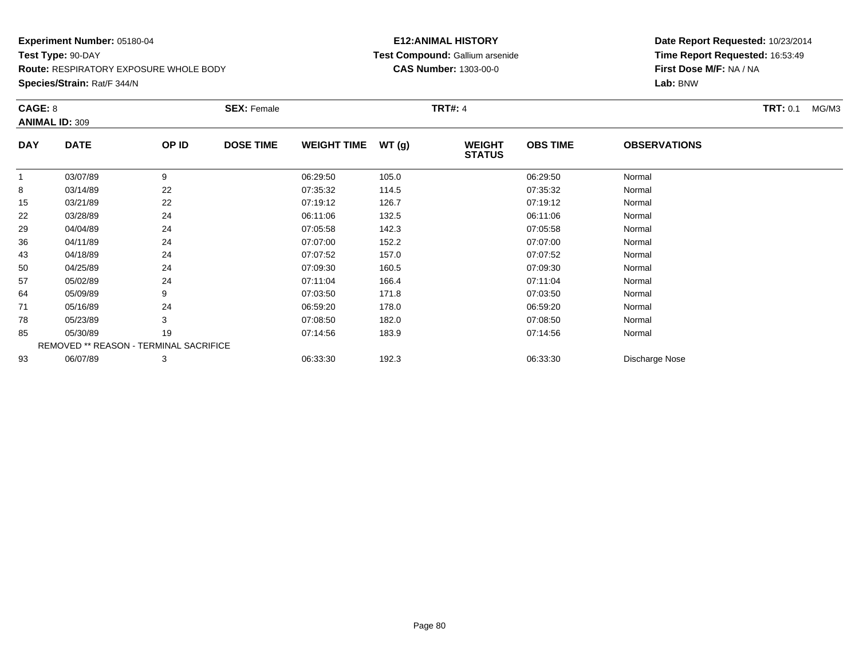# **E12:ANIMAL HISTORY Test Compound:** Gallium arsenide**CAS Number:** 1303-00-0

**Date Report Requested:** 10/23/2014 **Time Report Requested:** 16:53:49**First Dose M/F:** NA / NA**Lab:** BNW

| CAGE: 8    |                                        |       | <b>SEX: Female</b> |                    |       | <b>TRT#: 4</b>                 |                 |                     | <b>TRT: 0.1</b><br>MG/M3 |
|------------|----------------------------------------|-------|--------------------|--------------------|-------|--------------------------------|-----------------|---------------------|--------------------------|
|            | <b>ANIMAL ID: 309</b>                  |       |                    |                    |       |                                |                 |                     |                          |
| <b>DAY</b> | <b>DATE</b>                            | OP ID | <b>DOSE TIME</b>   | <b>WEIGHT TIME</b> | WT(g) | <b>WEIGHT</b><br><b>STATUS</b> | <b>OBS TIME</b> | <b>OBSERVATIONS</b> |                          |
|            | 03/07/89                               | 9     |                    | 06:29:50           | 105.0 |                                | 06:29:50        | Normal              |                          |
| 8          | 03/14/89                               | 22    |                    | 07:35:32           | 114.5 |                                | 07:35:32        | Normal              |                          |
| 15         | 03/21/89                               | 22    |                    | 07:19:12           | 126.7 |                                | 07:19:12        | Normal              |                          |
| 22         | 03/28/89                               | 24    |                    | 06:11:06           | 132.5 |                                | 06:11:06        | Normal              |                          |
| 29         | 04/04/89                               | 24    |                    | 07:05:58           | 142.3 |                                | 07:05:58        | Normal              |                          |
| 36         | 04/11/89                               | 24    |                    | 07:07:00           | 152.2 |                                | 07:07:00        | Normal              |                          |
| 43         | 04/18/89                               | 24    |                    | 07:07:52           | 157.0 |                                | 07:07:52        | Normal              |                          |
| 50         | 04/25/89                               | 24    |                    | 07:09:30           | 160.5 |                                | 07:09:30        | Normal              |                          |
| 57         | 05/02/89                               | 24    |                    | 07:11:04           | 166.4 |                                | 07:11:04        | Normal              |                          |
| 64         | 05/09/89                               | 9     |                    | 07:03:50           | 171.8 |                                | 07:03:50        | Normal              |                          |
| 71         | 05/16/89                               | 24    |                    | 06:59:20           | 178.0 |                                | 06:59:20        | Normal              |                          |
| 78         | 05/23/89                               | 3     |                    | 07:08:50           | 182.0 |                                | 07:08:50        | Normal              |                          |
| 85         | 05/30/89                               | 19    |                    | 07:14:56           | 183.9 |                                | 07:14:56        | Normal              |                          |
|            | REMOVED ** REASON - TERMINAL SACRIFICE |       |                    |                    |       |                                |                 |                     |                          |
| 93         | 06/07/89                               | 3     |                    | 06:33:30           | 192.3 |                                | 06:33:30        | Discharge Nose      |                          |

**Species/Strain:** Rat/F 344/N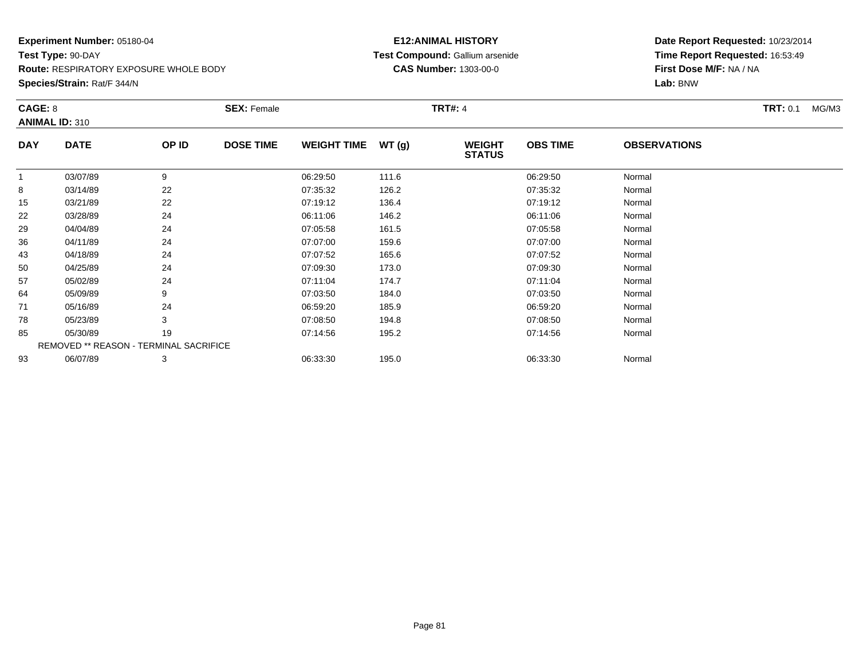**Species/Strain:** Rat/F 344/N

# **E12:ANIMAL HISTORY Test Compound:** Gallium arsenide**CAS Number:** 1303-00-0

| CAGE: 8    | <b>ANIMAL ID: 310</b>                  |       | <b>SEX: Female</b> |                    |       | <b>TRT#: 4</b>                 |                 |                     | <b>TRT:</b> 0.1<br>MG/M3 |
|------------|----------------------------------------|-------|--------------------|--------------------|-------|--------------------------------|-----------------|---------------------|--------------------------|
| <b>DAY</b> | <b>DATE</b>                            | OP ID | <b>DOSE TIME</b>   | <b>WEIGHT TIME</b> | WT(g) | <b>WEIGHT</b><br><b>STATUS</b> | <b>OBS TIME</b> | <b>OBSERVATIONS</b> |                          |
|            | 03/07/89                               | 9     |                    | 06:29:50           | 111.6 |                                | 06:29:50        | Normal              |                          |
| 8          | 03/14/89                               | 22    |                    | 07:35:32           | 126.2 |                                | 07:35:32        | Normal              |                          |
| 15         | 03/21/89                               | 22    |                    | 07:19:12           | 136.4 |                                | 07:19:12        | Normal              |                          |
| 22         | 03/28/89                               | 24    |                    | 06:11:06           | 146.2 |                                | 06:11:06        | Normal              |                          |
| 29         | 04/04/89                               | 24    |                    | 07:05:58           | 161.5 |                                | 07:05:58        | Normal              |                          |
| 36         | 04/11/89                               | 24    |                    | 07:07:00           | 159.6 |                                | 07:07:00        | Normal              |                          |
| 43         | 04/18/89                               | 24    |                    | 07:07:52           | 165.6 |                                | 07:07:52        | Normal              |                          |
| 50         | 04/25/89                               | 24    |                    | 07:09:30           | 173.0 |                                | 07:09:30        | Normal              |                          |
| 57         | 05/02/89                               | 24    |                    | 07:11:04           | 174.7 |                                | 07:11:04        | Normal              |                          |
| 64         | 05/09/89                               | 9     |                    | 07:03:50           | 184.0 |                                | 07:03:50        | Normal              |                          |
| 71         | 05/16/89                               | 24    |                    | 06:59:20           | 185.9 |                                | 06:59:20        | Normal              |                          |
| 78         | 05/23/89                               | 3     |                    | 07:08:50           | 194.8 |                                | 07:08:50        | Normal              |                          |
| 85         | 05/30/89                               | 19    |                    | 07:14:56           | 195.2 |                                | 07:14:56        | Normal              |                          |
|            | REMOVED ** REASON - TERMINAL SACRIFICE |       |                    |                    |       |                                |                 |                     |                          |
| 93         | 06/07/89                               | 3     |                    | 06:33:30           | 195.0 |                                | 06:33:30        | Normal              |                          |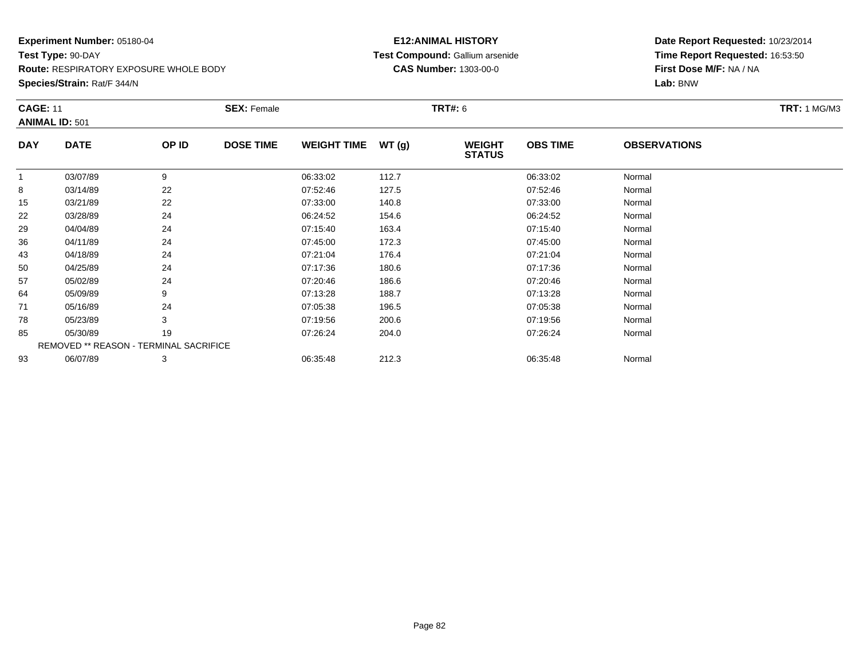**Species/Strain:** Rat/F 344/N

# **E12:ANIMAL HISTORY Test Compound:** Gallium arsenide**CAS Number:** 1303-00-0

|              | <b>CAGE: 11</b><br><b>ANIMAL ID: 501</b> |       | <b>SEX: Female</b> |                    |       |                                | <b>TRT#: 6</b>  |                     |  |  |
|--------------|------------------------------------------|-------|--------------------|--------------------|-------|--------------------------------|-----------------|---------------------|--|--|
| <b>DAY</b>   | <b>DATE</b>                              | OP ID | <b>DOSE TIME</b>   | <b>WEIGHT TIME</b> | WT(g) | <b>WEIGHT</b><br><b>STATUS</b> | <b>OBS TIME</b> | <b>OBSERVATIONS</b> |  |  |
| $\mathbf{1}$ | 03/07/89                                 | 9     |                    | 06:33:02           | 112.7 |                                | 06:33:02        | Normal              |  |  |
| 8            | 03/14/89                                 | 22    |                    | 07:52:46           | 127.5 |                                | 07:52:46        | Normal              |  |  |
| 15           | 03/21/89                                 | 22    |                    | 07:33:00           | 140.8 |                                | 07:33:00        | Normal              |  |  |
| 22           | 03/28/89                                 | 24    |                    | 06:24:52           | 154.6 |                                | 06:24:52        | Normal              |  |  |
| 29           | 04/04/89                                 | 24    |                    | 07:15:40           | 163.4 |                                | 07:15:40        | Normal              |  |  |
| 36           | 04/11/89                                 | 24    |                    | 07:45:00           | 172.3 |                                | 07:45:00        | Normal              |  |  |
| 43           | 04/18/89                                 | 24    |                    | 07:21:04           | 176.4 |                                | 07:21:04        | Normal              |  |  |
| 50           | 04/25/89                                 | 24    |                    | 07:17:36           | 180.6 |                                | 07:17:36        | Normal              |  |  |
| 57           | 05/02/89                                 | 24    |                    | 07:20:46           | 186.6 |                                | 07:20:46        | Normal              |  |  |
| 64           | 05/09/89                                 | 9     |                    | 07:13:28           | 188.7 |                                | 07:13:28        | Normal              |  |  |
| 71           | 05/16/89                                 | 24    |                    | 07:05:38           | 196.5 |                                | 07:05:38        | Normal              |  |  |
| 78           | 05/23/89                                 | 3     |                    | 07:19:56           | 200.6 |                                | 07:19:56        | Normal              |  |  |
| 85           | 05/30/89                                 | 19    |                    | 07:26:24           | 204.0 |                                | 07:26:24        | Normal              |  |  |
|              | REMOVED ** REASON - TERMINAL SACRIFICE   |       |                    |                    |       |                                |                 |                     |  |  |
| 93           | 06/07/89                                 | 3     |                    | 06:35:48           | 212.3 |                                | 06:35:48        | Normal              |  |  |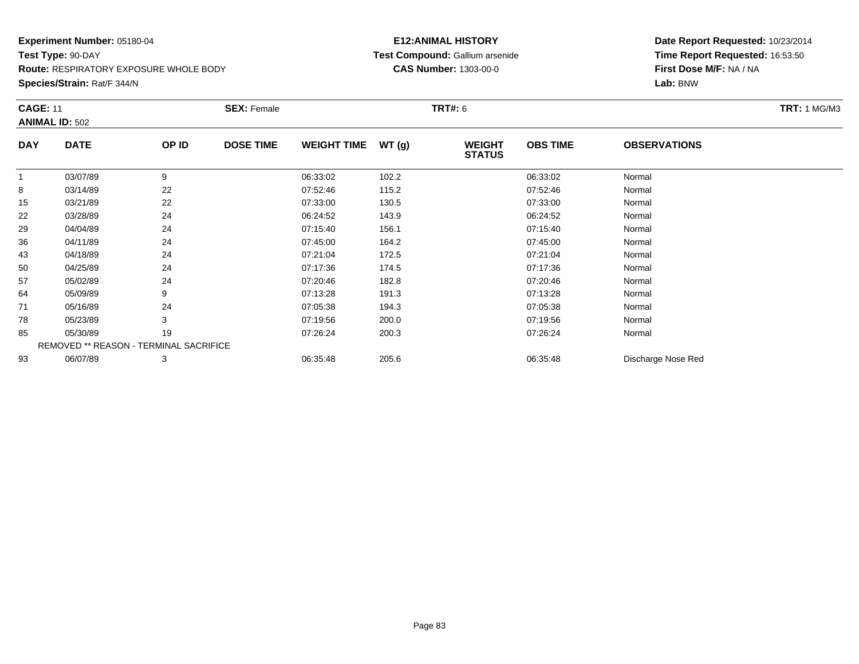# **Experiment Number:** 05180-04**Test Type:** 90-DAY

**Route:** RESPIRATORY EXPOSURE WHOLE BODY

**Species/Strain:** Rat/F 344/N

# **E12:ANIMAL HISTORY Test Compound:** Gallium arsenide**CAS Number:** 1303-00-0

| <b>CAGE: 11</b> |                                        | <b>SEX: Female</b> | <b>TRT#:</b> 6   |                    |       |                                |                 |                     |  |
|-----------------|----------------------------------------|--------------------|------------------|--------------------|-------|--------------------------------|-----------------|---------------------|--|
|                 | <b>ANIMAL ID: 502</b>                  |                    |                  |                    |       |                                |                 |                     |  |
| <b>DAY</b>      | <b>DATE</b>                            | OP ID              | <b>DOSE TIME</b> | <b>WEIGHT TIME</b> | WT(g) | <b>WEIGHT</b><br><b>STATUS</b> | <b>OBS TIME</b> | <b>OBSERVATIONS</b> |  |
| 1               | 03/07/89                               | 9                  |                  | 06:33:02           | 102.2 |                                | 06:33:02        | Normal              |  |
| 8               | 03/14/89                               | 22                 |                  | 07:52:46           | 115.2 |                                | 07:52:46        | Normal              |  |
| 15              | 03/21/89                               | 22                 |                  | 07:33:00           | 130.5 |                                | 07:33:00        | Normal              |  |
| 22              | 03/28/89                               | 24                 |                  | 06:24:52           | 143.9 |                                | 06:24:52        | Normal              |  |
| 29              | 04/04/89                               | 24                 |                  | 07:15:40           | 156.1 |                                | 07:15:40        | Normal              |  |
| 36              | 04/11/89                               | 24                 |                  | 07:45:00           | 164.2 |                                | 07:45:00        | Normal              |  |
| 43              | 04/18/89                               | 24                 |                  | 07:21:04           | 172.5 |                                | 07:21:04        | Normal              |  |
| 50              | 04/25/89                               | 24                 |                  | 07:17:36           | 174.5 |                                | 07:17:36        | Normal              |  |
| 57              | 05/02/89                               | 24                 |                  | 07:20:46           | 182.8 |                                | 07:20:46        | Normal              |  |
| 64              | 05/09/89                               | 9                  |                  | 07:13:28           | 191.3 |                                | 07:13:28        | Normal              |  |
| 71              | 05/16/89                               | 24                 |                  | 07:05:38           | 194.3 |                                | 07:05:38        | Normal              |  |
| 78              | 05/23/89                               | 3                  |                  | 07:19:56           | 200.0 |                                | 07:19:56        | Normal              |  |
| 85              | 05/30/89                               | 19                 |                  | 07:26:24           | 200.3 |                                | 07:26:24        | Normal              |  |
|                 | REMOVED ** REASON - TERMINAL SACRIFICE |                    |                  |                    |       |                                |                 |                     |  |
| 93              | 06/07/89                               | 3                  |                  | 06:35:48           | 205.6 |                                | 06:35:48        | Discharge Nose Red  |  |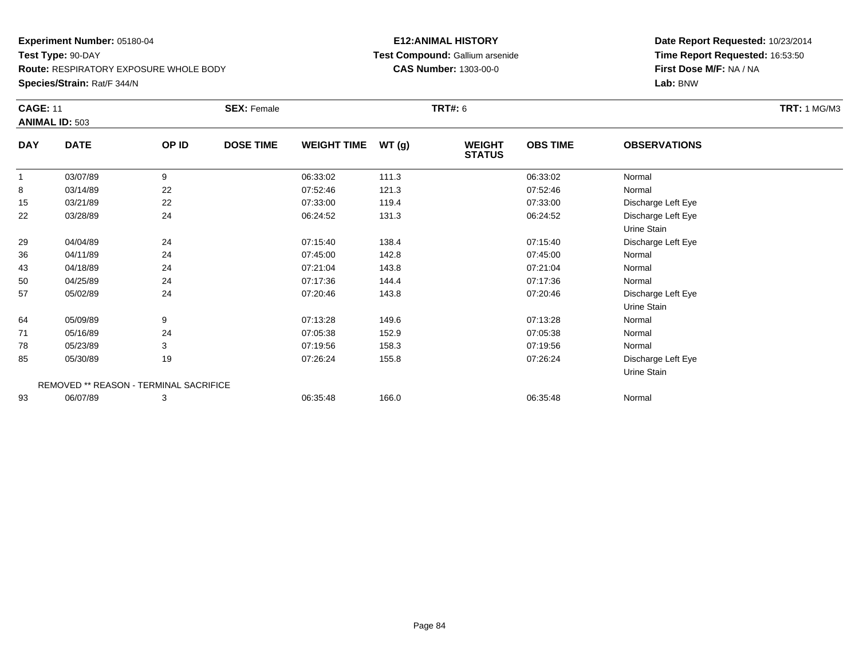**Species/Strain:** Rat/F 344/N

# **E12:ANIMAL HISTORY Test Compound:** Gallium arsenide**CAS Number:** 1303-00-0

| <b>CAGE: 11</b> | <b>ANIMAL ID: 503</b>                  |       | <b>SEX: Female</b> |                    |       | <b>TRT#: 6</b>                 |                 |                     | <b>TRT: 1 MG/M3</b> |
|-----------------|----------------------------------------|-------|--------------------|--------------------|-------|--------------------------------|-----------------|---------------------|---------------------|
| <b>DAY</b>      | <b>DATE</b>                            | OP ID | <b>DOSE TIME</b>   | <b>WEIGHT TIME</b> | WT(g) | <b>WEIGHT</b><br><b>STATUS</b> | <b>OBS TIME</b> | <b>OBSERVATIONS</b> |                     |
| $\overline{1}$  | 03/07/89                               | 9     |                    | 06:33:02           | 111.3 |                                | 06:33:02        | Normal              |                     |
| 8               | 03/14/89                               | 22    |                    | 07:52:46           | 121.3 |                                | 07:52:46        | Normal              |                     |
| 15              | 03/21/89                               | 22    |                    | 07:33:00           | 119.4 |                                | 07:33:00        | Discharge Left Eye  |                     |
| 22              | 03/28/89                               | 24    |                    | 06:24:52           | 131.3 |                                | 06:24:52        | Discharge Left Eye  |                     |
|                 |                                        |       |                    |                    |       |                                |                 | Urine Stain         |                     |
| 29              | 04/04/89                               | 24    |                    | 07:15:40           | 138.4 |                                | 07:15:40        | Discharge Left Eye  |                     |
| 36              | 04/11/89                               | 24    |                    | 07:45:00           | 142.8 |                                | 07:45:00        | Normal              |                     |
| 43              | 04/18/89                               | 24    |                    | 07:21:04           | 143.8 |                                | 07:21:04        | Normal              |                     |
| 50              | 04/25/89                               | 24    |                    | 07:17:36           | 144.4 |                                | 07:17:36        | Normal              |                     |
| 57              | 05/02/89                               | 24    |                    | 07:20:46           | 143.8 |                                | 07:20:46        | Discharge Left Eye  |                     |
|                 |                                        |       |                    |                    |       |                                |                 | Urine Stain         |                     |
| 64              | 05/09/89                               | 9     |                    | 07:13:28           | 149.6 |                                | 07:13:28        | Normal              |                     |
| 71              | 05/16/89                               | 24    |                    | 07:05:38           | 152.9 |                                | 07:05:38        | Normal              |                     |
| 78              | 05/23/89                               | 3     |                    | 07:19:56           | 158.3 |                                | 07:19:56        | Normal              |                     |
| 85              | 05/30/89                               | 19    |                    | 07:26:24           | 155.8 |                                | 07:26:24        | Discharge Left Eye  |                     |
|                 |                                        |       |                    |                    |       |                                |                 | Urine Stain         |                     |
|                 | REMOVED ** REASON - TERMINAL SACRIFICE |       |                    |                    |       |                                |                 |                     |                     |
| 93              | 06/07/89                               | 3     |                    | 06:35:48           | 166.0 |                                | 06:35:48        | Normal              |                     |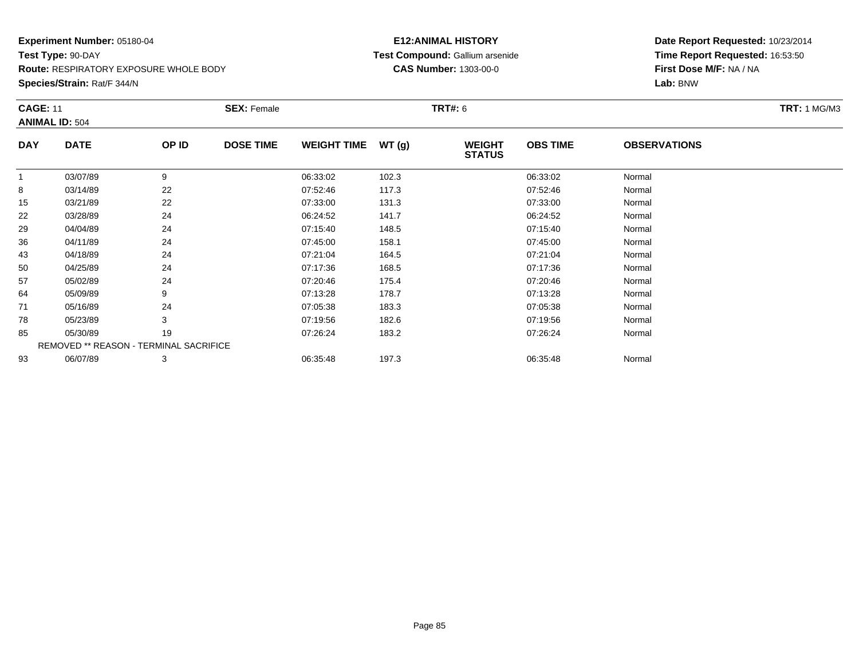**Species/Strain:** Rat/F 344/N

# **E12:ANIMAL HISTORY Test Compound:** Gallium arsenide**CAS Number:** 1303-00-0

| <b>CAGE: 11</b> | <b>ANIMAL ID: 504</b>                         |       | <b>SEX: Female</b> |                    |       | TRT#: 6                        |                 |                     | <b>TRT:</b> 1 MG/M3 |
|-----------------|-----------------------------------------------|-------|--------------------|--------------------|-------|--------------------------------|-----------------|---------------------|---------------------|
| <b>DAY</b>      | <b>DATE</b>                                   | OP ID | <b>DOSE TIME</b>   | <b>WEIGHT TIME</b> | WT(g) | <b>WEIGHT</b><br><b>STATUS</b> | <b>OBS TIME</b> | <b>OBSERVATIONS</b> |                     |
|                 | 03/07/89                                      | 9     |                    | 06:33:02           | 102.3 |                                | 06:33:02        | Normal              |                     |
| 8               | 03/14/89                                      | 22    |                    | 07:52:46           | 117.3 |                                | 07:52:46        | Normal              |                     |
| 15              | 03/21/89                                      | 22    |                    | 07:33:00           | 131.3 |                                | 07:33:00        | Normal              |                     |
| 22              | 03/28/89                                      | 24    |                    | 06:24:52           | 141.7 |                                | 06:24:52        | Normal              |                     |
| 29              | 04/04/89                                      | 24    |                    | 07:15:40           | 148.5 |                                | 07:15:40        | Normal              |                     |
| 36              | 04/11/89                                      | 24    |                    | 07:45:00           | 158.1 |                                | 07:45:00        | Normal              |                     |
| 43              | 04/18/89                                      | 24    |                    | 07:21:04           | 164.5 |                                | 07:21:04        | Normal              |                     |
| 50              | 04/25/89                                      | 24    |                    | 07:17:36           | 168.5 |                                | 07:17:36        | Normal              |                     |
| 57              | 05/02/89                                      | 24    |                    | 07:20:46           | 175.4 |                                | 07:20:46        | Normal              |                     |
| 64              | 05/09/89                                      | 9     |                    | 07:13:28           | 178.7 |                                | 07:13:28        | Normal              |                     |
| 71              | 05/16/89                                      | 24    |                    | 07:05:38           | 183.3 |                                | 07:05:38        | Normal              |                     |
| 78              | 05/23/89                                      | 3     |                    | 07:19:56           | 182.6 |                                | 07:19:56        | Normal              |                     |
| 85              | 05/30/89                                      | 19    |                    | 07:26:24           | 183.2 |                                | 07:26:24        | Normal              |                     |
|                 | <b>REMOVED ** REASON - TERMINAL SACRIFICE</b> |       |                    |                    |       |                                |                 |                     |                     |
| 93              | 06/07/89                                      | 3     |                    | 06:35:48           | 197.3 |                                | 06:35:48        | Normal              |                     |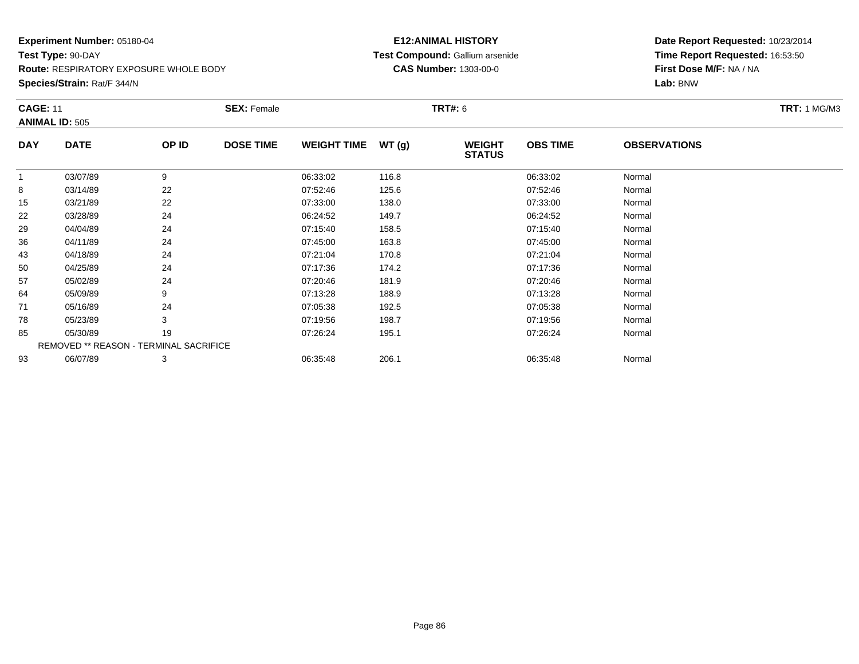# **Experiment Number:** 05180-04**Test Type:** 90-DAY

**Route:** RESPIRATORY EXPOSURE WHOLE BODY

**Species/Strain:** Rat/F 344/N

# **E12:ANIMAL HISTORY Test Compound:** Gallium arsenide**CAS Number:** 1303-00-0

| <b>CAGE: 11</b> | <b>ANIMAL ID: 505</b>                         |       | <b>SEX: Female</b> |                    |       | TRT#: 6                        |                 |                     | <b>TRT:</b> 1 MG/M3 |
|-----------------|-----------------------------------------------|-------|--------------------|--------------------|-------|--------------------------------|-----------------|---------------------|---------------------|
| <b>DAY</b>      | <b>DATE</b>                                   | OP ID | <b>DOSE TIME</b>   | <b>WEIGHT TIME</b> | WT(g) | <b>WEIGHT</b><br><b>STATUS</b> | <b>OBS TIME</b> | <b>OBSERVATIONS</b> |                     |
|                 | 03/07/89                                      | 9     |                    | 06:33:02           | 116.8 |                                | 06:33:02        | Normal              |                     |
| 8               | 03/14/89                                      | 22    |                    | 07:52:46           | 125.6 |                                | 07:52:46        | Normal              |                     |
| 15              | 03/21/89                                      | 22    |                    | 07:33:00           | 138.0 |                                | 07:33:00        | Normal              |                     |
| 22              | 03/28/89                                      | 24    |                    | 06:24:52           | 149.7 |                                | 06:24:52        | Normal              |                     |
| 29              | 04/04/89                                      | 24    |                    | 07:15:40           | 158.5 |                                | 07:15:40        | Normal              |                     |
| 36              | 04/11/89                                      | 24    |                    | 07:45:00           | 163.8 |                                | 07:45:00        | Normal              |                     |
| 43              | 04/18/89                                      | 24    |                    | 07:21:04           | 170.8 |                                | 07:21:04        | Normal              |                     |
| 50              | 04/25/89                                      | 24    |                    | 07:17:36           | 174.2 |                                | 07:17:36        | Normal              |                     |
| 57              | 05/02/89                                      | 24    |                    | 07:20:46           | 181.9 |                                | 07:20:46        | Normal              |                     |
| 64              | 05/09/89                                      | 9     |                    | 07:13:28           | 188.9 |                                | 07:13:28        | Normal              |                     |
| 71              | 05/16/89                                      | 24    |                    | 07:05:38           | 192.5 |                                | 07:05:38        | Normal              |                     |
| 78              | 05/23/89                                      | 3     |                    | 07:19:56           | 198.7 |                                | 07:19:56        | Normal              |                     |
| 85              | 05/30/89                                      | 19    |                    | 07:26:24           | 195.1 |                                | 07:26:24        | Normal              |                     |
|                 | <b>REMOVED ** REASON - TERMINAL SACRIFICE</b> |       |                    |                    |       |                                |                 |                     |                     |
| 93              | 06/07/89                                      | 3     |                    | 06:35:48           | 206.1 |                                | 06:35:48        | Normal              |                     |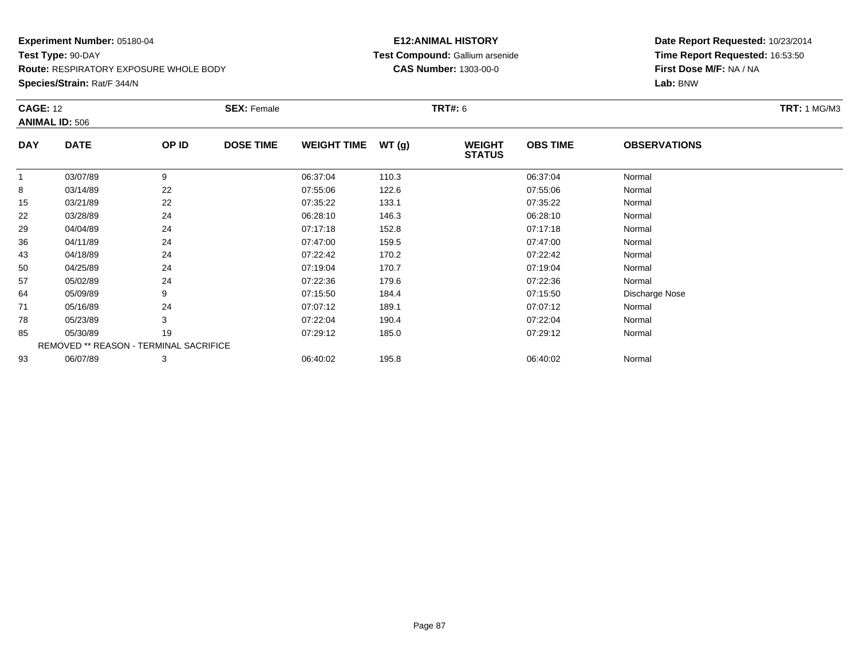**Species/Strain:** Rat/F 344/N

# **E12:ANIMAL HISTORY Test Compound:** Gallium arsenide**CAS Number:** 1303-00-0

|                                                                                |          |                  |                                                                     |                      |                                |                 |                     | <b>TRT:</b> 1 MG/M3 |
|--------------------------------------------------------------------------------|----------|------------------|---------------------------------------------------------------------|----------------------|--------------------------------|-----------------|---------------------|---------------------|
| <b>CAGE: 12</b><br><b>ANIMAL ID: 506</b><br><b>DATE</b><br><b>DAY</b><br>OP ID |          | <b>DOSE TIME</b> | <b>WEIGHT TIME</b>                                                  | WT(g)                | <b>WEIGHT</b><br><b>STATUS</b> | <b>OBS TIME</b> | <b>OBSERVATIONS</b> |                     |
|                                                                                |          |                  |                                                                     |                      |                                |                 |                     |                     |
| 03/14/89                                                                       | 22       |                  |                                                                     |                      |                                | 07:55:06        | Normal              |                     |
| 03/21/89                                                                       | 22       |                  | 07:35:22                                                            | 133.1                |                                | 07:35:22        | Normal              |                     |
| 03/28/89                                                                       | 24       |                  | 06:28:10                                                            | 146.3                |                                | 06:28:10        | Normal              |                     |
| 04/04/89                                                                       | 24       |                  | 07:17:18                                                            | 152.8                |                                | 07:17:18        | Normal              |                     |
| 04/11/89                                                                       | 24       |                  | 07:47:00                                                            | 159.5                |                                | 07:47:00        | Normal              |                     |
| 04/18/89                                                                       | 24       |                  | 07:22:42                                                            | 170.2                |                                | 07:22:42        | Normal              |                     |
| 04/25/89                                                                       | 24       |                  | 07:19:04                                                            | 170.7                |                                | 07:19:04        | Normal              |                     |
| 05/02/89                                                                       | 24       |                  | 07:22:36                                                            | 179.6                |                                | 07:22:36        | Normal              |                     |
| 05/09/89                                                                       | 9        |                  | 07:15:50                                                            | 184.4                |                                | 07:15:50        | Discharge Nose      |                     |
| 05/16/89                                                                       | 24       |                  | 07:07:12                                                            | 189.1                |                                | 07:07:12        | Normal              |                     |
| 05/23/89                                                                       | 3        |                  | 07:22:04                                                            | 190.4                |                                | 07:22:04        | Normal              |                     |
| 05/30/89                                                                       | 19       |                  | 07:29:12                                                            | 185.0                |                                | 07:29:12        | Normal              |                     |
|                                                                                |          |                  |                                                                     |                      |                                |                 |                     |                     |
| 06/07/89                                                                       | 3        |                  | 06:40:02                                                            | 195.8                |                                | 06:40:02        | Normal              |                     |
|                                                                                | 03/07/89 | 9                | <b>SEX: Female</b><br><b>REMOVED ** REASON - TERMINAL SACRIFICE</b> | 06:37:04<br>07:55:06 | 110.3<br>122.6                 | <b>TRT#:</b> 6  | 06:37:04            | Normal              |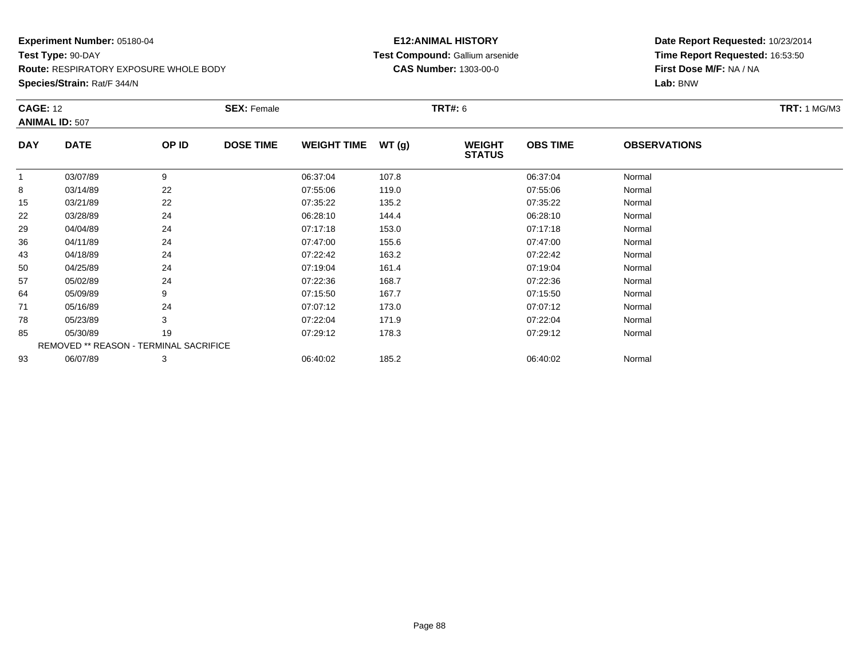#### **Species/Strain:** Rat/F 344/N

# **E12:ANIMAL HISTORY Test Compound:** Gallium arsenide**CAS Number:** 1303-00-0

| <b>CAGE: 12</b> | <b>ANIMAL ID: 507</b>                  |       | <b>SEX: Female</b> |                    |       | TRT#: 6                        |                 |                     | <b>TRT:</b> 1 MG/M3 |
|-----------------|----------------------------------------|-------|--------------------|--------------------|-------|--------------------------------|-----------------|---------------------|---------------------|
| <b>DAY</b>      | <b>DATE</b>                            | OP ID | <b>DOSE TIME</b>   | <b>WEIGHT TIME</b> | WT(g) | <b>WEIGHT</b><br><b>STATUS</b> | <b>OBS TIME</b> | <b>OBSERVATIONS</b> |                     |
| $\mathbf{1}$    | 03/07/89                               | 9     |                    | 06:37:04           | 107.8 |                                | 06:37:04        | Normal              |                     |
| 8               | 03/14/89                               | 22    |                    | 07:55:06           | 119.0 |                                | 07:55:06        | Normal              |                     |
| 15              | 03/21/89                               | 22    |                    | 07:35:22           | 135.2 |                                | 07:35:22        | Normal              |                     |
| 22              | 03/28/89                               | 24    |                    | 06:28:10           | 144.4 |                                | 06:28:10        | Normal              |                     |
| 29              | 04/04/89                               | 24    |                    | 07:17:18           | 153.0 |                                | 07:17:18        | Normal              |                     |
| 36              | 04/11/89                               | 24    |                    | 07:47:00           | 155.6 |                                | 07:47:00        | Normal              |                     |
| 43              | 04/18/89                               | 24    |                    | 07:22:42           | 163.2 |                                | 07:22:42        | Normal              |                     |
| 50              | 04/25/89                               | 24    |                    | 07:19:04           | 161.4 |                                | 07:19:04        | Normal              |                     |
| 57              | 05/02/89                               | 24    |                    | 07:22:36           | 168.7 |                                | 07:22:36        | Normal              |                     |
| 64              | 05/09/89                               | 9     |                    | 07:15:50           | 167.7 |                                | 07:15:50        | Normal              |                     |
| 71              | 05/16/89                               | 24    |                    | 07:07:12           | 173.0 |                                | 07:07:12        | Normal              |                     |
| 78              | 05/23/89                               | 3     |                    | 07:22:04           | 171.9 |                                | 07:22:04        | Normal              |                     |
| 85              | 05/30/89                               | 19    |                    | 07:29:12           | 178.3 |                                | 07:29:12        | Normal              |                     |
|                 | REMOVED ** REASON - TERMINAL SACRIFICE |       |                    |                    |       |                                |                 |                     |                     |
| 93              | 06/07/89                               | 3     |                    | 06:40:02           | 185.2 |                                | 06:40:02        | Normal              |                     |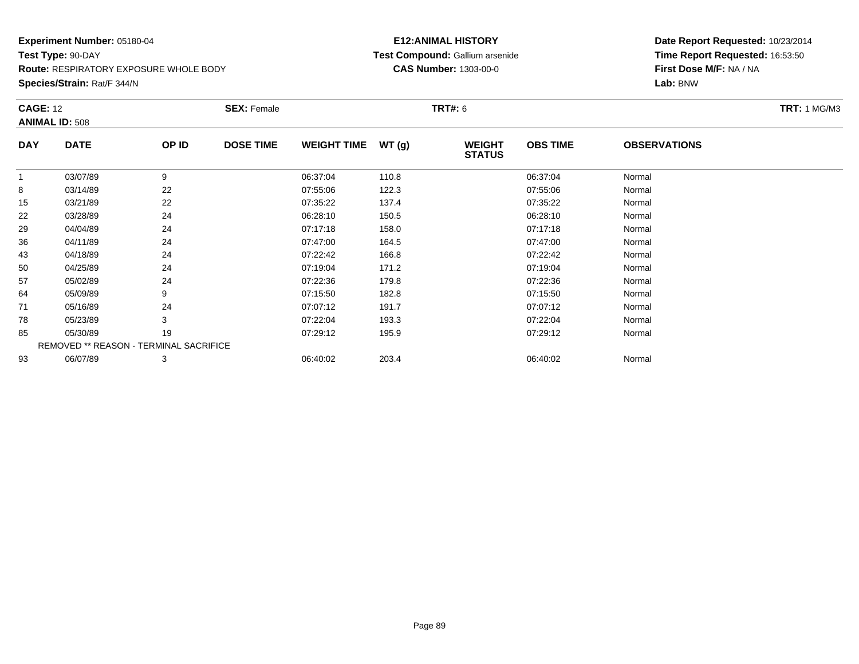**Species/Strain:** Rat/F 344/N

# **E12:ANIMAL HISTORY Test Compound:** Gallium arsenide**CAS Number:** 1303-00-0

| <b>CAGE: 12</b> |                                               |       | <b>SEX: Female</b> |                    |       | <b>TRT#: 6</b>                 |                 |                     | <b>TRT:</b> 1 MG/M3 |
|-----------------|-----------------------------------------------|-------|--------------------|--------------------|-------|--------------------------------|-----------------|---------------------|---------------------|
|                 | <b>ANIMAL ID: 508</b>                         |       |                    |                    |       |                                |                 |                     |                     |
| <b>DAY</b>      | <b>DATE</b>                                   | OP ID | <b>DOSE TIME</b>   | <b>WEIGHT TIME</b> | WT(g) | <b>WEIGHT</b><br><b>STATUS</b> | <b>OBS TIME</b> | <b>OBSERVATIONS</b> |                     |
| 1               | 03/07/89                                      | 9     |                    | 06:37:04           | 110.8 |                                | 06:37:04        | Normal              |                     |
| 8               | 03/14/89                                      | 22    |                    | 07:55:06           | 122.3 |                                | 07:55:06        | Normal              |                     |
| 15              | 03/21/89                                      | 22    |                    | 07:35:22           | 137.4 |                                | 07:35:22        | Normal              |                     |
| 22              | 03/28/89                                      | 24    |                    | 06:28:10           | 150.5 |                                | 06:28:10        | Normal              |                     |
| 29              | 04/04/89                                      | 24    |                    | 07:17:18           | 158.0 |                                | 07:17:18        | Normal              |                     |
| 36              | 04/11/89                                      | 24    |                    | 07:47:00           | 164.5 |                                | 07:47:00        | Normal              |                     |
| 43              | 04/18/89                                      | 24    |                    | 07:22:42           | 166.8 |                                | 07:22:42        | Normal              |                     |
| 50              | 04/25/89                                      | 24    |                    | 07:19:04           | 171.2 |                                | 07:19:04        | Normal              |                     |
| 57              | 05/02/89                                      | 24    |                    | 07:22:36           | 179.8 |                                | 07:22:36        | Normal              |                     |
| 64              | 05/09/89                                      | 9     |                    | 07:15:50           | 182.8 |                                | 07:15:50        | Normal              |                     |
| 71              | 05/16/89                                      | 24    |                    | 07:07:12           | 191.7 |                                | 07:07:12        | Normal              |                     |
| 78              | 05/23/89                                      | 3     |                    | 07:22:04           | 193.3 |                                | 07:22:04        | Normal              |                     |
| 85              | 05/30/89                                      | 19    |                    | 07:29:12           | 195.9 |                                | 07:29:12        | Normal              |                     |
|                 | <b>REMOVED ** REASON - TERMINAL SACRIFICE</b> |       |                    |                    |       |                                |                 |                     |                     |
| 93              | 06/07/89                                      | 3     |                    | 06:40:02           | 203.4 |                                | 06:40:02        | Normal              |                     |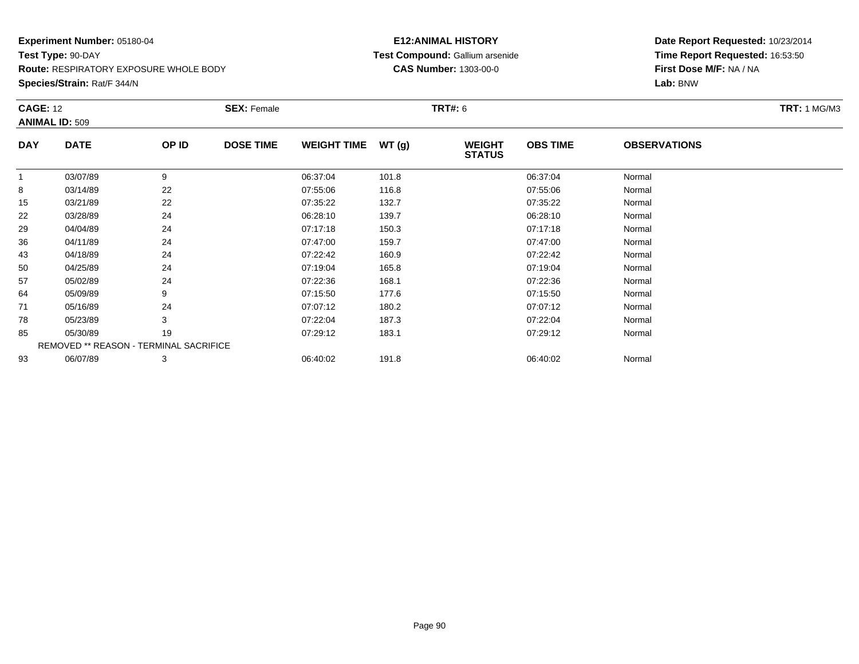**Species/Strain:** Rat/F 344/N

# **E12:ANIMAL HISTORY Test Compound:** Gallium arsenide**CAS Number:** 1303-00-0

| <b>CAGE: 12</b> | <b>ANIMAL ID: 509</b>                         |       | <b>SEX: Female</b> |                    |       | <b>TRT#:</b> 6                 |                 |                     | <b>TRT:</b> 1 MG/M3 |
|-----------------|-----------------------------------------------|-------|--------------------|--------------------|-------|--------------------------------|-----------------|---------------------|---------------------|
| <b>DAY</b>      | <b>DATE</b>                                   | OP ID | <b>DOSE TIME</b>   | <b>WEIGHT TIME</b> | WT(g) | <b>WEIGHT</b><br><b>STATUS</b> | <b>OBS TIME</b> | <b>OBSERVATIONS</b> |                     |
| 1               | 03/07/89                                      | 9     |                    | 06:37:04           | 101.8 |                                | 06:37:04        | Normal              |                     |
| 8               | 03/14/89                                      | 22    |                    | 07:55:06           | 116.8 |                                | 07:55:06        | Normal              |                     |
| 15              | 03/21/89                                      | 22    |                    | 07:35:22           | 132.7 |                                | 07:35:22        | Normal              |                     |
| 22              | 03/28/89                                      | 24    |                    | 06:28:10           | 139.7 |                                | 06:28:10        | Normal              |                     |
| 29              | 04/04/89                                      | 24    |                    | 07:17:18           | 150.3 |                                | 07:17:18        | Normal              |                     |
| 36              | 04/11/89                                      | 24    |                    | 07:47:00           | 159.7 |                                | 07:47:00        | Normal              |                     |
| 43              | 04/18/89                                      | 24    |                    | 07:22:42           | 160.9 |                                | 07:22:42        | Normal              |                     |
| 50              | 04/25/89                                      | 24    |                    | 07:19:04           | 165.8 |                                | 07:19:04        | Normal              |                     |
| 57              | 05/02/89                                      | 24    |                    | 07:22:36           | 168.1 |                                | 07:22:36        | Normal              |                     |
| 64              | 05/09/89                                      | 9     |                    | 07:15:50           | 177.6 |                                | 07:15:50        | Normal              |                     |
| 71              | 05/16/89                                      | 24    |                    | 07:07:12           | 180.2 |                                | 07:07:12        | Normal              |                     |
| 78              | 05/23/89                                      | 3     |                    | 07:22:04           | 187.3 |                                | 07:22:04        | Normal              |                     |
| 85              | 05/30/89                                      | 19    |                    | 07:29:12           | 183.1 |                                | 07:29:12        | Normal              |                     |
|                 | <b>REMOVED ** REASON - TERMINAL SACRIFICE</b> |       |                    |                    |       |                                |                 |                     |                     |
| 93              | 06/07/89                                      | 3     |                    | 06:40:02           | 191.8 |                                | 06:40:02        | Normal              |                     |
|                 |                                               |       |                    |                    |       |                                |                 |                     |                     |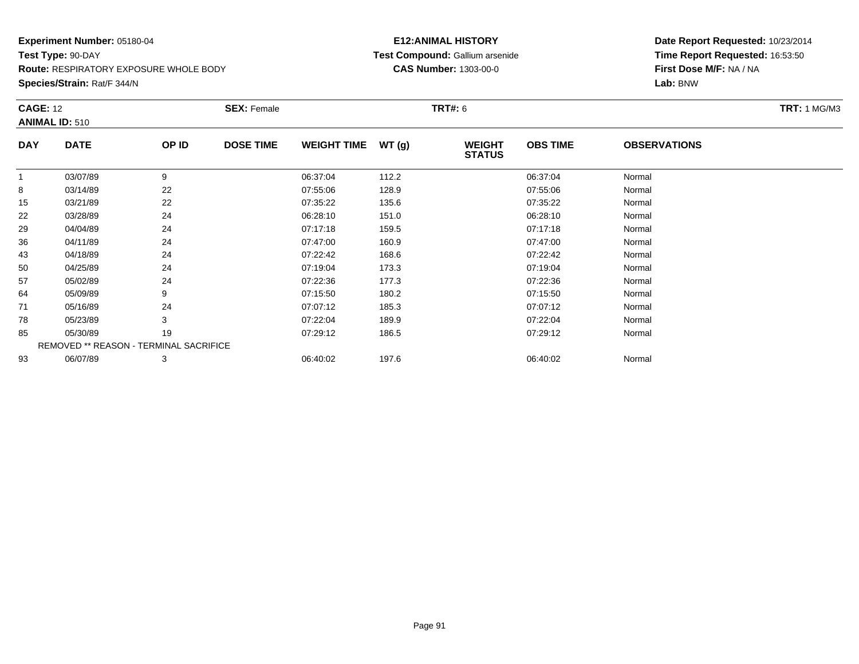**Species/Strain:** Rat/F 344/N

# **E12:ANIMAL HISTORY Test Compound:** Gallium arsenide**CAS Number:** 1303-00-0

| <b>CAGE: 12</b> | <b>ANIMAL ID: 510</b>                  |       | <b>SEX: Female</b> |                    |       | <b>TRT#: 6</b>                 |                 |                     | <b>TRT: 1 MG/M3</b> |
|-----------------|----------------------------------------|-------|--------------------|--------------------|-------|--------------------------------|-----------------|---------------------|---------------------|
| <b>DAY</b>      | <b>DATE</b>                            | OP ID | <b>DOSE TIME</b>   | <b>WEIGHT TIME</b> | WT(g) | <b>WEIGHT</b><br><b>STATUS</b> | <b>OBS TIME</b> | <b>OBSERVATIONS</b> |                     |
| 1               | 03/07/89                               | 9     |                    | 06:37:04           | 112.2 |                                | 06:37:04        | Normal              |                     |
| 8               | 03/14/89                               | 22    |                    | 07:55:06           | 128.9 |                                | 07:55:06        | Normal              |                     |
| 15              | 03/21/89                               | 22    |                    | 07:35:22           | 135.6 |                                | 07:35:22        | Normal              |                     |
| 22              | 03/28/89                               | 24    |                    | 06:28:10           | 151.0 |                                | 06:28:10        | Normal              |                     |
| 29              | 04/04/89                               | 24    |                    | 07:17:18           | 159.5 |                                | 07:17:18        | Normal              |                     |
| 36              | 04/11/89                               | 24    |                    | 07:47:00           | 160.9 |                                | 07:47:00        | Normal              |                     |
| 43              | 04/18/89                               | 24    |                    | 07:22:42           | 168.6 |                                | 07:22:42        | Normal              |                     |
| 50              | 04/25/89                               | 24    |                    | 07:19:04           | 173.3 |                                | 07:19:04        | Normal              |                     |
| 57              | 05/02/89                               | 24    |                    | 07:22:36           | 177.3 |                                | 07:22:36        | Normal              |                     |
| 64              | 05/09/89                               | 9     |                    | 07:15:50           | 180.2 |                                | 07:15:50        | Normal              |                     |
| 71              | 05/16/89                               | 24    |                    | 07:07:12           | 185.3 |                                | 07:07:12        | Normal              |                     |
| 78              | 05/23/89                               | 3     |                    | 07:22:04           | 189.9 |                                | 07:22:04        | Normal              |                     |
| 85              | 05/30/89                               | 19    |                    | 07:29:12           | 186.5 |                                | 07:29:12        | Normal              |                     |
|                 | REMOVED ** REASON - TERMINAL SACRIFICE |       |                    |                    |       |                                |                 |                     |                     |
| 93              | 06/07/89                               | 3     |                    | 06:40:02           | 197.6 |                                | 06:40:02        | Normal              |                     |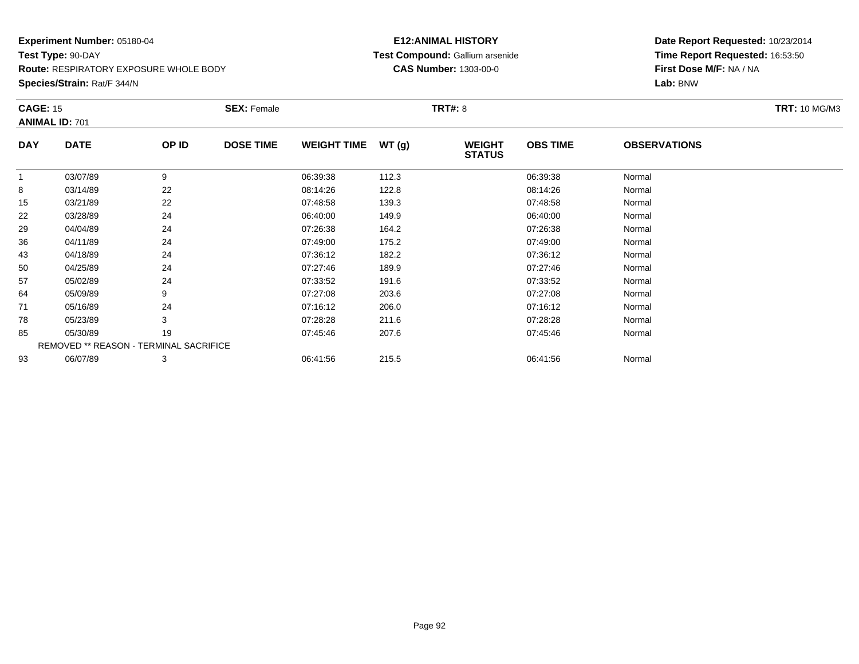**Species/Strain:** Rat/F 344/N

# **E12:ANIMAL HISTORY Test Compound:** Gallium arsenide**CAS Number:** 1303-00-0

| <b>CAGE: 15</b> |                                        |       | <b>SEX: Female</b> |                    |       | <b>TRT#: 8</b>                 |                 |                     | <b>TRT: 10 MG/M3</b> |
|-----------------|----------------------------------------|-------|--------------------|--------------------|-------|--------------------------------|-----------------|---------------------|----------------------|
|                 | <b>ANIMAL ID: 701</b>                  |       |                    |                    |       |                                |                 |                     |                      |
| <b>DAY</b>      | <b>DATE</b>                            | OP ID | <b>DOSE TIME</b>   | <b>WEIGHT TIME</b> | WT(g) | <b>WEIGHT</b><br><b>STATUS</b> | <b>OBS TIME</b> | <b>OBSERVATIONS</b> |                      |
| 1               | 03/07/89                               | 9     |                    | 06:39:38           | 112.3 |                                | 06:39:38        | Normal              |                      |
| 8               | 03/14/89                               | 22    |                    | 08:14:26           | 122.8 |                                | 08:14:26        | Normal              |                      |
| 15              | 03/21/89                               | 22    |                    | 07:48:58           | 139.3 |                                | 07:48:58        | Normal              |                      |
| 22              | 03/28/89                               | 24    |                    | 06:40:00           | 149.9 |                                | 06:40:00        | Normal              |                      |
| 29              | 04/04/89                               | 24    |                    | 07:26:38           | 164.2 |                                | 07:26:38        | Normal              |                      |
| 36              | 04/11/89                               | 24    |                    | 07:49:00           | 175.2 |                                | 07:49:00        | Normal              |                      |
| 43              | 04/18/89                               | 24    |                    | 07:36:12           | 182.2 |                                | 07:36:12        | Normal              |                      |
| 50              | 04/25/89                               | 24    |                    | 07:27:46           | 189.9 |                                | 07:27:46        | Normal              |                      |
| 57              | 05/02/89                               | 24    |                    | 07:33:52           | 191.6 |                                | 07:33:52        | Normal              |                      |
| 64              | 05/09/89                               | 9     |                    | 07:27:08           | 203.6 |                                | 07:27:08        | Normal              |                      |
| 71              | 05/16/89                               | 24    |                    | 07:16:12           | 206.0 |                                | 07:16:12        | Normal              |                      |
| 78              | 05/23/89                               | 3     |                    | 07:28:28           | 211.6 |                                | 07:28:28        | Normal              |                      |
| 85              | 05/30/89                               | 19    |                    | 07:45:46           | 207.6 |                                | 07:45:46        | Normal              |                      |
|                 | REMOVED ** REASON - TERMINAL SACRIFICE |       |                    |                    |       |                                |                 |                     |                      |
| 93              | 06/07/89                               | 3     |                    | 06:41:56           | 215.5 |                                | 06:41:56        | Normal              |                      |
|                 |                                        |       |                    |                    |       |                                |                 |                     |                      |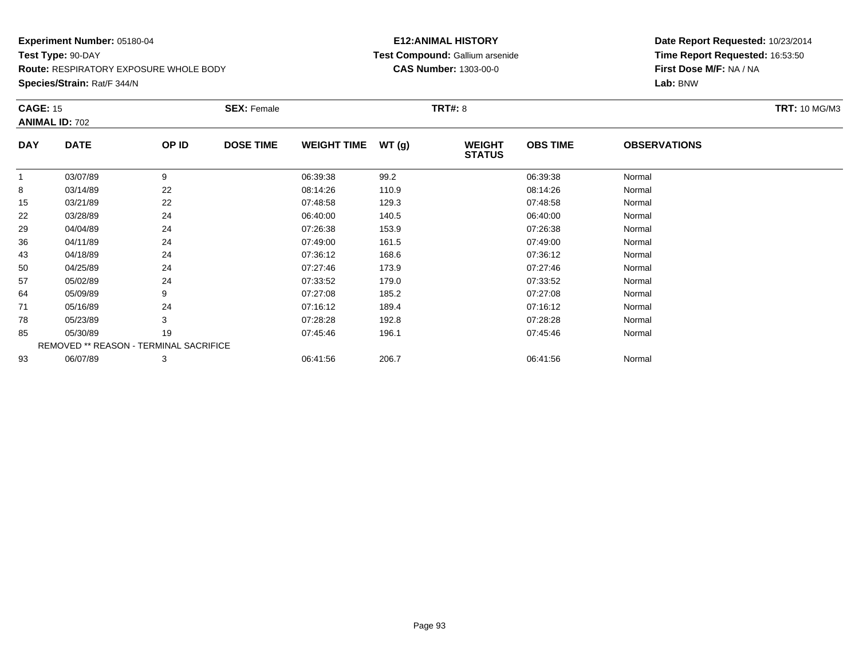# **Experiment Number:** 05180-04**Test Type:** 90-DAY

**Route:** RESPIRATORY EXPOSURE WHOLE BODY

**Species/Strain:** Rat/F 344/N

# **E12:ANIMAL HISTORY Test Compound:** Gallium arsenide**CAS Number:** 1303-00-0

| <b>CAGE: 15</b> |                                        |       | <b>SEX: Female</b> |                    |       | <b>TRT#: 8</b>                 |                 |                     | <b>TRT: 10 MG/M3</b> |
|-----------------|----------------------------------------|-------|--------------------|--------------------|-------|--------------------------------|-----------------|---------------------|----------------------|
|                 | <b>ANIMAL ID: 702</b>                  |       |                    |                    |       |                                |                 |                     |                      |
| <b>DAY</b>      | <b>DATE</b>                            | OP ID | <b>DOSE TIME</b>   | <b>WEIGHT TIME</b> | WT(g) | <b>WEIGHT</b><br><b>STATUS</b> | <b>OBS TIME</b> | <b>OBSERVATIONS</b> |                      |
|                 | 03/07/89                               | 9     |                    | 06:39:38           | 99.2  |                                | 06:39:38        | Normal              |                      |
| 8               | 03/14/89                               | 22    |                    | 08:14:26           | 110.9 |                                | 08:14:26        | Normal              |                      |
| 15              | 03/21/89                               | 22    |                    | 07:48:58           | 129.3 |                                | 07:48:58        | Normal              |                      |
| 22              | 03/28/89                               | 24    |                    | 06:40:00           | 140.5 |                                | 06:40:00        | Normal              |                      |
| 29              | 04/04/89                               | 24    |                    | 07:26:38           | 153.9 |                                | 07:26:38        | Normal              |                      |
| 36              | 04/11/89                               | 24    |                    | 07:49:00           | 161.5 |                                | 07:49:00        | Normal              |                      |
| 43              | 04/18/89                               | 24    |                    | 07:36:12           | 168.6 |                                | 07:36:12        | Normal              |                      |
| 50              | 04/25/89                               | 24    |                    | 07:27:46           | 173.9 |                                | 07:27:46        | Normal              |                      |
| 57              | 05/02/89                               | 24    |                    | 07:33:52           | 179.0 |                                | 07:33:52        | Normal              |                      |
| 64              | 05/09/89                               | 9     |                    | 07:27:08           | 185.2 |                                | 07:27:08        | Normal              |                      |
| 71              | 05/16/89                               | 24    |                    | 07:16:12           | 189.4 |                                | 07:16:12        | Normal              |                      |
| 78              | 05/23/89                               | 3     |                    | 07:28:28           | 192.8 |                                | 07:28:28        | Normal              |                      |
| 85              | 05/30/89                               | 19    |                    | 07:45:46           | 196.1 |                                | 07:45:46        | Normal              |                      |
|                 | REMOVED ** REASON - TERMINAL SACRIFICE |       |                    |                    |       |                                |                 |                     |                      |
| 93              | 06/07/89                               | 3     |                    | 06:41:56           | 206.7 |                                | 06:41:56        | Normal              |                      |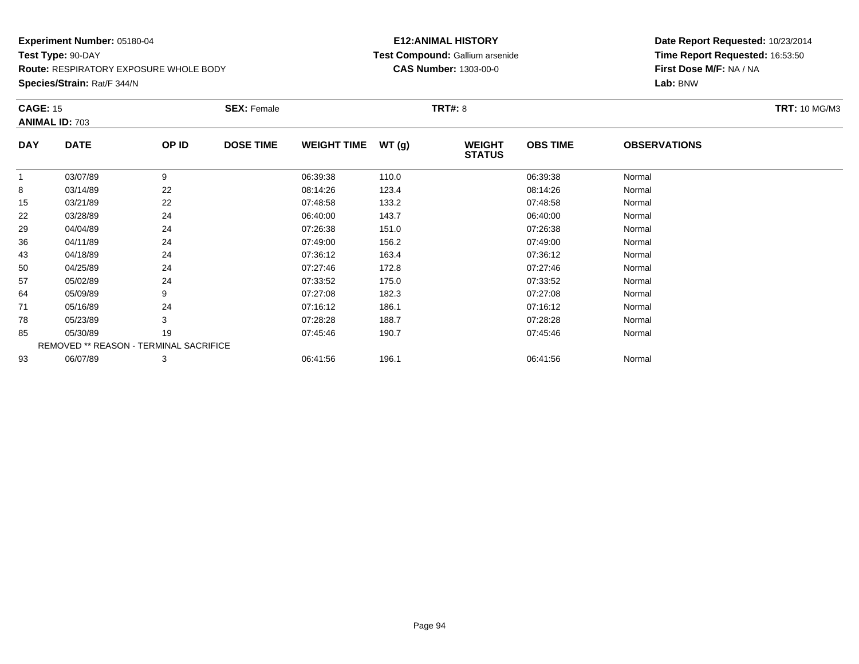#### **Species/Strain:** Rat/F 344/N

# **E12:ANIMAL HISTORY Test Compound:** Gallium arsenide**CAS Number:** 1303-00-0

| <b>CAGE: 15</b><br><b>ANIMAL ID: 703</b> |                                        |       | <b>SEX: Female</b> |                    |       | <b>TRT#: 8</b>                 |                 |                     | <b>TRT: 10 MG/M3</b> |
|------------------------------------------|----------------------------------------|-------|--------------------|--------------------|-------|--------------------------------|-----------------|---------------------|----------------------|
| <b>DAY</b>                               | <b>DATE</b>                            | OP ID | <b>DOSE TIME</b>   | <b>WEIGHT TIME</b> | WT(g) | <b>WEIGHT</b><br><b>STATUS</b> | <b>OBS TIME</b> | <b>OBSERVATIONS</b> |                      |
| 1                                        | 03/07/89                               | 9     |                    | 06:39:38           | 110.0 |                                | 06:39:38        | Normal              |                      |
| 8                                        | 03/14/89                               | 22    |                    | 08:14:26           | 123.4 |                                | 08:14:26        | Normal              |                      |
| 15                                       | 03/21/89                               | 22    |                    | 07:48:58           | 133.2 |                                | 07:48:58        | Normal              |                      |
| 22                                       | 03/28/89                               | 24    |                    | 06:40:00           | 143.7 |                                | 06:40:00        | Normal              |                      |
| 29                                       | 04/04/89                               | 24    |                    | 07:26:38           | 151.0 |                                | 07:26:38        | Normal              |                      |
| 36                                       | 04/11/89                               | 24    |                    | 07:49:00           | 156.2 |                                | 07:49:00        | Normal              |                      |
| 43                                       | 04/18/89                               | 24    |                    | 07:36:12           | 163.4 |                                | 07:36:12        | Normal              |                      |
| 50                                       | 04/25/89                               | 24    |                    | 07:27:46           | 172.8 |                                | 07:27:46        | Normal              |                      |
| 57                                       | 05/02/89                               | 24    |                    | 07:33:52           | 175.0 |                                | 07:33:52        | Normal              |                      |
| 64                                       | 05/09/89                               | 9     |                    | 07:27:08           | 182.3 |                                | 07:27:08        | Normal              |                      |
| 71                                       | 05/16/89                               | 24    |                    | 07:16:12           | 186.1 |                                | 07:16:12        | Normal              |                      |
| 78                                       | 05/23/89                               | 3     |                    | 07:28:28           | 188.7 |                                | 07:28:28        | Normal              |                      |
| 85                                       | 05/30/89                               | 19    |                    | 07:45:46           | 190.7 |                                | 07:45:46        | Normal              |                      |
|                                          | REMOVED ** REASON - TERMINAL SACRIFICE |       |                    |                    |       |                                |                 |                     |                      |
| 93                                       | 06/07/89                               | 3     |                    | 06:41:56           | 196.1 |                                | 06:41:56        | Normal              |                      |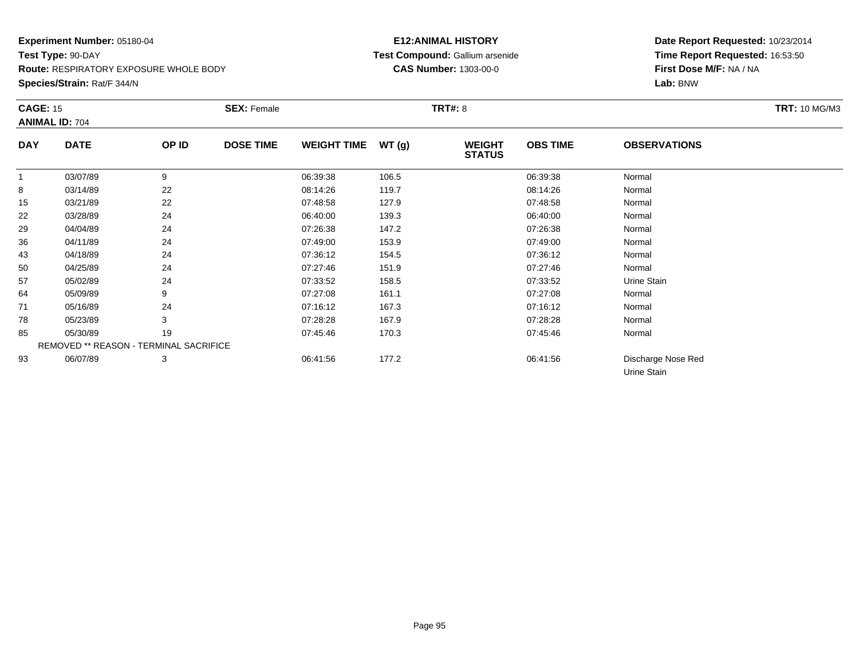**Species/Strain:** Rat/F 344/N

# **E12:ANIMAL HISTORY Test Compound:** Gallium arsenide**CAS Number:** 1303-00-0

| <b>CAGE: 15</b> | <b>ANIMAL ID: 704</b>                  |       | <b>SEX: Female</b> |                    |       | <b>TRT#: 8</b>                 |                 |                                   | <b>TRT: 10 MG/M3</b> |
|-----------------|----------------------------------------|-------|--------------------|--------------------|-------|--------------------------------|-----------------|-----------------------------------|----------------------|
| <b>DAY</b>      | <b>DATE</b>                            | OP ID | <b>DOSE TIME</b>   | <b>WEIGHT TIME</b> | WT(g) | <b>WEIGHT</b><br><b>STATUS</b> | <b>OBS TIME</b> | <b>OBSERVATIONS</b>               |                      |
| 1               | 03/07/89                               | 9     |                    | 06:39:38           | 106.5 |                                | 06:39:38        | Normal                            |                      |
| 8               | 03/14/89                               | 22    |                    | 08:14:26           | 119.7 |                                | 08:14:26        | Normal                            |                      |
| 15              | 03/21/89                               | 22    |                    | 07:48:58           | 127.9 |                                | 07:48:58        | Normal                            |                      |
| 22              | 03/28/89                               | 24    |                    | 06:40:00           | 139.3 |                                | 06:40:00        | Normal                            |                      |
| 29              | 04/04/89                               | 24    |                    | 07:26:38           | 147.2 |                                | 07:26:38        | Normal                            |                      |
| 36              | 04/11/89                               | 24    |                    | 07:49:00           | 153.9 |                                | 07:49:00        | Normal                            |                      |
| 43              | 04/18/89                               | 24    |                    | 07:36:12           | 154.5 |                                | 07:36:12        | Normal                            |                      |
| 50              | 04/25/89                               | 24    |                    | 07:27:46           | 151.9 |                                | 07:27:46        | Normal                            |                      |
| 57              | 05/02/89                               | 24    |                    | 07:33:52           | 158.5 |                                | 07:33:52        | Urine Stain                       |                      |
| 64              | 05/09/89                               | 9     |                    | 07:27:08           | 161.1 |                                | 07:27:08        | Normal                            |                      |
| 71              | 05/16/89                               | 24    |                    | 07:16:12           | 167.3 |                                | 07:16:12        | Normal                            |                      |
| 78              | 05/23/89                               | 3     |                    | 07:28:28           | 167.9 |                                | 07:28:28        | Normal                            |                      |
| 85              | 05/30/89                               | 19    |                    | 07:45:46           | 170.3 |                                | 07:45:46        | Normal                            |                      |
|                 | REMOVED ** REASON - TERMINAL SACRIFICE |       |                    |                    |       |                                |                 |                                   |                      |
| 93              | 06/07/89                               | 3     |                    | 06:41:56           | 177.2 |                                | 06:41:56        | Discharge Nose Red<br>Urine Stain |                      |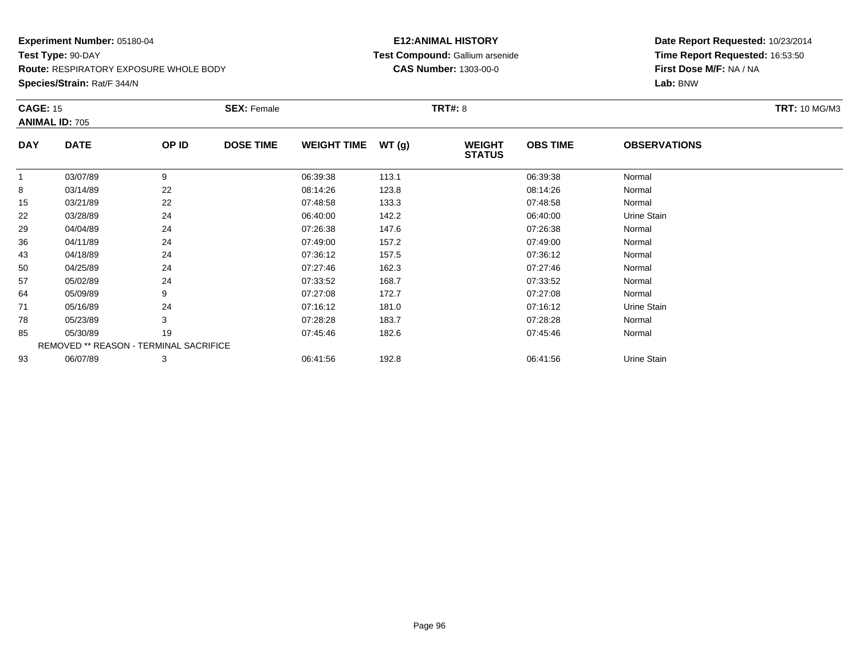# **Experiment Number:** 05180-04**Test Type:** 90-DAY

**Route:** RESPIRATORY EXPOSURE WHOLE BODY

**Species/Strain:** Rat/F 344/N

# **E12:ANIMAL HISTORY Test Compound:** Gallium arsenide**CAS Number:** 1303-00-0

|             |                                          | <b>SEX: Female</b> |                                        |       |                                |                 |                     | <b>TRT: 10 MG/M3</b> |
|-------------|------------------------------------------|--------------------|----------------------------------------|-------|--------------------------------|-----------------|---------------------|----------------------|
|             |                                          |                    |                                        |       |                                |                 |                     |                      |
| <b>DATE</b> | OP ID                                    | <b>DOSE TIME</b>   | <b>WEIGHT TIME</b>                     | WT(g) | <b>WEIGHT</b><br><b>STATUS</b> | <b>OBS TIME</b> | <b>OBSERVATIONS</b> |                      |
| 03/07/89    | 9                                        |                    | 06:39:38                               | 113.1 |                                | 06:39:38        | Normal              |                      |
| 03/14/89    | 22                                       |                    | 08:14:26                               | 123.8 |                                | 08:14:26        | Normal              |                      |
| 03/21/89    | 22                                       |                    | 07:48:58                               | 133.3 |                                | 07:48:58        | Normal              |                      |
| 03/28/89    | 24                                       |                    | 06:40:00                               | 142.2 |                                | 06:40:00        | Urine Stain         |                      |
| 04/04/89    | 24                                       |                    | 07:26:38                               | 147.6 |                                | 07:26:38        | Normal              |                      |
| 04/11/89    | 24                                       |                    | 07:49:00                               | 157.2 |                                | 07:49:00        | Normal              |                      |
| 04/18/89    | 24                                       |                    | 07:36:12                               | 157.5 |                                | 07:36:12        | Normal              |                      |
| 04/25/89    | 24                                       |                    | 07:27:46                               | 162.3 |                                | 07:27:46        | Normal              |                      |
| 05/02/89    | 24                                       |                    | 07:33:52                               | 168.7 |                                | 07:33:52        | Normal              |                      |
| 05/09/89    | 9                                        |                    | 07:27:08                               | 172.7 |                                | 07:27:08        | Normal              |                      |
| 05/16/89    | 24                                       |                    | 07:16:12                               | 181.0 |                                | 07:16:12        | Urine Stain         |                      |
| 05/23/89    | 3                                        |                    | 07:28:28                               | 183.7 |                                | 07:28:28        | Normal              |                      |
| 05/30/89    | 19                                       |                    | 07:45:46                               | 182.6 |                                | 07:45:46        | Normal              |                      |
|             |                                          |                    |                                        |       |                                |                 |                     |                      |
| 06/07/89    | 3                                        |                    | 06:41:56                               | 192.8 |                                | 06:41:56        | Urine Stain         |                      |
|             | <b>CAGE: 15</b><br><b>ANIMAL ID: 705</b> |                    | REMOVED ** REASON - TERMINAL SACRIFICE |       |                                | <b>TRT#: 8</b>  |                     |                      |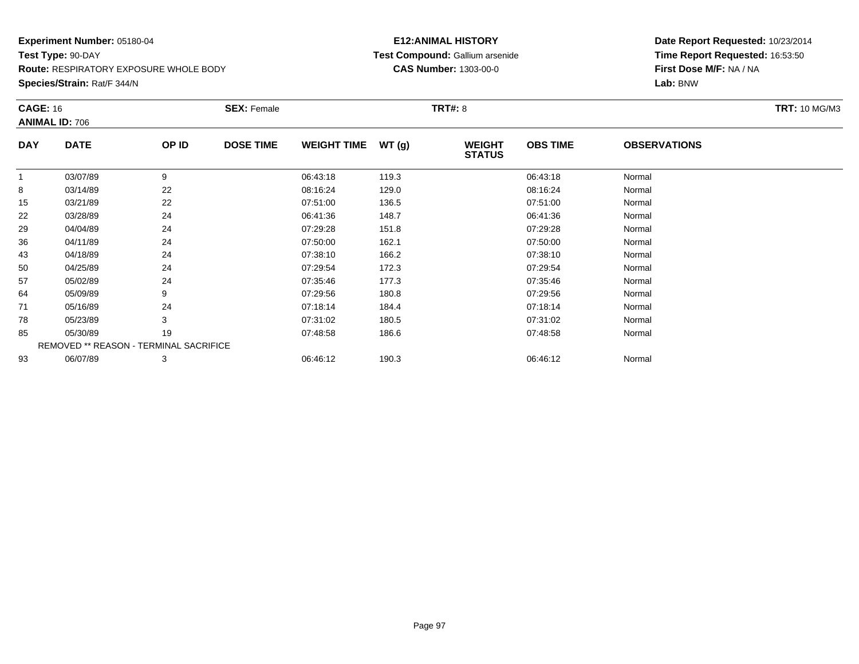**Species/Strain:** Rat/F 344/N

# **E12:ANIMAL HISTORY Test Compound:** Gallium arsenide**CAS Number:** 1303-00-0

|            | <b>CAGE: 16</b><br><b>ANIMAL ID: 706</b> |       | <b>SEX: Female</b> |                    |       | <b>TRT#: 8</b>                 | <b>TRT: 10 MG/M3</b> |                     |  |
|------------|------------------------------------------|-------|--------------------|--------------------|-------|--------------------------------|----------------------|---------------------|--|
| <b>DAY</b> | <b>DATE</b>                              | OP ID | <b>DOSE TIME</b>   | <b>WEIGHT TIME</b> | WT(g) | <b>WEIGHT</b><br><b>STATUS</b> | <b>OBS TIME</b>      | <b>OBSERVATIONS</b> |  |
| 1          | 03/07/89                                 | 9     |                    | 06:43:18           | 119.3 |                                | 06:43:18             | Normal              |  |
| 8          | 03/14/89                                 | 22    |                    | 08:16:24           | 129.0 |                                | 08:16:24             | Normal              |  |
| 15         | 03/21/89                                 | 22    |                    | 07:51:00           | 136.5 |                                | 07:51:00             | Normal              |  |
| 22         | 03/28/89                                 | 24    |                    | 06:41:36           | 148.7 |                                | 06:41:36             | Normal              |  |
| 29         | 04/04/89                                 | 24    |                    | 07:29:28           | 151.8 |                                | 07:29:28             | Normal              |  |
| 36         | 04/11/89                                 | 24    |                    | 07:50:00           | 162.1 |                                | 07:50:00             | Normal              |  |
| 43         | 04/18/89                                 | 24    |                    | 07:38:10           | 166.2 |                                | 07:38:10             | Normal              |  |
| 50         | 04/25/89                                 | 24    |                    | 07:29:54           | 172.3 |                                | 07:29:54             | Normal              |  |
| 57         | 05/02/89                                 | 24    |                    | 07:35:46           | 177.3 |                                | 07:35:46             | Normal              |  |
| 64         | 05/09/89                                 | 9     |                    | 07:29:56           | 180.8 |                                | 07:29:56             | Normal              |  |
| 71         | 05/16/89                                 | 24    |                    | 07:18:14           | 184.4 |                                | 07:18:14             | Normal              |  |
| 78         | 05/23/89                                 | 3     |                    | 07:31:02           | 180.5 |                                | 07:31:02             | Normal              |  |
| 85         | 05/30/89                                 | 19    |                    | 07:48:58           | 186.6 |                                | 07:48:58             | Normal              |  |
|            | REMOVED ** REASON - TERMINAL SACRIFICE   |       |                    |                    |       |                                |                      |                     |  |
| 93         | 06/07/89                                 | 3     |                    | 06:46:12           | 190.3 |                                | 06:46:12             | Normal              |  |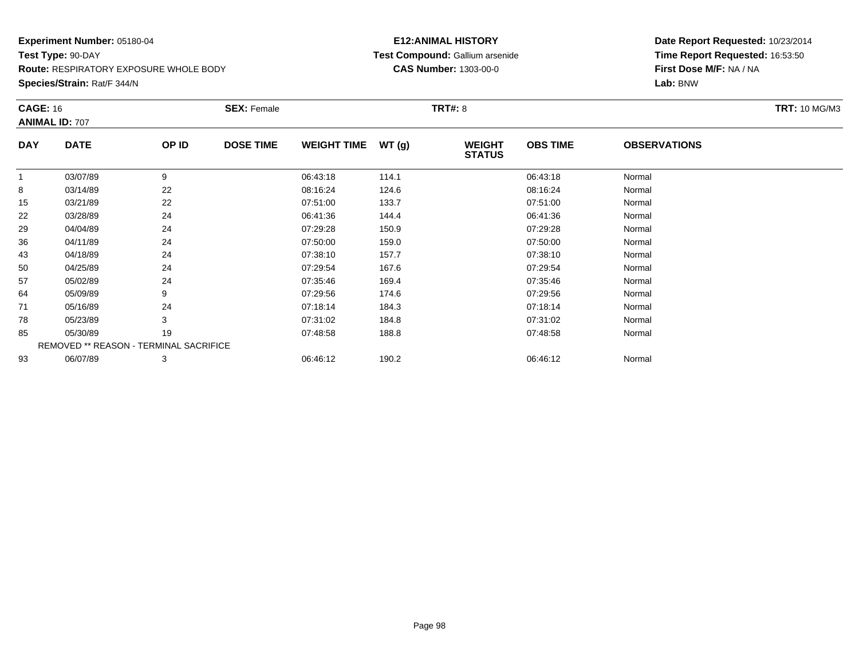**Species/Strain:** Rat/F 344/N

# **E12:ANIMAL HISTORY Test Compound:** Gallium arsenide**CAS Number:** 1303-00-0

|            | <b>CAGE: 16</b><br><b>ANIMAL ID: 707</b>      |       | <b>SEX: Female</b> |                    |       | <b>TRT#: 8</b>                 | <b>TRT: 10 MG/M3</b> |                     |  |
|------------|-----------------------------------------------|-------|--------------------|--------------------|-------|--------------------------------|----------------------|---------------------|--|
| <b>DAY</b> | <b>DATE</b>                                   | OP ID | <b>DOSE TIME</b>   | <b>WEIGHT TIME</b> | WT(g) | <b>WEIGHT</b><br><b>STATUS</b> | <b>OBS TIME</b>      | <b>OBSERVATIONS</b> |  |
| 1          | 03/07/89                                      | 9     |                    | 06:43:18           | 114.1 |                                | 06:43:18             | Normal              |  |
| 8          | 03/14/89                                      | 22    |                    | 08:16:24           | 124.6 |                                | 08:16:24             | Normal              |  |
| 15         | 03/21/89                                      | 22    |                    | 07:51:00           | 133.7 |                                | 07:51:00             | Normal              |  |
| 22         | 03/28/89                                      | 24    |                    | 06:41:36           | 144.4 |                                | 06:41:36             | Normal              |  |
| 29         | 04/04/89                                      | 24    |                    | 07:29:28           | 150.9 |                                | 07:29:28             | Normal              |  |
| 36         | 04/11/89                                      | 24    |                    | 07:50:00           | 159.0 |                                | 07:50:00             | Normal              |  |
| 43         | 04/18/89                                      | 24    |                    | 07:38:10           | 157.7 |                                | 07:38:10             | Normal              |  |
| 50         | 04/25/89                                      | 24    |                    | 07:29:54           | 167.6 |                                | 07:29:54             | Normal              |  |
| 57         | 05/02/89                                      | 24    |                    | 07:35:46           | 169.4 |                                | 07:35:46             | Normal              |  |
| 64         | 05/09/89                                      | 9     |                    | 07:29:56           | 174.6 |                                | 07:29:56             | Normal              |  |
| 71         | 05/16/89                                      | 24    |                    | 07:18:14           | 184.3 |                                | 07:18:14             | Normal              |  |
| 78         | 05/23/89                                      | 3     |                    | 07:31:02           | 184.8 |                                | 07:31:02             | Normal              |  |
| 85         | 05/30/89                                      | 19    |                    | 07:48:58           | 188.8 |                                | 07:48:58             | Normal              |  |
|            | <b>REMOVED ** REASON - TERMINAL SACRIFICE</b> |       |                    |                    |       |                                |                      |                     |  |
| 93         | 06/07/89                                      | 3     |                    | 06:46:12           | 190.2 |                                | 06:46:12             | Normal              |  |
|            |                                               |       |                    |                    |       |                                |                      |                     |  |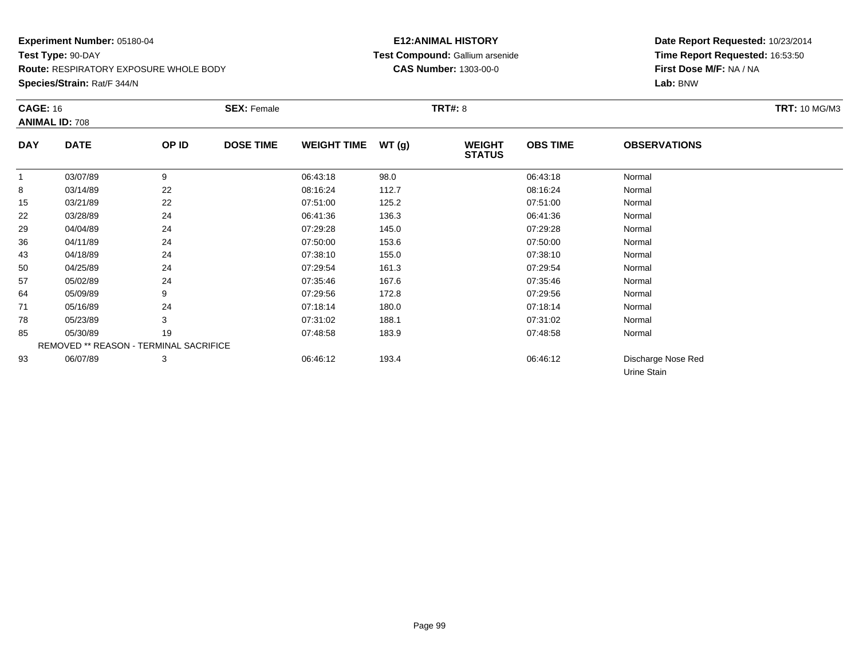**Species/Strain:** Rat/F 344/N

# **E12:ANIMAL HISTORY Test Compound:** Gallium arsenide**CAS Number:** 1303-00-0

|            | <b>CAGE: 16</b><br><b>ANIMAL ID: 708</b> |       | <b>SEX: Female</b> |                    |       | <b>TRT#: 8</b>                 | <b>TRT: 10 MG/M3</b> |                                   |  |
|------------|------------------------------------------|-------|--------------------|--------------------|-------|--------------------------------|----------------------|-----------------------------------|--|
| <b>DAY</b> | <b>DATE</b>                              | OP ID | <b>DOSE TIME</b>   | <b>WEIGHT TIME</b> | WT(g) | <b>WEIGHT</b><br><b>STATUS</b> | <b>OBS TIME</b>      | <b>OBSERVATIONS</b>               |  |
|            | 03/07/89                                 | 9     |                    | 06:43:18           | 98.0  |                                | 06:43:18             | Normal                            |  |
| 8          | 03/14/89                                 | 22    |                    | 08:16:24           | 112.7 |                                | 08:16:24             | Normal                            |  |
| 15         | 03/21/89                                 | 22    |                    | 07:51:00           | 125.2 |                                | 07:51:00             | Normal                            |  |
| 22         | 03/28/89                                 | 24    |                    | 06:41:36           | 136.3 |                                | 06:41:36             | Normal                            |  |
| 29         | 04/04/89                                 | 24    |                    | 07:29:28           | 145.0 |                                | 07:29:28             | Normal                            |  |
| 36         | 04/11/89                                 | 24    |                    | 07:50:00           | 153.6 |                                | 07:50:00             | Normal                            |  |
| 43         | 04/18/89                                 | 24    |                    | 07:38:10           | 155.0 |                                | 07:38:10             | Normal                            |  |
| 50         | 04/25/89                                 | 24    |                    | 07:29:54           | 161.3 |                                | 07:29:54             | Normal                            |  |
| 57         | 05/02/89                                 | 24    |                    | 07:35:46           | 167.6 |                                | 07:35:46             | Normal                            |  |
| 64         | 05/09/89                                 | 9     |                    | 07:29:56           | 172.8 |                                | 07:29:56             | Normal                            |  |
| 71         | 05/16/89                                 | 24    |                    | 07:18:14           | 180.0 |                                | 07:18:14             | Normal                            |  |
| 78         | 05/23/89                                 | 3     |                    | 07:31:02           | 188.1 |                                | 07:31:02             | Normal                            |  |
| 85         | 05/30/89                                 | 19    |                    | 07:48:58           | 183.9 |                                | 07:48:58             | Normal                            |  |
|            | REMOVED ** REASON - TERMINAL SACRIFICE   |       |                    |                    |       |                                |                      |                                   |  |
| 93         | 06/07/89                                 | 3     |                    | 06:46:12           | 193.4 |                                | 06:46:12             | Discharge Nose Red<br>Urine Stain |  |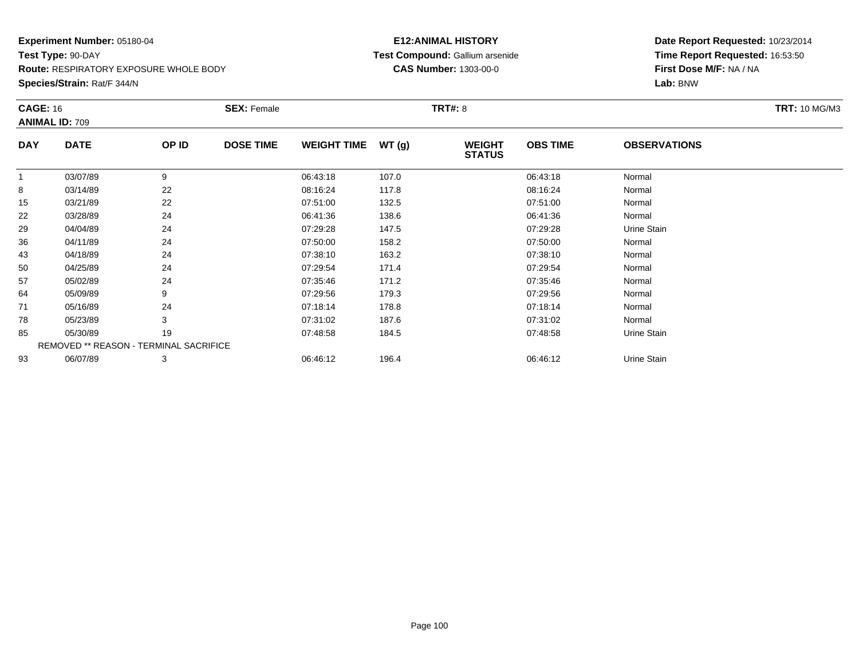**Species/Strain:** Rat/F 344/N

# **E12:ANIMAL HISTORY Test Compound:** Gallium arsenide**CAS Number:** 1303-00-0

|            | <b>CAGE: 16</b>                        |       | <b>SEX: Female</b> |                    |       |                                | <b>TRT#: 8</b>  |                     |  |  |  |
|------------|----------------------------------------|-------|--------------------|--------------------|-------|--------------------------------|-----------------|---------------------|--|--|--|
|            | <b>ANIMAL ID: 709</b>                  |       |                    |                    |       |                                |                 |                     |  |  |  |
| <b>DAY</b> | <b>DATE</b>                            | OP ID | <b>DOSE TIME</b>   | <b>WEIGHT TIME</b> | WT(g) | <b>WEIGHT</b><br><b>STATUS</b> | <b>OBS TIME</b> | <b>OBSERVATIONS</b> |  |  |  |
| 1          | 03/07/89                               | 9     |                    | 06:43:18           | 107.0 |                                | 06:43:18        | Normal              |  |  |  |
| 8          | 03/14/89                               | 22    |                    | 08:16:24           | 117.8 |                                | 08:16:24        | Normal              |  |  |  |
| 15         | 03/21/89                               | 22    |                    | 07:51:00           | 132.5 |                                | 07:51:00        | Normal              |  |  |  |
| 22         | 03/28/89                               | 24    |                    | 06:41:36           | 138.6 |                                | 06:41:36        | Normal              |  |  |  |
| 29         | 04/04/89                               | 24    |                    | 07:29:28           | 147.5 |                                | 07:29:28        | Urine Stain         |  |  |  |
| 36         | 04/11/89                               | 24    |                    | 07:50:00           | 158.2 |                                | 07:50:00        | Normal              |  |  |  |
| 43         | 04/18/89                               | 24    |                    | 07:38:10           | 163.2 |                                | 07:38:10        | Normal              |  |  |  |
| 50         | 04/25/89                               | 24    |                    | 07:29:54           | 171.4 |                                | 07:29:54        | Normal              |  |  |  |
| 57         | 05/02/89                               | 24    |                    | 07:35:46           | 171.2 |                                | 07:35:46        | Normal              |  |  |  |
| 64         | 05/09/89                               | 9     |                    | 07:29:56           | 179.3 |                                | 07:29:56        | Normal              |  |  |  |
| 71         | 05/16/89                               | 24    |                    | 07:18:14           | 178.8 |                                | 07:18:14        | Normal              |  |  |  |
| 78         | 05/23/89                               | 3     |                    | 07:31:02           | 187.6 |                                | 07:31:02        | Normal              |  |  |  |
| 85         | 05/30/89                               | 19    |                    | 07:48:58           | 184.5 |                                | 07:48:58        | Urine Stain         |  |  |  |
|            | REMOVED ** REASON - TERMINAL SACRIFICE |       |                    |                    |       |                                |                 |                     |  |  |  |
| 93         | 06/07/89                               | 3     |                    | 06:46:12           | 196.4 |                                | 06:46:12        | Urine Stain         |  |  |  |
|            |                                        |       |                    |                    |       |                                |                 |                     |  |  |  |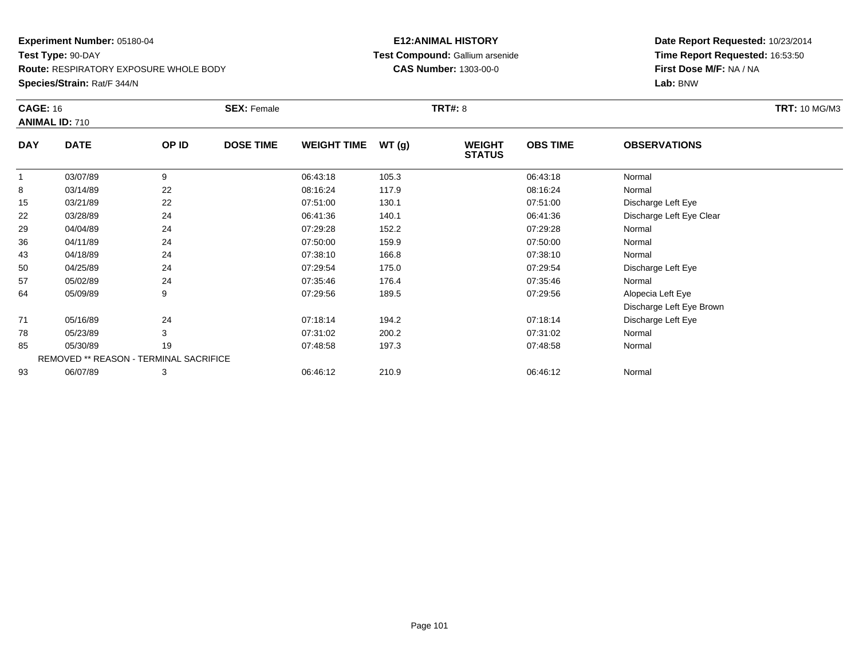**Species/Strain:** Rat/F 344/N

# **E12:ANIMAL HISTORY Test Compound:** Gallium arsenide**CAS Number:** 1303-00-0

|            | <b>CAGE: 16</b><br><b>ANIMAL ID: 710</b> |       | <b>SEX: Female</b> |                    |       | <b>TRT#: 8</b>                 | <b>TRT: 10 MG/M3</b> |                          |  |
|------------|------------------------------------------|-------|--------------------|--------------------|-------|--------------------------------|----------------------|--------------------------|--|
| <b>DAY</b> | <b>DATE</b>                              | OP ID | <b>DOSE TIME</b>   | <b>WEIGHT TIME</b> | WT(g) | <b>WEIGHT</b><br><b>STATUS</b> | <b>OBS TIME</b>      | <b>OBSERVATIONS</b>      |  |
|            | 03/07/89                                 | 9     |                    | 06:43:18           | 105.3 |                                | 06:43:18             | Normal                   |  |
| 8          | 03/14/89                                 | 22    |                    | 08:16:24           | 117.9 |                                | 08:16:24             | Normal                   |  |
| 15         | 03/21/89                                 | 22    |                    | 07:51:00           | 130.1 |                                | 07:51:00             | Discharge Left Eye       |  |
| 22         | 03/28/89                                 | 24    |                    | 06:41:36           | 140.1 |                                | 06:41:36             | Discharge Left Eye Clear |  |
| 29         | 04/04/89                                 | 24    |                    | 07:29:28           | 152.2 |                                | 07:29:28             | Normal                   |  |
| 36         | 04/11/89                                 | 24    |                    | 07:50:00           | 159.9 |                                | 07:50:00             | Normal                   |  |
| 43         | 04/18/89                                 | 24    |                    | 07:38:10           | 166.8 |                                | 07:38:10             | Normal                   |  |
| 50         | 04/25/89                                 | 24    |                    | 07:29:54           | 175.0 |                                | 07:29:54             | Discharge Left Eye       |  |
| 57         | 05/02/89                                 | 24    |                    | 07:35:46           | 176.4 |                                | 07:35:46             | Normal                   |  |
| 64         | 05/09/89                                 | 9     |                    | 07:29:56           | 189.5 |                                | 07:29:56             | Alopecia Left Eye        |  |
|            |                                          |       |                    |                    |       |                                |                      | Discharge Left Eye Brown |  |
| 71         | 05/16/89                                 | 24    |                    | 07:18:14           | 194.2 |                                | 07:18:14             | Discharge Left Eye       |  |
| 78         | 05/23/89                                 | 3     |                    | 07:31:02           | 200.2 |                                | 07:31:02             | Normal                   |  |
| 85         | 05/30/89                                 | 19    |                    | 07:48:58           | 197.3 |                                | 07:48:58             | Normal                   |  |
|            | REMOVED ** REASON - TERMINAL SACRIFICE   |       |                    |                    |       |                                |                      |                          |  |
| 93         | 06/07/89                                 | 3     |                    | 06:46:12           | 210.9 |                                | 06:46:12             | Normal                   |  |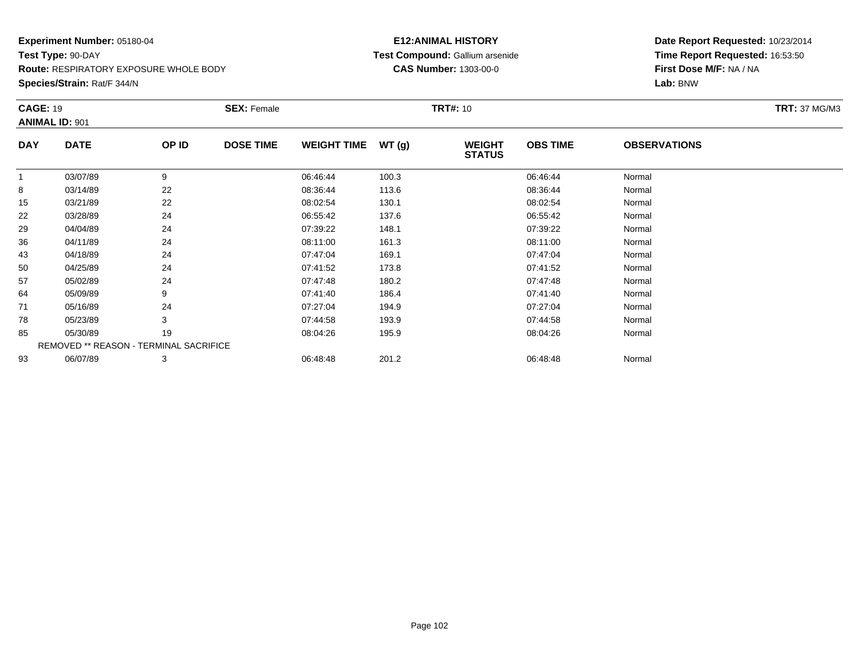**Species/Strain:** Rat/F 344/N

# **E12:ANIMAL HISTORY Test Compound:** Gallium arsenide**CAS Number:** 1303-00-0

| <b>CAGE: 19</b> |                                        |       | <b>SEX: Female</b> |                    |       | <b>TRT#: 10</b>                |                 |                     | <b>TRT: 37 MG/M3</b> |
|-----------------|----------------------------------------|-------|--------------------|--------------------|-------|--------------------------------|-----------------|---------------------|----------------------|
|                 | <b>ANIMAL ID: 901</b>                  |       |                    |                    |       |                                |                 |                     |                      |
| <b>DAY</b>      | <b>DATE</b>                            | OP ID | <b>DOSE TIME</b>   | <b>WEIGHT TIME</b> | WT(g) | <b>WEIGHT</b><br><b>STATUS</b> | <b>OBS TIME</b> | <b>OBSERVATIONS</b> |                      |
|                 | 03/07/89                               | 9     |                    | 06:46:44           | 100.3 |                                | 06:46:44        | Normal              |                      |
| 8               | 03/14/89                               | 22    |                    | 08:36:44           | 113.6 |                                | 08:36:44        | Normal              |                      |
| 15              | 03/21/89                               | 22    |                    | 08:02:54           | 130.1 |                                | 08:02:54        | Normal              |                      |
| 22              | 03/28/89                               | 24    |                    | 06:55:42           | 137.6 |                                | 06:55:42        | Normal              |                      |
| 29              | 04/04/89                               | 24    |                    | 07:39:22           | 148.1 |                                | 07:39:22        | Normal              |                      |
| 36              | 04/11/89                               | 24    |                    | 08:11:00           | 161.3 |                                | 08:11:00        | Normal              |                      |
| 43              | 04/18/89                               | 24    |                    | 07:47:04           | 169.1 |                                | 07:47:04        | Normal              |                      |
| 50              | 04/25/89                               | 24    |                    | 07:41:52           | 173.8 |                                | 07:41:52        | Normal              |                      |
| 57              | 05/02/89                               | 24    |                    | 07:47:48           | 180.2 |                                | 07:47:48        | Normal              |                      |
| 64              | 05/09/89                               | 9     |                    | 07:41:40           | 186.4 |                                | 07:41:40        | Normal              |                      |
| 71              | 05/16/89                               | 24    |                    | 07:27:04           | 194.9 |                                | 07:27:04        | Normal              |                      |
| 78              | 05/23/89                               | 3     |                    | 07:44:58           | 193.9 |                                | 07:44:58        | Normal              |                      |
| 85              | 05/30/89                               | 19    |                    | 08:04:26           | 195.9 |                                | 08:04:26        | Normal              |                      |
|                 | REMOVED ** REASON - TERMINAL SACRIFICE |       |                    |                    |       |                                |                 |                     |                      |
| 93              | 06/07/89                               | 3     |                    | 06:48:48           | 201.2 |                                | 06:48:48        | Normal              |                      |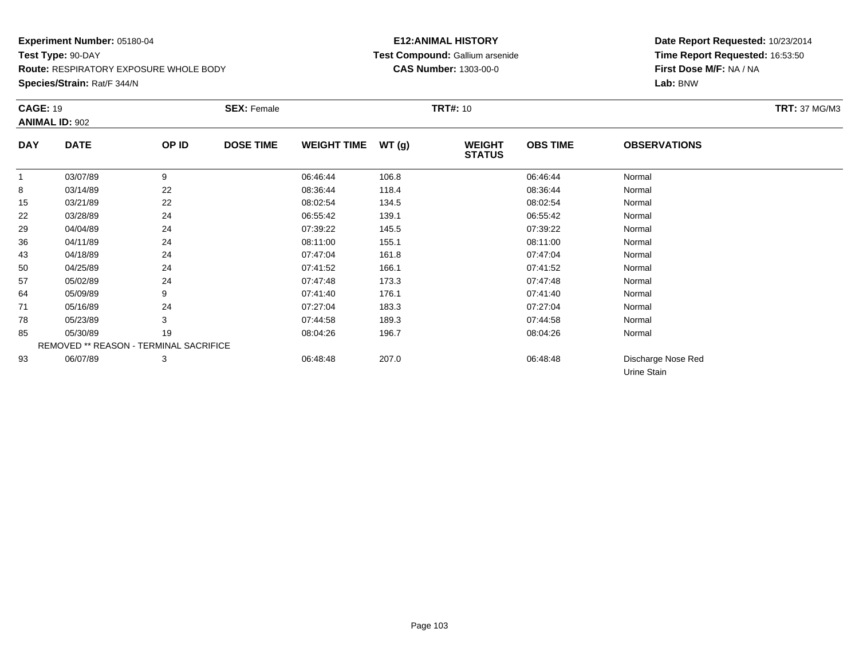**Species/Strain:** Rat/F 344/N

# **E12:ANIMAL HISTORY Test Compound:** Gallium arsenide**CAS Number:** 1303-00-0

|            | <b>CAGE: 19</b><br><b>ANIMAL ID: 902</b> |       | <b>SEX: Female</b> |                    |       |                                | <b>TRT#: 10</b> |                                   |  |  |
|------------|------------------------------------------|-------|--------------------|--------------------|-------|--------------------------------|-----------------|-----------------------------------|--|--|
|            |                                          |       |                    |                    |       |                                |                 |                                   |  |  |
| <b>DAY</b> | <b>DATE</b>                              | OP ID | <b>DOSE TIME</b>   | <b>WEIGHT TIME</b> | WT(g) | <b>WEIGHT</b><br><b>STATUS</b> | <b>OBS TIME</b> | <b>OBSERVATIONS</b>               |  |  |
| 1          | 03/07/89                                 | 9     |                    | 06:46:44           | 106.8 |                                | 06:46:44        | Normal                            |  |  |
| 8          | 03/14/89                                 | 22    |                    | 08:36:44           | 118.4 |                                | 08:36:44        | Normal                            |  |  |
| 15         | 03/21/89                                 | 22    |                    | 08:02:54           | 134.5 |                                | 08:02:54        | Normal                            |  |  |
| 22         | 03/28/89                                 | 24    |                    | 06:55:42           | 139.1 |                                | 06:55:42        | Normal                            |  |  |
| 29         | 04/04/89                                 | 24    |                    | 07:39:22           | 145.5 |                                | 07:39:22        | Normal                            |  |  |
| 36         | 04/11/89                                 | 24    |                    | 08:11:00           | 155.1 |                                | 08:11:00        | Normal                            |  |  |
| 43         | 04/18/89                                 | 24    |                    | 07:47:04           | 161.8 |                                | 07:47:04        | Normal                            |  |  |
| 50         | 04/25/89                                 | 24    |                    | 07:41:52           | 166.1 |                                | 07:41:52        | Normal                            |  |  |
| 57         | 05/02/89                                 | 24    |                    | 07:47:48           | 173.3 |                                | 07:47:48        | Normal                            |  |  |
| 64         | 05/09/89                                 | 9     |                    | 07:41:40           | 176.1 |                                | 07:41:40        | Normal                            |  |  |
| 71         | 05/16/89                                 | 24    |                    | 07:27:04           | 183.3 |                                | 07:27:04        | Normal                            |  |  |
| 78         | 05/23/89                                 | 3     |                    | 07:44:58           | 189.3 |                                | 07:44:58        | Normal                            |  |  |
| 85         | 05/30/89                                 | 19    |                    | 08:04:26           | 196.7 |                                | 08:04:26        | Normal                            |  |  |
|            | REMOVED ** REASON - TERMINAL SACRIFICE   |       |                    |                    |       |                                |                 |                                   |  |  |
| 93         | 06/07/89                                 | 3     |                    | 06:48:48           | 207.0 |                                | 06:48:48        | Discharge Nose Red<br>Urine Stain |  |  |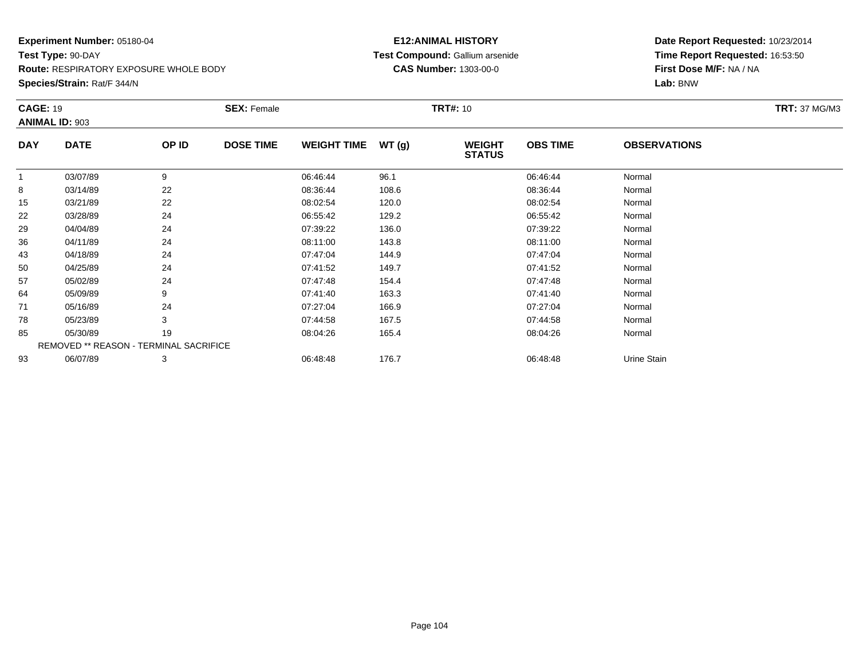**Species/Strain:** Rat/F 344/N

# **E12:ANIMAL HISTORY Test Compound:** Gallium arsenide**CAS Number:** 1303-00-0

|            | <b>CAGE: 19</b>                        |       | <b>SEX: Female</b> |                    |       |                                | <b>TRT#:</b> 10 |                     |  |  |  |
|------------|----------------------------------------|-------|--------------------|--------------------|-------|--------------------------------|-----------------|---------------------|--|--|--|
|            | <b>ANIMAL ID: 903</b>                  |       |                    |                    |       |                                |                 |                     |  |  |  |
| <b>DAY</b> | <b>DATE</b>                            | OP ID | <b>DOSE TIME</b>   | <b>WEIGHT TIME</b> | WT(g) | <b>WEIGHT</b><br><b>STATUS</b> | <b>OBS TIME</b> | <b>OBSERVATIONS</b> |  |  |  |
|            | 03/07/89                               | 9     |                    | 06:46:44           | 96.1  |                                | 06:46:44        | Normal              |  |  |  |
| 8          | 03/14/89                               | 22    |                    | 08:36:44           | 108.6 |                                | 08:36:44        | Normal              |  |  |  |
| 15         | 03/21/89                               | 22    |                    | 08:02:54           | 120.0 |                                | 08:02:54        | Normal              |  |  |  |
| 22         | 03/28/89                               | 24    |                    | 06:55:42           | 129.2 |                                | 06:55:42        | Normal              |  |  |  |
| 29         | 04/04/89                               | 24    |                    | 07:39:22           | 136.0 |                                | 07:39:22        | Normal              |  |  |  |
| 36         | 04/11/89                               | 24    |                    | 08:11:00           | 143.8 |                                | 08:11:00        | Normal              |  |  |  |
| 43         | 04/18/89                               | 24    |                    | 07:47:04           | 144.9 |                                | 07:47:04        | Normal              |  |  |  |
| 50         | 04/25/89                               | 24    |                    | 07:41:52           | 149.7 |                                | 07:41:52        | Normal              |  |  |  |
| 57         | 05/02/89                               | 24    |                    | 07:47:48           | 154.4 |                                | 07:47:48        | Normal              |  |  |  |
| 64         | 05/09/89                               | 9     |                    | 07:41:40           | 163.3 |                                | 07:41:40        | Normal              |  |  |  |
| 71         | 05/16/89                               | 24    |                    | 07:27:04           | 166.9 |                                | 07:27:04        | Normal              |  |  |  |
| 78         | 05/23/89                               | 3     |                    | 07:44:58           | 167.5 |                                | 07:44:58        | Normal              |  |  |  |
| 85         | 05/30/89                               | 19    |                    | 08:04:26           | 165.4 |                                | 08:04:26        | Normal              |  |  |  |
|            | REMOVED ** REASON - TERMINAL SACRIFICE |       |                    |                    |       |                                |                 |                     |  |  |  |
| 93         | 06/07/89                               | 3     |                    | 06:48:48           | 176.7 |                                | 06:48:48        | Urine Stain         |  |  |  |
|            |                                        |       |                    |                    |       |                                |                 |                     |  |  |  |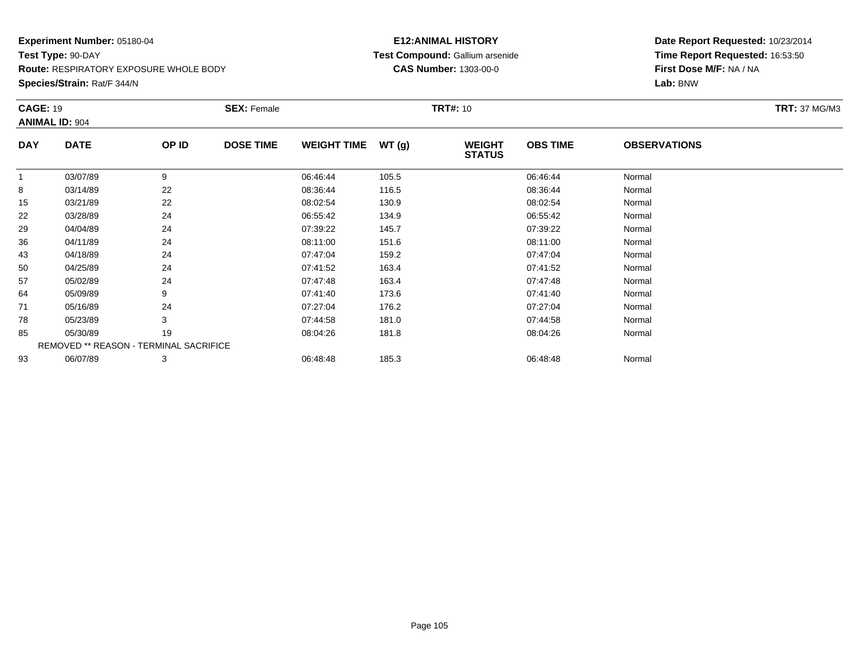**Species/Strain:** Rat/F 344/N

# **E12:ANIMAL HISTORY Test Compound:** Gallium arsenide**CAS Number:** 1303-00-0

|             |                                          | <b>SEX: Female</b> |                                        |       |                                |                 |                     | <b>TRT: 37 MG/M3</b> |
|-------------|------------------------------------------|--------------------|----------------------------------------|-------|--------------------------------|-----------------|---------------------|----------------------|
|             |                                          |                    |                                        |       |                                |                 |                     |                      |
| <b>DATE</b> | OP ID                                    | <b>DOSE TIME</b>   | <b>WEIGHT TIME</b>                     | WT(g) | <b>WEIGHT</b><br><b>STATUS</b> | <b>OBS TIME</b> | <b>OBSERVATIONS</b> |                      |
| 03/07/89    | 9                                        |                    | 06:46:44                               | 105.5 |                                | 06:46:44        | Normal              |                      |
| 03/14/89    | 22                                       |                    | 08:36:44                               | 116.5 |                                | 08:36:44        | Normal              |                      |
| 03/21/89    | 22                                       |                    | 08:02:54                               | 130.9 |                                | 08:02:54        | Normal              |                      |
| 03/28/89    | 24                                       |                    | 06:55:42                               | 134.9 |                                | 06:55:42        | Normal              |                      |
| 04/04/89    | 24                                       |                    | 07:39:22                               | 145.7 |                                | 07:39:22        | Normal              |                      |
| 04/11/89    | 24                                       |                    | 08:11:00                               | 151.6 |                                | 08:11:00        | Normal              |                      |
| 04/18/89    | 24                                       |                    | 07:47:04                               | 159.2 |                                | 07:47:04        | Normal              |                      |
| 04/25/89    | 24                                       |                    | 07:41:52                               | 163.4 |                                | 07:41:52        | Normal              |                      |
| 05/02/89    | 24                                       |                    | 07:47:48                               | 163.4 |                                | 07:47:48        | Normal              |                      |
| 05/09/89    | 9                                        |                    | 07:41:40                               | 173.6 |                                | 07:41:40        | Normal              |                      |
| 05/16/89    | 24                                       |                    | 07:27:04                               | 176.2 |                                | 07:27:04        | Normal              |                      |
| 05/23/89    | 3                                        |                    | 07:44:58                               | 181.0 |                                | 07:44:58        | Normal              |                      |
| 05/30/89    | 19                                       |                    | 08:04:26                               | 181.8 |                                | 08:04:26        | Normal              |                      |
|             |                                          |                    |                                        |       |                                |                 |                     |                      |
| 06/07/89    | 3                                        |                    | 06:48:48                               | 185.3 |                                | 06:48:48        | Normal              |                      |
|             | <b>CAGE: 19</b><br><b>ANIMAL ID: 904</b> |                    | REMOVED ** REASON - TERMINAL SACRIFICE |       |                                | <b>TRT#: 10</b> |                     |                      |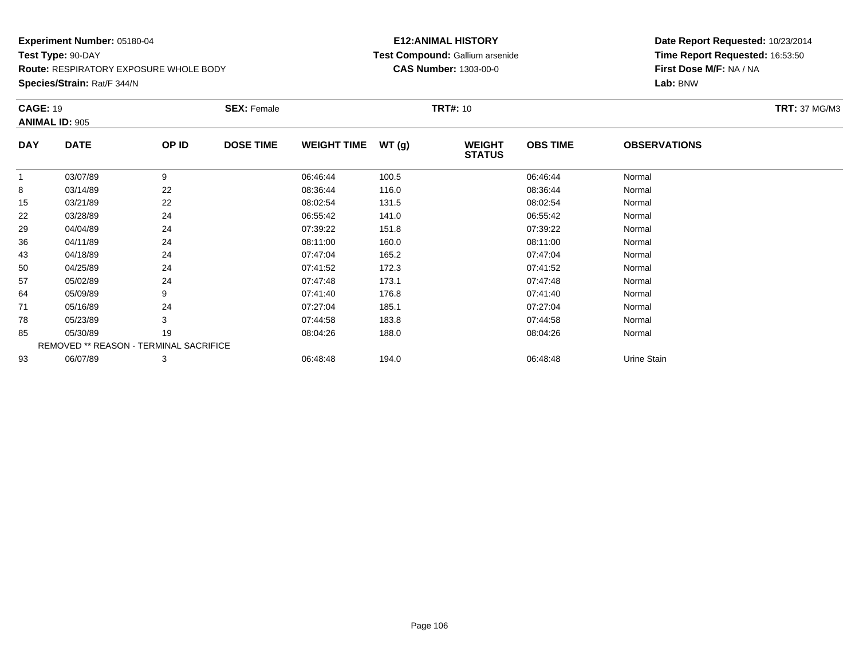**Species/Strain:** Rat/F 344/N

# **E12:ANIMAL HISTORY Test Compound:** Gallium arsenide**CAS Number:** 1303-00-0

| <b>ANIMAL ID: 905</b>                  |                           |                    |       |                                |                 |                     |  |
|----------------------------------------|---------------------------|--------------------|-------|--------------------------------|-----------------|---------------------|--|
|                                        |                           |                    |       |                                |                 |                     |  |
| <b>DAY</b><br><b>DATE</b>              | OP ID<br><b>DOSE TIME</b> | <b>WEIGHT TIME</b> | WT(g) | <b>WEIGHT</b><br><b>STATUS</b> | <b>OBS TIME</b> | <b>OBSERVATIONS</b> |  |
| 03/07/89                               | 9                         | 06:46:44           | 100.5 |                                | 06:46:44        | Normal              |  |
| 8<br>03/14/89                          | 22                        | 08:36:44           | 116.0 |                                | 08:36:44        | Normal              |  |
| 03/21/89<br>15                         | 22                        | 08:02:54           | 131.5 |                                | 08:02:54        | Normal              |  |
| 22<br>03/28/89                         | 24                        | 06:55:42           | 141.0 |                                | 06:55:42        | Normal              |  |
| 29<br>04/04/89                         | 24                        | 07:39:22           | 151.8 |                                | 07:39:22        | Normal              |  |
| 36<br>04/11/89                         | 24                        | 08:11:00           | 160.0 |                                | 08:11:00        | Normal              |  |
| 43<br>04/18/89                         | 24                        | 07:47:04           | 165.2 |                                | 07:47:04        | Normal              |  |
| 50<br>04/25/89                         | 24                        | 07:41:52           | 172.3 |                                | 07:41:52        | Normal              |  |
| 57<br>05/02/89                         | 24                        | 07:47:48           | 173.1 |                                | 07:47:48        | Normal              |  |
| 64<br>05/09/89                         | 9                         | 07:41:40           | 176.8 |                                | 07:41:40        | Normal              |  |
| 71<br>05/16/89                         | 24                        | 07:27:04           | 185.1 |                                | 07:27:04        | Normal              |  |
| 78<br>05/23/89                         | 3                         | 07:44:58           | 183.8 |                                | 07:44:58        | Normal              |  |
| 85<br>05/30/89                         | 19                        | 08:04:26           | 188.0 |                                | 08:04:26        | Normal              |  |
| REMOVED ** REASON - TERMINAL SACRIFICE |                           |                    |       |                                |                 |                     |  |
| 06/07/89<br>93                         | 3                         | 06:48:48           | 194.0 |                                | 06:48:48        | Urine Stain         |  |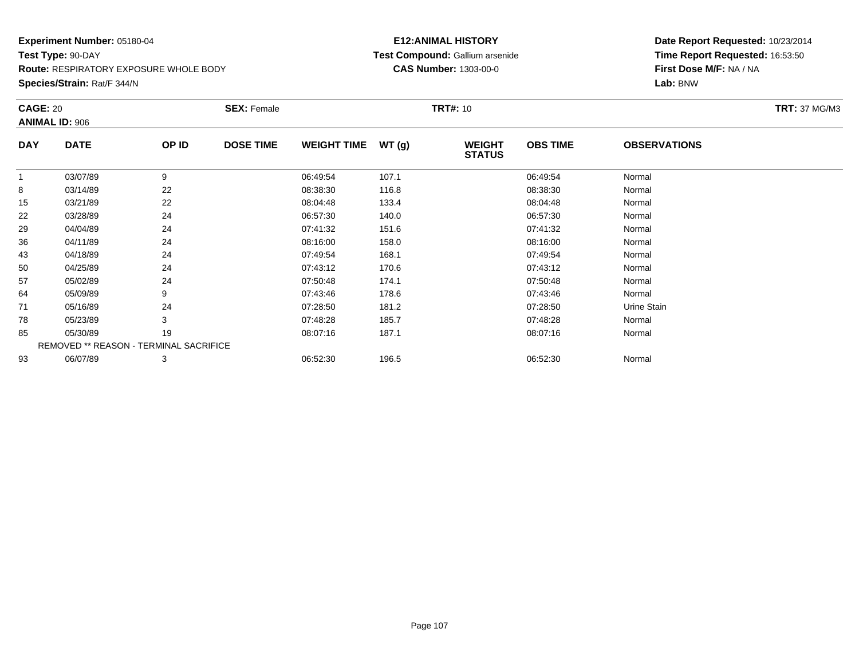**Species/Strain:** Rat/F 344/N

# **E12:ANIMAL HISTORY Test Compound:** Gallium arsenide**CAS Number:** 1303-00-0

|            | <b>CAGE: 20</b>                               |       | <b>SEX: Female</b> |                    |       |                                | <b>TRT#: 10</b> |                     |  |  |  |
|------------|-----------------------------------------------|-------|--------------------|--------------------|-------|--------------------------------|-----------------|---------------------|--|--|--|
|            | <b>ANIMAL ID: 906</b>                         |       |                    |                    |       |                                |                 |                     |  |  |  |
| <b>DAY</b> | <b>DATE</b>                                   | OP ID | <b>DOSE TIME</b>   | <b>WEIGHT TIME</b> | WT(g) | <b>WEIGHT</b><br><b>STATUS</b> | <b>OBS TIME</b> | <b>OBSERVATIONS</b> |  |  |  |
| 1          | 03/07/89                                      | 9     |                    | 06:49:54           | 107.1 |                                | 06:49:54        | Normal              |  |  |  |
| 8          | 03/14/89                                      | 22    |                    | 08:38:30           | 116.8 |                                | 08:38:30        | Normal              |  |  |  |
| 15         | 03/21/89                                      | 22    |                    | 08:04:48           | 133.4 |                                | 08:04:48        | Normal              |  |  |  |
| 22         | 03/28/89                                      | 24    |                    | 06:57:30           | 140.0 |                                | 06:57:30        | Normal              |  |  |  |
| 29         | 04/04/89                                      | 24    |                    | 07:41:32           | 151.6 |                                | 07:41:32        | Normal              |  |  |  |
| 36         | 04/11/89                                      | 24    |                    | 08:16:00           | 158.0 |                                | 08:16:00        | Normal              |  |  |  |
| 43         | 04/18/89                                      | 24    |                    | 07:49:54           | 168.1 |                                | 07:49:54        | Normal              |  |  |  |
| 50         | 04/25/89                                      | 24    |                    | 07:43:12           | 170.6 |                                | 07:43:12        | Normal              |  |  |  |
| 57         | 05/02/89                                      | 24    |                    | 07:50:48           | 174.1 |                                | 07:50:48        | Normal              |  |  |  |
| 64         | 05/09/89                                      | 9     |                    | 07:43:46           | 178.6 |                                | 07:43:46        | Normal              |  |  |  |
| 71         | 05/16/89                                      | 24    |                    | 07:28:50           | 181.2 |                                | 07:28:50        | Urine Stain         |  |  |  |
| 78         | 05/23/89                                      | 3     |                    | 07:48:28           | 185.7 |                                | 07:48:28        | Normal              |  |  |  |
| 85         | 05/30/89                                      | 19    |                    | 08:07:16           | 187.1 |                                | 08:07:16        | Normal              |  |  |  |
|            | <b>REMOVED ** REASON - TERMINAL SACRIFICE</b> |       |                    |                    |       |                                |                 |                     |  |  |  |
| 93         | 06/07/89                                      | 3     |                    | 06:52:30           | 196.5 |                                | 06:52:30        | Normal              |  |  |  |
|            |                                               |       |                    |                    |       |                                |                 |                     |  |  |  |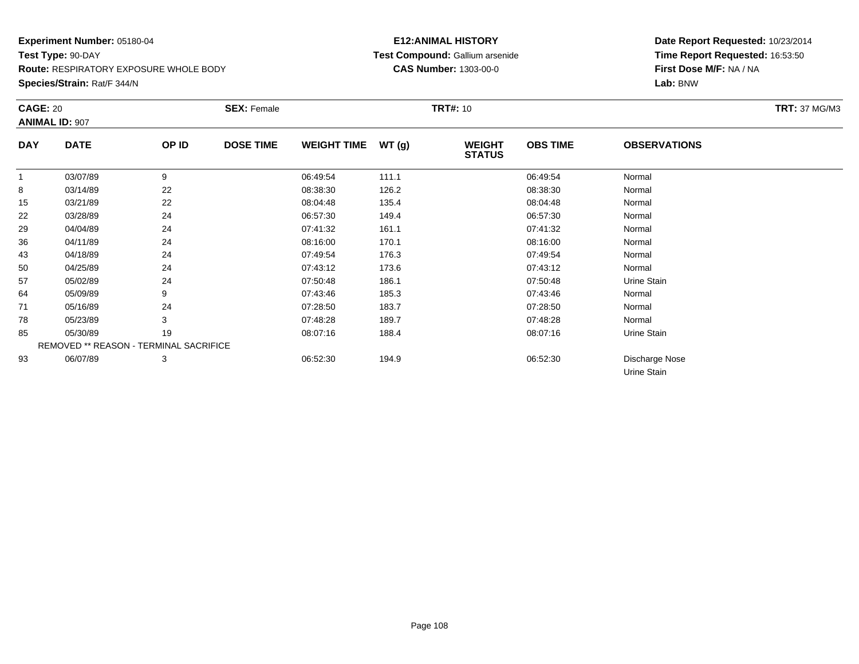**Species/Strain:** Rat/F 344/N

# **E12:ANIMAL HISTORY Test Compound:** Gallium arsenide**CAS Number:** 1303-00-0

|            | <b>CAGE: 20</b><br><b>ANIMAL ID: 907</b> |       | <b>SEX: Female</b> |                    |       | <b>TRT#: 10</b>                |                 | <b>TRT: 37 MG/M3</b>          |  |
|------------|------------------------------------------|-------|--------------------|--------------------|-------|--------------------------------|-----------------|-------------------------------|--|
|            |                                          |       |                    |                    |       |                                |                 |                               |  |
| <b>DAY</b> | <b>DATE</b>                              | OP ID | <b>DOSE TIME</b>   | <b>WEIGHT TIME</b> | WT(g) | <b>WEIGHT</b><br><b>STATUS</b> | <b>OBS TIME</b> | <b>OBSERVATIONS</b>           |  |
| 1          | 03/07/89                                 | 9     |                    | 06:49:54           | 111.1 |                                | 06:49:54        | Normal                        |  |
| 8          | 03/14/89                                 | 22    |                    | 08:38:30           | 126.2 |                                | 08:38:30        | Normal                        |  |
| 15         | 03/21/89                                 | 22    |                    | 08:04:48           | 135.4 |                                | 08:04:48        | Normal                        |  |
| 22         | 03/28/89                                 | 24    |                    | 06:57:30           | 149.4 |                                | 06:57:30        | Normal                        |  |
| 29         | 04/04/89                                 | 24    |                    | 07:41:32           | 161.1 |                                | 07:41:32        | Normal                        |  |
| 36         | 04/11/89                                 | 24    |                    | 08:16:00           | 170.1 |                                | 08:16:00        | Normal                        |  |
| 43         | 04/18/89                                 | 24    |                    | 07:49:54           | 176.3 |                                | 07:49:54        | Normal                        |  |
| 50         | 04/25/89                                 | 24    |                    | 07:43:12           | 173.6 |                                | 07:43:12        | Normal                        |  |
| 57         | 05/02/89                                 | 24    |                    | 07:50:48           | 186.1 |                                | 07:50:48        | Urine Stain                   |  |
| 64         | 05/09/89                                 | 9     |                    | 07:43:46           | 185.3 |                                | 07:43:46        | Normal                        |  |
| 71         | 05/16/89                                 | 24    |                    | 07:28:50           | 183.7 |                                | 07:28:50        | Normal                        |  |
| 78         | 05/23/89                                 | 3     |                    | 07:48:28           | 189.7 |                                | 07:48:28        | Normal                        |  |
| 85         | 05/30/89                                 | 19    |                    | 08:07:16           | 188.4 |                                | 08:07:16        | Urine Stain                   |  |
|            | REMOVED ** REASON - TERMINAL SACRIFICE   |       |                    |                    |       |                                |                 |                               |  |
| 93         | 06/07/89                                 | 3     |                    | 06:52:30           | 194.9 |                                | 06:52:30        | Discharge Nose<br>Urine Stain |  |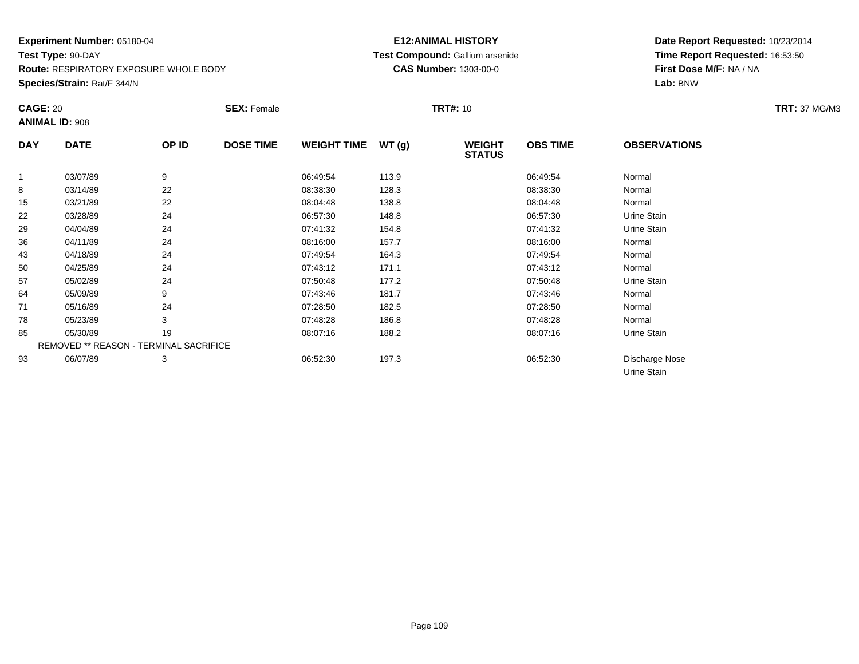**Species/Strain:** Rat/F 344/N

# **E12:ANIMAL HISTORY Test Compound:** Gallium arsenide**CAS Number:** 1303-00-0

| <b>CAGE: 20</b><br><b>ANIMAL ID: 908</b> |                                        | <b>SEX: Female</b> |                  |                    | <b>TRT#:</b> 10 |                                |                 | <b>TRT: 37 MG/M3</b>          |  |
|------------------------------------------|----------------------------------------|--------------------|------------------|--------------------|-----------------|--------------------------------|-----------------|-------------------------------|--|
| <b>DAY</b>                               | <b>DATE</b>                            | OP ID              | <b>DOSE TIME</b> | <b>WEIGHT TIME</b> | WT(g)           | <b>WEIGHT</b><br><b>STATUS</b> | <b>OBS TIME</b> | <b>OBSERVATIONS</b>           |  |
| 1                                        | 03/07/89                               | 9                  |                  | 06:49:54           | 113.9           |                                | 06:49:54        | Normal                        |  |
| 8                                        | 03/14/89                               | 22                 |                  | 08:38:30           | 128.3           |                                | 08:38:30        | Normal                        |  |
| 15                                       | 03/21/89                               | 22                 |                  | 08:04:48           | 138.8           |                                | 08:04:48        | Normal                        |  |
| 22                                       | 03/28/89                               | 24                 |                  | 06:57:30           | 148.8           |                                | 06:57:30        | Urine Stain                   |  |
| 29                                       | 04/04/89                               | 24                 |                  | 07:41:32           | 154.8           |                                | 07:41:32        | Urine Stain                   |  |
| 36                                       | 04/11/89                               | 24                 |                  | 08:16:00           | 157.7           |                                | 08:16:00        | Normal                        |  |
| 43                                       | 04/18/89                               | 24                 |                  | 07:49:54           | 164.3           |                                | 07:49:54        | Normal                        |  |
| 50                                       | 04/25/89                               | 24                 |                  | 07:43:12           | 171.1           |                                | 07:43:12        | Normal                        |  |
| 57                                       | 05/02/89                               | 24                 |                  | 07:50:48           | 177.2           |                                | 07:50:48        | Urine Stain                   |  |
| 64                                       | 05/09/89                               | 9                  |                  | 07:43:46           | 181.7           |                                | 07:43:46        | Normal                        |  |
| 71                                       | 05/16/89                               | 24                 |                  | 07:28:50           | 182.5           |                                | 07:28:50        | Normal                        |  |
| 78                                       | 05/23/89                               | 3                  |                  | 07:48:28           | 186.8           |                                | 07:48:28        | Normal                        |  |
| 85                                       | 05/30/89                               | 19                 |                  | 08:07:16           | 188.2           |                                | 08:07:16        | Urine Stain                   |  |
|                                          | REMOVED ** REASON - TERMINAL SACRIFICE |                    |                  |                    |                 |                                |                 |                               |  |
| 93                                       | 06/07/89                               | 3                  |                  | 06:52:30           | 197.3           |                                | 06:52:30        | Discharge Nose<br>Urine Stain |  |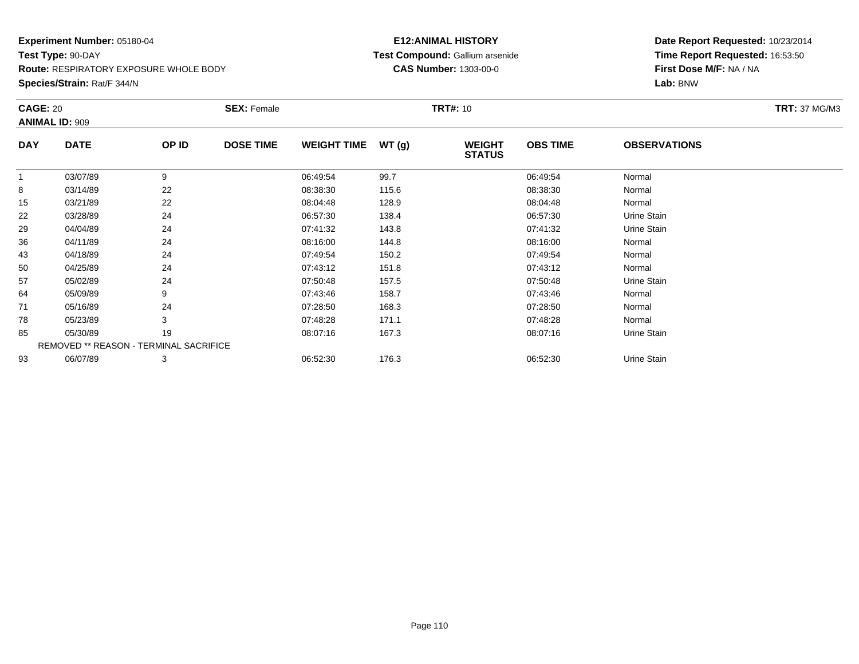**Species/Strain:** Rat/F 344/N

# **E12:ANIMAL HISTORY Test Compound:** Gallium arsenide**CAS Number:** 1303-00-0

|            | <b>CAGE: 20</b>                        |       | <b>SEX: Female</b> |                    |       | <b>TRT#:</b> 10                | <b>TRT: 37 MG/M3</b> |                     |  |
|------------|----------------------------------------|-------|--------------------|--------------------|-------|--------------------------------|----------------------|---------------------|--|
|            | <b>ANIMAL ID: 909</b>                  |       |                    |                    |       |                                |                      |                     |  |
| <b>DAY</b> | <b>DATE</b>                            | OP ID | <b>DOSE TIME</b>   | <b>WEIGHT TIME</b> | WT(g) | <b>WEIGHT</b><br><b>STATUS</b> | <b>OBS TIME</b>      | <b>OBSERVATIONS</b> |  |
| 1          | 03/07/89                               | 9     |                    | 06:49:54           | 99.7  |                                | 06:49:54             | Normal              |  |
| 8          | 03/14/89                               | 22    |                    | 08:38:30           | 115.6 |                                | 08:38:30             | Normal              |  |
| 15         | 03/21/89                               | 22    |                    | 08:04:48           | 128.9 |                                | 08:04:48             | Normal              |  |
| 22         | 03/28/89                               | 24    |                    | 06:57:30           | 138.4 |                                | 06:57:30             | Urine Stain         |  |
| 29         | 04/04/89                               | 24    |                    | 07:41:32           | 143.8 |                                | 07:41:32             | Urine Stain         |  |
| 36         | 04/11/89                               | 24    |                    | 08:16:00           | 144.8 |                                | 08:16:00             | Normal              |  |
| 43         | 04/18/89                               | 24    |                    | 07:49:54           | 150.2 |                                | 07:49:54             | Normal              |  |
| 50         | 04/25/89                               | 24    |                    | 07:43:12           | 151.8 |                                | 07:43:12             | Normal              |  |
| 57         | 05/02/89                               | 24    |                    | 07:50:48           | 157.5 |                                | 07:50:48             | Urine Stain         |  |
| 64         | 05/09/89                               | 9     |                    | 07:43:46           | 158.7 |                                | 07:43:46             | Normal              |  |
| 71         | 05/16/89                               | 24    |                    | 07:28:50           | 168.3 |                                | 07:28:50             | Normal              |  |
| 78         | 05/23/89                               | 3     |                    | 07:48:28           | 171.1 |                                | 07:48:28             | Normal              |  |
| 85         | 05/30/89                               | 19    |                    | 08:07:16           | 167.3 |                                | 08:07:16             | Urine Stain         |  |
|            | REMOVED ** REASON - TERMINAL SACRIFICE |       |                    |                    |       |                                |                      |                     |  |
| 93         | 06/07/89                               | 3     |                    | 06:52:30           | 176.3 |                                | 06:52:30             | Urine Stain         |  |
|            |                                        |       |                    |                    |       |                                |                      |                     |  |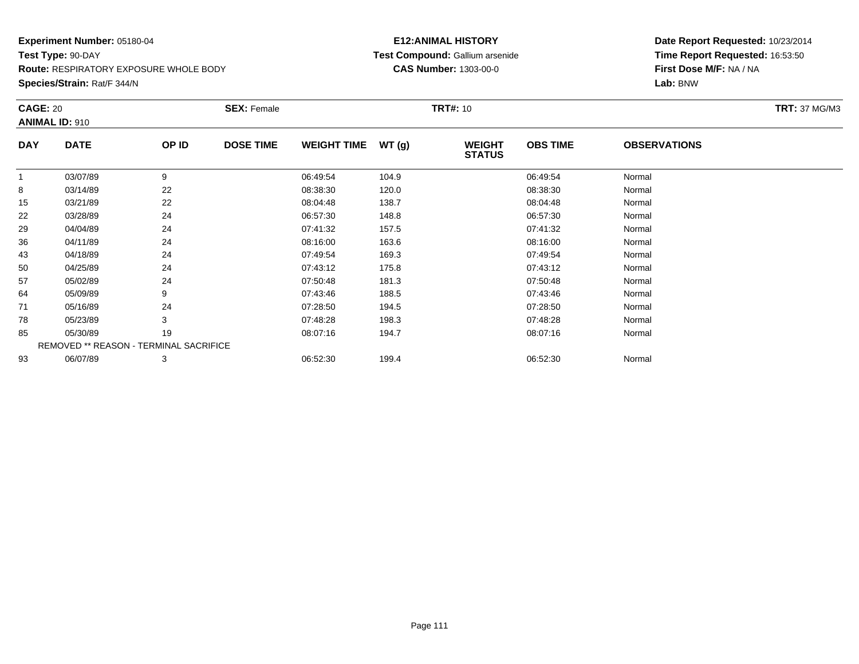**Species/Strain:** Rat/F 344/N

# **E12:ANIMAL HISTORY Test Compound:** Gallium arsenide**CAS Number:** 1303-00-0

|            | <b>CAGE: 20</b>                        |       | <b>SEX: Female</b> |                    |       | <b>TRT#: 10</b>                | <b>TRT: 37 MG/M3</b> |                     |  |
|------------|----------------------------------------|-------|--------------------|--------------------|-------|--------------------------------|----------------------|---------------------|--|
|            | <b>ANIMAL ID: 910</b>                  |       |                    |                    |       |                                |                      |                     |  |
| <b>DAY</b> | <b>DATE</b>                            | OP ID | <b>DOSE TIME</b>   | <b>WEIGHT TIME</b> | WT(g) | <b>WEIGHT</b><br><b>STATUS</b> | <b>OBS TIME</b>      | <b>OBSERVATIONS</b> |  |
| 1          | 03/07/89                               | 9     |                    | 06:49:54           | 104.9 |                                | 06:49:54             | Normal              |  |
| 8          | 03/14/89                               | 22    |                    | 08:38:30           | 120.0 |                                | 08:38:30             | Normal              |  |
| 15         | 03/21/89                               | 22    |                    | 08:04:48           | 138.7 |                                | 08:04:48             | Normal              |  |
| 22         | 03/28/89                               | 24    |                    | 06:57:30           | 148.8 |                                | 06:57:30             | Normal              |  |
| 29         | 04/04/89                               | 24    |                    | 07:41:32           | 157.5 |                                | 07:41:32             | Normal              |  |
| 36         | 04/11/89                               | 24    |                    | 08:16:00           | 163.6 |                                | 08:16:00             | Normal              |  |
| 43         | 04/18/89                               | 24    |                    | 07:49:54           | 169.3 |                                | 07:49:54             | Normal              |  |
| 50         | 04/25/89                               | 24    |                    | 07:43:12           | 175.8 |                                | 07:43:12             | Normal              |  |
| 57         | 05/02/89                               | 24    |                    | 07:50:48           | 181.3 |                                | 07:50:48             | Normal              |  |
| 64         | 05/09/89                               | 9     |                    | 07:43:46           | 188.5 |                                | 07:43:46             | Normal              |  |
| 71         | 05/16/89                               | 24    |                    | 07:28:50           | 194.5 |                                | 07:28:50             | Normal              |  |
| 78         | 05/23/89                               | 3     |                    | 07:48:28           | 198.3 |                                | 07:48:28             | Normal              |  |
| 85         | 05/30/89                               | 19    |                    | 08:07:16           | 194.7 |                                | 08:07:16             | Normal              |  |
|            | REMOVED ** REASON - TERMINAL SACRIFICE |       |                    |                    |       |                                |                      |                     |  |
| 93         | 06/07/89                               | 3     |                    | 06:52:30           | 199.4 |                                | 06:52:30             | Normal              |  |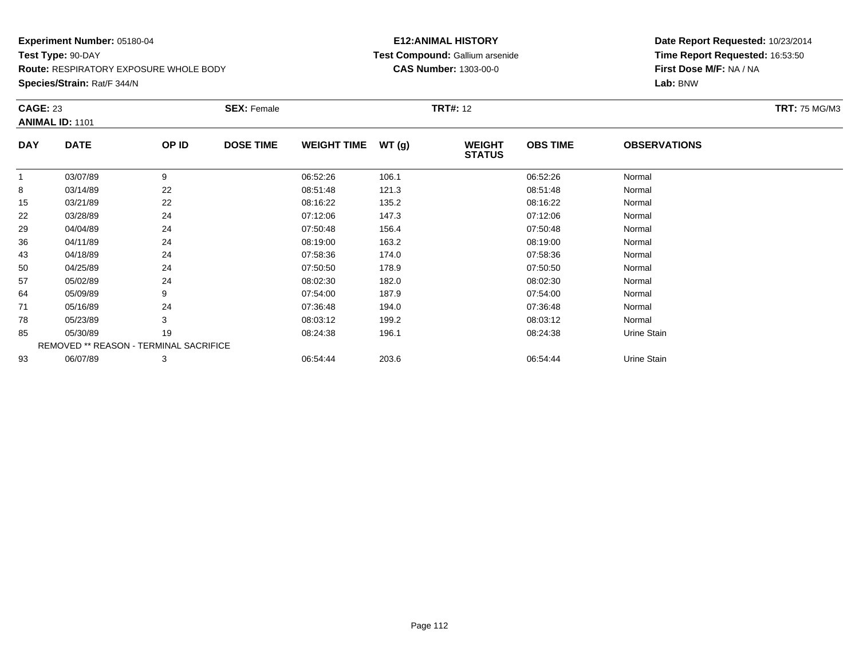**Species/Strain:** Rat/F 344/N

# **E12:ANIMAL HISTORY Test Compound:** Gallium arsenide**CAS Number:** 1303-00-0

| <b>CAGE: 23</b><br><b>ANIMAL ID: 1101</b> |                                        | <b>SEX: Female</b> |                  |                    | <b>TRT#: 12</b> |                                | <b>TRT: 75 MG/M3</b> |                     |  |
|-------------------------------------------|----------------------------------------|--------------------|------------------|--------------------|-----------------|--------------------------------|----------------------|---------------------|--|
| <b>DAY</b>                                | <b>DATE</b>                            | OP ID              | <b>DOSE TIME</b> | <b>WEIGHT TIME</b> | WT(g)           | <b>WEIGHT</b><br><b>STATUS</b> | <b>OBS TIME</b>      | <b>OBSERVATIONS</b> |  |
| 1                                         | 03/07/89                               | 9                  |                  | 06:52:26           | 106.1           |                                | 06:52:26             | Normal              |  |
| 8                                         | 03/14/89                               | 22                 |                  | 08:51:48           | 121.3           |                                | 08:51:48             | Normal              |  |
| 15                                        | 03/21/89                               | 22                 |                  | 08:16:22           | 135.2           |                                | 08:16:22             | Normal              |  |
| 22                                        | 03/28/89                               | 24                 |                  | 07:12:06           | 147.3           |                                | 07:12:06             | Normal              |  |
| 29                                        | 04/04/89                               | 24                 |                  | 07:50:48           | 156.4           |                                | 07:50:48             | Normal              |  |
| 36                                        | 04/11/89                               | 24                 |                  | 08:19:00           | 163.2           |                                | 08:19:00             | Normal              |  |
| 43                                        | 04/18/89                               | 24                 |                  | 07:58:36           | 174.0           |                                | 07:58:36             | Normal              |  |
| 50                                        | 04/25/89                               | 24                 |                  | 07:50:50           | 178.9           |                                | 07:50:50             | Normal              |  |
| 57                                        | 05/02/89                               | 24                 |                  | 08:02:30           | 182.0           |                                | 08:02:30             | Normal              |  |
| 64                                        | 05/09/89                               | 9                  |                  | 07:54:00           | 187.9           |                                | 07:54:00             | Normal              |  |
| 71                                        | 05/16/89                               | 24                 |                  | 07:36:48           | 194.0           |                                | 07:36:48             | Normal              |  |
| 78                                        | 05/23/89                               | 3                  |                  | 08:03:12           | 199.2           |                                | 08:03:12             | Normal              |  |
| 85                                        | 05/30/89                               | 19                 |                  | 08:24:38           | 196.1           |                                | 08:24:38             | Urine Stain         |  |
|                                           | REMOVED ** REASON - TERMINAL SACRIFICE |                    |                  |                    |                 |                                |                      |                     |  |
| 93                                        | 06/07/89                               | 3                  |                  | 06:54:44           | 203.6           |                                | 06:54:44             | Urine Stain         |  |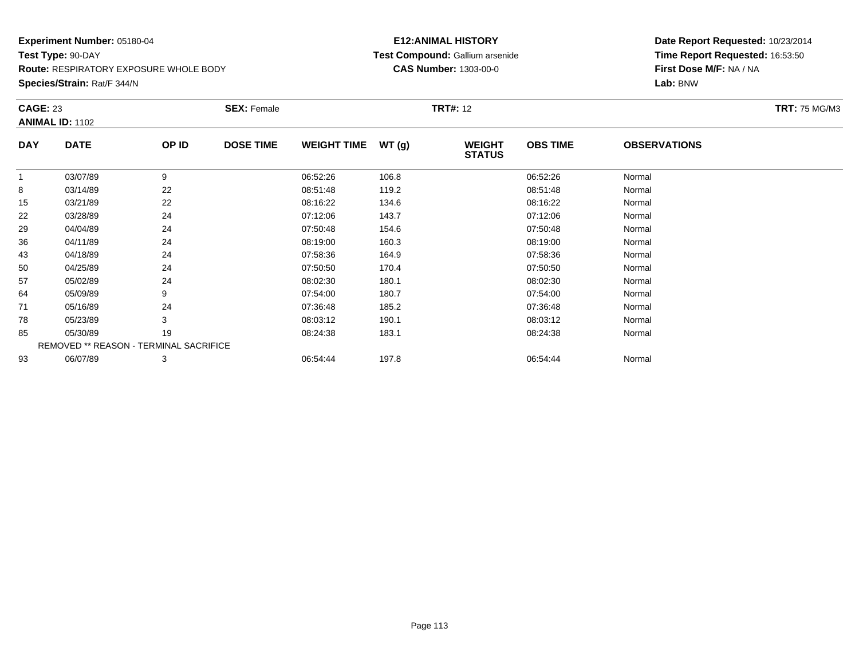**Species/Strain:** Rat/F 344/N

# **E12:ANIMAL HISTORY Test Compound:** Gallium arsenide**CAS Number:** 1303-00-0

| <b>TRT: 75 MG/M3</b> |
|----------------------|
|                      |
|                      |
|                      |
|                      |
|                      |
|                      |
|                      |
|                      |
|                      |
|                      |
|                      |
|                      |
|                      |
|                      |
|                      |
|                      |
|                      |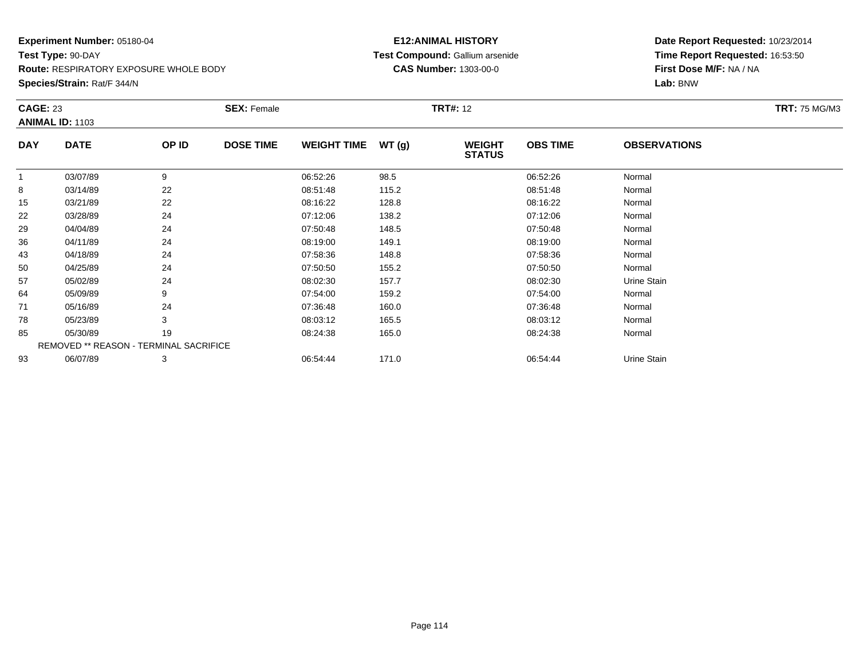**Species/Strain:** Rat/F 344/N

# **E12:ANIMAL HISTORY Test Compound:** Gallium arsenide**CAS Number:** 1303-00-0

| <b>CAGE: 23</b><br><b>ANIMAL ID: 1103</b> |                                        | <b>SEX: Female</b> |                  |                    | <b>TRT#:</b> 12 |                                | <b>TRT: 75 MG/M3</b> |                     |  |  |
|-------------------------------------------|----------------------------------------|--------------------|------------------|--------------------|-----------------|--------------------------------|----------------------|---------------------|--|--|
|                                           |                                        |                    |                  |                    |                 |                                |                      |                     |  |  |
| <b>DAY</b>                                | <b>DATE</b>                            | OP ID              | <b>DOSE TIME</b> | <b>WEIGHT TIME</b> | WT(g)           | <b>WEIGHT</b><br><b>STATUS</b> | <b>OBS TIME</b>      | <b>OBSERVATIONS</b> |  |  |
| 1                                         | 03/07/89                               | 9                  |                  | 06:52:26           | 98.5            |                                | 06:52:26             | Normal              |  |  |
| 8                                         | 03/14/89                               | 22                 |                  | 08:51:48           | 115.2           |                                | 08:51:48             | Normal              |  |  |
| 15                                        | 03/21/89                               | 22                 |                  | 08:16:22           | 128.8           |                                | 08:16:22             | Normal              |  |  |
| 22                                        | 03/28/89                               | 24                 |                  | 07:12:06           | 138.2           |                                | 07:12:06             | Normal              |  |  |
| 29                                        | 04/04/89                               | 24                 |                  | 07:50:48           | 148.5           |                                | 07:50:48             | Normal              |  |  |
| 36                                        | 04/11/89                               | 24                 |                  | 08:19:00           | 149.1           |                                | 08:19:00             | Normal              |  |  |
| 43                                        | 04/18/89                               | 24                 |                  | 07:58:36           | 148.8           |                                | 07:58:36             | Normal              |  |  |
| 50                                        | 04/25/89                               | 24                 |                  | 07:50:50           | 155.2           |                                | 07:50:50             | Normal              |  |  |
| 57                                        | 05/02/89                               | 24                 |                  | 08:02:30           | 157.7           |                                | 08:02:30             | Urine Stain         |  |  |
| 64                                        | 05/09/89                               | 9                  |                  | 07:54:00           | 159.2           |                                | 07:54:00             | Normal              |  |  |
| 71                                        | 05/16/89                               | 24                 |                  | 07:36:48           | 160.0           |                                | 07:36:48             | Normal              |  |  |
| 78                                        | 05/23/89                               | 3                  |                  | 08:03:12           | 165.5           |                                | 08:03:12             | Normal              |  |  |
| 85                                        | 05/30/89                               | 19                 |                  | 08:24:38           | 165.0           |                                | 08:24:38             | Normal              |  |  |
|                                           | REMOVED ** REASON - TERMINAL SACRIFICE |                    |                  |                    |                 |                                |                      |                     |  |  |
| 93                                        | 06/07/89                               | 3                  |                  | 06:54:44           | 171.0           |                                | 06:54:44             | Urine Stain         |  |  |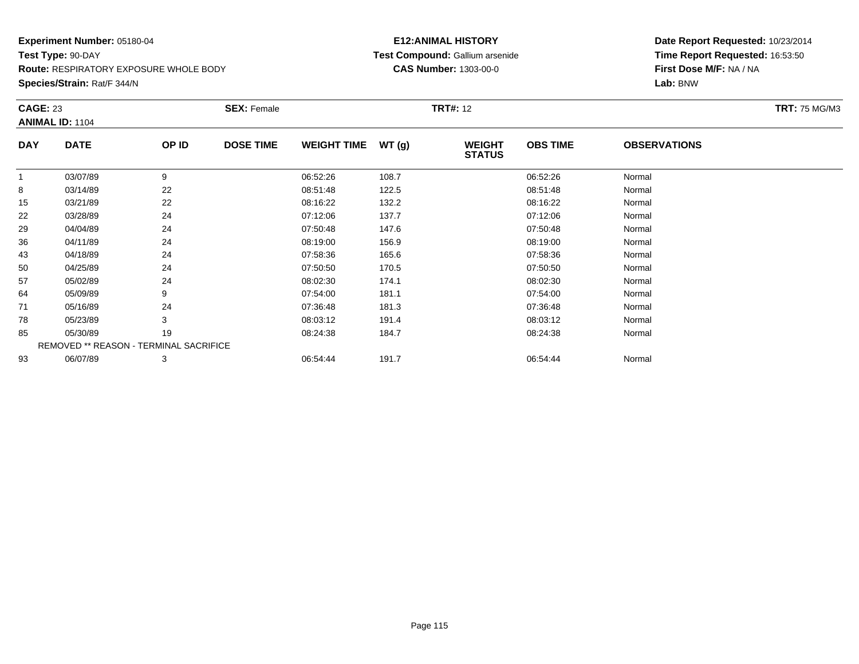**Species/Strain:** Rat/F 344/N

# **E12:ANIMAL HISTORY Test Compound:** Gallium arsenide**CAS Number:** 1303-00-0

|          |             |                  | <b>SEX: Female</b>                            |       |                                |                 |                     | <b>TRT: 75 MG/M3</b> |
|----------|-------------|------------------|-----------------------------------------------|-------|--------------------------------|-----------------|---------------------|----------------------|
|          | OP ID       | <b>DOSE TIME</b> | <b>WEIGHT TIME</b>                            | WT(g) | <b>WEIGHT</b><br><b>STATUS</b> | <b>OBS TIME</b> | <b>OBSERVATIONS</b> |                      |
| 03/07/89 | 9           |                  | 06:52:26                                      | 108.7 |                                | 06:52:26        | Normal              |                      |
| 03/14/89 | 22          |                  | 08:51:48                                      | 122.5 |                                | 08:51:48        | Normal              |                      |
| 03/21/89 | 22          |                  | 08:16:22                                      | 132.2 |                                | 08:16:22        | Normal              |                      |
| 03/28/89 | 24          |                  | 07:12:06                                      | 137.7 |                                | 07:12:06        | Normal              |                      |
| 04/04/89 | 24          |                  | 07:50:48                                      | 147.6 |                                | 07:50:48        | Normal              |                      |
| 04/11/89 | 24          |                  | 08:19:00                                      | 156.9 |                                | 08:19:00        | Normal              |                      |
| 04/18/89 | 24          |                  | 07:58:36                                      | 165.6 |                                | 07:58:36        | Normal              |                      |
| 04/25/89 | 24          |                  | 07:50:50                                      | 170.5 |                                | 07:50:50        | Normal              |                      |
| 05/02/89 | 24          |                  | 08:02:30                                      | 174.1 |                                | 08:02:30        | Normal              |                      |
| 05/09/89 | 9           |                  | 07:54:00                                      | 181.1 |                                | 07:54:00        | Normal              |                      |
| 05/16/89 | 24          |                  | 07:36:48                                      | 181.3 |                                | 07:36:48        | Normal              |                      |
| 05/23/89 | 3           |                  | 08:03:12                                      | 191.4 |                                | 08:03:12        | Normal              |                      |
| 05/30/89 | 19          |                  | 08:24:38                                      | 184.7 |                                | 08:24:38        | Normal              |                      |
|          |             |                  |                                               |       |                                |                 |                     |                      |
| 06/07/89 | 3           |                  | 06:54:44                                      | 191.7 |                                | 06:54:44        | Normal              |                      |
|          | <b>DATE</b> |                  | <b>REMOVED ** REASON - TERMINAL SACRIFICE</b> |       |                                |                 |                     |                      |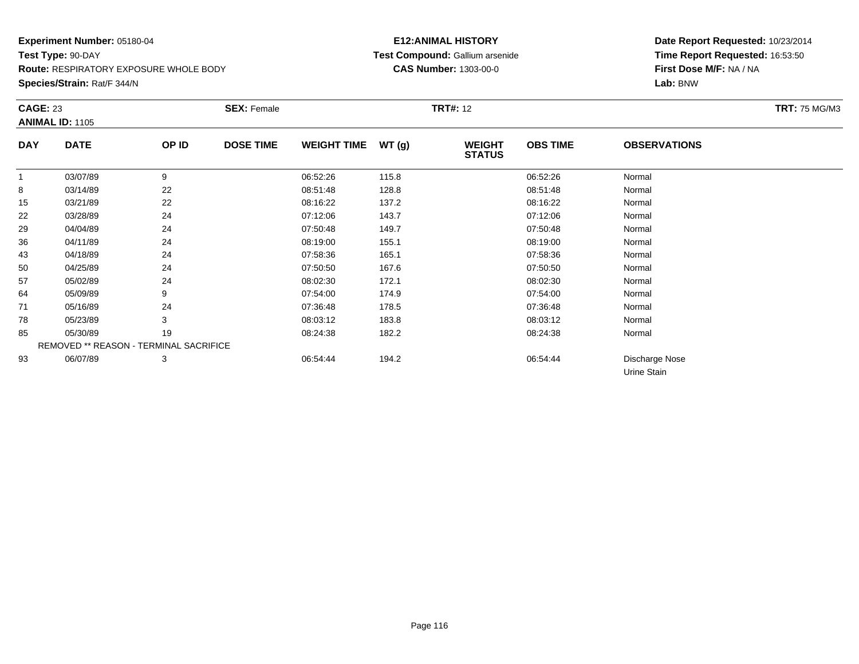**Species/Strain:** Rat/F 344/N

# **E12:ANIMAL HISTORY Test Compound:** Gallium arsenide**CAS Number:** 1303-00-0

|                | <b>CAGE: 23</b>                        |       | <b>SEX: Female</b> |                    |       |                                | <b>TRT#: 12</b> |                               |  |  |  |
|----------------|----------------------------------------|-------|--------------------|--------------------|-------|--------------------------------|-----------------|-------------------------------|--|--|--|
|                | <b>ANIMAL ID: 1105</b>                 |       |                    |                    |       |                                |                 |                               |  |  |  |
| <b>DAY</b>     | <b>DATE</b>                            | OP ID | <b>DOSE TIME</b>   | <b>WEIGHT TIME</b> | WT(g) | <b>WEIGHT</b><br><b>STATUS</b> | <b>OBS TIME</b> | <b>OBSERVATIONS</b>           |  |  |  |
| $\overline{1}$ | 03/07/89                               | 9     |                    | 06:52:26           | 115.8 |                                | 06:52:26        | Normal                        |  |  |  |
| 8              | 03/14/89                               | 22    |                    | 08:51:48           | 128.8 |                                | 08:51:48        | Normal                        |  |  |  |
| 15             | 03/21/89                               | 22    |                    | 08:16:22           | 137.2 |                                | 08:16:22        | Normal                        |  |  |  |
| 22             | 03/28/89                               | 24    |                    | 07:12:06           | 143.7 |                                | 07:12:06        | Normal                        |  |  |  |
| 29             | 04/04/89                               | 24    |                    | 07:50:48           | 149.7 |                                | 07:50:48        | Normal                        |  |  |  |
| 36             | 04/11/89                               | 24    |                    | 08:19:00           | 155.1 |                                | 08:19:00        | Normal                        |  |  |  |
| 43             | 04/18/89                               | 24    |                    | 07:58:36           | 165.1 |                                | 07:58:36        | Normal                        |  |  |  |
| 50             | 04/25/89                               | 24    |                    | 07:50:50           | 167.6 |                                | 07:50:50        | Normal                        |  |  |  |
| 57             | 05/02/89                               | 24    |                    | 08:02:30           | 172.1 |                                | 08:02:30        | Normal                        |  |  |  |
| 64             | 05/09/89                               | 9     |                    | 07:54:00           | 174.9 |                                | 07:54:00        | Normal                        |  |  |  |
| 71             | 05/16/89                               | 24    |                    | 07:36:48           | 178.5 |                                | 07:36:48        | Normal                        |  |  |  |
| 78             | 05/23/89                               | 3     |                    | 08:03:12           | 183.8 |                                | 08:03:12        | Normal                        |  |  |  |
| 85             | 05/30/89                               | 19    |                    | 08:24:38           | 182.2 |                                | 08:24:38        | Normal                        |  |  |  |
|                | REMOVED ** REASON - TERMINAL SACRIFICE |       |                    |                    |       |                                |                 |                               |  |  |  |
| 93             | 06/07/89                               | 3     |                    | 06:54:44           | 194.2 |                                | 06:54:44        | Discharge Nose<br>Urine Stain |  |  |  |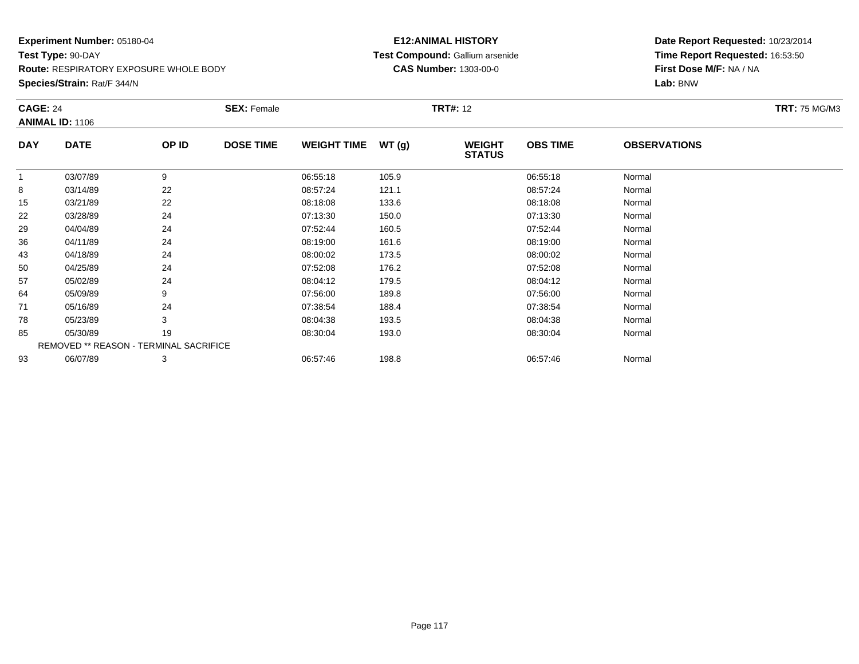**Species/Strain:** Rat/F 344/N

# **E12:ANIMAL HISTORY Test Compound:** Gallium arsenide**CAS Number:** 1303-00-0

|            | <b>CAGE: 24</b><br><b>ANIMAL ID: 1106</b>     |       | <b>SEX: Female</b> |                    |       | <b>TRT#:</b> 12                |                 | <b>TRT: 75 MG/M3</b> |  |
|------------|-----------------------------------------------|-------|--------------------|--------------------|-------|--------------------------------|-----------------|----------------------|--|
|            |                                               |       |                    |                    |       |                                |                 |                      |  |
| <b>DAY</b> | <b>DATE</b>                                   | OP ID | <b>DOSE TIME</b>   | <b>WEIGHT TIME</b> | WT(g) | <b>WEIGHT</b><br><b>STATUS</b> | <b>OBS TIME</b> | <b>OBSERVATIONS</b>  |  |
|            | 03/07/89                                      | 9     |                    | 06:55:18           | 105.9 |                                | 06:55:18        | Normal               |  |
| 8          | 03/14/89                                      | 22    |                    | 08:57:24           | 121.1 |                                | 08:57:24        | Normal               |  |
| 15         | 03/21/89                                      | 22    |                    | 08:18:08           | 133.6 |                                | 08:18:08        | Normal               |  |
| 22         | 03/28/89                                      | 24    |                    | 07:13:30           | 150.0 |                                | 07:13:30        | Normal               |  |
| 29         | 04/04/89                                      | 24    |                    | 07:52:44           | 160.5 |                                | 07:52:44        | Normal               |  |
| 36         | 04/11/89                                      | 24    |                    | 08:19:00           | 161.6 |                                | 08:19:00        | Normal               |  |
| 43         | 04/18/89                                      | 24    |                    | 08:00:02           | 173.5 |                                | 08:00:02        | Normal               |  |
| 50         | 04/25/89                                      | 24    |                    | 07:52:08           | 176.2 |                                | 07:52:08        | Normal               |  |
| 57         | 05/02/89                                      | 24    |                    | 08:04:12           | 179.5 |                                | 08:04:12        | Normal               |  |
| 64         | 05/09/89                                      | 9     |                    | 07:56:00           | 189.8 |                                | 07:56:00        | Normal               |  |
| 71         | 05/16/89                                      | 24    |                    | 07:38:54           | 188.4 |                                | 07:38:54        | Normal               |  |
| 78         | 05/23/89                                      | 3     |                    | 08:04:38           | 193.5 |                                | 08:04:38        | Normal               |  |
| 85         | 05/30/89                                      | 19    |                    | 08:30:04           | 193.0 |                                | 08:30:04        | Normal               |  |
|            | <b>REMOVED ** REASON - TERMINAL SACRIFICE</b> |       |                    |                    |       |                                |                 |                      |  |
| 93         | 06/07/89                                      | 3     |                    | 06:57:46           | 198.8 |                                | 06.57.46        | Normal               |  |
|            |                                               |       |                    |                    |       |                                |                 |                      |  |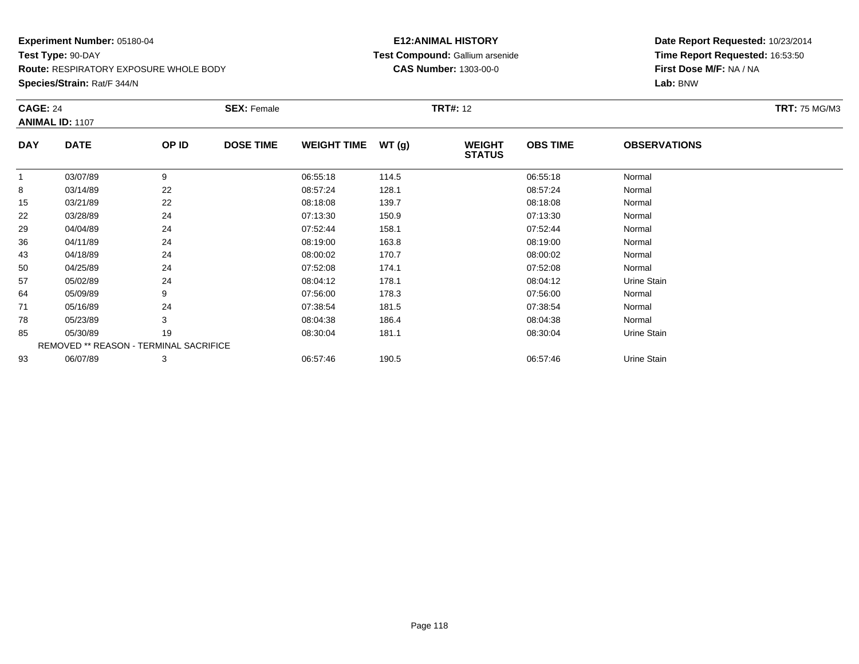**Species/Strain:** Rat/F 344/N

# **E12:ANIMAL HISTORY Test Compound:** Gallium arsenide**CAS Number:** 1303-00-0

| <b>CAGE: 24</b><br><b>ANIMAL ID: 1107</b> |                                        | <b>SEX: Female</b> |                  |                    | <b>TRT#: 12</b> | <b>TRT: 75 MG/M3</b>           |                 |                     |  |
|-------------------------------------------|----------------------------------------|--------------------|------------------|--------------------|-----------------|--------------------------------|-----------------|---------------------|--|
| <b>DAY</b>                                | <b>DATE</b>                            | OP ID              | <b>DOSE TIME</b> | <b>WEIGHT TIME</b> | WT(g)           | <b>WEIGHT</b><br><b>STATUS</b> | <b>OBS TIME</b> | <b>OBSERVATIONS</b> |  |
| 1                                         | 03/07/89                               | 9                  |                  | 06:55:18           | 114.5           |                                | 06:55:18        | Normal              |  |
| 8                                         | 03/14/89                               | 22                 |                  | 08:57:24           | 128.1           |                                | 08:57:24        | Normal              |  |
| 15                                        | 03/21/89                               | 22                 |                  | 08:18:08           | 139.7           |                                | 08:18:08        | Normal              |  |
| 22                                        | 03/28/89                               | 24                 |                  | 07:13:30           | 150.9           |                                | 07:13:30        | Normal              |  |
| 29                                        | 04/04/89                               | 24                 |                  | 07:52:44           | 158.1           |                                | 07:52:44        | Normal              |  |
| 36                                        | 04/11/89                               | 24                 |                  | 08:19:00           | 163.8           |                                | 08:19:00        | Normal              |  |
| 43                                        | 04/18/89                               | 24                 |                  | 08:00:02           | 170.7           |                                | 08:00:02        | Normal              |  |
| 50                                        | 04/25/89                               | 24                 |                  | 07:52:08           | 174.1           |                                | 07:52:08        | Normal              |  |
| 57                                        | 05/02/89                               | 24                 |                  | 08:04:12           | 178.1           |                                | 08:04:12        | Urine Stain         |  |
| 64                                        | 05/09/89                               | 9                  |                  | 07:56:00           | 178.3           |                                | 07:56:00        | Normal              |  |
| 71                                        | 05/16/89                               | 24                 |                  | 07:38:54           | 181.5           |                                | 07:38:54        | Normal              |  |
| 78                                        | 05/23/89                               | 3                  |                  | 08:04:38           | 186.4           |                                | 08:04:38        | Normal              |  |
| 85                                        | 05/30/89                               | 19                 |                  | 08:30:04           | 181.1           |                                | 08:30:04        | Urine Stain         |  |
|                                           | REMOVED ** REASON - TERMINAL SACRIFICE |                    |                  |                    |                 |                                |                 |                     |  |
| 93                                        | 06/07/89                               | 3                  |                  | 06:57:46           | 190.5           |                                | 06:57:46        | Urine Stain         |  |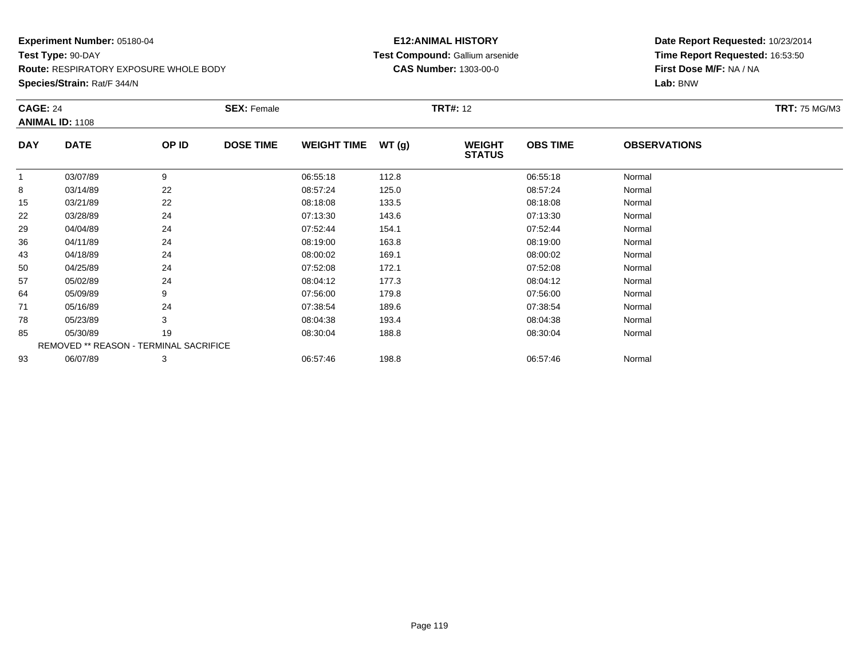**Species/Strain:** Rat/F 344/N

# **E12:ANIMAL HISTORY Test Compound:** Gallium arsenide**CAS Number:** 1303-00-0

| <b>CAGE: 24</b><br><b>ANIMAL ID: 1108</b> |                                        |       | <b>SEX: Female</b> |                    |       | <b>TRT#: 12</b>                |                 |                     |  |  |
|-------------------------------------------|----------------------------------------|-------|--------------------|--------------------|-------|--------------------------------|-----------------|---------------------|--|--|
| <b>DAY</b>                                | <b>DATE</b>                            | OP ID | <b>DOSE TIME</b>   | <b>WEIGHT TIME</b> | WT(g) | <b>WEIGHT</b><br><b>STATUS</b> | <b>OBS TIME</b> | <b>OBSERVATIONS</b> |  |  |
| 1                                         | 03/07/89                               | 9     |                    | 06:55:18           | 112.8 |                                | 06:55:18        | Normal              |  |  |
| 8                                         | 03/14/89                               | 22    |                    | 08:57:24           | 125.0 |                                | 08:57:24        | Normal              |  |  |
| 15                                        | 03/21/89                               | 22    |                    | 08:18:08           | 133.5 |                                | 08:18:08        | Normal              |  |  |
| 22                                        | 03/28/89                               | 24    |                    | 07:13:30           | 143.6 |                                | 07:13:30        | Normal              |  |  |
| 29                                        | 04/04/89                               | 24    |                    | 07:52:44           | 154.1 |                                | 07:52:44        | Normal              |  |  |
| 36                                        | 04/11/89                               | 24    |                    | 08:19:00           | 163.8 |                                | 08:19:00        | Normal              |  |  |
| 43                                        | 04/18/89                               | 24    |                    | 08:00:02           | 169.1 |                                | 08:00:02        | Normal              |  |  |
| 50                                        | 04/25/89                               | 24    |                    | 07:52:08           | 172.1 |                                | 07:52:08        | Normal              |  |  |
| 57                                        | 05/02/89                               | 24    |                    | 08:04:12           | 177.3 |                                | 08:04:12        | Normal              |  |  |
| 64                                        | 05/09/89                               | 9     |                    | 07:56:00           | 179.8 |                                | 07:56:00        | Normal              |  |  |
| 71                                        | 05/16/89                               | 24    |                    | 07:38:54           | 189.6 |                                | 07:38:54        | Normal              |  |  |
| 78                                        | 05/23/89                               | 3     |                    | 08:04:38           | 193.4 |                                | 08:04:38        | Normal              |  |  |
| 85                                        | 05/30/89                               | 19    |                    | 08:30:04           | 188.8 |                                | 08:30:04        | Normal              |  |  |
|                                           | REMOVED ** REASON - TERMINAL SACRIFICE |       |                    |                    |       |                                |                 |                     |  |  |
| 93                                        | 06/07/89                               | 3     |                    | 06:57:46           | 198.8 |                                | 06:57:46        | Normal              |  |  |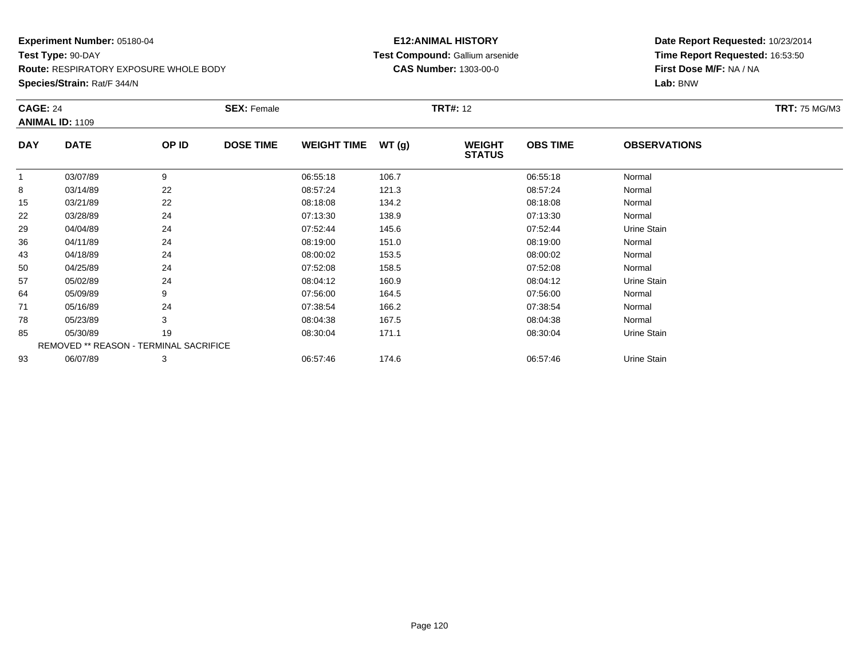**Species/Strain:** Rat/F 344/N

# **E12:ANIMAL HISTORY Test Compound:** Gallium arsenide**CAS Number:** 1303-00-0

|            | <b>CAGE: 24</b>                               |       | <b>SEX: Female</b> |                    |       | <b>TRT#: 12</b>                |                 | <b>TRT: 75 MG/M3</b> |  |
|------------|-----------------------------------------------|-------|--------------------|--------------------|-------|--------------------------------|-----------------|----------------------|--|
|            | <b>ANIMAL ID: 1109</b>                        |       |                    |                    |       |                                |                 |                      |  |
| <b>DAY</b> | <b>DATE</b>                                   | OP ID | <b>DOSE TIME</b>   | <b>WEIGHT TIME</b> | WT(g) | <b>WEIGHT</b><br><b>STATUS</b> | <b>OBS TIME</b> | <b>OBSERVATIONS</b>  |  |
| 1          | 03/07/89                                      | 9     |                    | 06:55:18           | 106.7 |                                | 06:55:18        | Normal               |  |
| 8          | 03/14/89                                      | 22    |                    | 08:57:24           | 121.3 |                                | 08:57:24        | Normal               |  |
| 15         | 03/21/89                                      | 22    |                    | 08:18:08           | 134.2 |                                | 08:18:08        | Normal               |  |
| 22         | 03/28/89                                      | 24    |                    | 07:13:30           | 138.9 |                                | 07:13:30        | Normal               |  |
| 29         | 04/04/89                                      | 24    |                    | 07:52:44           | 145.6 |                                | 07:52:44        | Urine Stain          |  |
| 36         | 04/11/89                                      | 24    |                    | 08:19:00           | 151.0 |                                | 08:19:00        | Normal               |  |
| 43         | 04/18/89                                      | 24    |                    | 08:00:02           | 153.5 |                                | 08:00:02        | Normal               |  |
| 50         | 04/25/89                                      | 24    |                    | 07:52:08           | 158.5 |                                | 07:52:08        | Normal               |  |
| 57         | 05/02/89                                      | 24    |                    | 08:04:12           | 160.9 |                                | 08:04:12        | Urine Stain          |  |
| 64         | 05/09/89                                      | 9     |                    | 07:56:00           | 164.5 |                                | 07:56:00        | Normal               |  |
| 71         | 05/16/89                                      | 24    |                    | 07:38:54           | 166.2 |                                | 07:38:54        | Normal               |  |
| 78         | 05/23/89                                      | 3     |                    | 08:04:38           | 167.5 |                                | 08:04:38        | Normal               |  |
| 85         | 05/30/89                                      | 19    |                    | 08:30:04           | 171.1 |                                | 08:30:04        | Urine Stain          |  |
|            | <b>REMOVED ** REASON - TERMINAL SACRIFICE</b> |       |                    |                    |       |                                |                 |                      |  |
| 93         | 06/07/89                                      | 3     |                    | 06:57:46           | 174.6 |                                | 06:57:46        | Urine Stain          |  |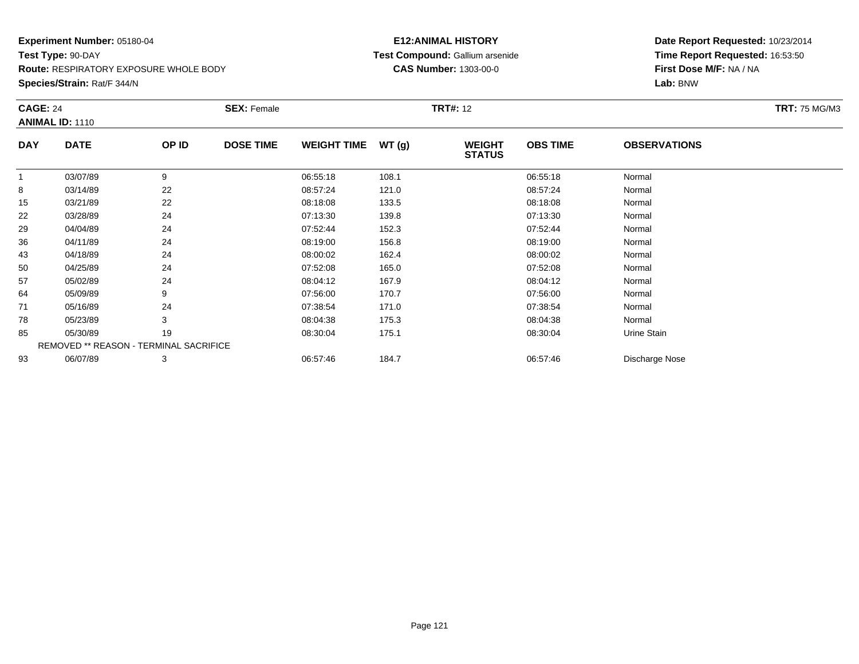**Species/Strain:** Rat/F 344/N

# **E12:ANIMAL HISTORY Test Compound:** Gallium arsenide**CAS Number:** 1303-00-0

| <b>CAGE: 24</b><br><b>ANIMAL ID: 1110</b> |                                        |       | <b>SEX: Female</b> | <b>TRT#: 12</b>    |       |                                |                 |                     | <b>TRT: 75 MG/M3</b> |
|-------------------------------------------|----------------------------------------|-------|--------------------|--------------------|-------|--------------------------------|-----------------|---------------------|----------------------|
| <b>DAY</b>                                | <b>DATE</b>                            | OP ID | <b>DOSE TIME</b>   | <b>WEIGHT TIME</b> | WT(g) | <b>WEIGHT</b><br><b>STATUS</b> | <b>OBS TIME</b> | <b>OBSERVATIONS</b> |                      |
| 1                                         | 03/07/89                               | 9     |                    | 06:55:18           | 108.1 |                                | 06:55:18        | Normal              |                      |
| 8                                         | 03/14/89                               | 22    |                    | 08:57:24           | 121.0 |                                | 08:57:24        | Normal              |                      |
| 15                                        | 03/21/89                               | 22    |                    | 08:18:08           | 133.5 |                                | 08:18:08        | Normal              |                      |
| 22                                        | 03/28/89                               | 24    |                    | 07:13:30           | 139.8 |                                | 07:13:30        | Normal              |                      |
| 29                                        | 04/04/89                               | 24    |                    | 07:52:44           | 152.3 |                                | 07:52:44        | Normal              |                      |
| 36                                        | 04/11/89                               | 24    |                    | 08:19:00           | 156.8 |                                | 08:19:00        | Normal              |                      |
| 43                                        | 04/18/89                               | 24    |                    | 08:00:02           | 162.4 |                                | 08:00:02        | Normal              |                      |
| 50                                        | 04/25/89                               | 24    |                    | 07:52:08           | 165.0 |                                | 07:52:08        | Normal              |                      |
| 57                                        | 05/02/89                               | 24    |                    | 08:04:12           | 167.9 |                                | 08:04:12        | Normal              |                      |
| 64                                        | 05/09/89                               | 9     |                    | 07:56:00           | 170.7 |                                | 07:56:00        | Normal              |                      |
| 71                                        | 05/16/89                               | 24    |                    | 07:38:54           | 171.0 |                                | 07:38:54        | Normal              |                      |
| 78                                        | 05/23/89                               | 3     |                    | 08:04:38           | 175.3 |                                | 08:04:38        | Normal              |                      |
| 85                                        | 05/30/89                               | 19    |                    | 08:30:04           | 175.1 |                                | 08:30:04        | Urine Stain         |                      |
|                                           | REMOVED ** REASON - TERMINAL SACRIFICE |       |                    |                    |       |                                |                 |                     |                      |
| 93                                        | 06/07/89                               | 3     |                    | 06:57:46           | 184.7 |                                | 06:57:46        | Discharge Nose      |                      |